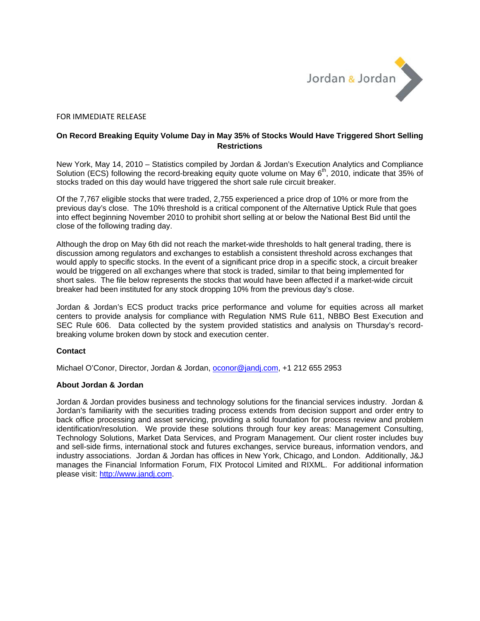

## FOR IMMEDIATE RELEASE

## **On Record Breaking Equity Volume Day in May 35% of Stocks Would Have Triggered Short Selling Restrictions**

New York, May 14, 2010 – Statistics compiled by Jordan & Jordan's Execution Analytics and Compliance Solution (ECS) following the record-breaking equity quote volume on May  $6<sup>th</sup>$ , 2010, indicate that 35% of stocks traded on this day would have triggered the short sale rule circuit breaker.

Of the 7,767 eligible stocks that were traded, 2,755 experienced a price drop of 10% or more from the previous day's close. The 10% threshold is a critical component of the Alternative Uptick Rule that goes into effect beginning November 2010 to prohibit short selling at or below the National Best Bid until the close of the following trading day.

Although the drop on May 6th did not reach the market-wide thresholds to halt general trading, there is discussion among regulators and exchanges to establish a consistent threshold across exchanges that would apply to specific stocks. In the event of a significant price drop in a specific stock, a circuit breaker would be triggered on all exchanges where that stock is traded, similar to that being implemented for short sales. The file below represents the stocks that would have been affected if a market-wide circuit breaker had been instituted for any stock dropping 10% from the previous day's close.

Jordan & Jordan's ECS product tracks price performance and volume for equities across all market centers to provide analysis for compliance with Regulation NMS Rule 611, NBBO Best Execution and SEC Rule 606. Data collected by the system provided statistics and analysis on Thursday's recordbreaking volume broken down by stock and execution center.

## **Contact**

Michael O'Conor, Director, Jordan & Jordan, oconor@jandj.com, +1 212 655 2953

## **About Jordan & Jordan**

Jordan & Jordan provides business and technology solutions for the financial services industry. Jordan & Jordan's familiarity with the securities trading process extends from decision support and order entry to back office processing and asset servicing, providing a solid foundation for process review and problem identification/resolution. We provide these solutions through four key areas: Management Consulting, Technology Solutions, Market Data Services, and Program Management. Our client roster includes buy and sell-side firms, international stock and futures exchanges, service bureaus, information vendors, and industry associations. Jordan & Jordan has offices in New York, Chicago, and London. Additionally, J&J manages the Financial Information Forum, FIX Protocol Limited and RIXML. For additional information please visit: http://www.jandj.com.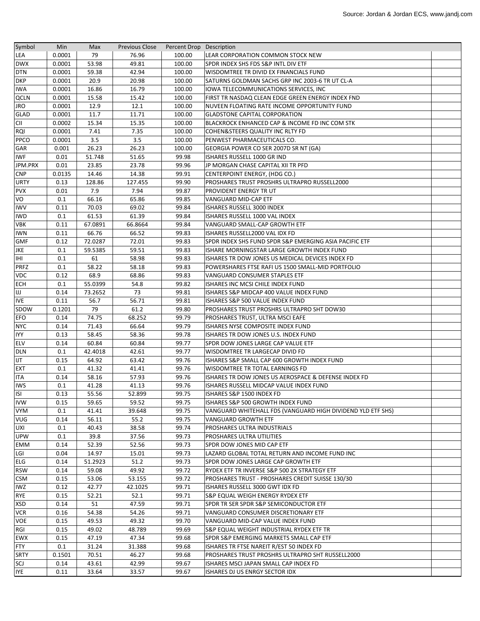| Symbol         | Min    | Max              | <b>Previous Close</b> | Percent Drop Description |                                                             |  |
|----------------|--------|------------------|-----------------------|--------------------------|-------------------------------------------------------------|--|
| LEA            | 0.0001 | 79               | 76.96                 | 100.00                   | LEAR CORPORATION COMMON STOCK NEW                           |  |
| <b>DWX</b>     | 0.0001 | 53.98            | 49.81                 | 100.00                   | SPDR INDEX SHS FDS S&P INTL DIV ETF                         |  |
| <b>DTN</b>     | 0.0001 | 59.38            | 42.94                 | 100.00                   | WISDOMTREE TR DIVID EX FINANCIALS FUND                      |  |
| <b>DKP</b>     | 0.0001 | 20.9             | 20.98                 | 100.00                   | SATURNS GOLDMAN SACHS GRP INC 2003-6 TR UT CL-A             |  |
| <b>IWA</b>     | 0.0001 | 16.86            | 16.79                 | 100.00                   | IOWA TELECOMMUNICATIONS SERVICES, INC                       |  |
| <b>QCLN</b>    | 0.0001 | 15.58            | 15.42                 | 100.00                   | FIRST TR NASDAQ CLEAN EDGE GREEN ENERGY INDEX FND           |  |
| <b>JRO</b>     | 0.0001 | 12.9             | 12.1                  | 100.00                   | NUVEEN FLOATING RATE INCOME OPPORTUNITY FUND                |  |
| <b>GLAD</b>    | 0.0001 | 11.7             | 11.71                 | 100.00                   | <b>GLADSTONE CAPITAL CORPORATION</b>                        |  |
| <b>CII</b>     | 0.0002 | 15.34            | 15.35                 | 100.00                   | BLACKROCK ENHANCED CAP & INCOME FD INC COM STK              |  |
| rqi            | 0.0001 | 7.41             | 7.35                  | 100.00                   | COHEN&STEERS QUALITY INC RLTY FD                            |  |
| <b>PPCO</b>    | 0.0001 | 3.5              | 3.5                   | 100.00                   | PENWEST PHARMACEUTICALS CO.                                 |  |
| GAR            | 0.001  | 26.23            | 26.23                 | 100.00                   | GEORGIA POWER CO SER 2007D SR NT (GA)                       |  |
| <b>IWF</b>     | 0.01   | 51.748           | 51.65                 | 99.98                    | ISHARES RUSSELL 1000 GR IND                                 |  |
| JPM.PRX        | 0.01   | 23.85            | 23.78                 | 99.96                    | JP MORGAN CHASE CAPITAL XII TR PFD                          |  |
| <b>CNP</b>     | 0.0135 | 14.46            | 14.38                 | 99.91                    | CENTERPOINT ENERGY, (HDG CO.)                               |  |
| <b>URTY</b>    | 0.13   | 128.86           | 127.455               | 99.90                    | PROSHARES TRUST PROSHRS ULTRAPRO RUSSELL2000                |  |
| <b>PVX</b>     | 0.01   | 7.9              | 7.94                  | 99.87                    | <b>PROVIDENT ENERGY TRUT</b>                                |  |
| VO             | 0.1    | 66.16            | 65.86                 | 99.85                    | VANGUARD MID-CAP ETF                                        |  |
| <b>IWV</b>     | 0.11   | 70.03            | 69.02                 | 99.84                    | ISHARES RUSSELL 3000 INDEX                                  |  |
|                |        |                  |                       |                          |                                                             |  |
| <b>IWD</b>     | 0.1    | 61.53<br>67.0891 | 61.39                 | 99.84                    | ISHARES RUSSELL 1000 VAL INDEX                              |  |
| <b>VBK</b>     | 0.11   |                  | 66.8664               | 99.84                    | VANGUARD SMALL-CAP GROWTH ETF                               |  |
| <b>IWN</b>     | 0.11   | 66.76            | 66.52                 | 99.83                    | ISHARES RUSSELL2000 VAL IDX FD                              |  |
| <b>GMF</b>     | 0.12   | 72.0287          | 72.01                 | 99.83                    | SPDR INDEX SHS FUND SPDR S&P EMERGING ASIA PACIFIC ETF      |  |
| <b>JKE</b>     | 0.1    | 59.5385          | 59.51                 | 99.83                    | ISHARE MORNINGSTAR LARGE GROWTH INDEX FUND                  |  |
| IHI            | 0.1    | 61               | 58.98                 | 99.83                    | ISHARES TR DOW JONES US MEDICAL DEVICES INDEX FD            |  |
| <b>PRFZ</b>    | 0.1    | 58.22            | 58.18                 | 99.83                    | POWERSHARES FTSE RAFI US 1500 SMALL-MID PORTFOLIO           |  |
| <b>VDC</b>     | 0.12   | 68.9             | 68.86                 | 99.83                    | VANGUARD CONSUMER STAPLES ETF                               |  |
| <b>ECH</b>     | 0.1    | 55.0399          | 54.8                  | 99.82                    | ISHARES INC MCSI CHILE INDEX FUND                           |  |
| IJ             | 0.14   | 73.2652          | 73                    | 99.81                    | ISHARES S&P MIDCAP 400 VALUE INDEX FUND                     |  |
| <b>IVE</b>     | 0.11   | 56.7             | 56.71                 | 99.81                    | ISHARES S&P 500 VALUE INDEX FUND                            |  |
| SDOW           | 0.1201 | 79               | 61.2                  | 99.80                    | PROSHARES TRUST PROSHRS ULTRAPRO SHT DOW30                  |  |
| <b>EFO</b>     | 0.14   | 74.75            | 68.252                | 99.79                    | PROSHARES TRUST, ULTRA MSCI EAFE                            |  |
| <b>NYC</b>     | 0.14   | 71.43            | 66.64                 | 99.79                    | ISHARES NYSE COMPOSITE INDEX FUND                           |  |
| <b>IYY</b>     | 0.13   | 58.45            | 58.36                 | 99.78                    | ISHARES TR DOW JONES U.S. INDEX FUND                        |  |
| <b>ELV</b>     | 0.14   | 60.84            | 60.84                 | 99.77                    | SPDR DOW JONES LARGE CAP VALUE ETF                          |  |
| <b>DLN</b>     | 0.1    | 42.4018          | 42.61                 | 99.77                    | WISDOMTREE TR LARGECAP DIVID FD                             |  |
| IJT            | 0.15   | 64.92            | 63.42                 | 99.76                    | ISHARES S&P SMALL CAP 600 GROWTH INDEX FUND                 |  |
| <b>EXT</b>     | 0.1    | 41.32            | 41.41                 | 99.76                    | WISDOMTREE TR TOTAL EARNINGS FD                             |  |
| <b>ITA</b>     | 0.14   | 58.16            | 57.93                 | 99.76                    | ISHARES TR DOW JONES US AEROSPACE & DEFENSE INDEX FD        |  |
| <b>IWS</b>     | 0.1    | 41.28            | 41.13                 | 99.76                    | ISHARES RUSSELL MIDCAP VALUE INDEX FUND                     |  |
| $\overline{S}$ | 0.13   | 55.56            | 52.899                | 99.75                    | ISHARES S&P 1500 INDEX FD                                   |  |
| <b>IVW</b>     | 0.15   | 59.65            | 59.52                 | 99.75                    | ISHARES S&P 500 GROWTH INDEX FUND                           |  |
| <b>VYM</b>     | 0.1    | 41.41            | 39.648                | 99.75                    | VANGUARD WHITEHALL FDS (VANGUARD HIGH DIVIDEND YLD ETF SHS) |  |
| <b>VUG</b>     | 0.14   | 56.11            | 55.2                  | 99.75                    | VANGUARD GROWTH ETF                                         |  |
| UXI            | 0.1    | 40.43            | 38.58                 | 99.74                    | PROSHARES ULTRA INDUSTRIALS                                 |  |
| <b>UPW</b>     | 0.1    | 39.8             | 37.56                 | 99.73                    | PROSHARES ULTRA UTILITIES                                   |  |
| <b>EMM</b>     | 0.14   | 52.39            | 52.56                 | 99.73                    | SPDR DOW JONES MID CAP ETF                                  |  |
| LGI            | 0.04   | 14.97            | 15.01                 | 99.73                    | LAZARD GLOBAL TOTAL RETURN AND INCOME FUND INC              |  |
| ELG            | 0.14   | 51.2923          | 51.2                  | 99.73                    | SPDR DOW JONES LARGE CAP GROWTH ETF                         |  |
| <b>RSW</b>     | 0.14   | 59.08            | 49.92                 | 99.72                    | RYDEX ETF TR INVERSE S&P 500 2X STRATEGY ETF                |  |
| <b>CSM</b>     | 0.15   | 53.06            | 53.155                | 99.72                    | PROSHARES TRUST - PROSHARES CREDIT SUISSE 130/30            |  |
| <b>IWZ</b>     | 0.12   | 42.77            | 42.1025               | 99.71                    | ISHARES RUSSELL 3000 GWT IDX FD                             |  |
| <b>RYE</b>     | 0.15   | 52.21            | 52.1                  | 99.71                    | S&P EQUAL WEIGH ENERGY RYDEX ETF                            |  |
| <b>XSD</b>     | 0.14   | 51               | 47.59                 | 99.71                    | SPDR TR SER SPDR S&P SEMICONDUCTOR ETF                      |  |
| <b>VCR</b>     | 0.16   | 54.38            | 54.26                 | 99.71                    | VANGUARD CONSUMER DISCRETIONARY ETF                         |  |
| <b>VOE</b>     | 0.15   | 49.53            | 49.32                 | 99.70                    | VANGUARD MID-CAP VALUE INDEX FUND                           |  |
| RGI            | 0.15   | 49.02            | 48.789                | 99.69                    | S&P EQUAL WEIGHT INDUSTRIAL RYDEX ETF TR                    |  |
| <b>EWX</b>     | 0.15   | 47.19            | 47.34                 | 99.68                    | SPDR S&P EMERGING MARKETS SMALL CAP ETF                     |  |
| <b>FTY</b>     | 0.1    | 31.24            | 31.388                | 99.68                    | ISHARES TR FTSE NAREIT R/EST 50 INDEX FD                    |  |
| <b>SRTY</b>    | 0.1501 | 70.51            | 46.27                 | 99.68                    | PROSHARES TRUST PROSHRS ULTRAPRO SHT RUSSELL2000            |  |
| SCJ            | 0.14   | 43.61            | 42.99                 | 99.67                    | ISHARES MSCI JAPAN SMALL CAP INDEX FD                       |  |
| <b>IYE</b>     | 0.11   | 33.64            | 33.57                 | 99.67                    | ISHARES DJ US ENRGY SECTOR IDX                              |  |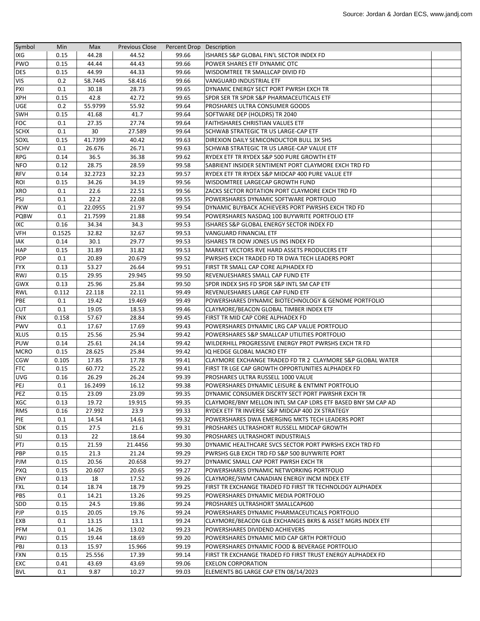| Symbol      | Min    | Max     | <b>Previous Close</b> | Percent Drop Description |                                                              |  |
|-------------|--------|---------|-----------------------|--------------------------|--------------------------------------------------------------|--|
| IXG         | 0.15   | 44.28   | 44.52                 | 99.66                    | ISHARES S&P GLOBAL FIN'L SECTOR INDEX FD                     |  |
| <b>PWO</b>  | 0.15   | 44.44   | 44.43                 | 99.66                    | POWER SHARES ETF DYNAMIC OTC                                 |  |
| <b>DES</b>  | 0.15   | 44.99   | 44.33                 | 99.66                    | <b>WISDOMTREE TR SMALLCAP DIVID FD</b>                       |  |
| <b>VIS</b>  | 0.2    | 58.7445 | 58.416                | 99.66                    | VANGUARD INDUSTRIAL ETF                                      |  |
| PXI         | 0.1    | 30.18   | 28.73                 | 99.65                    | DYNAMIC ENERGY SECT PORT PWRSH EXCH TR                       |  |
| <b>XPH</b>  | 0.15   | 42.8    | 42.72                 | 99.65                    | SPDR SER TR SPDR S&P PHARMACEUTICALS ETF                     |  |
| <b>UGE</b>  | 0.2    | 55.9799 | 55.92                 | 99.64                    | <b>PROSHARES ULTRA CONSUMER GOODS</b>                        |  |
| SWH         | 0.15   | 41.68   | 41.7                  | 99.64                    | SOFTWARE DEP (HOLDRS) TR 2040                                |  |
| <b>FOC</b>  | 0.1    | 27.35   | 27.74                 | 99.64                    | <b>FAITHSHARES CHRISTIAN VALUES ETF</b>                      |  |
| <b>SCHX</b> | 0.1    | 30      | 27.589                | 99.64                    | SCHWAB STRATEGIC TR US LARGE-CAP ETF                         |  |
| SOXL        | 0.15   | 41.7399 | 40.42                 | 99.63                    | DIREXION DAILY SEMICONDUCTOR BULL 3X SHS                     |  |
| <b>SCHV</b> | 0.1    | 26.676  | 26.71                 | 99.63                    | SCHWAB STRATEGIC TR US LARGE-CAP VALUE ETF                   |  |
| <b>RPG</b>  | 0.14   | 36.5    | 36.38                 | 99.62                    | RYDEX ETF TR RYDEX S&P 500 PURE GROWTH ETF                   |  |
| <b>NFO</b>  | 0.12   | 28.75   | 28.59                 | 99.58                    | SABRIENT INSIDER SENTIMENT PORT CLAYMORE EXCH TRD FD         |  |
| <b>RFV</b>  | 0.14   | 32.2723 | 32.23                 | 99.57                    | RYDEX ETF TR RYDEX S&P MIDCAP 400 PURE VALUE ETF             |  |
| ROI         | 0.15   | 34.26   | 34.19                 | 99.56                    | WISDOMTREE LARGECAP GROWTH FUND                              |  |
| <b>XRO</b>  | 0.1    | 22.6    | 22.51                 | 99.56                    | ZACKS SECTOR ROTATION PORT CLAYMORE EXCH TRD FD              |  |
| PSJ         | 0.1    | 22.2    | 22.08                 | 99.55                    | POWERSHARES DYNAMIC SOFTWARE PORTFOLIO                       |  |
| <b>PKW</b>  | 0.1    | 22.0955 | 21.97                 | 99.54                    | DYNAMIC BUYBACK ACHIEVERS PORT PWRSHS EXCH TRD FD            |  |
| <b>PQBW</b> | 0.1    | 21.7599 | 21.88                 | 99.54                    | POWERSHARES NASDAQ 100 BUYWRITE PORTFOLIO ETF                |  |
| <b>IXC</b>  | 0.16   | 34.34   | 34.3                  | 99.53                    | ISHARES S&P GLOBAL ENERGY SECTOR INDEX FD                    |  |
| <b>VFH</b>  | 0.1525 | 32.82   | 32.67                 | 99.53                    | <b>VANGUARD FINANCIAL ETF</b>                                |  |
| <b>IAK</b>  | 0.14   | 30.1    | 29.77                 | 99.53                    | ISHARES TR DOW JONES US INS INDEX FD                         |  |
| <b>HAP</b>  | 0.15   | 31.89   | 31.82                 | 99.53                    | <b>MARKET VECTORS RVE HARD ASSETS PRODUCERS ETF</b>          |  |
| <b>PDP</b>  | 0.1    | 20.89   | 20.679                | 99.52                    | PWRSHS EXCH TRADED FD TR DWA TECH LEADERS PORT               |  |
| <b>FYX</b>  | 0.13   | 53.27   | 26.64                 | 99.51                    | FIRST TR SMALL CAP CORE ALPHADEX FD                          |  |
| <b>RWJ</b>  | 0.15   | 29.95   | 29.945                | 99.50                    | REVENUESHARES SMALL CAP FUND ETF                             |  |
| GWX         | 0.13   | 25.96   | 25.84                 | 99.50                    | SPDR INDEX SHS FD SPDR S&P INTL SM CAP ETF                   |  |
| <b>RWL</b>  | 0.112  | 22.118  | 22.11                 | 99.49                    | REVENUESHARES LARGE CAP FUND ETF                             |  |
| PBE         | 0.1    | 19.42   | 19.469                | 99.49                    | POWERSHARES DYNAMIC BIOTECHNOLOGY & GENOME PORTFOLIO         |  |
| <b>CUT</b>  | 0.1    | 19.05   | 18.53                 | 99.46                    | CLAYMORE/BEACON GLOBAL TIMBER INDEX ETF                      |  |
| <b>FNX</b>  | 0.158  | 57.67   | 28.84                 | 99.45                    | FIRST TR MID CAP CORE ALPHADEX FD                            |  |
| <b>PWV</b>  | 0.1    | 17.67   | 17.69                 | 99.43                    | POWERSHARES DYNAMIC LRG CAP VALUE PORTFOLIO                  |  |
| <b>XLUS</b> | 0.15   | 25.56   | 25.94                 | 99.42                    | POWERSHARES S&P SMALLCAP UTILITIES PORTFOLIO                 |  |
| <b>PUW</b>  | 0.14   | 25.61   | 24.14                 | 99.42                    | WILDERHILL PROGRESSIVE ENERGY PROT PWRSHS EXCH TR FD         |  |
| <b>MCRO</b> | 0.15   | 28.625  | 25.84                 | 99.42                    | IQ HEDGE GLOBAL MACRO ETF                                    |  |
| <b>CGW</b>  | 0.105  | 17.85   | 17.78                 | 99.41                    | CLAYMORE EXCHANGE TRADED FD TR 2 CLAYMORE S&P GLOBAL WATER   |  |
| <b>FTC</b>  | 0.15   | 60.772  | 25.22                 | 99.41                    | FIRST TR LGE CAP GROWTH OPPORTUNITIES ALPHADEX FD            |  |
| <b>UVG</b>  | 0.16   | 26.29   | 26.24                 | 99.39                    | PROSHARES ULTRA RUSSELL 1000 VALUE                           |  |
| PEJ         | 0.1    | 16.2499 | 16.12                 | 99.38                    | POWERSHARES DYNAMIC LEISURE & ENTMNT PORTFOLIO               |  |
| PEZ         | 0.15   | 23.09   | 23.09                 | 99.35                    | DYNAMIC CONSUMER DISCRTY SECT PORT PWRSHR EXCH TR            |  |
| <b>XGC</b>  | 0.13   | 19.72   | 19.915                | 99.35                    | CLAYMORE/BNY MELLON INTL SM CAP LDRS ETF BASED BNY SM CAP AD |  |
| <b>RMS</b>  | 0.16   | 27.992  | 23.9                  | 99.33                    | RYDEX ETF TR INVERSE S&P MIDCAP 400 2X STRATEGY              |  |
| PIE         | 0.1    | 14.54   | 14.61                 | 99.32                    | POWERSHARES DWA EMERGING MKTS TECH LEADERS PORT              |  |
| <b>SDK</b>  | 0.15   | 27.5    | 21.6                  | 99.31                    | PROSHARES ULTRASHORT RUSSELL MIDCAP GROWTH                   |  |
| SIJ         | 0.13   | 22      | 18.64                 | 99.30                    | PROSHARES ULTRASHORT INDUSTRIALS                             |  |
| PTJ         | 0.15   | 21.59   | 21.4456               | 99.30                    | DYNAMIC HEALTHCARE SVCS SECTOR PORT PWRSHS EXCH TRD FD       |  |
| PBP         | 0.15   | 21.3    | 21.24                 | 99.29                    | PWRSHS GLB EXCH TRD FD S&P 500 BUYWRITE PORT                 |  |
| PJM         | 0.15   | 20.56   | 20.658                | 99.27                    | DYNAMIC SMALL CAP PORT PWRSH EXCH TR                         |  |
| <b>PXQ</b>  | 0.15   | 20.607  | 20.65                 | 99.27                    | POWERSHARES DYNAMIC NETWORKING PORTFOLIO                     |  |
| ENY         | 0.13   | 18      | 17.52                 | 99.26                    | CLAYMORE/SWM CANADIAN ENERGY INCM INDEX ETF                  |  |
| <b>FXL</b>  | 0.14   | 18.74   | 18.79                 | 99.25                    | FIRST TR EXCHANGE TRADED FD FIRST TR TECHNOLOGY ALPHADEX     |  |
| PBS         | 0.1    | 14.21   | 13.26                 | 99.25                    | POWERSHARES DYNAMIC MEDIA PORTFOLIO                          |  |
| SDD         | 0.15   | 24.5    | 19.86                 | 99.24                    | PROSHARES ULTRASHORT SMALLCAP600                             |  |
| PJP         | 0.15   | 20.05   | 19.76                 | 99.24                    | POWERSHARES DYNAMIC PHARMACEUTICALS PORTFOLIO                |  |
| EXB         | 0.1    | 13.15   | 13.1                  | 99.24                    | CLAYMORE/BEACON GLB EXCHANGES BKRS & ASSET MGRS INDEX ETF    |  |
| PFM         | 0.1    | 14.26   | 13.02                 | 99.23                    | POWERSHARES DIVIDEND ACHIEVERS                               |  |
| PWJ         | 0.15   | 19.44   | 18.69                 | 99.20                    | POWERSHARES DYNAMIC MID CAP GRTH PORTFOLIO                   |  |
| PBJ         | 0.13   | 15.97   | 15.966                | 99.19                    | POWERSHARES DYNAMIC FOOD & BEVERAGE PORTFOLIO                |  |
| <b>FXN</b>  | 0.15   | 25.556  | 17.39                 | 99.14                    | FIRST TR EXCHANGE TRADED FD FIRST TRUST ENERGY ALPHADEX FD   |  |
| <b>EXC</b>  | 0.41   | 43.69   | 43.69                 | 99.06                    | EXELON CORPORATION                                           |  |
| <b>BVL</b>  | 0.1    | 9.87    | 10.27                 | 99.03                    | ELEMENTS BG LARGE CAP ETN 08/14/2023                         |  |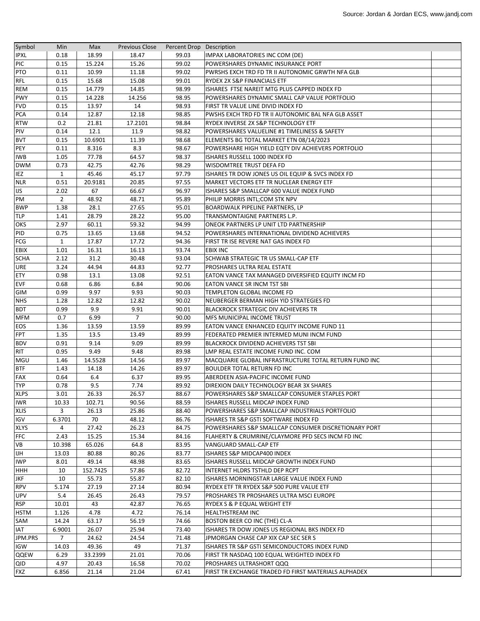| Symbol      | Min            | Max      | <b>Previous Close</b> | Percent Drop Description |                                                       |  |
|-------------|----------------|----------|-----------------------|--------------------------|-------------------------------------------------------|--|
| <b>IPXL</b> | 0.18           | 18.99    | 18.47                 | 99.03                    | IMPAX LABORATORIES INC COM (DE)                       |  |
| PIC         | 0.15           | 15.224   | 15.26                 | 99.02                    | POWERSHARES DYNAMIC INSURANCE PORT                    |  |
| <b>PTO</b>  | 0.11           | 10.99    | 11.18                 | 99.02                    | PWRSHS EXCH TRD FD TR II AUTONOMIC GRWTH NFA GLB      |  |
| <b>RFL</b>  | 0.15           | 15.68    | 15.08                 | 99.01                    | RYDEX 2X S&P FINANCIALS ETF                           |  |
| REM         | 0.15           | 14.779   | 14.85                 | 98.99                    | ISHARES FTSE NAREIT MTG PLUS CAPPED INDEX FD          |  |
| <b>PWY</b>  | 0.15           | 14.228   | 14.256                | 98.95                    | POWERSHARES DYNAMIC SMALL CAP VALUE PORTFOLIO         |  |
| <b>FVD</b>  | 0.15           | 13.97    | 14                    | 98.93                    | FIRST TR VALUE LINE DIVID INDEX FD                    |  |
| <b>PCA</b>  | 0.14           | 12.87    | 12.18                 | 98.85                    | PWSHS EXCH TRD FD TR II AUTONOMIC BAL NFA GLB ASSET   |  |
| <b>RTW</b>  | 0.2            | 21.81    | 17.2101               | 98.84                    | RYDEX INVERSE 2X S&P TECHNOLOGY ETF                   |  |
| PIV         | 0.14           | 12.1     | 11.9                  | 98.82                    | POWERSHARES VALUELINE #1 TIMELINESS & SAFETY          |  |
| <b>BVT</b>  | 0.15           | 10.6901  | 11.39                 | 98.68                    | ELEMENTS BG TOTAL MARKET ETN 08/14/2023               |  |
| <b>PEY</b>  | 0.11           | 8.316    | 8.3                   | 98.67                    | POWERSHARE HIGH YIELD EQTY DIV ACHIEVERS PORTFOLIO    |  |
| <b>IWB</b>  | 1.05           | 77.78    | 64.57                 | 98.37                    | ISHARES RUSSELL 1000 INDEX FD                         |  |
| <b>DWM</b>  | 0.73           | 42.75    | 42.76                 | 98.29                    | WISDOMTREE TRUST DEFA FD                              |  |
| IEZ         | $\mathbf{1}$   | 45.46    | 45.17                 | 97.79                    | ISHARES TR DOW JONES US OIL EQUIP & SVCS INDEX FD     |  |
| <b>NLR</b>  | 0.51           | 20.9181  | 20.85                 | 97.55                    | MARKET VECTORS ETF TR NUCLEAR ENERGY ETF              |  |
| <b>IJS</b>  | 2.02           | 67       | 66.67                 | 96.97                    | ISHARES S&P SMALLCAP 600 VALUE INDEX FUND             |  |
| PM          | $\overline{2}$ | 48.92    | 48.71                 | 95.89                    | PHILIP MORRIS INTL;COM STK NPV                        |  |
| <b>BWP</b>  | 1.38           | 28.1     | 27.65                 | 95.01                    | BOARDWALK PIPELINE PARTNERS, LP                       |  |
|             |                |          |                       |                          |                                                       |  |
| <b>TLP</b>  | 1.41           | 28.79    | 28.22                 | 95.00                    | TRANSMONTAIGNE PARTNERS L.P.                          |  |
| OKS         | 2.97           | 60.11    | 59.32                 | 94.99                    | ONEOK PARTNERS LP UNIT LTD PARTNERSHIP                |  |
| PID         | 0.75           | 13.65    | 13.68                 | 94.52                    | POWERSHARES INTERNATIONAL DIVIDEND ACHIEVERS          |  |
| <b>FCG</b>  | $\mathbf{1}$   | 17.87    | 17.72                 | 94.36                    | FIRST TR ISE REVERE NAT GAS INDEX FD                  |  |
| <b>EBIX</b> | 1.01           | 16.31    | 16.13                 | 93.74                    | <b>EBIX INC</b>                                       |  |
| <b>SCHA</b> | 2.12           | 31.2     | 30.48                 | 93.04                    | SCHWAB STRATEGIC TR US SMALL-CAP ETF                  |  |
| <b>URE</b>  | 3.24           | 44.94    | 44.83                 | 92.77                    | PROSHARES ULTRA REAL ESTATE                           |  |
| <b>ETY</b>  | 0.98           | 13.1     | 13.08                 | 92.51                    | EATON VANCE TAX MANAGED DIVERSIFIED EQUITY INCM FD    |  |
| <b>EVF</b>  | 0.68           | 6.86     | 6.84                  | 90.06                    | EATON VANCE SR INCM TST SBI                           |  |
| <b>GIM</b>  | 0.99           | 9.97     | 9.93                  | 90.03                    | TEMPLETON GLOBAL INCOME FD                            |  |
| <b>NHS</b>  | 1.28           | 12.82    | 12.82                 | 90.02                    | NEUBERGER BERMAN HIGH YID STRATEGIES FD               |  |
| <b>BDT</b>  | 0.99           | 9.9      | 9.91                  | 90.01                    | <b>BLACKROCK STRATEGIC DIV ACHIEVERS TR</b>           |  |
| <b>MFM</b>  | 0.7            | 6.99     | $7^{\circ}$           | 90.00                    | <b>MFS MUNICIPAL INCOME TRUST</b>                     |  |
| EOS         | 1.36           | 13.59    | 13.59                 | 89.99                    | EATON VANCE ENHANCED EQUITY INCOME FUND 11            |  |
| FPT         | 1.35           | 13.5     | 13.49                 | 89.99                    | FEDERATED PREMIER INTERMED MUNI INCM FUND             |  |
| <b>BDV</b>  | 0.91           | 9.14     | 9.09                  | 89.99                    | BLACKROCK DIVIDEND ACHIEVERS TST SBI                  |  |
| RIT         | 0.95           | 9.49     | 9.48                  | 89.98                    | LMP REAL ESTATE INCOME FUND INC. COM                  |  |
| MGU         | 1.46           | 14.5528  | 14.56                 | 89.97                    | MACQUARIE GLOBAL INFRASTRUCTURE TOTAL RETURN FUND INC |  |
| <b>BTF</b>  | 1.43           | 14.18    | 14.26                 | 89.97                    | <b>BOULDER TOTAL RETURN FD INC</b>                    |  |
| <b>FAX</b>  | 0.64           | 6.4      | 6.37                  | 89.95                    | ABERDEEN ASIA-PACIFIC INCOME FUND                     |  |
| <b>TYP</b>  | 0.78           | 9.5      | 7.74                  | 89.92                    | DIREXION DAILY TECHNOLOGY BEAR 3X SHARES              |  |
| <b>XLPS</b> | 3.01           | 26.33    | 26.57                 | 88.67                    | POWERSHARES S&P SMALLCAP CONSUMER STAPLES PORT        |  |
| <b>IWR</b>  | 10.33          | 102.71   | 90.56                 | 88.59                    | ISHARES RUSSELL MIDCAP INDEX FUND                     |  |
| <b>XLIS</b> | 3              | 26.13    | 25.86                 | 88.40                    | POWERSHARES S&P SMALLCAP INDUSTRIALS PORTFOLIO        |  |
| <b>IGV</b>  | 6.3701         | 70       | 48.12                 | 86.76                    | ISHARES TR S&P GSTI SOFTWARE INDEX FD                 |  |
| <b>XLYS</b> | 4              | 27.42    | 26.23                 | 84.75                    | POWERSHARES S&P SMALLCAP CONSUMER DISCRETIONARY PORT  |  |
| <b>FFC</b>  | 2.43           | 15.25    | 15.34                 | 84.16                    | FLAHERTY & CRUMRINE/CLAYMORE PFD SECS INCM FD INC     |  |
| VB          | 10.398         | 65.026   | 64.8                  | 83.95                    | VANGUARD SMALL-CAP ETF                                |  |
| <b>IJH</b>  | 13.03          | 80.88    | 80.26                 | 83.77                    | ISHARES S&P MIDCAP400 INDEX                           |  |
| <b>IWP</b>  | 8.01           | 49.14    | 48.98                 | 83.65                    | ISHARES RUSSELL MIDCAP GROWTH INDEX FUND              |  |
| <b>HHH</b>  | 10             | 152.7425 | 57.86                 | 82.72                    | INTERNET HLDRS TSTHLD DEP RCPT                        |  |
| <b>JKF</b>  | 10             | 55.73    | 55.87                 | 82.10                    | ISHARES MORNINGSTAR LARGE VALUE INDEX FUND            |  |
| <b>RPV</b>  | 5.174          | 27.19    | 27.14                 | 80.94                    | RYDEX ETF TR RYDEX S&P 500 PURE VALUE ETF             |  |
| <b>UPV</b>  | 5.4            | 26.45    | 26.43                 | 79.57                    | PROSHARES TR PROSHARES ULTRA MSCI EUROPE              |  |
| <b>RSP</b>  | 10.01          | 43       | 42.87                 | 76.65                    | RYDEX S & P EQUAL WEIGHT ETF                          |  |
| <b>HSTM</b> | 1.126          | 4.78     | 4.72                  | 76.14                    | HEALTHSTREAM INC                                      |  |
| SAM         | 14.24          | 63.17    | 56.19                 | 74.66                    | BOSTON BEER CO INC (THE) CL-A                         |  |
| IAT         | 6.9001         | 26.07    | 25.94                 | 73.40                    | ISHARES TR DOW JONES US REGIONAL BKS INDEX FD         |  |
| JPM.PRS     | 7              | 24.62    | 24.54                 | 71.48                    | JPMORGAN CHASE CAP XIX CAP SEC SER S                  |  |
| <b>IGW</b>  | 14.03          | 49.36    | 49                    | 71.37                    | ISHARES TR S&P GSTI SEMICONDUCTORS INDEX FUND         |  |
| QQEW        | 6.29           | 33.2399  | 21.01                 | 70.06                    | FIRST TR NASDAQ 100 EQUAL WEIGHTED INDEX FD           |  |
| QID         | 4.97           | 20.43    | 16.58                 | 70.02                    | PROSHARES ULTRASHORT QQQ                              |  |
| <b>FXZ</b>  | 6.856          | 21.14    | 21.04                 | 67.41                    | FIRST TR EXCHANGE TRADED FD FIRST MATERIALS ALPHADEX  |  |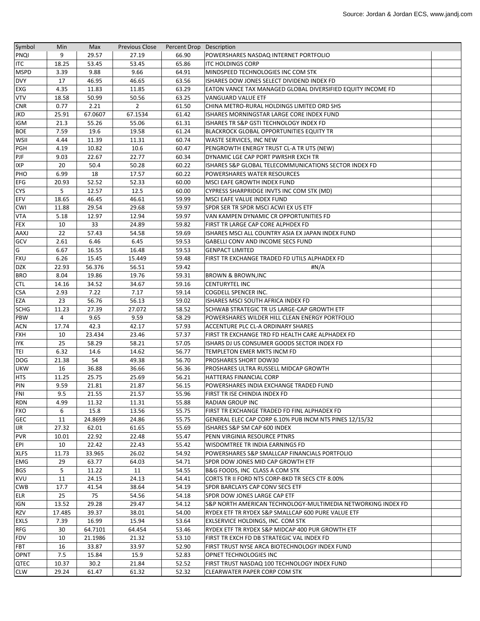| Symbol            | Min             | Max            | <b>Previous Close</b> | Percent Drop Description |                                                                                              |  |
|-------------------|-----------------|----------------|-----------------------|--------------------------|----------------------------------------------------------------------------------------------|--|
| <b>PNQI</b>       | 9               | 29.57          | 27.19                 | 66.90                    | POWERSHARES NASDAQ INTERNET PORTFOLIO                                                        |  |
| <b>ITC</b>        | 18.25           | 53.45          | 53.45                 | 65.86                    | <b>ITC HOLDINGS CORP</b>                                                                     |  |
| <b>MSPD</b>       | 3.39            | 9.88           | 9.66                  | 64.91                    | MINDSPEED TECHNOLOGIES INC COM STK                                                           |  |
| <b>DVY</b>        | 17              | 46.95          | 46.65                 | 63.56                    | ISHARES DOW JONES SELECT DIVIDEND INDEX FD                                                   |  |
| EXG               | 4.35            | 11.83          | 11.85                 | 63.29                    | EATON VANCE TAX MANAGED GLOBAL DIVERSIFIED EQUITY INCOME FD                                  |  |
| <b>VTV</b>        | 18.58           | 50.99          | 50.56                 | 63.25                    | VANGUARD VALUE ETF                                                                           |  |
| <b>CNR</b>        | 0.77            | 2.21           | $\overline{2}$        | 61.50                    | CHINA METRO-RURAL HOLDINGS LIMITED ORD SHS                                                   |  |
| JKD               | 25.91           | 67.0607        | 67.1534               | 61.42                    | ISHARES MORNINGSTAR LARGE CORE INDEX FUND                                                    |  |
| <b>IGM</b>        | 21.3            | 55.26          | 55.06                 | 61.31                    | ISHARES TR S&P GSTI TECHNOLOGY INDEX FD                                                      |  |
| <b>BOE</b>        | 7.59            | 19.6           | 19.58                 | 61.24                    | BLACKROCK GLOBAL OPPORTUNITIES EQUITY TR                                                     |  |
| WSII              | 4.44            | 11.39          | 11.31                 | 60.74                    | <b>WASTE SERVICES, INC NEW</b>                                                               |  |
| PGH               | 4.19            | 10.82          | 10.6                  | 60.47                    | PENGROWTH ENERGY TRUST CL-A TR UTS (NEW)                                                     |  |
| PJF               | 9.03            | 22.67          | 22.77                 | 60.34                    | DYNAMIC LGE CAP PORT PWRSHR EXCH TR                                                          |  |
| <b>IXP</b>        | 20              | 50.4           | 50.28                 | 60.22                    | ISHARES S&P GLOBAL TELECOMMUNICATIONS SECTOR INDEX FD                                        |  |
| PHO               | 6.99            | 18             | 17.57                 | 60.22                    | POWERSHARES WATER RESOURCES                                                                  |  |
| <b>EFG</b>        | 20.93           | 52.52          | 52.33                 | 60.00                    | MSCI EAFE GROWTH INDEX FUND                                                                  |  |
| <b>CYS</b>        | 5               | 12.57          | 12.5                  | 60.00                    | CYPRESS SHARPRIDGE INVTS INC COM STK (MD)                                                    |  |
| <b>EFV</b>        | 18.65           | 46.45          | 46.61                 | 59.99                    | MSCI EAFE VALUE INDEX FUND                                                                   |  |
| <b>CWI</b>        | 11.88           | 29.54          | 29.68                 | 59.97                    | SPDR SER TR SPDR MSCI ACWI EX US ETF                                                         |  |
| <b>VTA</b>        | 5.18            | 12.97          | 12.94                 | 59.97                    | VAN KAMPEN DYNAMIC CR OPPORTUNITIES FD                                                       |  |
| <b>FEX</b>        | 10              | 33             | 24.89                 | 59.82                    | FIRST TR LARGE CAP CORE ALPHDEX FD                                                           |  |
| <b>AAXJ</b>       | 22              | 57.43          | 54.58                 | 59.69                    | ISHARES MSCI ALL COUNTRY ASIA EX JAPAN INDEX FUND                                            |  |
| <b>GCV</b>        | 2.61            | 6.46           | 6.45                  | 59.53                    | GABELLI CONV AND INCOME SECS FUND                                                            |  |
| G                 | 6.67            | 16.55          | 16.48                 | 59.53                    | <b>GENPACT LIMITED</b>                                                                       |  |
| <b>FXU</b>        | 6.26            | 15.45          | 15.449                | 59.48                    | FIRST TR EXCHANGE TRADED FD UTILS ALPHADEX FD                                                |  |
| <b>DZK</b>        | 22.93           | 56.376         | 56.51                 | 59.42                    | #N/A                                                                                         |  |
| <b>BRO</b>        | 8.04            | 19.86          | 19.76                 | 59.31                    | BROWN & BROWN,INC                                                                            |  |
| <b>CTL</b>        | 14.16           | 34.52          | 34.67                 | 59.16                    | <b>CENTURYTEL INC</b>                                                                        |  |
| <b>CSA</b>        | 2.93            | 7.22           | 7.17                  | 59.14                    | COGDELL SPENCER INC.                                                                         |  |
| EZA               | 23              | 56.76          | 56.13                 | 59.02                    | ISHARES MSCI SOUTH AFRICA INDEX FD                                                           |  |
| <b>SCHG</b>       | 11.23           | 27.39          | 27.072                | 58.52                    | SCHWAB STRATEGIC TR US LARGE-CAP GROWTH ETF                                                  |  |
| <b>PBW</b>        | 4               | 9.65           | 9.59                  | 58.29                    | POWERSHARES WILDER HILL CLEAN ENERGY PORTFOLIO                                               |  |
| <b>ACN</b>        | 17.74           | 42.3           | 42.17                 | 57.93                    | ACCENTURE PLC CL-A ORDINARY SHARES                                                           |  |
| <b>FXH</b>        | 10              | 23.434         | 23.46                 | 57.37                    | FIRST TR EXCHANGE TRD FD HEALTH CARE ALPHADEX FD                                             |  |
| <b>IYK</b>        | 25              | 58.29          | 58.21                 | 57.05                    | ISHARS DJ US CONSUMER GOODS SECTOR INDEX FD                                                  |  |
| TEI               | 6.32            | 14.6           | 14.62                 | 56.77                    | TEMPLETON EMER MKTS INCM FD                                                                  |  |
| <b>DOG</b>        | 21.38           | 54             | 49.38                 | 56.70                    | PROSHARES SHORT DOW30                                                                        |  |
| <b>UKW</b>        | 16              | 36.88          | 36.66                 | 56.36                    | PROSHARES ULTRA RUSSELL MIDCAP GROWTH                                                        |  |
| <b>HTS</b>        | 11.25           | 25.75          | 25.69                 | 56.21                    | HATTERAS FINANCIAL CORP                                                                      |  |
| PIN               | 9.59            | 21.81          | 21.87                 | 56.15                    | POWERSHARES INDIA EXCHANGE TRADED FUND                                                       |  |
| FNI               | 9.5             | 21.55          | 21.57                 | 55.96                    | FIRST TR ISE CHINDIA INDEX FD                                                                |  |
| <b>RDN</b>        | 4.99            | 11.32          | 11.31                 | 55.88                    | <b>RADIAN GROUP INC</b>                                                                      |  |
| <b>FXO</b>        | 6               | 15.8           | 13.56                 | 55.75                    | FIRST TR EXCHANGE TRADED FD FINL ALPHADEX FD                                                 |  |
| <b>GEC</b>        | 11              | 24.8699        | 24.86                 | 55.75                    | GENERAL ELEC CAP CORP 6.10% PUB INCM NTS PINES 12/15/32                                      |  |
| <b>IJR</b>        | 27.32           | 62.01          | 61.65                 | 55.69                    | ISHARES S&P SM CAP 600 INDEX                                                                 |  |
| <b>PVR</b>        | 10.01           | 22.92          | 22.48                 | 55.47                    | PENN VIRGINIA RESOURCE PTNRS                                                                 |  |
| EPI               | 10              | 22.42          | 22.43                 | 55.42                    | <b>WISDOMTREE TR INDIA EARNINGS FD</b>                                                       |  |
| <b>XLFS</b>       | 11.73           | 33.965         | 26.02                 | 54.92                    | POWERSHARES S&P SMALLCAP FINANCIALS PORTFOLIO                                                |  |
| <b>EMG</b>        | 29              | 63.77          | 64.03                 | 54.71                    | SPDR DOW JONES MID CAP GROWTH ETF                                                            |  |
| <b>BGS</b>        | 5               | 11.22          | 11                    | 54.55                    | B&G FOODS, INC CLASS A COM STK                                                               |  |
| <b>KVU</b>        | 11              |                |                       |                          |                                                                                              |  |
| <b>CWB</b>        | 17.7            | 24.15<br>41.54 | 24.13<br>38.64        | 54.41<br>54.19           | CORTS TR II FORD NTS CORP-BKD TR SECS CTF 8.00%<br>SPDR BARCLAYS CAP CONV SECS ETF           |  |
|                   | 25              | 75             |                       |                          |                                                                                              |  |
| <b>ELR</b>        |                 | 29.28          | 54.56                 | 54.18                    | SPDR DOW JONES LARGE CAP ETF<br>S&P NORTH AMERICAN TECHNOLOGY-MULTIMEDIA NETWORKING INDEX FD |  |
| IGN<br><b>RZV</b> | 13.52<br>17.485 | 39.37          | 29.47                 | 54.12<br>54.00           |                                                                                              |  |
| <b>EXLS</b>       |                 | 16.99          | 38.01                 |                          | RYDEX ETF TR RYDEX S&P SMALLCAP 600 PURE VALUE ETF                                           |  |
|                   | 7.39            |                | 15.94                 | 53.64                    | EXLSERVICE HOLDINGS, INC. COM STK                                                            |  |
| <b>RFG</b>        | 30              | 64.7101        | 64.454                | 53.46                    | RYDEX ETF TR RYDEX S&P MIDCAP 400 PUR GROWTH ETF                                             |  |
| <b>FDV</b>        | 10              | 21.1986        | 21.32                 | 53.10                    | FIRST TR EXCH FD DB STRATEGIC VAL INDEX FD                                                   |  |
| <b>FBT</b>        | 16              | 33.87          | 33.97                 | 52.90                    | FIRST TRUST NYSE ARCA BIOTECHNOLOGY INDEX FUND                                               |  |
| <b>OPNT</b>       | 7.5             | 15.84          | 15.9                  | 52.83                    | OPNET TECHNOLOGIES INC                                                                       |  |
| QTEC              | 10.37           | 30.2           | 21.84                 | 52.52                    | FIRST TRUST NASDAQ 100 TECHNOLOGY INDEX FUND                                                 |  |
| <b>CLW</b>        | 29.24           | 61.47          | 61.32                 | 52.32                    | <b>CLEARWATER PAPER CORP COM STK</b>                                                         |  |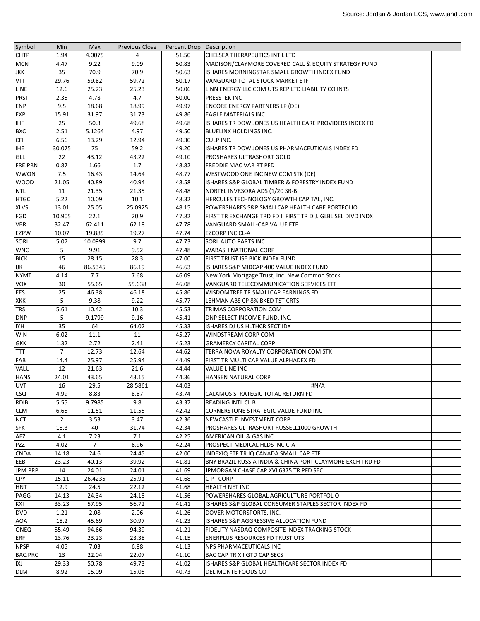| Symbol         | Min            | Max            | <b>Previous Close</b> | Percent Drop Description |                                                              |  |
|----------------|----------------|----------------|-----------------------|--------------------------|--------------------------------------------------------------|--|
| <b>CHTP</b>    | 1.94           | 4.0075         | 4                     | 51.50                    | CHELSEA THERAPEUTICS INT'L LTD                               |  |
| <b>MCN</b>     | 4.47           | 9.22           | 9.09                  | 50.83                    | MADISON/CLAYMORE COVERED CALL & EQUITY STRATEGY FUND         |  |
| <b>JKK</b>     | 35             | 70.9           | 70.9                  | 50.63                    | ISHARES MORNINGSTAR SMALL GROWTH INDEX FUND                  |  |
| <b>VTI</b>     | 29.76          | 59.82          | 59.72                 | 50.17                    | VANGUARD TOTAL STOCK MARKET ETF                              |  |
| LINE           | 12.6           | 25.23          | 25.23                 | 50.06                    | LINN ENERGY LLC COM UTS REP LTD LIABILITY CO INTS            |  |
| <b>PRST</b>    | 2.35           | 4.78           | 4.7                   | 50.00                    | <b>PRESSTEK INC</b>                                          |  |
| <b>ENP</b>     | 9.5            | 18.68          | 18.99                 | 49.97                    | <b>ENCORE ENERGY PARTNERS LP (DE)</b>                        |  |
| <b>EXP</b>     | 15.91          | 31.97          | 31.73                 | 49.86                    | <b>EAGLE MATERIALS INC</b>                                   |  |
| <b>IHF</b>     | 25             | 50.3           | 49.68                 | 49.68                    | ISHARES TR DOW JONES US HEALTH CARE PROVIDERS INDEX FD       |  |
| <b>BXC</b>     | 2.51           | 5.1264         | 4.97                  | 49.50                    | BLUELINX HOLDINGS INC.                                       |  |
| <b>CFI</b>     | 6.56           | 13.29          | 12.94                 | 49.30                    | <b>CULP INC.</b>                                             |  |
| <b>IHE</b>     | 30.075         | 75             | 59.2                  | 49.20                    | ISHARES TR DOW JONES US PHARMACEUTICALS INDEX FD             |  |
| <b>GLL</b>     | 22             | 43.12          | 43.22                 | 49.10                    | PROSHARES ULTRASHORT GOLD                                    |  |
| FRE.PRN        | 0.87           | 1.66           | 1.7                   | 48.82                    | <b>FREDDIE MAC VAR RT PFD</b>                                |  |
| <b>WWON</b>    | 7.5            | 16.43          | 14.64                 | 48.77                    | WESTWOOD ONE INC NEW COM STK (DE)                            |  |
| <b>WOOD</b>    | 21.05          | 40.89          | 40.94                 | 48.58                    | ISHARES S&P GLOBAL TIMBER & FORESTRY INDEX FUND              |  |
| <b>NTL</b>     | 11             | 21.35          | 21.35                 | 48.48                    | NORTEL INVRSORA ADS (1/20 SR-B                               |  |
| <b>HTGC</b>    | 5.22           | 10.09          | 10.1                  | 48.32                    | HERCULES TECHNOLOGY GROWTH CAPITAL, INC.                     |  |
| <b>XLVS</b>    | 13.01          | 25.05          | 25.0925               | 48.15                    | POWERSHARES S&P SMALLCAP HEALTH CARE PORTFOLIO               |  |
| <b>FGD</b>     | 10.905         | 22.1           | 20.9                  | 47.82                    | FIRST TR EXCHANGE TRD FD II FIRST TR D.J. GLBL SEL DIVD INDX |  |
| <b>VBR</b>     | 32.47          | 62.411         | 62.18                 | 47.78                    | VANGUARD SMALL-CAP VALUE ETF                                 |  |
| <b>EZPW</b>    | 10.07          | 19.885         | 19.27                 | 47.74                    | <b>EZCORP INC CL-A</b>                                       |  |
| SORL           | 5.07           | 10.0999        | 9.7                   | 47.73                    | <b>SORL AUTO PARTS INC</b>                                   |  |
| <b>WNC</b>     | 5              | 9.91           | 9.52                  | 47.48                    | <b>WABASH NATIONAL CORP</b>                                  |  |
| <b>BICK</b>    | 15             | 28.15          | 28.3                  | 47.00                    | <b>FIRST TRUST ISE BICK INDEX FUND</b>                       |  |
| IJK            | 46             | 86.5345        | 86.19                 | 46.63                    | ISHARES S&P MIDCAP 400 VALUE INDEX FUND                      |  |
| <b>NYMT</b>    | 4.14           | 7.7            | 7.68                  | 46.09                    | New York Mortgage Trust, Inc. New Common Stock               |  |
| <b>VOX</b>     | 30             | 55.65          | 55.638                | 46.08                    | VANGUARD TELECOMMUNICATION SERVICES ETF                      |  |
| <b>EES</b>     | 25             | 46.38          | 46.18                 | 45.86                    | WISDOMTREE TR SMALLCAP EARNINGS FD                           |  |
| <b>XKK</b>     | 5              | 9.38           | 9.22                  | 45.77                    | LEHMAN ABS CP 8% BKED TST CRTS                               |  |
| <b>TRS</b>     | 5.61           | 10.42          | 10.3                  | 45.53                    | TRIMAS CORPORATION COM                                       |  |
| <b>DNP</b>     | 5              | 9.1799         | 9.16                  | 45.41                    | DNP SELECT INCOME FUND, INC.                                 |  |
| <b>IYH</b>     | 35             | 64             | 64.02                 | 45.33                    | ISHARES DJ US HLTHCR SECT IDX                                |  |
| <b>WIN</b>     | 6.02           | 11.1           | 11                    | 45.27                    | WINDSTREAM CORP COM                                          |  |
| <b>GKK</b>     | 1.32           | 2.72           | 2.41                  | 45.23                    | <b>GRAMERCY CAPITAL CORP</b>                                 |  |
| <b>TTT</b>     | $\overline{7}$ | 12.73          | 12.64                 | 44.62                    | TERRA NOVA ROYALTY CORPORATION COM STK                       |  |
| FAB            | 14.4           | 25.97          | 25.94                 | 44.49                    | FIRST TR MULTI CAP VALUE ALPHADEX FD                         |  |
| VALU           | 12             | 21.63          | 21.6                  | 44.44                    | <b>VALUE LINE INC</b>                                        |  |
| <b>HANS</b>    | 24.01          | 43.65          | 43.15                 | 44.36                    | <b>HANSEN NATURAL CORP</b>                                   |  |
| <b>UVT</b>     | 16             | 29.5           | 28.5861               | 44.03                    | #N/A                                                         |  |
| <b>CSQ</b>     | 4.99           | 8.83           | 8.87                  | 43.74                    | CALAMOS STRATEGIC TOTAL RETURN FD                            |  |
| <b>RDIB</b>    | 5.55           | 9.7985         | 9.8                   | 43.37                    | READING INTL CL B                                            |  |
| CLM            | 6.65           | 11.51          | 11.55                 | 42.42                    | CORNERSTONE STRATEGIC VALUE FUND INC                         |  |
| <b>NCT</b>     | $2^{\circ}$    | 3.53           | 3.47                  | 42.36                    | NEWCASTLE INVESTMENT CORP.                                   |  |
| <b>SFK</b>     | 18.3           | 40             | 31.74                 | 42.34                    | PROSHARES ULTRASHORT RUSSELL1000 GROWTH                      |  |
| AEZ            | 4.1            | 7.23           | 7.1                   | 42.25                    | AMERICAN OIL & GAS INC                                       |  |
| PZZ            | 4.02           | $\overline{7}$ | 6.96                  | 42.24                    | PROSPECT MEDICAL HLDS INC C-A                                |  |
| <b>CNDA</b>    | 14.18          | 24.6           | 24.45                 | 42.00                    | INDEXIQ ETF TR IQ CANADA SMALL CAP ETF                       |  |
| EEB            | 23.23          | 40.13          | 39.92                 | 41.81                    | BNY BRAZIL RUSSIA INDIA & CHINA PORT CLAYMORE EXCH TRD FD    |  |
| JPM.PRP        | 14             | 24.01          | 24.01                 | 41.69                    | JPMORGAN CHASE CAP XVI 6375 TR PFD SEC                       |  |
| <b>CPY</b>     | 15.11          | 26.4235        | 25.91                 | 41.68                    | C P I CORP                                                   |  |
| <b>HNT</b>     | 12.9           | 24.5           | 22.12                 | 41.68                    | <b>HEALTH NET INC</b>                                        |  |
| PAGG           | 14.13          | 24.34          | 24.18                 | 41.56                    | POWERSHARES GLOBAL AGRICULTURE PORTFOLIO                     |  |
| KXI            | 33.23          | 57.95          | 56.72                 | 41.41                    | ISHARES S&P GLOBAL CONSUMER STAPLES SECTOR INDEX FD          |  |
| <b>DVD</b>     | 1.21           | 2.08           | 2.06                  | 41.26                    | DOVER MOTORSPORTS, INC.                                      |  |
| AOA            | 18.2           | 45.69          | 30.97                 | 41.23                    | ISHARES S&P AGGRESSIVE ALLOCATION FUND                       |  |
| <b>ONEQ</b>    | 55.49          | 94.66          | 94.39                 | 41.21                    | FIDELITY NASDAQ COMPOSITE INDEX TRACKING STOCK               |  |
| <b>ERF</b>     | 13.76          | 23.23          | 23.38                 | 41.15                    | <b>ENERPLUS RESOURCES FD TRUST UTS</b>                       |  |
| <b>NPSP</b>    | 4.05           | 7.03           | 6.88                  | 41.13                    | NPS PHARMACEUTICALS INC                                      |  |
| <b>BAC.PRC</b> | 13             | 22.04          | 22.07                 | 41.10                    | BAC CAP TR XII GTD CAP SECS                                  |  |
| IXJ            | 29.33          | 50.78          | 49.73                 | 41.02                    | ISHARES S&P GLOBAL HEALTHCARE SECTOR INDEX FD                |  |
| <b>DLM</b>     | 8.92           | 15.09          | 15.05                 | 40.73                    | DEL MONTE FOODS CO                                           |  |
|                |                |                |                       |                          |                                                              |  |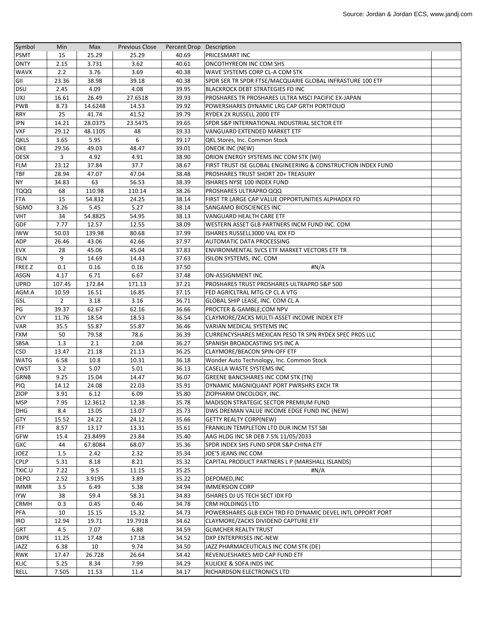| Symbol      | Min            | Max      | <b>Previous Close</b> | Percent Drop Description |                                                              |  |
|-------------|----------------|----------|-----------------------|--------------------------|--------------------------------------------------------------|--|
| <b>PSMT</b> | 15             | 25.29    | 25.29                 | 40.69                    | PRICESMART INC                                               |  |
| <b>ONTY</b> | 2.15           | 3.731    | 3.62                  | 40.61                    | <b>ONCOTHYREON INC COM SHS</b>                               |  |
| <b>WAVX</b> | 2.2            | 3.76     | 3.69                  | 40.38                    | WAVE SYSTEMS CORP CL-A COM STK                               |  |
| GII         | 23.36          | 38.98    | 39.18                 | 40.38                    | SPDR SER TR SPDR FTSE/MACQUARIE GLOBAL INFRASTURE 100 ETF    |  |
| <b>DSU</b>  | 2.45           | 4.09     | 4.08                  | 39.95                    | <b>BLACKROCK DEBT STRATEGIES FD INC</b>                      |  |
| <b>UXJ</b>  | 16.61          | 26.49    | 27.6518               | 39.93                    | PROSHARES TR PROSHARES ULTRA MSCI PACIFIC EX-JAPAN           |  |
| <b>PWB</b>  | 8.73           | 14.6248  | 14.53                 | 39.92                    | POWERSHARES DYNAMIC LRG CAP GRTH PORTFOLIO                   |  |
| <b>RRY</b>  | 25             | 41.74    | 41.52                 | 39.79                    | RYDEX 2X RUSSELL 2000 ETF                                    |  |
| <b>IPN</b>  | 14.21          | 28.0375  | 23.5475               | 39.65                    | SPDR S&P INTERNATIONAL INDUSTRIAL SECTOR ETF                 |  |
| <b>VXF</b>  | 29.12          | 48.1105  | 48                    | 39.33                    | VANGUARD EXTENDED MARKET ETF                                 |  |
| QKLS        | 3.65           | 5.95     | 6                     | 39.17                    | QKL Stores, Inc. Common Stock                                |  |
| OKE         | 29.56          | 49.03    | 48.47                 | 39.01                    | <b>ONEOK INC (NEW)</b>                                       |  |
| <b>OESX</b> | 3              | 4.92     | 4.91                  | 38.90                    | ORION ENERGY SYSTEMS INC COM STK (WI)                        |  |
| <b>FLM</b>  | 23.12          | 37.84    | 37.7                  | 38.67                    | FIRST TRUST ISE GLOBAL ENGINEERING & CONSTRUCTION INDEX FUND |  |
| <b>TBF</b>  | 28.94          | 47.07    | 47.04                 | 38.48                    | PROSHARES TRUST SHORT 20+ TREASURY                           |  |
| <b>NY</b>   | 34.83          | 63       | 56.53                 | 38.39                    | ISHARES NYSE 100 INDEX FUND                                  |  |
| <b>TQQQ</b> | 68             | 110.98   | 110.14                | 38.26                    | PROSHARES ULTRAPRO QQQ                                       |  |
| <b>FTA</b>  | 15             | 54.832   | 24.25                 | 38.14                    | FIRST TR LARGE CAP VALUE OPPORTUNITIES ALPHADEX FD           |  |
| SGMO        | 3.26           | 5.45     | 5.27                  | 38.14                    | SANGAMO BIOSCIENCES INC                                      |  |
| <b>VHT</b>  | 34             | 54.8825  | 54.95                 | 38.13                    | VANGUARD HEALTH CARE ETF                                     |  |
| <b>GDF</b>  | 7.77           | 12.57    | 12.55                 | 38.09                    | WESTERN ASSET GLB PARTNERS INCM FUND INC. COM                |  |
| <b>IWW</b>  | 50.03          | 139.98   | 80.68                 | 37.99                    | ISHARES RUSSELL3000 VAL IDX FD                               |  |
| ADP         | 26.46          | 43.06    | 42.66                 | 37.97                    | <b>AUTOMATIC DATA PROCESSING</b>                             |  |
| <b>EVX</b>  | 28             | 45.06    | 45.04                 | 37.83                    | ENVIRONMENTAL SVCS ETF MARKET VECTORS ETF TR                 |  |
| <b>ISLN</b> | 9              | 14.69    | 14.43                 | 37.63                    | ISILON SYSTEMS, INC. COM                                     |  |
| FREE.Z      | 0.1            | 0.16     | 0.16                  | 37.50                    | #N/A                                                         |  |
| <b>ASGN</b> | 4.17           | 6.71     | 6.67                  | 37.48                    | <b>ON-ASSIGNMENT INC</b>                                     |  |
| <b>UPRO</b> | 107.45         | 172.84   | 171.13                | 37.21                    | PROSHARES TRUST PROSHARES ULTRAPRO S&P 500                   |  |
| AGM.A       | 10.59          | 16.51    | 16.85                 | 37.15                    | FED AGRICLTRAL MTG CP CL A VTG                               |  |
| GSL         | $\overline{2}$ | 3.18     | 3.16                  | 36.71                    | GLOBAL SHIP LEASE, INC. COM CL A                             |  |
| PG          | 39.37          | 62.67    | 62.16                 | 36.66                    | PROCTER & GAMBLE;COM NPV                                     |  |
| <b>CVY</b>  | 11.76          | 18.54    | 18.53                 | 36.54                    | CLAYMORE/ZACKS MULTI-ASSET INCOME INDEX ETF                  |  |
| <b>VAR</b>  | 35.5           | 55.87    | 55.87                 | 36.46                    | VARIAN MEDICAL SYSTEMS INC                                   |  |
| <b>FXM</b>  | 50             | 79.58    | 78.6                  | 36.39                    | CURRENCYSHARES MEXICAN PESO TR SPN RYDEX SPEC PRDS LLC       |  |
| SBSA        | 1.3            | 2.1      | 2.04                  | 36.27                    | SPANISH BROADCASTING SYS INC A                               |  |
| <b>CSD</b>  | 13.47          | 21.18    | 21.13                 | 36.25                    | <b>CLAYMORE/BEACON SPIN-OFF ETF</b>                          |  |
| <b>WATG</b> | 6.58           | $10.8\,$ | 10.31                 | 36.18                    | Wonder Auto Technology, Inc. Common Stock                    |  |
| <b>CWST</b> | 3.2            | 5.07     | 5.01                  | 36.13                    | CASELLA WASTE SYSTEMS INC                                    |  |
| <b>GRNB</b> | 9.25           | 15.04    | 14.47                 | 36.07                    | <b>GREENE BANCSHARES INC COM STK (TN)</b>                    |  |
| PIQ         | 14.12          | 24.08    | 22.03                 | 35.91                    | DYNAMIC MAGNIQUANT PORT PWRSHRS EXCH TR                      |  |
| ZIOP        | 3.91           | 6.12     | 6.09                  | 35.80                    | ZIOPHARM ONCOLOGY, INC.                                      |  |
| <b>MSP</b>  | 7.95           | 12.3612  | 12.38                 | 35.78                    | MADISON STRATEGIC SECTOR PREMIUM FUND                        |  |
| <b>DHG</b>  | 8.4            | 13.05    | 13.07                 | 35.73                    | DWS DREMAN VALUE INCOME EDGE FUND INC (NEW)                  |  |
| <b>GTY</b>  | 15.52          | 24.22    | 24.12                 | 35.66                    | <b>GETTY REALTY CORP(NEW)</b>                                |  |
| <b>FTF</b>  | 8.57           | 13.17    | 13.31                 | 35.61                    | FRANKLIN TEMPLETON LTD DUR INCM TST SBI                      |  |
| GFW         | 15.4           | 23.8499  | 23.84                 | 35.40                    | AAG HLDG INC SR DEB 7.5% 11/05/2033                          |  |
| GXC         | 44             | 67.8084  | 68.07                 | 35.36                    | SPDR INDEX SHS FUND SPDR S&P CHINA ETF                       |  |
| <b>JOEZ</b> | 1.5            | 2.42     | 2.32                  | 35.34                    | JOE'S JEANS INC COM                                          |  |
| <b>CPLP</b> | 5.31           | 8.18     | 8.21                  | 35.32                    | CAPITAL PRODUCT PARTNERS L P (MARSHALL ISLANDS)              |  |
| TXIC.U      | 7.22           | 9.5      | 11.15                 | 35.25                    | #N/A                                                         |  |
| <b>DEPO</b> | 2.52           | 3.9195   | 3.89                  | 35.22                    | DEPOMED, INC                                                 |  |
| <b>IMMR</b> | 3.5            | 6.49     | 5.38                  | 34.94                    | <b>IMMERSION CORP</b>                                        |  |
| <b>IYW</b>  | 38             | 59.4     | 58.31                 | 34.83                    | ISHARES DJ US TECH SECT IDX FD                               |  |
| <b>CRMH</b> | 0.3            | 0.45     | 0.46                  | 34.78                    | CRM HOLDINGS LTD                                             |  |
| <b>PFA</b>  | 10             | 15.15    | 15.32                 | 34.73                    | POWERSHARES GLB EXCH TRD FD DYNAMIC DEVEL INTL OPPORT PORT   |  |
| <b>IRO</b>  | 12.94          | 19.71    | 19.7918               | 34.62                    | CLAYMORE/ZACKS DIVIDEND CAPTURE ETF                          |  |
| <b>GRT</b>  | 4.5            | 7.07     | 6.88                  | 34.59                    | <b>GLIMCHER REALTY TRUST</b>                                 |  |
| <b>DXPE</b> | 11.25          | 17.48    | 17.18                 | 34.52                    | DXP ENTERPRISES INC-NEW                                      |  |
| JAZZ        | 6.38           | 10       | 9.74                  | 34.50                    | JAZZ PHARMACEUTICALS INC COM STK (DE)                        |  |
| <b>RWK</b>  |                | 26.728   | 26.64                 | 34.42                    |                                                              |  |
| <b>KLIC</b> | 17.47<br>5.25  | 8.34     | 7.99                  | 34.29                    | REVENUESHARES MID CAP FUND ETF<br>KULICKE & SOFA INDS INC    |  |
|             |                |          |                       | 34.17                    |                                                              |  |
| RELL        | 7.505          | 11.53    | 11.4                  |                          | RICHARDSON ELECTRONICS LTD                                   |  |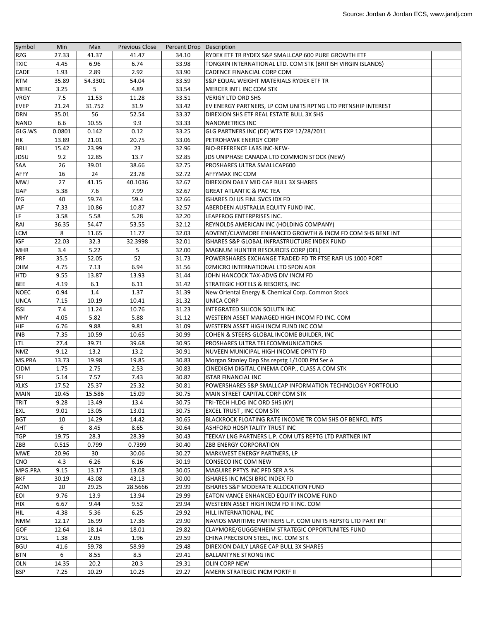| Symbol                   | Min    | Max          | <b>Previous Close</b> | Percent Drop Description |                                                              |  |
|--------------------------|--------|--------------|-----------------------|--------------------------|--------------------------------------------------------------|--|
| <b>RZG</b>               | 27.33  | 41.37        | 41.47                 | 34.10                    | RYDEX ETF TR RYDEX S&P SMALLCAP 600 PURE GROWTH ETF          |  |
| <b>TXIC</b>              | 4.45   | 6.96         | 6.74                  | 33.98                    | TONGXIN INTERNATIONAL LTD. COM STK (BRITISH VIRGIN ISLANDS)  |  |
| <b>CADE</b>              | 1.93   | 2.89         | 2.92                  | 33.90                    | <b>CADENCE FINANCIAL CORP COM</b>                            |  |
| <b>RTM</b>               | 35.89  | 54.3301      | 54.04                 | 33.59                    | S&P EQUAL WEIGHT MATERIALS RYDEX ETF TR                      |  |
| <b>MERC</b>              | 3.25   | 5            | 4.89                  | 33.54                    | MERCER INTL INC COM STK                                      |  |
| <b>VRGY</b>              | 7.5    | 11.53        | 11.28                 | 33.51                    | <b>VERIGY LTD ORD SHS</b>                                    |  |
| <b>EVEP</b>              | 21.24  | 31.752       | 31.9                  | 33.42                    | EV ENERGY PARTNERS, LP COM UNITS RPTNG LTD PRTNSHIP INTEREST |  |
| <b>DRN</b>               | 35.01  | 56           | 52.54                 | 33.37                    | DIREXION SHS ETF REAL ESTATE BULL 3X SHS                     |  |
| <b>NANO</b>              | 6.6    | 10.55        | 9.9                   | 33.33                    | <b>NANOMETRICS INC</b>                                       |  |
| GLG.WS                   | 0.0801 | 0.142        | 0.12                  | 33.25                    | GLG PARTNERS INC (DE) WTS EXP 12/28/2011                     |  |
| HK                       | 13.89  | 21.01        | 20.75                 | 33.06                    | PETROHAWK ENERGY CORP                                        |  |
| <b>BRLI</b>              | 15.42  | 23.99        | 23                    | 32.96                    | <b>BIO-REFERENCE LABS INC-NEW-</b>                           |  |
| <b>JDSU</b>              | 9.2    | 12.85        | 13.7                  | 32.85                    | JDS UNIPHASE CANADA LTD COMMON STOCK (NEW)                   |  |
| SAA                      | 26     | 39.01        | 38.66                 | 32.75                    | PROSHARES ULTRA SMALLCAP600                                  |  |
| AFFY                     | 16     | 24           | 23.78                 | 32.72                    | AFFYMAX INC COM                                              |  |
| <b>MWJ</b>               | 27     | 41.15        | 40.1036               | 32.67                    | DIREXION DAILY MID CAP BULL 3X SHARES                        |  |
| <b>GAP</b>               | 5.38   | 7.6          | 7.99                  | 32.67                    | <b>GREAT ATLANTIC &amp; PAC TEA</b>                          |  |
| <b>IYG</b>               | 40     | 59.74        | 59.4                  | 32.66                    | ISHARES DJ US FINL SVCS IDX FD                               |  |
| IAF                      | 7.33   | 10.86        | 10.87                 | 32.57                    | ABERDEEN AUSTRALIA EQUITY FUND INC.                          |  |
| LF                       | 3.58   | 5.58         | 5.28                  | 32.20                    | LEAPFROG ENTERPRISES INC.                                    |  |
| RAI                      | 36.35  | 54.47        | 53.55                 | 32.12                    | REYNOLDS AMERICAN INC (HOLDING COMPANY)                      |  |
| <b>LCM</b>               | 8      | 11.65        | 11.77                 | 32.03                    | ADVENT/CLAYMORE ENHANCED GROWTH & INCM FD COM SHS BENE INT   |  |
| IGF                      | 22.03  | 32.3         | 32.3998               | 32.01                    | ISHARES S&P GLOBAL INFRASTRUCTURE INDEX FUND                 |  |
| <b>MHR</b>               | 3.4    | 5.22         | 5                     | 32.00                    | MAGNUM HUNTER RESOURCES CORP (DEL)                           |  |
| PRF                      | 35.5   | 52.05        | 52                    | 31.73                    | POWERSHARES EXCHANGE TRADED FD TR FTSE RAFI US 1000 PORT     |  |
| OIIM                     | 4.75   | 7.13         | 6.94                  | 31.56                    | 02MICRO INTERNATIONAL LTD SPON ADR                           |  |
| <b>HTD</b>               | 9.55   | 13.87        | 13.93                 | 31.44                    | JOHN HANCOCK TAX-ADVG DIV INCM FD                            |  |
| <b>BEE</b>               | 4.19   | 6.1          | 6.11                  | 31.42                    | <b>STRATEGIC HOTELS &amp; RESORTS, INC</b>                   |  |
| <b>NOEC</b>              | 0.94   | 1.4          | 1.37                  | 31.39                    | New Oriental Energy & Chemical Corp. Common Stock            |  |
| <b>UNCA</b>              | 7.15   | 10.19        | 10.41                 | 31.32                    | UNICA CORP                                                   |  |
| <b>ISSI</b>              | 7.4    | 11.24        | 10.76                 | 31.23                    | INTEGRATED SILICON SOLUTN INC                                |  |
| <b>MHY</b>               | 4.05   | 5.82         | 5.88                  | 31.12                    | WESTERN ASSET MANAGED HIGH INCOM FD INC. COM                 |  |
| HIF                      | 6.76   | 9.88         | 9.81                  | 31.09                    | WESTERN ASSET HIGH INCM FUND INC COM                         |  |
| <b>INB</b>               | 7.35   | 10.59        | 10.65                 | 30.99                    | COHEN & STEERS GLOBAL INCOME BUILDER, INC                    |  |
| <b>LTL</b>               | 27.4   | 39.71        | 39.68                 | 30.95                    | PROSHARES ULTRA TELECOMMUNICATIONS                           |  |
| <b>NMZ</b>               | 9.12   | 13.2         | 13.2                  | 30.91                    | NUVEEN MUNICIPAL HIGH INCOME OPRTY FD                        |  |
| MS.PRA                   | 13.73  | 19.98        | 19.85                 | 30.83                    | Morgan Stanley Dep Shs repstg 1/1000 Pfd Ser A               |  |
| <b>CIDM</b>              | 1.75   | 2.75         | 2.53                  | 30.83                    | CINEDIGM DIGITAL CINEMA CORP., CLASS A COM STK               |  |
| <b>SFI</b>               | 5.14   | 7.57         | 7.43                  | 30.82                    | <b>ISTAR FINANCIAL INC</b>                                   |  |
| <b>XLKS</b>              | 17.52  | 25.37        | 25.32                 | 30.81                    | POWERSHARES S&P SMALLCAP INFORMATION TECHNOLOGY PORTFOLIO    |  |
| MAIN                     | 10.45  | 15.586       | 15.09                 | 30.75                    | MAIN STREET CAPITAL CORP COM STK                             |  |
| <b>TRIT</b>              | 9.28   | 13.49        | 13.4                  | 30.75                    | TRI-TECH HLDG INC ORD SHS (KY)                               |  |
| EXL                      | 9.01   | 13.05        | 13.01                 | 30.75                    | EXCEL TRUST, INC COM STK                                     |  |
| <b>BGT</b>               | 10     | 14.29        | 14.42                 | 30.65                    | BLACKROCK FLOATING RATE INCOME TR COM SHS OF BENFCL INTS     |  |
| AHT                      | 6      | 8.45         | 8.65                  | 30.64                    | ASHFORD HOSPITALITY TRUST INC                                |  |
| <b>TGP</b>               | 19.75  | 28.3         | 28.39                 | 30.43                    | TEEKAY LNG PARTNERS L.P. COM UTS REPTG LTD PARTNER INT       |  |
| ZBB                      | 0.515  | 0.799        | 0.7399                | 30.40                    | <b>ZBB ENERGY CORPORATION</b>                                |  |
| <b>MWE</b>               | 20.96  | 30           | 30.06                 | 30.27                    | MARKWEST ENERGY PARTNERS, LP                                 |  |
| <b>CNO</b>               | 4.3    | 6.26         | 6.16                  | 30.19                    | CONSECO INC COM NEW                                          |  |
| MPG.PRA                  | 9.15   | 13.17        | 13.08                 | 30.05                    | MAGUIRE PPTYS INC PFD SER A %                                |  |
| <b>BKF</b>               | 30.19  | 43.08        | 43.13                 | 30.00                    | ISHARES INC MCSI BRIC INDEX FD                               |  |
| <b>AOM</b>               | 20     | 29.25        | 28.5666               | 29.99                    | ISHARES S&P MODERATE ALLOCATION FUND                         |  |
|                          |        |              |                       |                          |                                                              |  |
| <b>EOI</b>               | 9.76   | 13.9         | 13.94                 | 29.99<br>29.94           | EATON VANCE ENHANCED EQUITY INCOME FUND                      |  |
| <b>HIX</b>               | 6.67   | 9.44<br>5.36 | 9.52                  | 29.92                    | WESTERN ASSET HIGH INCM FD II INC. COM                       |  |
| <b>HIL</b><br><b>NMM</b> | 4.38   |              | 6.25                  | 29.90                    | HILL INTERNATIONAL, INC                                      |  |
| GOF                      | 12.17  | 16.99        | 17.36                 |                          | NAVIOS MARITIME PARTNERS L.P. COM UNITS REPSTG LTD PART INT  |  |
|                          | 12.64  | 18.14        | 18.01                 | 29.82                    | CLAYMORE/GUGGENHEIM STRATEGIC OPPORTUNITES FUND              |  |
| <b>CPSL</b>              | 1.38   | 2.05         | 1.96                  | 29.59                    | CHINA PRECISION STEEL, INC. COM STK                          |  |
| <b>BGU</b>               | 41.6   | 59.78        | 58.99                 | 29.48                    | DIREXION DAILY LARGE CAP BULL 3X SHARES                      |  |
| <b>BTN</b><br><b>OLN</b> | 6      | 8.55         | 8.5                   | 29.41                    | <b>BALLANTYNE STRONG INC</b>                                 |  |
|                          | 14.35  | 20.2         | 20.3                  | 29.31                    | OLIN CORP NEW                                                |  |
| <b>BSP</b>               | 7.25   | 10.29        | 10.25                 | 29.27                    | AMERN STRATEGIC INCM PORTF II                                |  |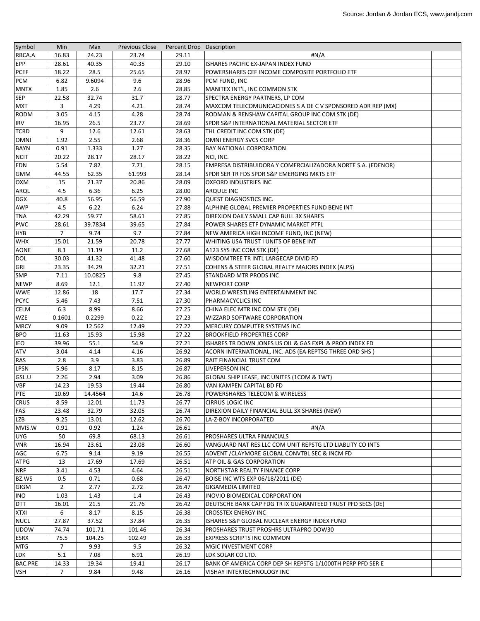| Symbol         | Min            | Max     | <b>Previous Close</b> | Percent Drop Description |                                                              |  |
|----------------|----------------|---------|-----------------------|--------------------------|--------------------------------------------------------------|--|
| RBCA.A         | 16.83          | 24.23   | 23.74                 | 29.11                    | #N/A                                                         |  |
| EPP            | 28.61          | 40.35   | 40.35                 | 29.10                    | ISHARES PACIFIC EX-JAPAN INDEX FUND                          |  |
| <b>PCEF</b>    | 18.22          | 28.5    | 25.65                 | 28.97                    | POWERSHARES CEF INCOME COMPOSITE PORTFOLIO ETF               |  |
| <b>PCM</b>     | 6.82           | 9.6094  | 9.6                   | 28.96                    | PCM FUND, INC                                                |  |
| <b>MNTX</b>    | 1.85           | 2.6     | 2.6                   | 28.85                    | MANITEX INT'L, INC COMMON STK                                |  |
| <b>SEP</b>     | 22.58          | 32.74   | 31.7                  | 28.77                    | SPECTRA ENERGY PARTNERS, LP COM                              |  |
| <b>MXT</b>     | 3              | 4.29    | 4.21                  | 28.74                    | MAXCOM TELECOMUNICACIONES S A DE C V SPONSORED ADR REP (MX)  |  |
| <b>RODM</b>    | 3.05           | 4.15    | 4.28                  | 28.74                    | RODMAN & RENSHAW CAPITAL GROUP INC COM STK (DE)              |  |
| <b>IRV</b>     | 16.95          | 26.5    | 23.77                 | 28.69                    | SPDR S&P INTERNATIONAL MATERIAL SECTOR ETF                   |  |
| <b>TCRD</b>    | 9              | 12.6    | 12.61                 | 28.63                    | THL CREDIT INC COM STK (DE)                                  |  |
| <b>OMNI</b>    | 1.92           | 2.55    | 2.68                  | 28.36                    | OMNI ENERGY SVCS CORP                                        |  |
| <b>BAYN</b>    | 0.91           | 1.333   | 1.27                  | 28.35                    | <b>BAY NATIONAL CORPORATION</b>                              |  |
| <b>NCIT</b>    | 20.22          | 28.17   | 28.17                 | 28.22                    | NCI, INC.                                                    |  |
| EDN            | 5.54           | 7.82    | 7.71                  | 28.15                    | EMPRESA DISTRIBUIDORA Y COMERCIALIZADORA NORTE S.A. (EDENOR) |  |
| <b>GMM</b>     | 44.55          | 62.35   | 61.993                | 28.14                    | SPDR SER TR FDS SPDR S&P EMERGING MKTS ETF                   |  |
| <b>OXM</b>     | 15             | 21.37   | 20.86                 | 28.09                    | <b>OXFORD INDUSTRIES INC</b>                                 |  |
| ARQL           | 4.5            | 6.36    | 6.25                  | 28.00                    | ARQULE INC                                                   |  |
| <b>DGX</b>     | 40.8           | 56.95   | 56.59                 | 27.90                    | QUEST DIAGNOSTICS INC.                                       |  |
| <b>AWP</b>     | 4.5            | 6.22    | 6.24                  | 27.88                    | ALPHINE GLOBAL PREMIER PROPERTIES FUND BENE INT              |  |
| <b>TNA</b>     | 42.29          | 59.77   | 58.61                 | 27.85                    | DIREXION DAILY SMALL CAP BULL 3X SHARES                      |  |
| <b>PWC</b>     | 28.61          | 39.7834 | 39.65                 | 27.84                    | POWER SHARES ETF DYNAMIC MARKET PTFL                         |  |
| <b>HYB</b>     | 7              | 9.74    | 9.7                   | 27.84                    | NEW AMERICA HIGH INCOME FUND, INC (NEW)                      |  |
| <b>WHX</b>     | 15.01          | 21.59   | 20.78                 | 27.77                    | WHITING USA TRUST I UNITS OF BENE INT                        |  |
| AONE           | 8.1            | 11.19   | 11.2                  | 27.68                    | A123 SYS INC COM STK (DE)                                    |  |
| <b>DOL</b>     | 30.03          | 41.32   | 41.48                 | 27.60                    | WISDOMTREE TR INTL LARGECAP DIVID FD                         |  |
| GRI            | 23.35          | 34.29   | 32.21                 | 27.51                    | COHENS & STEER GLOBAL REALTY MAJORS INDEX (ALPS)             |  |
| <b>SMP</b>     | 7.11           | 10.0825 | 9.8                   | 27.45                    | <b>STANDARD MTR PRODS INC</b>                                |  |
| <b>NEWP</b>    | 8.69           | 12.1    | 11.97                 | 27.40                    | <b>NEWPORT CORP</b>                                          |  |
| <b>WWE</b>     | 12.86          | 18      | 17.7                  | 27.34                    | WORLD WRESTLING ENTERTAINMENT INC                            |  |
| <b>PCYC</b>    | 5.46           | 7.43    | 7.51                  | 27.30                    | <b>PHARMACYCLICS INC</b>                                     |  |
| <b>CELM</b>    | 6.3            | 8.99    | 8.66                  | 27.25                    | CHINA ELEC MTR INC COM STK (DE)                              |  |
| <b>WZE</b>     | 0.1601         | 0.2299  | 0.22                  | 27.23                    | WIZZARD SOFTWARE CORPORATION                                 |  |
| <b>MRCY</b>    | 9.09           | 12.562  | 12.49                 | 27.22                    | <b>MERCURY COMPUTER SYSTEMS INC</b>                          |  |
| <b>BPO</b>     | 11.63          | 15.93   | 15.98                 | 27.22                    | <b>BROOKFIELD PROPERTIES CORP</b>                            |  |
| <b>IEO</b>     | 39.96          | 55.1    | 54.9                  | 27.21                    | ISHARES TR DOWN JONES US OIL & GAS EXPL & PROD INDEX FD      |  |
| <b>ATV</b>     | 3.04           | 4.14    | 4.16                  | 26.92                    | ACORN INTERNATIONAL, INC. ADS (EA REPTSG THREE ORD SHS)      |  |
| <b>RAS</b>     | 2.8            | 3.9     | 3.83                  | 26.89                    | <b>RAIT FINANCIAL TRUST COM</b>                              |  |
| <b>LPSN</b>    | 5.96           | 8.17    | 8.15                  | 26.87                    | <b>LIVEPERSON INC</b>                                        |  |
| GSL.U          | 2.26           | 2.94    | 3.09                  | 26.86                    | GLOBAL SHIP LEASE, INC UNITES (1COM & 1WT)                   |  |
| <b>VBF</b>     | 14.23          | 19.53   | 19.44                 | 26.80                    | VAN KAMPEN CAPITAL BD FD                                     |  |
| PTE            | 10.69          | 14.4564 | 14.6                  | 26.78                    | POWERSHARES TELECOM & WIRELESS                               |  |
| <b>CRUS</b>    | 8.59           | 12.01   | 11.73                 | 26.77                    | CIRRUS LOGIC INC                                             |  |
| FAS            | 23.48          | 32.79   | 32.05                 | 26.74                    | DIREXION DAILY FINANCIAL BULL 3X SHARES (NEW)                |  |
| <b>LZB</b>     | 9.25           | 13.01   | 12.62                 | 26.70                    | LA-Z-BOY INCORPORATED                                        |  |
| MVIS.W         | 0.91           | 0.92    | 1.24                  | 26.61                    | #N/A                                                         |  |
| <b>UYG</b>     | 50             | 69.8    | 68.13                 | 26.61                    | PROSHARES ULTRA FINANCIALS                                   |  |
| VNR            | 16.94          | 23.61   | 23.08                 | 26.60                    | VANGUARD NAT RES LLC COM UNIT REPSTG LTD LIABLITY CO INTS    |  |
| AGC            | 6.75           | 9.14    | 9.19                  | 26.55                    | ADVENT / CLAYMORE GLOBAL CONVTBL SEC & INCM FD               |  |
| <b>ATPG</b>    | 13             | 17.69   | 17.69                 | 26.51                    | ATP OIL & GAS CORPORATION                                    |  |
| <b>NRF</b>     | 3.41           | 4.53    | 4.64                  | 26.51                    | NORTHSTAR REALTY FINANCE CORP                                |  |
| BZ.WS          | 0.5            | 0.71    | 0.68                  | 26.47                    | BOISE INC WTS EXP 06/18/2011 (DE)                            |  |
| <b>GIGM</b>    | $\overline{2}$ | 2.77    | 2.72                  | 26.47                    | <b>GIGAMEDIA LIMITED</b>                                     |  |
| <b>INO</b>     | 1.03           | 1.43    | 1.4                   | 26.43                    | INOVIO BIOMEDICAL CORPORATION                                |  |
| <b>DTT</b>     | 16.01          | 21.5    | 21.76                 | 26.42                    | DEUTSCHE BANK CAP FDG TR IX GUARANTEED TRUST PFD SECS (DE)   |  |
| <b>XTXI</b>    | 6              | 8.17    | 8.15                  | 26.38                    | <b>CROSSTEX ENERGY INC</b>                                   |  |
| <b>NUCL</b>    | 27.87          | 37.52   | 37.84                 | 26.35                    | ISHARES S&P GLOBAL NUCLEAR ENERGY INDEX FUND                 |  |
| <b>UDOW</b>    | 74.74          | 101.71  | 101.46                | 26.34                    | PROSHARES TRUST PROSHRS ULTRAPRO DOW30                       |  |
| <b>ESRX</b>    | 75.5           | 104.25  | 102.49                | 26.33                    | <b>EXPRESS SCRIPTS INC COMMON</b>                            |  |
| <b>MTG</b>     | $\overline{7}$ | 9.93    | 9.5                   | 26.32                    | MGIC INVESTMENT CORP                                         |  |
| LDK            | 5.1            | 7.08    | 6.91                  | 26.19                    | LDK SOLAR CO LTD.                                            |  |
| <b>BAC.PRE</b> | 14.33          | 19.34   | 19.41                 | 26.17                    | BANK OF AMERICA CORP DEP SH REPSTG 1/1000TH PERP PFD SER E   |  |
| <b>VSH</b>     | $\overline{7}$ | 9.84    | 9.48                  | 26.16                    | VISHAY INTERTECHNOLOGY INC                                   |  |
|                |                |         |                       |                          |                                                              |  |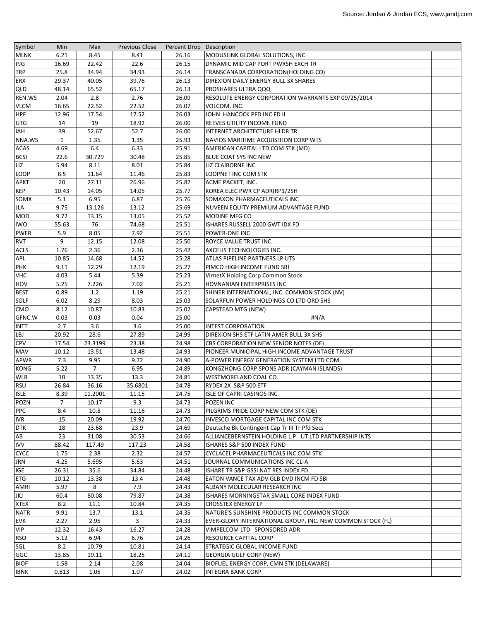| Symbol      | Min          | Max            | <b>Previous Close</b> | Percent Drop Description |                                                            |  |
|-------------|--------------|----------------|-----------------------|--------------------------|------------------------------------------------------------|--|
| <b>MLNK</b> | 6.21         | 8.45           | 8.41                  | 26.16                    | MODUSLINK GLOBAL SOLUTIONS, INC                            |  |
| PJG         | 16.69        | 22.42          | 22.6                  | 26.15                    | DYNAMIC MID CAP PORT PWRSH EXCH TR                         |  |
| <b>TRP</b>  | 25.8         | 34.94          | 34.93                 | 26.14                    | TRANSCANADA CORPORATION(HOLDING CO)                        |  |
| <b>ERX</b>  | 29.37        | 40.05          | 39.76                 | 26.13                    | DIREXION DAILY ENERGY BULL 3X SHARES                       |  |
| QLD         | 48.14        | 65.52          | 65.17                 | 26.13                    | PROSHARES ULTRA QQQ                                        |  |
| REN.WS      | 2.04         | 2.8            | 2.76                  | 26.09                    | RESOLUTE ENERGY CORPORATION WARRANTS EXP 09/25/2014        |  |
| <b>VLCM</b> | 16.65        | 22.52          | 22.52                 | 26.07                    | VOLCOM, INC.                                               |  |
| <b>HPF</b>  | 12.96        | 17.54          | 17.52                 | 26.03                    | JOHN HANCOCK PFD INC FD II                                 |  |
| <b>UTG</b>  | 14           | 19             | 18.92                 | 26.00                    | REEVES UTILITY INCOME FUND                                 |  |
| <b>IAH</b>  | 39           | 52.67          | 52.7                  | 26.00                    | INTERNET ARCHITECTURE HLDR TR                              |  |
| NNA.WS      | $\mathbf{1}$ | 1.35           | 1.35                  | 25.93                    | NAVIOS MARITIME ACQUISITION CORP WTS                       |  |
| <b>ACAS</b> | 4.69         | 6.4            | 6.33                  | 25.91                    | AMERICAN CAPITAL LTD COM STK (MD)                          |  |
| <b>BCSI</b> | 22.6         | 30.729         | 30.48                 | 25.85                    | BLUE COAT SYS INC NEW                                      |  |
| LIZ         | 5.94         | 8.11           | 8.01                  | 25.84                    | LIZ CLAIBORNE INC                                          |  |
| LOOP        | 8.5          | 11.64          | 11.46                 | 25.83                    | LOOPNET INC COM STK                                        |  |
| <b>APKT</b> | 20           | 27.11          | 26.96                 | 25.82                    | ACME PACKET, INC.                                          |  |
| <b>KEP</b>  | 10.43        | 14.05          | 14.05                 | 25.77                    | KOREA ELEC PWR CP ADR(RP1/2SH                              |  |
| SOMX        | 5.1          | 6.95           | 6.87                  | 25.76                    | SOMAXON PHARMACEUTICALS INC                                |  |
| JLA         | 9.75         | 13.126         | 13.12                 | 25.69                    | NUVEEN EQUITY PREMIUM ADVANTAGE FUND                       |  |
| <b>MOD</b>  | 9.72         | 13.15          | 13.05                 | 25.52                    | MODINE MFG CO                                              |  |
| <b>IWO</b>  | 55.63        | 76             | 74.68                 | 25.51                    | ISHARES RUSSELL 2000 GWT IDX FD                            |  |
| <b>PWER</b> | 5.9          | 8.05           | 7.92                  | 25.51                    | POWER-ONE INC                                              |  |
| <b>RVT</b>  | 9            | 12.15          | 12.08                 | 25.50                    | ROYCE VALUE TRUST INC.                                     |  |
| <b>ACLS</b> | 1.76         | 2.36           | 2.36                  | 25.42                    | AXCELIS TECHNOLOGIES INC.                                  |  |
| APL         | 10.85        | 14.68          | 14.52                 | 25.28                    | ATLAS PIPELINE PARTNERS LP UTS                             |  |
| <b>PHK</b>  | 9.11         | 12.29          | 12.19                 | 25.27                    | PIMCO HIGH INCOME FUND SBI                                 |  |
| <b>VHC</b>  | 4.03         | 5.44           | 5.39                  | 25.23                    | VirnetX Holding Corp Common Stock                          |  |
| HOV         | 5.25         | 7.226          | 7.02                  | 25.21                    | HOVNANIAN ENTERPRISES INC                                  |  |
| <b>BEST</b> | 0.89         | 1.2            | 1.19                  | 25.21                    | SHINER INTERNATIONAL, INC. COMMON STOCK (NV)               |  |
| SOLF        | 6.02         | 8.29           | 8.03                  | 25.03                    | SOLARFUN POWER HOLDINGS CO LTD ORD SHS                     |  |
| CMO         | 8.12         | 10.87          | 10.83                 | 25.02                    | CAPSTEAD MTG (NEW)                                         |  |
| GFNC.W      | 0.03         | 0.03           | 0.04                  | 25.00                    | #N/A                                                       |  |
| <b>INTT</b> | 2.7          | 3.6            | 3.6                   | 25.00                    | <b>INTEST CORPORATION</b>                                  |  |
| LBJ         | 20.92        | 28.6           | 27.89                 | 24.99                    | DIREXION SHS ETF LATIN AMER BULL 3X SHS                    |  |
| <b>CPV</b>  | 17.54        | 23.3199        | 23.38                 | 24.98                    | CBS CORPORATION NEW SENIOR NOTES (DE)                      |  |
| MAV         | 10.12        | 13.51          | 13.48                 | 24.93                    | PIONEER MUNICIPAL HIGH INCOME ADVANTAGE TRUST              |  |
| APWR        | 7.3          | 9.95           | 9.72                  | 24.90                    | A-POWER ENERGY GENERATION SYSTEM LTD COM                   |  |
| <b>KONG</b> | 5.22         | $\overline{7}$ | 6.95                  | 24.89                    | KONGZHONG CORP SPONS ADR (CAYMAN ISLANDS)                  |  |
| <b>WLB</b>  | 10           | 13.35          | 13.3                  | 24.81                    | WESTMORELAND COAL CO                                       |  |
| <b>RSU</b>  | 26.84        | 36.16          | 35.6801               | 24.78                    | RYDEX 2X S&P 500 ETF                                       |  |
| <b>ISLE</b> | 8.39         | 11.2001        | 11.15                 | 24.75                    | ISLE OF CAPRI CASINOS INC                                  |  |
| POZN        | 7            | 10.17          | 9.3                   | 24.73                    | POZEN INC                                                  |  |
| PPC         | 8.4          | 10.8           | 11.16                 | 24.73                    | PILGRIMS PRIDE CORP NEW COM STK (DE)                       |  |
| <b>IVR</b>  | 15           | 20.09          | 19.92                 | 24.70                    | INVESCO MORTGAGE CAPITAL INC COM STK                       |  |
| <b>DTK</b>  | 18           | 23.68          | 23.9                  | 24.69                    | Deutsche Bk Contingent Cap Tr III Tr Pfd Secs              |  |
| AB          | 23           | 31.08          | 30.53                 | 24.66                    | ALLIANCEBERNSTEIN HOLDING L.P. UT LTD PARTNERSHIP INTS     |  |
| <b>IVV</b>  | 88.42        | 117.49         | 117.23                | 24.58                    | ISHARES S&P 500 INDEX FUND                                 |  |
| <b>CYCC</b> | 1.75         | 2.38           | 2.32                  | 24.57                    | CYCLACEL PHARMACEUTICALS INC COM STK                       |  |
| <b>JRN</b>  | 4.25         | 5.695          | 5.63                  | 24.51                    | JOURNAL COMMUNICATIONS INC CL-A                            |  |
| <b>IGE</b>  | 26.31        | 35.6           | 34.84                 | 24.48                    | ISHARE TR S&P GSSI NAT RES INDEX FD                        |  |
| <b>ETG</b>  | 10.12        | 13.38          | 13.4                  | 24.48                    | EATON VANCE TAX ADV GLB DVD INCM FD SBI                    |  |
| <b>AMRI</b> | 5.97         | 8              | 7.9                   | 24.43                    | ALBANY MOLECULAR RESEARCH INC                              |  |
| JKJ         | 60.4         | 80.08          | 79.87                 | 24.38                    | ISHARES MORNINGSTAR SMALL CORE INDEX FUND                  |  |
| <b>XTEX</b> | 8.2          | 11.1           | 10.84                 | 24.35                    | CROSSTEX ENERGY LP                                         |  |
| <b>NATR</b> | 9.91         | 13.7           | 13.1                  | 24.35                    | NATURE'S SUNSHINE PRODUCTS INC COMMON STOCK                |  |
| <b>EVK</b>  | 2.27         | 2.95           | 3                     | 24.33                    | EVER-GLORY INTERNATIONAL GROUP, INC. NEW COMMON STOCK (FL) |  |
| <b>VIP</b>  | 12.32        | 16.43          | 16.27                 | 24.28                    | VIMPELCOM LTD SPONSORED ADR                                |  |
| <b>RSO</b>  | 5.12         | 6.94           | 6.76                  | 24.26                    | RESOURCE CAPITAL CORP                                      |  |
| SGL         | 8.2          | 10.79          | 10.81                 | 24.14                    | STRATEGIC GLOBAL INCOME FUND                               |  |
| GGC         | 13.85        | 19.11          | 18.25                 | 24.11                    | <b>GEORGIA GULF CORP (NEW)</b>                             |  |
| <b>BIOF</b> | 1.58         | 2.14           | 2.08                  | 24.04                    | BIOFUEL ENERGY CORP, CMN STK (DELAWARE)                    |  |
| <b>IBNK</b> | 0.813        | 1.05           | 1.07                  | 24.02                    | <b>INTEGRA BANK CORP</b>                                   |  |
|             |              |                |                       |                          |                                                            |  |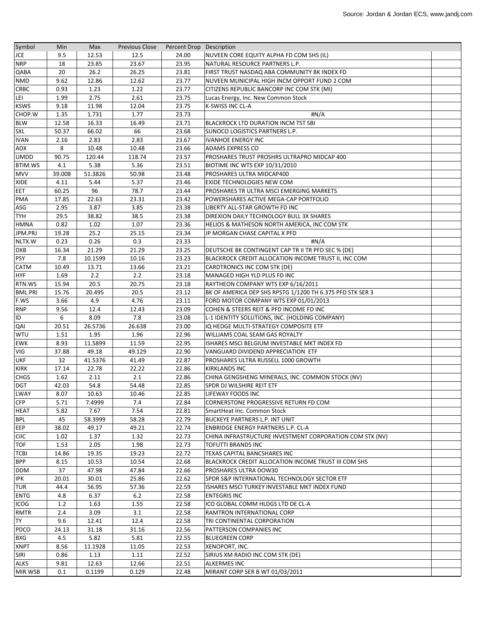| Symbol                     | Min    | Max           | <b>Previous Close</b> | Percent Drop Description |                                                           |  |
|----------------------------|--------|---------------|-----------------------|--------------------------|-----------------------------------------------------------|--|
| JCE                        | 9.5    | 12.53         | 12.5                  | 24.00                    | NUVEEN CORE EQUITY ALPHA FD COM SHS (IL)                  |  |
| <b>NRP</b>                 | 18     | 23.85         | 23.67                 | 23.95                    | NATURAL RESOURCE PARTNERS L.P.                            |  |
| QABA                       | 20     | 26.2          | 26.25                 | 23.81                    | FIRST TRUST NASDAQ ABA COMMUNITY BK INDEX FD              |  |
| <b>NMD</b>                 | 9.62   | 12.86         | 12.62                 | 23.77                    | NUVEEN MUNICIPAL HIGH INCM OPPORT FUND 2 COM              |  |
| <b>CRBC</b>                | 0.93   | 1.23          | 1.22                  | 23.77                    | CITIZENS REPUBLIC BANCORP INC COM STK (MI)                |  |
| LEI                        | 1.99   | 2.75          | 2.61                  | 23.75                    | Lucas Energy, Inc. New Common Stock                       |  |
| <b>KSWS</b>                | 9.18   | 11.98         | 12.04                 | 23.75                    | K-SWISS INC CL-A                                          |  |
| CHOP.W                     | 1.35   | 1.731         | 1.77                  | 23.73                    | #N/A                                                      |  |
| <b>BLW</b>                 | 12.58  | 16.33         | 16.49                 | 23.71                    | <b>BLACKROCK LTD DURATION INCM TST SBI</b>                |  |
| <b>SXL</b>                 | 50.37  | 66.02         | 66                    | 23.68                    | SUNOCO LOGISTICS PARTNERS L.P.                            |  |
| <b>IVAN</b>                | 2.16   | 2.83          | 2.83                  | 23.67                    | <b>IVANHOE ENERGY INC</b>                                 |  |
| ADX                        | 8      | 10.48         | 10.48                 | 23.66                    | <b>ADAMS EXPRESS CO</b>                                   |  |
| <b>UMDD</b>                | 90.75  | 120.44        | 118.74                | 23.57                    | PROSHARES TRUST PROSHRS ULTRAPRO MIDCAP 400               |  |
| BTIM.WS                    | 4.1    | 5.38          | 5.36                  | 23.51                    | <b>BIOTIME INC WTS EXP 10/31/2010</b>                     |  |
| <b>MVV</b>                 | 39.008 | 51.3826       | 50.98                 | 23.48                    | PROSHARES ULTRA MIDCAP400                                 |  |
| XIDE                       | 4.11   | 5.44          | 5.37                  | 23.46                    | <b>EXIDE TECHNOLOGIES NEW COM</b>                         |  |
| <b>EET</b>                 | 60.25  | 96            | 78.7                  | 23.44                    | PROSHARES TR ULTRA MSCI EMERGING MARKETS                  |  |
| PMA                        | 17.85  | 22.63         | 23.31                 | 23.42                    | POWERSHARES ACTIVE MEGA-CAP PORTFOLIO                     |  |
| ASG                        | 2.95   | 3.87          | 3.85                  | 23.38                    | LIBERTY ALL-STAR GROWTH FD INC                            |  |
| <b>TYH</b>                 | 29.5   | 38.82         | 38.5                  | 23.38                    | DIREXION DAILY TECHNOLOGY BULL 3X SHARES                  |  |
| <b>HMNA</b>                | 0.82   | 1.02          | 1.07                  | 23.36                    | HELIOS & MATHESON NORTH AMERICA, INC COM STK              |  |
| JPM.PRJ                    | 19.28  | 25.2          | 25.15                 | 23.34                    | JP MORGAN CHASE CAPITAL X PFD                             |  |
| NLTX.W                     | 0.23   | 0.26          | 0.3                   | 23.33                    | #N/A                                                      |  |
| <b>DXB</b>                 | 16.34  | 21.29         | 21.29                 | 23.25                    | DEUTSCHE BK CONTINGENT CAP TR II TR PFD SEC % (DE)        |  |
| <b>PSY</b>                 | 7.8    | 10.1599       | 10.16                 | 23.23                    | BLACKROCK CREDIT ALLOCATION INCOME TRUST II, INC COM      |  |
| <b>CATM</b>                | 10.49  | 13.71         | 13.66                 | 23.21                    | CARDTRONICS INC COM STK (DE)                              |  |
| <b>HYF</b>                 | 1.69   | 2.2           | 2.2                   | 23.18                    | MANAGED HIGH YLD PLUS FD INC                              |  |
| RTN.WS                     | 15.94  | 20.5          | 20.75                 | 23.18                    | RAYTHEON COMPANY WTS EXP 6/16/2011                        |  |
| <b>BML.PRI</b>             | 15.76  | 20.495        | 20.5                  | 23.12                    | BK OF AMERICA DEP SHS RPSTG 1/1200 TH 6.375 PFD STK SER 3 |  |
| F.WS                       | 3.66   | 4.9           | 4.76                  | 23.11                    | FORD MOTOR COMPANY WTS EXP 01/01/2013                     |  |
| <b>RNP</b>                 | 9.56   | 12.4          | 12.43                 | 23.09                    | COHEN & STEERS REIT & PFD INCOME FD INC                   |  |
| ID                         | 6      | 8.09          | 7.8                   | 23.08                    | L-1 IDENTITY SOLUTIONS, INC. (HOLDING COMPANY)            |  |
| QAI                        | 20.51  | 26.5736       | 26.638                | 23.00                    | IQ HEDGE MULTI-STRATEGY COMPOSITE ETF                     |  |
| WTU                        | 1.51   | 1.95          | 1.96                  | 22.96                    | WILLIAMS COAL SEAM GAS ROYALTY                            |  |
| EWK                        | 8.93   | 11.5899       | 11.59                 | 22.95                    | ISHARES MSCI BELGIUM INVESTABLE MKT INDEX FD              |  |
| VIG                        | 37.88  | 49.18         | 49.129                | 22.90                    | VANGUARD DIVIDEND APPRECIATION ETF                        |  |
| <b>UKF</b>                 | 32     | 41.5376       | 41.49                 | 22.87                    | PROSHARES ULTRA RUSSELL 1000 GROWTH                       |  |
| <b>KIRK</b>                | 17.14  | 22.78         | 22.22                 | 22.86                    | <b>KIRKLANDS INC</b>                                      |  |
| <b>CHGS</b>                | 1.62   | 2.11          | 2.1                   | 22.86                    | CHINA GENGSHENG MINERALS, INC. COMMON STOCK (NV)          |  |
| <b>DGT</b>                 | 42.03  | 54.8          | 54.48                 | 22.85                    | SPDR DJ WILSHIRE REIT ETF                                 |  |
| LWAY                       | 8.07   | 10.63         | 10.46                 | 22.85                    | LIFEWAY FOODS INC                                         |  |
| <b>CFP</b>                 | 5.71   | 7.4999        | 7.4                   | 22.84                    | CORNERSTONE PROGRESSIVE RETURN FD COM                     |  |
| <b>HEAT</b>                | 5.82   | 7.67          | 7.54                  | 22.81                    | SmartHeat Inc. Common Stock                               |  |
| <b>BPL</b>                 | 45     | 58.3999       | 58.28                 | 22.79                    | <b>BUCKEYE PARTNERS L.P. INT UNIT</b>                     |  |
| EEP                        | 38.02  | 49.17         | 49.21                 | 22.74                    | ENBRIDGE ENERGY PARTNERS L.P. CL-A                        |  |
| <b>CIIC</b>                | 1.02   | 1.37          | 1.32                  | 22.73                    | CHINA INFRASTRUCTURE INVESTMENT CORPORATION COM STK (NV)  |  |
| <b>TOF</b>                 | 1.53   | 2.05          | 1.98                  | 22.73                    | <b>TOFUTTI BRANDS INC</b>                                 |  |
| <b>TCBI</b>                | 14.86  | 19.35         | 19.23                 | 22.72                    | TEXAS CAPITAL BANCSHARES INC                              |  |
| <b>BPP</b>                 | 8.15   | 10.53         | 10.54                 | 22.68                    | BLACKROCK CREDIT ALLOCATION INCOME TRUST III COM SHS      |  |
| <b>DDM</b>                 | 37     | 47.98         | 47.84                 | 22.66                    | PROSHARES ULTRA DOW30                                     |  |
| <b>IPK</b>                 | 20.01  | 30.01         | 25.86                 | 22.62                    | SPDR S&P INTERNATIONAL TECHNOLOGY SECTOR ETF              |  |
| <b>TUR</b>                 | 44.4   | 56.95         | 57.36                 | 22.59                    | ISHARES MSCI TURKEY INVESTABLE MKT INDEX FUND             |  |
| <b>ENTG</b>                | 4.8    | 6.37          | $6.2$                 | 22.58                    | <b>ENTEGRIS INC</b>                                       |  |
| ICOG                       | 1.2    | 1.63          |                       | 22.58                    | ICO GLOBAL COMM HLDGS LTD DE CL-A                         |  |
| <b>RMTR</b>                | 2.4    | 3.09          | 1.55<br>3.1           | 22.58                    | RAMTRON INTERNATIONAL CORP                                |  |
| <b>TY</b>                  | 9.6    | 12.41         | 12.4                  | 22.58                    | TRI CONTINENTAL CORPORATION                               |  |
| <b>PDCO</b>                | 24.13  | 31.18         | 31.16                 | 22.56                    | PATTERSON COMPANIES INC                                   |  |
| <b>BXG</b>                 | 4.5    | 5.82          | 5.81                  | 22.55                    |                                                           |  |
|                            |        |               |                       |                          | <b>BLUEGREEN CORP</b>                                     |  |
| <b>XNPT</b>                | 8.56   | 11.1928       | 11.05                 | 22.53                    | XENOPORT, INC.                                            |  |
| <b>SIRI</b><br><b>ALKS</b> | 0.86   | 1.13<br>12.63 | 1.11                  | 22.52                    | SIRIUS XM RADIO INC COM STK (DE)                          |  |
|                            | 9.81   |               | 12.66                 | 22.51                    | <b>ALKERMES INC</b>                                       |  |
| MIR.WSB                    | 0.1    | 0.1199        | 0.129                 | 22.48                    | MIRANT CORP SER B WT 01/03/2011                           |  |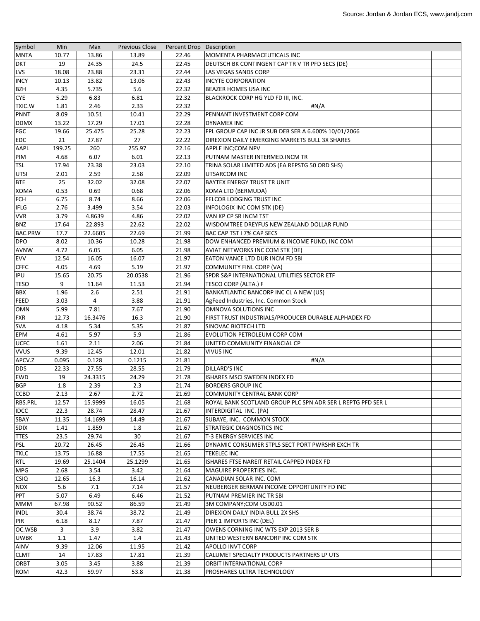| Symbol         | Min    | Max     | <b>Previous Close</b> | Percent Drop Description |                                                             |  |
|----------------|--------|---------|-----------------------|--------------------------|-------------------------------------------------------------|--|
| <b>MNTA</b>    | 10.77  | 13.86   | 13.89                 | 22.46                    | MOMENTA PHARMACEUTICALS INC                                 |  |
| <b>DKT</b>     | 19     | 24.35   | 24.5                  | 22.45                    | DEUTSCH BK CONTINGENT CAP TR V TR PFD SECS (DE)             |  |
| LVS            | 18.08  | 23.88   | 23.31                 | 22.44                    | LAS VEGAS SANDS CORP                                        |  |
| <b>INCY</b>    | 10.13  | 13.82   | 13.06                 | 22.43                    | <b>INCYTE CORPORATION</b>                                   |  |
| <b>BZH</b>     | 4.35   | 5.735   | 5.6                   | 22.32                    | <b>BEAZER HOMES USA INC</b>                                 |  |
| <b>CYE</b>     | 5.29   | 6.83    | 6.81                  | 22.32                    | BLACKROCK CORP HG YLD FD III, INC.                          |  |
| TXIC.W         | 1.81   | 2.46    | 2.33                  | 22.32                    | #N/A                                                        |  |
| PNNT           | 8.09   | 10.51   | 10.41                 | 22.29                    | PENNANT INVESTMENT CORP COM                                 |  |
| <b>DDMX</b>    | 13.22  | 17.29   | 17.01                 | 22.28                    | <b>DYNAMEX INC</b>                                          |  |
| FGC            | 19.66  | 25.475  | 25.28                 | 22.23                    | FPL GROUP CAP INC JR SUB DEB SER A 6.600% 10/01/2066        |  |
| <b>EDC</b>     | 21     | 27.87   | 27                    | 22.22                    | DIREXION DAILY EMERGING MARKETS BULL 3X SHARES              |  |
| AAPL           | 199.25 | 260     | 255.97                | 22.16                    | APPLE INC;COM NPV                                           |  |
| PIM            | 4.68   | 6.07    | 6.01                  | 22.13                    | PUTNAM MASTER INTERMED.INCM TR                              |  |
| TSL            | 17.94  | 23.38   | 23.03                 | 22.10                    | TRINA SOLAR LIMITED ADS (EA REPSTG 50 ORD SHS)              |  |
| <b>UTSI</b>    | 2.01   | 2.59    | 2.58                  | 22.09                    | UTSARCOM INC                                                |  |
| <b>BTE</b>     | 25     | 32.02   | 32.08                 | 22.07                    | BAYTEX ENERGY TRUST TR UNIT                                 |  |
| XOMA           | 0.53   | 0.69    | 0.68                  | 22.06                    | XOMA LTD (BERMUDA)                                          |  |
| <b>FCH</b>     | 6.75   | 8.74    | 8.66                  | 22.06                    | FELCOR LODGING TRUST INC                                    |  |
|                | 2.76   | 3.499   | 3.54                  | 22.03                    |                                                             |  |
| <b>IFLG</b>    |        |         |                       |                          | INFOLOGIX INC COM STK (DE)                                  |  |
| <b>VVR</b>     | 3.79   | 4.8639  | 4.86                  | 22.02                    | VAN KP CP SR INCM TST                                       |  |
| <b>BNZ</b>     | 17.64  | 22.893  | 22.62                 | 22.02                    | WISDOMTREE DREYFUS NEW ZEALAND DOLLAR FUND                  |  |
| <b>BAC.PRW</b> | 17.7   | 22.6605 | 22.69                 | 21.99                    | BAC CAP TST I 7% CAP SECS                                   |  |
| <b>DPO</b>     | 8.02   | 10.36   | 10.28                 | 21.98                    | DOW ENHANCED PREMIUM & INCOME FUND, INC COM                 |  |
| <b>AVNW</b>    | 4.72   | 6.05    | 6.05                  | 21.98                    | AVIAT NETWORKS INC COM STK (DE)                             |  |
| <b>EVV</b>     | 12.54  | 16.05   | 16.07                 | 21.97                    | EATON VANCE LTD DUR INCM FD SBI                             |  |
| <b>CFFC</b>    | 4.05   | 4.69    | 5.19                  | 21.97                    | COMMUNITY FINL CORP (VA)                                    |  |
| IPU            | 15.65  | 20.75   | 20.0538               | 21.96                    | SPDR S&P INTERNATIONAL UTILITIES SECTOR ETF                 |  |
| <b>TESO</b>    | 9      | 11.64   | 11.53                 | 21.94                    | TESCO CORP (ALTA.) F                                        |  |
| BBX            | 1.96   | 2.6     | 2.51                  | 21.91                    | BANKATLANTIC BANCORP INC CL A NEW (US)                      |  |
| <b>FEED</b>    | 3.03   | 4       | 3.88                  | 21.91                    | AgFeed Industries, Inc. Common Stock                        |  |
| <b>OMN</b>     | 5.99   | 7.81    | 7.67                  | 21.90                    | OMNOVA SOLUTIONS INC                                        |  |
| <b>FXR</b>     | 12.73  | 16.3476 | 16.3                  | 21.90                    | FIRST TRUST INDUSTRIALS/PRODUCER DURABLE ALPHADEX FD        |  |
| <b>SVA</b>     | 4.18   | 5.34    | 5.35                  | 21.87                    | SINOVAC BIOTECH LTD                                         |  |
| EPM            | 4.61   | 5.97    | 5.9                   | 21.86                    | EVOLUTION PETROLEUM CORP COM                                |  |
| <b>UCFC</b>    | 1.61   | 2.11    | 2.06                  | 21.84                    | UNITED COMMUNITY FINANCIAL CP                               |  |
| <b>VVUS</b>    | 9.39   | 12.45   | 12.01                 | 21.82                    | <b>VIVUS INC</b>                                            |  |
| APCV.Z         | 0.095  | 0.128   | 0.1215                | 21.81                    | #N/A                                                        |  |
| <b>DDS</b>     | 22.33  | 27.55   | 28.55                 | 21.79                    | DILLARD'S INC                                               |  |
| EWD            | 19     | 24.3315 | 24.29                 | 21.78                    | ISHARES MSCI SWEDEN INDEX FD                                |  |
| <b>BGP</b>     | 1.8    | 2.39    | 2.3                   | 21.74                    | <b>BORDERS GROUP INC</b>                                    |  |
| <b>CCBD</b>    | 2.13   | 2.67    | 2.72                  | 21.69                    | COMMUNITY CENTRAL BANK CORP                                 |  |
| RBS.PRL        | 12.57  | 15.9999 | 16.05                 | 21.68                    | ROYAL BANK SCOTLAND GROUP PLC SPN ADR SER L REPTG PFD SER L |  |
| <b>IDCC</b>    | 22.3   | 28.74   | 28.47                 | 21.67                    | INTERDIGITAL INC. (PA)                                      |  |
| SBAY           | 11.35  | 14.1699 | 14.49                 | 21.67                    | SUBAYE, INC. COMMON STOCK                                   |  |
| <b>SDIX</b>    | 1.41   | 1.859   | 1.8                   | 21.67                    | <b>STRATEGIC DIAGNOSTICS INC</b>                            |  |
| <b>TTES</b>    | 23.5   | 29.74   | 30                    | 21.67                    | T-3 ENERGY SERVICES INC                                     |  |
| <b>PSL</b>     | 20.72  | 26.45   | 26.45                 | 21.66                    | DYNAMIC CONSUMER STPLS SECT PORT PWRSHR EXCH TR             |  |
| TKLC           | 13.75  | 16.88   | 17.55                 | 21.65                    | <b>TEKELEC INC</b>                                          |  |
| <b>RTL</b>     | 19.69  | 25.1404 | 25.1299               | 21.65                    | ISHARES FTSE NAREIT RETAIL CAPPED INDEX FD                  |  |
| <b>MPG</b>     | 2.68   | 3.54    | 3.42                  | 21.64                    | MAGUIRE PROPERTIES INC.                                     |  |
| <b>CSIQ</b>    | 12.65  | 16.3    | 16.14                 | 21.62                    | CANADIAN SOLAR INC. COM                                     |  |
| <b>NOX</b>     | 5.6    | 7.1     | 7.14                  | 21.57                    | NEUBERGER BERMAN INCOME OPPORTUNITY FD INC                  |  |
| <b>PPT</b>     | 5.07   | 6.49    | 6.46                  | 21.52                    | PUTNAM PREMIER INC TR SBI                                   |  |
| <b>MMM</b>     | 67.98  | 90.52   | 86.59                 | 21.49                    | 3M COMPANY; COM USD0.01                                     |  |
| <b>INDL</b>    | 30.4   | 38.74   | 38.72                 | 21.49                    | DIREXION DAILY INDIA BULL 2X SHS                            |  |
| PIR            | 6.18   | 8.17    | 7.87                  | 21.47                    | PIER 1 IMPORTS INC (DEL)                                    |  |
| OC.WSB         | 3      | 3.9     | 3.82                  | 21.47                    | OWENS CORNING INC WTS EXP 2013 SER B                        |  |
| <b>UWBK</b>    | 1.1    | 1.47    | 1.4                   | 21.43                    | UNITED WESTERN BANCORP INC COM STK                          |  |
| AINV           | 9.39   | 12.06   | 11.95                 | 21.42                    | APOLLO INVT CORP                                            |  |
| <b>CLMT</b>    | 14     | 17.83   | 17.81                 | 21.39                    | CALUMET SPECIALTY PRODUCTS PARTNERS LP UTS                  |  |
| ORBT           | 3.05   | 3.45    | 3.88                  | 21.39                    | ORBIT INTERNATIONAL CORP                                    |  |
| ROM            | 42.3   | 59.97   | 53.8                  | 21.38                    | PROSHARES ULTRA TECHNOLOGY                                  |  |
|                |        |         |                       |                          |                                                             |  |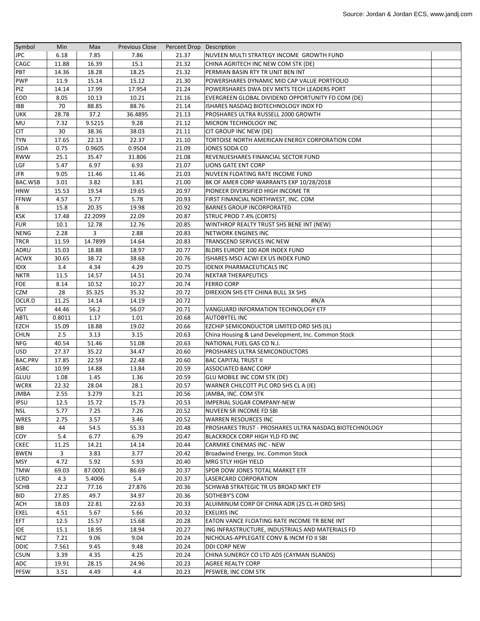| Symbol         | Min    | Max     | <b>Previous Close</b> | Percent Drop Description |                                                        |  |
|----------------|--------|---------|-----------------------|--------------------------|--------------------------------------------------------|--|
| <b>JPC</b>     | 6.18   | 7.85    | 7.86                  | 21.37                    | NUVEEN MULTI STRATEGY INCOME GROWTH FUND               |  |
| CAGC           | 11.88  | 16.39   | 15.1                  | 21.32                    | CHINA AGRITECH INC NEW COM STK (DE)                    |  |
| PBT            | 14.36  | 18.28   | 18.25                 | 21.32                    | PERMIAN BASIN RTY TR UNIT BEN INT                      |  |
| <b>PWP</b>     | 11.9   | 15.14   | 15.12                 | 21.30                    | POWERSHARES DYNAMIC MID CAP VALUE PORTFOLIO            |  |
| PIZ            | 14.14  | 17.99   | 17.954                | 21.24                    | POWERSHARES DWA DEV MKTS TECH LEADERS PORT             |  |
| <b>EOD</b>     | 8.05   | 10.13   | 10.21                 | 21.16                    | EVERGREEN GLOBAL DIVIDEND OPPORTUNITY FD COM (DE)      |  |
| <b>IBB</b>     | 70     | 88.85   | 88.76                 | 21.14                    | ISHARES NASDAQ BIOTECHNOLOGY INDX FD                   |  |
| <b>UKK</b>     | 28.78  | 37.2    | 36.4895               | 21.13                    | PROSHARES ULTRA RUSSELL 2000 GROWTH                    |  |
| MU             | 7.32   | 9.5215  | 9.28                  | 21.12                    | MICRON TECHNOLOGY INC                                  |  |
| <b>CIT</b>     | 30     | 38.36   | 38.03                 | 21.11                    | CIT GROUP INC NEW (DE)                                 |  |
| <b>TYN</b>     | 17.65  | 22.13   | 22.37                 | 21.10                    | TORTOISE NORTH AMERICAN ENERGY CORPORATION COM         |  |
| <b>JSDA</b>    | 0.75   | 0.9605  | 0.9504                | 21.09                    | JONES SODA CO                                          |  |
| <b>RWW</b>     | 25.1   | 35.47   | 31.806                | 21.08                    | REVENUESHARES FINANCIAL SECTOR FUND                    |  |
| <b>LGF</b>     | 5.47   | 6.97    | 6.93                  | 21.07                    | LIONS GATE ENT CORP                                    |  |
| <b>JFR</b>     | 9.05   | 11.46   | 11.46                 | 21.03                    | NUVEEN FLOATING RATE INCOME FUND                       |  |
| BAC.WSB        | 3.01   | 3.82    | 3.81                  | 21.00                    | BK OF AMER CORP WARRANTS EXP 10/28/2018                |  |
| <b>HNW</b>     | 15.53  | 19.54   | 19.65                 | 20.97                    | PIONEER DIVERSIFIED HIGH INCOME TR                     |  |
| <b>FFNW</b>    | 4.57   | 5.77    | 5.78                  | 20.93                    | FIRST FINANCIAL NORTHWEST, INC. COM                    |  |
| B              | 15.8   | 20.35   | 19.98                 | 20.92                    | <b>BARNES GROUP INCORPORATED</b>                       |  |
| <b>KSK</b>     | 17.48  | 22.2099 | 22.09                 | 20.87                    | <b>STRUC PROD 7.4% (CORTS)</b>                         |  |
| <b>FUR</b>     | 10.1   | 12.78   | 12.76                 | 20.85                    | WINTHROP REALTY TRUST SHS BENE INT (NEW)               |  |
| <b>NENG</b>    | 2.28   | 3       | 2.88                  | 20.83                    | <b>NETWORK ENGINES INC</b>                             |  |
| TRCR           | 11.59  | 14.7899 | 14.64                 | 20.83                    | TRANSCEND SERVICES INC NEW                             |  |
| ADRU           | 15.03  | 18.88   | 18.97                 | 20.77                    | BLDRS EUROPE 100 ADR INDEX FUND                        |  |
| <b>ACWX</b>    | 30.65  | 38.72   | 38.68                 | 20.76                    | ISHARES MSCI ACWI EX US INDEX FUND                     |  |
| <b>IDIX</b>    | 3.4    | 4.34    | 4.29                  | 20.75                    | IDENIX PHARMACEUTICALS INC                             |  |
| <b>NKTR</b>    | 11.5   | 14.57   | 14.51                 | 20.74                    | <b>NEKTAR THERAPEUTICS</b>                             |  |
| FOE            | 8.14   | 10.52   | 10.27                 | 20.74                    | <b>FERRO CORP</b>                                      |  |
| CZM            | 28     | 35.325  | 35.32                 | 20.72                    | DIREXION SHS ETF CHINA BULL 3X SHS                     |  |
| OCLR.D         | 11.25  | 14.14   | 14.19                 | 20.72                    | #N/A                                                   |  |
| <b>VGT</b>     | 44.46  | 56.2    | 56.07                 | 20.71                    | VANGUARD INFORMATION TECHNOLOGY ETF                    |  |
| ABTL           | 0.8011 | 1.17    | 1.01                  | 20.68                    | <b>AUTOBYTEL INC</b>                                   |  |
| <b>EZCH</b>    | 15.09  | 18.88   | 19.02                 | 20.66                    | EZCHIP SEMICONDUCTOR LIMITED ORD SHS (IL)              |  |
| <b>CHLN</b>    | 2.5    | 3.13    | 3.15                  | 20.63                    | China Housing & Land Development, Inc. Common Stock    |  |
| <b>NFG</b>     | 40.54  | 51.46   | 51.08                 | 20.63                    | NATIONAL FUEL GAS CO N.J.                              |  |
| <b>USD</b>     | 27.37  | 35.22   | 34.47                 | 20.60                    | PROSHARES ULTRA SEMICONDUCTORS                         |  |
| <b>BAC.PRV</b> | 17.85  | 22.59   | 22.48                 | 20.60                    | <b>BAC CAPITAL TRUST II</b>                            |  |
| ASBC           | 10.99  | 14.88   | 13.84                 | 20.59                    | <b>ASSOCIATED BANC CORP</b>                            |  |
| <b>GLUU</b>    | 1.08   | 1.45    | 1.36                  | 20.59                    | <b>GLU MOBILE INC COM STK (DE)</b>                     |  |
| <b>WCRX</b>    | 22.32  | 28.04   | 28.1                  | 20.57                    | WARNER CHILCOTT PLC ORD SHS CL A (IE)                  |  |
| <b>JMBA</b>    | 2.55   | 3.279   | 3.21                  | 20.56                    | JAMBA, INC. COM STK                                    |  |
| <b>IPSU</b>    | 12.5   | 15.72   | 15.73                 | 20.53                    | <b>IMPERIAL SUGAR COMPANY-NEW</b>                      |  |
| NSL            | 5.77   | 7.25    | 7.26                  | 20.52                    | NUVEEN SR INCOME FD SBI                                |  |
| <b>WRES</b>    | 2.75   | 3.57    | 3.46                  | 20.52                    | <b>WARREN RESOURCES INC</b>                            |  |
| <b>BIB</b>     | 44     | 54.5    | 55.33                 | 20.48                    | PROSHARES TRUST - PROSHARES ULTRA NASDAQ BIOTECHNOLOGY |  |
| COY            | 5.4    | 6.77    | 6.79                  | 20.47                    | BLACKROCK CORP HIGH YLD FD INC                         |  |
| <b>CKEC</b>    | 11.25  | 14.21   | 14.14                 | 20.44                    | <b>CARMIKE CINEMAS INC - NEW</b>                       |  |
| <b>BWEN</b>    | 3      | 3.83    | 3.77                  | 20.42                    | Broadwind Energy, Inc. Common Stock                    |  |
| <b>MSY</b>     | 4.72   | 5.92    | 5.93                  | 20.40                    | MRG STLY HIGH YIELD                                    |  |
| <b>TMW</b>     | 69.03  | 87.0001 | 86.69                 | 20.37                    | SPDR DOW JONES TOTAL MARKET ETF                        |  |
| LCRD           | 4.3    | 5.4006  | 5.4                   | 20.37                    | <b>LASERCARD CORPORATION</b>                           |  |
| <b>SCHB</b>    | 22.2   | 77.16   | 27.876                | 20.36                    | <b>SCHWAB STRATEGIC TR US BROAD MKT ETF</b>            |  |
| <b>BID</b>     | 27.85  | 49.7    | 34.97                 | 20.36                    | SOTHEBY'S COM                                          |  |
| <b>ACH</b>     | 18.03  | 22.81   | 22.63                 | 20.33                    | ALUIMINUM CORP OF CHINA ADR (25 CL-H ORD SHS)          |  |
| <b>EXEL</b>    | 4.51   | 5.67    | 5.66                  | 20.32                    | <b>EXELIXIS INC</b>                                    |  |
| EFT            | 12.5   | 15.57   | 15.68                 | 20.28                    | EATON VANCE FLOATING RATE INCOME TR BENE INT           |  |
| <b>IDE</b>     | 15.1   | 18.95   | 18.94                 | 20.27                    | ING INFRASTRUCTURE, INDUSTRIALS AND MATERIALS FD       |  |
| <b>NCZ</b>     | 7.21   | 9.06    | 9.04                  | 20.24                    | NICHOLAS-APPLEGATE CONV & INCM FD II SBI               |  |
| <b>DDIC</b>    | 7.561  | 9.45    | 9.48                  | 20.24                    | DDI CORP NEW                                           |  |
| <b>CSUN</b>    | 3.39   | 4.35    | 4.25                  | 20.24                    | CHINA SUNERGY CO LTD ADS (CAYMAN ISLANDS)              |  |
| ADC            | 19.91  | 28.15   | 24.96                 | 20.23                    | <b>AGREE REALTY CORP</b>                               |  |
| <b>PFSW</b>    | 3.51   | 4.49    | 4.4                   | 20.23                    | PFSWEB, INC COM STK                                    |  |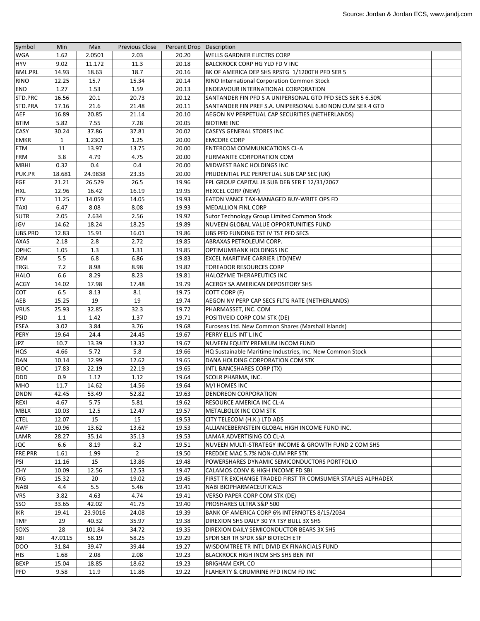| Symbol         | Min          | Max     | <b>Previous Close</b> | Percent Drop Description |                                                             |  |
|----------------|--------------|---------|-----------------------|--------------------------|-------------------------------------------------------------|--|
| WGA            | 1.62         | 2.0501  | 2.03                  | 20.20                    | <b>WELLS GARDNER ELECTRS CORP</b>                           |  |
| <b>HYV</b>     | 9.02         | 11.172  | 11.3                  | 20.18                    | <b>BALCKROCK CORP HG YLD FD V INC</b>                       |  |
| <b>BML.PRL</b> | 14.93        | 18.63   | 18.7                  | 20.16                    | BK OF AMERICA DEP SHS RPSTG 1/1200TH PFD SER 5              |  |
| <b>RINO</b>    | 12.25        | 15.7    | 15.34                 | 20.14                    | <b>RINO International Corporation Common Stock</b>          |  |
| <b>END</b>     | 1.27         | 1.53    | 1.59                  | 20.13                    | <b>ENDEAVOUR INTERNATIONAL CORPORATION</b>                  |  |
| STD.PRC        | 16.56        | 20.1    | 20.73                 | 20.12                    | SANTANDER FIN PFD S A UNIPERSONAL GTD PFD SECS SER 5 6.50%  |  |
| STD.PRA        | 17.16        | 21.6    | 21.48                 | 20.11                    | SANTANDER FIN PREF S.A. UNIPERSONAL 6.80 NON CUM SER 4 GTD  |  |
| AEF            | 16.89        | 20.85   | 21.14                 | 20.10                    | AEGON NV PERPETUAL CAP SECURITIES (NETHERLANDS)             |  |
| <b>BTIM</b>    | 5.82         | 7.55    | 7.28                  | 20.05                    | <b>BIOTIME INC</b>                                          |  |
| CASY           | 30.24        | 37.86   | 37.81                 | 20.02                    | <b>CASEYS GENERAL STORES INC</b>                            |  |
| <b>EMKR</b>    | $\mathbf{1}$ | 1.2301  | 1.25                  | 20.00                    | <b>EMCORE CORP</b>                                          |  |
| ETM            | 11           | 13.97   | 13.75                 | 20.00                    | <b>ENTERCOM COMMUNICATIONS CL-A</b>                         |  |
| <b>FRM</b>     | 3.8          | 4.79    | 4.75                  | 20.00                    | FURMANITE CORPORATION COM                                   |  |
| <b>MBHI</b>    | 0.32         | 0.4     | 0.4                   | 20.00                    | MIDWEST BANC HOLDINGS INC                                   |  |
| PUK.PR         | 18.681       | 24.9838 | 23.35                 | 20.00                    | PRUDENTIAL PLC PERPETUAL SUB CAP SEC (UK)                   |  |
| <b>FGE</b>     | 21.21        | 26.529  | 26.5                  | 19.96                    | FPL GROUP CAPITAL JR SUB DEB SER E 12/31/2067               |  |
| <b>HXL</b>     | 12.96        | 16.42   | 16.19                 | 19.95                    | HEXCEL CORP (NEW)                                           |  |
| ETV            | 11.25        | 14.059  | 14.05                 | 19.93                    | EATON VANCE TAX-MANAGED BUY-WRITE OPS FD                    |  |
| <b>TAXI</b>    | 6.47         | 8.08    | 8.08                  | 19.93                    | <b>MEDALLION FINL CORP</b>                                  |  |
| <b>SUTR</b>    | 2.05         | 2.634   | 2.56                  | 19.92                    | Sutor Technology Group Limited Common Stock                 |  |
| JGV            | 14.62        | 18.24   | 18.25                 | 19.89                    | NUVEEN GLOBAL VALUE OPPORTUNITIES FUND                      |  |
| UBS.PRD        | 12.83        | 15.91   | 16.01                 | 19.86                    | UBS PFD FUNDING TST IV TST PFD SECS                         |  |
| <b>AXAS</b>    | 2.18         | 2.8     | 2.72                  | 19.85                    | ABRAXAS PETROLEUM CORP.                                     |  |
| <b>OPHC</b>    | 1.05         | 1.3     | 1.31                  | 19.85                    | OPTIMUMBANK HOLDINGS INC                                    |  |
| EXM            | 5.5          | 6.8     | 6.86                  | 19.83                    | EXCEL MARITIME CARRIER LTD(NEW                              |  |
| <b>TRGL</b>    | 7.2          | 8.98    | 8.98                  | 19.82                    | <b>TOREADOR RESOURCES CORP</b>                              |  |
| <b>HALO</b>    | 6.6          | 8.29    | 8.23                  | 19.81                    | HALOZYME THERAPEUTICS INC                                   |  |
| <b>ACGY</b>    | 14.02        | 17.98   | 17.48                 | 19.79                    | ACERGY SA AMERICAN DEPOSITORY SHS                           |  |
| COT            | 6.5          | 8.13    | 8.1                   | 19.75                    | COTT CORP (F)                                               |  |
| AEB            | 15.25        | 19      | 19                    | 19.74                    | AEGON NV PERP CAP SECS FLTG RATE (NETHERLANDS)              |  |
| <b>VRUS</b>    | 25.93        | 32.85   | 32.3                  | 19.72                    | PHARMASSET, INC. COM                                        |  |
| <b>PSID</b>    | 1.1          | 1.42    | 1.37                  | 19.71                    | POSITIVEID CORP COM STK (DE)                                |  |
| <b>ESEA</b>    | 3.02         | 3.84    | 3.76                  | 19.68                    | Euroseas Ltd. New Common Shares (Marshall Islands)          |  |
| PERY           | 19.64        | 24.4    | 24.45                 | 19.67                    | PERRY ELLIS INT'L INC                                       |  |
| JPZ            | 10.7         | 13.39   | 13.32                 | 19.67                    | NUVEEN EQUITY PREMIUM INCOM FUND                            |  |
| <b>HQS</b>     | 4.66         | 5.72    | 5.8                   | 19.66                    | HQ Sustainable Maritime Industries, Inc. New Common Stock   |  |
| <b>DAN</b>     | 10.14        | 12.99   | 12.62                 | 19.65                    | DANA HOLDING CORPORATION COM STK                            |  |
| <b>IBOC</b>    | 17.83        | 22.19   | 22.19                 | 19.65                    | INTL BANCSHARES CORP (TX)                                   |  |
| <b>DDD</b>     | 0.9          | 1.12    | 1.12                  | 19.64                    | <b>SCOLR PHARMA, INC.</b>                                   |  |
| MHO            | 11.7         | 14.62   | 14.56                 | 19.64                    | M/I HOMES INC                                               |  |
| <b>DNDN</b>    | 42.45        | 53.49   | 52.82                 | 19.63                    | <b>DENDREON CORPORATION</b>                                 |  |
| REXI           | 4.67         | 5.75    | 5.81                  | 19.62                    | RESOURCE AMERICA INC CL-A                                   |  |
| <b>MBLX</b>    | 10.03        | 12.5    | 12.47                 | 19.57                    | METALBOLIX INC COM STK                                      |  |
| <b>CTEL</b>    | 12.07        | 15      | 15                    | 19.53                    | CITY TELECOM (H.K.) LTD ADS                                 |  |
| AWF            | 10.96        | 13.62   | 13.62                 | 19.53                    | ALLIANCEBERNSTEIN GLOBAL HIGH INCOME FUND INC.              |  |
| LAMR           | 28.27        | 35.14   | 35.13                 | 19.53                    | LAMAR ADVERTISING CO CL-A                                   |  |
| JQC            | 6.6          | 8.19    | 8.2                   | 19.51                    | NUVEEN MULTI-STRATEGY INCOME & GROWTH FUND 2 COM SHS        |  |
| FRE.PRR        | 1.61         | 1.99    | $\overline{2}$        | 19.50                    | FREDDIE MAC 5.7% NON-CUM PRF STK                            |  |
| PSI            | 11.16        | 15      | 13.86                 | 19.48                    | POWERSHARES DYNAMIC SEMICONDUCTORS PORTFOLIO                |  |
| <b>CHY</b>     | 10.09        | 12.56   | 12.53                 | 19.47                    | CALAMOS CONV & HIGH INCOME FD SBI                           |  |
| <b>FXG</b>     | 15.32        | 20      | 19.02                 | 19.45                    | FIRST TR EXCHANGE TRADED FIRST TR COMSUMER STAPLES ALPHADEX |  |
| <b>NABI</b>    | 4.4          | 5.5     | 5.46                  | 19.41                    | <b>NABI BIOPHARMACEUTICALS</b>                              |  |
| <b>VRS</b>     | 3.82         | 4.63    | 4.74                  | 19.41                    | VERSO PAPER CORP COM STK (DE)                               |  |
| SSO            | 33.65        | 42.02   | 41.75                 | 19.40                    | PROSHARES ULTRA S&P 500                                     |  |
| <b>IKR</b>     | 19.41        | 23.9016 | 24.08                 | 19.39                    | BANK OF AMERICA CORP 6% INTERNOTES 8/15/2034                |  |
| TMF            | 29           | 40.32   | 35.97                 | 19.38                    | DIREXION SHS DAILY 30 YR TSY BULL 3X SHS                    |  |
| SOXS           | 28           | 101.84  | 34.72                 | 19.35                    | DIREXION DAILY SEMICONDUCTOR BEARS 3X SHS                   |  |
| XBI            | 47.0115      | 58.19   | 58.25                 | 19.29                    | SPDR SER TR SPDR S&P BIOTECH ETF                            |  |
| <b>DOO</b>     | 31.84        | 39.47   | 39.44                 | 19.27                    | WISDOMTREE TR INTL DIVID EX FINANCIALS FUND                 |  |
| <b>HIS</b>     | 1.68         | 2.08    | 2.08                  | 19.23                    | <b>BLACKROCK HIGH INCM SHS SHS BEN INT</b>                  |  |
| <b>BEXP</b>    | 15.04        | 18.85   | 18.62                 | 19.23                    | <b>BRIGHAM EXPL CO</b>                                      |  |
|                |              |         |                       |                          | FLAHERTY & CRUMRINE PFD INCM FD INC                         |  |
| <b>PFD</b>     | 9.58         | 11.9    | 11.86                 | 19.22                    |                                                             |  |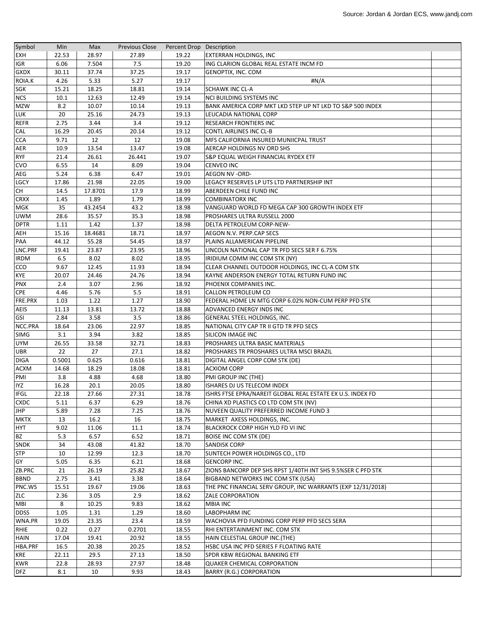| Symbol      | Min    | Max     | <b>Previous Close</b> | Percent Drop Description |                                                             |  |
|-------------|--------|---------|-----------------------|--------------------------|-------------------------------------------------------------|--|
| <b>EXH</b>  | 22.53  | 28.97   | 27.89                 | 19.22                    | <b>EXTERRAN HOLDINGS, INC</b>                               |  |
| IGR         | 6.06   | 7.504   | 7.5                   | 19.20                    | ING CLARION GLOBAL REAL ESTATE INCM FD                      |  |
| <b>GXDX</b> | 30.11  | 37.74   | 37.25                 | 19.17                    | GENOPTIX, INC. COM                                          |  |
| ROIA.K      | 4.26   | 5.33    | 5.27                  | 19.17                    | #N/A                                                        |  |
| <b>SGK</b>  | 15.21  | 18.25   | 18.81                 | 19.14                    | <b>SCHAWK INC CL-A</b>                                      |  |
| <b>NCS</b>  | 10.1   | 12.63   | 12.49                 | 19.14                    | <b>NCI BUILDING SYSTEMS INC</b>                             |  |
| <b>MZW</b>  | 8.2    | 10.07   | 10.14                 | 19.13                    | BANK AMERICA CORP MKT LKD STEP UP NT LKD TO S&P 500 INDEX   |  |
| LUK         | 20     | 25.16   | 24.73                 | 19.13                    | LEUCADIA NATIONAL CORP                                      |  |
| <b>REFR</b> | 2.75   | 3.44    | 3.4                   | 19.12                    | <b>RESEARCH FRONTIERS INC</b>                               |  |
| <b>CAL</b>  | 16.29  | 20.45   | 20.14                 | 19.12                    | <b>CONTL AIRLINES INC CL-B</b>                              |  |
| <b>CCA</b>  | 9.71   | 12      | 12                    | 19.08                    | MFS CALIFORNIA INSURED MUNIICPAL TRUST                      |  |
| AER         | 10.9   | 13.54   | 13.47                 | 19.08                    | AERCAP HOLDINGS NV ORD SHS                                  |  |
| <b>RYF</b>  | 21.4   | 26.61   | 26.441                | 19.07                    | S&P EQUAL WEIGH FINANCIAL RYDEX ETF                         |  |
| <b>CVO</b>  | 6.55   | 14      | 8.09                  | 19.04                    | <b>CENVEO INC</b>                                           |  |
| <b>AEG</b>  | 5.24   | 6.38    | 6.47                  | 19.01                    | AEGON NV -ORD-                                              |  |
| <b>LGCY</b> | 17.86  | 21.98   | 22.05                 | 19.00                    | LEGACY RESERVES LP UTS LTD PARTNERSHIP INT                  |  |
| CH          | 14.5   | 17.8701 | 17.9                  | 18.99                    | ABERDEEN CHILE FUND INC                                     |  |
| <b>CRXX</b> | 1.45   | 1.89    | 1.79                  | 18.99                    | <b>COMBINATORX INC</b>                                      |  |
| <b>MGK</b>  | 35     | 43.2454 | 43.2                  | 18.98                    | VANGUARD WORLD FD MEGA CAP 300 GROWTH INDEX ETF             |  |
| <b>UWM</b>  | 28.6   | 35.57   | 35.3                  | 18.98                    | PROSHARES ULTRA RUSSELL 2000                                |  |
| <b>DPTR</b> | 1.11   | 1.42    | 1.37                  | 18.98                    | DELTA PETROLEUM CORP-NEW-                                   |  |
| AEH         | 15.16  | 18.4681 | 18.71                 | 18.97                    | AEGON N.V. PERP.CAP SECS                                    |  |
| PAA         | 44.12  | 55.28   | 54.45                 | 18.97                    | PLAINS ALLAMERICAN PIPELINE                                 |  |
| LNC.PRF     | 19.41  | 23.87   | 23.95                 | 18.96                    | LINCOLN NATIONAL CAP TR PFD SECS SER F 6.75%                |  |
| <b>IRDM</b> | 6.5    | 8.02    | 8.02                  | 18.95                    | IRIDIUM COMM INC COM STK (NY)                               |  |
| <b>CCO</b>  | 9.67   | 12.45   | 11.93                 | 18.94                    | CLEAR CHANNEL OUTDOOR HOLDINGS, INC CL-A COM STK            |  |
| <b>KYE</b>  | 20.07  | 24.46   | 24.76                 | 18.94                    | KAYNE ANDERSON ENERGY TOTAL RETURN FUND INC                 |  |
| <b>PNX</b>  | 2.4    | 3.07    | 2.96                  | 18.92                    | PHOENIX COMPANIES INC.                                      |  |
| <b>CPE</b>  | 4.46   | 5.76    | 5.5                   | 18.91                    | CALLON PETROLEUM CO                                         |  |
| FRE.PRX     | 1.03   | 1.22    | 1.27                  | 18.90                    | FEDERAL HOME LN MTG CORP 6.02% NON-CUM PERP PFD STK         |  |
| <b>AEIS</b> | 11.13  | 13.81   | 13.72                 | 18.88                    | ADVANCED ENERGY INDS INC                                    |  |
| <b>GSI</b>  | 2.84   | 3.58    | 3.5                   | 18.86                    | GENERAL STEEL HOLDINGS, INC.                                |  |
| NCC.PRA     | 18.64  | 23.06   | 22.97                 | 18.85                    | NATIONAL CITY CAP TR II GTD TR PFD SECS                     |  |
| <b>SIMG</b> | 3.1    | 3.94    | 3.82                  | 18.85                    | SILICON IMAGE INC                                           |  |
| <b>UYM</b>  | 26.55  | 33.58   | 32.71                 | 18.83                    | PROSHARES ULTRA BASIC MATERIALS                             |  |
| <b>UBR</b>  | 22     | 27      | 27.1                  | 18.82                    | PROSHARES TR PROSHARES ULTRA MSCI BRAZIL                    |  |
| <b>DIGA</b> | 0.5001 | 0.625   | 0.616                 | 18.81                    | DIGITAL ANGEL CORP COM STK (DE)                             |  |
| <b>ACXM</b> | 14.68  | 18.29   | 18.08                 | 18.81                    | <b>ACXIOM CORP</b>                                          |  |
| PMI         | 3.8    | 4.88    | 4.68                  | 18.80                    | PMI GROUP INC (THE)                                         |  |
| <b>IYZ</b>  | 16.28  | 20.1    | 20.05                 | 18.80                    | ISHARES DJ US TELECOM INDEX                                 |  |
| <b>IFGL</b> | 22.18  | 27.66   | 27.31                 | 18.78                    | ISHRS FTSE EPRA/NAREIT GLOBAL REAL ESTATE EX U.S. INDEX FD  |  |
| <b>CXDC</b> | 5.11   | 6.37    | 6.29                  | 18.76                    | CHINA XD PLASTICS CO LTD COM STK (NV)                       |  |
| <b>JHP</b>  | 5.89   | 7.28    | 7.25                  | 18.76                    | NUVEEN QUALITY PREFERRED INCOME FUND 3                      |  |
| <b>MKTX</b> | 13     | 16.2    | 16                    | 18.75                    | MARKET AXESS HOLDINGS, INC.                                 |  |
| <b>HYT</b>  | 9.02   | 11.06   | 11.1                  | 18.74                    | BLACKROCK CORP HIGH YLD FD VI INC                           |  |
| <b>BZ</b>   | 5.3    | 6.57    | 6.52                  | 18.71                    | <b>BOISE INC COM STK (DE)</b>                               |  |
| <b>SNDK</b> | 34     | 43.08   | 41.82                 | 18.70                    | <b>SANDISK CORP</b>                                         |  |
| <b>STP</b>  | 10     | 12.99   | 12.3                  | 18.70                    | SUNTECH POWER HOLDINGS CO., LTD                             |  |
| GY          | 5.05   | 6.35    | 6.21                  | 18.68                    | <b>GENCORP INC.</b>                                         |  |
| ZB.PRC      | 21     | 26.19   | 25.82                 | 18.67                    | ZIONS BANCORP DEP SHS RPST 1/40TH INT SHS 9.5%SER C PFD STK |  |
| <b>BBND</b> | 2.75   | 3.41    | 3.38                  | 18.64                    | BIGBAND NETWORKS INC COM STK (USA)                          |  |
| PNC.WS      | 15.51  | 19.67   | 19.06                 | 18.63                    | THE PNC FINANCIAL SERV GROUP, INC WARRANTS (EXP 12/31/2018) |  |
| <b>ZLC</b>  | 2.36   | 3.05    | 2.9                   | 18.62                    | ZALE CORPORATION                                            |  |
| MBI         | 8      | 10.25   | 9.83                  | 18.62                    | <b>MBIA INC</b>                                             |  |
| <b>DDSS</b> | 1.05   | 1.31    | 1.29                  | 18.60                    | LABOPHARM INC                                               |  |
| WNA.PR      | 19.05  | 23.35   | 23.4                  | 18.59                    | WACHOVIA PFD FUNDING CORP PERP PFD SECS SERA                |  |
| RHIE        | 0.22   | 0.27    | 0.2701                | 18.55                    | RHI ENTERTAINMENT INC. COM STK                              |  |
| <b>HAIN</b> | 17.04  | 19.41   | 20.92                 | 18.55                    | HAIN CELESTIAL GROUP INC. (THE)                             |  |
| HBA.PRF     | 16.5   | 20.38   | 20.25                 | 18.52                    | HSBC USA INC PFD SERIES F FLOATING RATE                     |  |
| <b>KRE</b>  | 22.11  | 29.5    | 27.13                 | 18.50                    | SPDR KBW REGIONAL BANKING ETF                               |  |
| <b>KWR</b>  | 22.8   | 28.93   | 27.97                 | 18.48                    | <b>QUAKER CHEMICAL CORPORATION</b>                          |  |
| <b>DFZ</b>  | 8.1    | 10      | 9.93                  | 18.43                    | BARRY (R.G.) CORPORATION                                    |  |
|             |        |         |                       |                          |                                                             |  |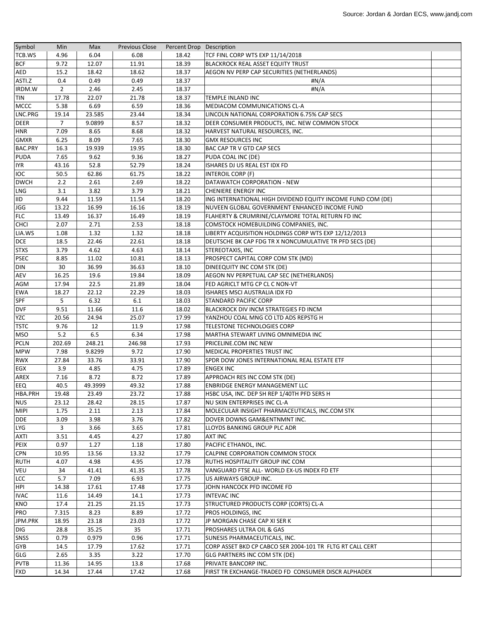| Symbol         | Min            | Max     | <b>Previous Close</b> | Percent Drop Description |                                                             |  |
|----------------|----------------|---------|-----------------------|--------------------------|-------------------------------------------------------------|--|
| TCB.WS         | 4.96           | 6.04    | 6.08                  | 18.42                    | TCF FINL CORP WTS EXP 11/14/2018                            |  |
| <b>BCF</b>     | 9.72           | 12.07   | 11.91                 | 18.39                    | <b>BLACKROCK REAL ASSET EQUITY TRUST</b>                    |  |
| <b>AED</b>     | 15.2           | 18.42   | 18.62                 | 18.37                    | AEGON NV PERP CAP SECURITIES (NETHERLANDS)                  |  |
| ASTI.Z         | 0.4            | 0.49    | 0.49                  | 18.37                    | #N/A                                                        |  |
| IRDM.W         | $\overline{2}$ | 2.46    | 2.45                  | 18.37                    | #N/A                                                        |  |
| <b>TIN</b>     | 17.78          | 22.07   | 21.78                 | 18.37                    | TEMPLE INLAND INC                                           |  |
| <b>MCCC</b>    | 5.38           | 6.69    | 6.59                  | 18.36                    | MEDIACOM COMMUNICATIONS CL-A                                |  |
| LNC.PRG        | 19.14          | 23.585  | 23.44                 | 18.34                    | LINCOLN NATIONAL CORPORATION 6.75% CAP SECS                 |  |
| <b>DEER</b>    | 7              | 9.0899  | 8.57                  | 18.32                    | DEER CONSUMER PRODUCTS, INC. NEW COMMON STOCK               |  |
| <b>HNR</b>     | 7.09           | 8.65    | 8.68                  | 18.32                    | HARVEST NATURAL RESOURCES, INC.                             |  |
| <b>GMXR</b>    | 6.25           | 8.09    | 7.65                  | 18.30                    | <b>GMX RESOURCES INC</b>                                    |  |
| <b>BAC.PRY</b> | 16.3           | 19.939  | 19.95                 | 18.30                    | BAC CAP TR V GTD CAP SECS                                   |  |
| <b>PUDA</b>    | 7.65           | 9.62    | 9.36                  | 18.27                    | PUDA COAL INC (DE)                                          |  |
| <b>IYR</b>     | 43.16          | 52.8    | 52.79                 | 18.24                    | ISHARES DJ US REAL EST IDX FD                               |  |
| <b>IOC</b>     | 50.5           | 62.86   | 61.75                 | 18.22                    | <b>INTEROIL CORP (F)</b>                                    |  |
| <b>DWCH</b>    | 2.2            | 2.61    | 2.69                  | 18.22                    | DATAWATCH CORPORATION - NEW                                 |  |
| <b>LNG</b>     | 3.1            | 3.82    | 3.79                  | 18.21                    | <b>CHENIERE ENERGY INC</b>                                  |  |
| <b>IID</b>     | 9.44           | 11.59   | 11.54                 | 18.20                    | ING INTERNATIONAL HIGH DIVIDEND EQUITY INCOME FUND COM (DE) |  |
| <b>JGG</b>     | 13.22          | 16.99   | 16.16                 | 18.19                    | NUVEEN GLOBAL GOVERNMENT ENHANCED INCOME FUND               |  |
| <b>FLC</b>     | 13.49          | 16.37   | 16.49                 | 18.19                    | FLAHERTY & CRUMRINE/CLAYMORE TOTAL RETURN FD INC            |  |
| <b>CHCI</b>    | 2.07           | 2.71    | 2.53                  | 18.18                    | COMSTOCK HOMEBUILDING COMPANIES, INC.                       |  |
| LIA.WS         | 1.08           | 1.32    | 1.32                  | 18.18                    | LIBERTY ACQUISITION HOLDINGS CORP WTS EXP 12/12/2013        |  |
| <b>DCE</b>     | 18.5           | 22.46   | 22.61                 | 18.18                    | DEUTSCHE BK CAP FDG TR X NONCUMULATIVE TR PFD SECS (DE)     |  |
| <b>STXS</b>    | 3.79           | 4.62    | 4.63                  | 18.14                    | <b>STEREOTAXIS, INC</b>                                     |  |
| <b>PSEC</b>    | 8.85           | 11.02   | 10.81                 | 18.13                    | PROSPECT CAPITAL CORP COM STK (MD)                          |  |
| <b>DIN</b>     | 30             | 36.99   | 36.63                 | 18.10                    | DINEEQUITY INC COM STK (DE)                                 |  |
| <b>AEV</b>     | 16.25          | 19.6    | 19.84                 | 18.09                    | AEGON NV PERPETUAL CAP SEC (NETHERLANDS)                    |  |
| <b>AGM</b>     | 17.94          | 22.5    | 21.89                 | 18.04                    | FED AGRICLT MTG CP CL C NON-VT                              |  |
| <b>EWA</b>     | 18.27          | 22.12   | 22.29                 | 18.03                    | ISHARES MSCI AUSTRALIA IDX FD                               |  |
| SPF            | 5              | 6.32    | 6.1                   | 18.03                    | <b>STANDARD PACIFIC CORP</b>                                |  |
| <b>DVF</b>     | 9.51           | 11.66   | 11.6                  | 18.02                    | BLACKROCK DIV INCM STRATEGIES FD INCM                       |  |
| <b>YZC</b>     | 20.56          | 24.94   | 25.07                 | 17.99                    | YANZHOU COAL MNG CO LTD ADS REPSTG H                        |  |
| <b>TSTC</b>    | 9.76           | 12      | 11.9                  | 17.98                    | TELESTONE TECHNOLOGIES CORP                                 |  |
| <b>MSO</b>     | 5.2            | 6.5     | 6.34                  | 17.98                    | MARTHA STEWART LIVING OMNIMEDIA INC                         |  |
| <b>PCLN</b>    | 202.69         | 248.21  | 246.98                | 17.93                    | PRICELINE.COM INC NEW                                       |  |
| <b>MPW</b>     | 7.98           | 9.8299  | 9.72                  | 17.90                    | MEDICAL PROPERTIES TRUST INC                                |  |
| <b>RWX</b>     | 27.84          | 33.76   | 33.91                 | 17.90                    | SPDR DOW JONES INTERNATIONAL REAL ESTATE ETF                |  |
| EGX            | 3.9            | 4.85    | 4.75                  | 17.89                    | <b>ENGEX INC</b>                                            |  |
| AREX           | 7.16           | 8.72    | 8.72                  | 17.89                    | APPROACH RES INC COM STK (DE)                               |  |
| EEQ            | 40.5           | 49.3999 | 49.32                 | 17.88                    | <b>ENBRIDGE ENERGY MANAGEMENT LLC</b>                       |  |
| <b>HBA.PRH</b> | 19.48          | 23.49   | 23.72                 | 17.88                    | HSBC USA, INC. DEP SH REP 1/40TH PFD SERS H                 |  |
| <b>NUS</b>     | 23.12          | 28.42   | 28.15                 | 17.87                    | NU SKIN ENTERPRISES INC CL-A                                |  |
| <b>MIPI</b>    | 1.75           | 2.11    | 2.13                  | 17.84                    | MOLECULAR INSIGHT PHARMACEUTICALS, INC.COM STK              |  |
| <b>DDE</b>     | 3.09           | 3.98    | 3.76                  | 17.82                    | DOVER DOWNS GAM&ENTNMNT INC.                                |  |
| LYG            | 3              | 3.66    | 3.65                  | 17.81                    | LLOYDS BANKING GROUP PLC ADR                                |  |
| <b>AXTI</b>    | 3.51           | 4.45    | 4.27                  | 17.80                    | <b>AXT INC</b>                                              |  |
| PEIX           | 0.97           | 1.27    | 1.18                  | 17.80                    | PACIFIC ETHANOL, INC.                                       |  |
| <b>CPN</b>     | 10.95          | 13.56   | 13.32                 | 17.79                    | CALPINE CORPORATION COMMON STOCK                            |  |
| <b>RUTH</b>    | 4.07           | 4.98    | 4.95                  | 17.78                    | RUTHS HOSPITALITY GROUP INC COM                             |  |
| VEU            | 34             | 41.41   | 41.35                 | 17.78                    | VANGUARD FTSE ALL-WORLD EX-US INDEX FD ETF                  |  |
| <b>LCC</b>     | 5.7            | 7.09    | 6.93                  | 17.75                    | US AIRWAYS GROUP INC.                                       |  |
| HPI            | 14.38          | 17.61   | 17.48                 | 17.73                    | JOHN HANCOCK PFD INCOME FD                                  |  |
| <b>IVAC</b>    | 11.6           | 14.49   | 14.1                  | 17.73                    | <b>INTEVAC INC</b>                                          |  |
| <b>KNO</b>     | 17.4           | 21.25   | 21.15                 | 17.73                    | STRUCTURED PRODUCTS CORP (CORTS) CL-A                       |  |
| PRO            | 7.315          | 8.23    | 8.89                  | 17.72                    | <b>PROS HOLDINGS, INC</b>                                   |  |
| JPM.PRK        | 18.95          | 23.18   | 23.03                 | 17.72                    | JP MORGAN CHASE CAP XI SER K                                |  |
| <b>DIG</b>     | 28.8           | 35.25   | 35                    | 17.71                    | <b>PROSHARES ULTRA OIL &amp; GAS</b>                        |  |
| SNSS           | 0.79           | 0.979   | 0.96                  | 17.71                    | SUNESIS PHARMACEUTICALS, INC.                               |  |
| GYB            | 14.5           | 17.79   | 17.62                 | 17.71                    | CORP ASSET BKD CP CABCO SER 2004-101 TR FLTG RT CALL CERT   |  |
| GLG            | 2.65           | 3.35    | 3.22                  | 17.70                    | <b>GLG PARTNERS INC COM STK (DE)</b>                        |  |
| <b>PVTB</b>    | 11.36          | 14.95   | 13.8                  | 17.68                    | PRIVATE BANCORP INC.                                        |  |
|                | 14.34          | 17.44   | 17.42                 | 17.68                    | FIRST TR EXCHANGE-TRADED FD CONSUMER DISCR ALPHADEX         |  |
| FXD            |                |         |                       |                          |                                                             |  |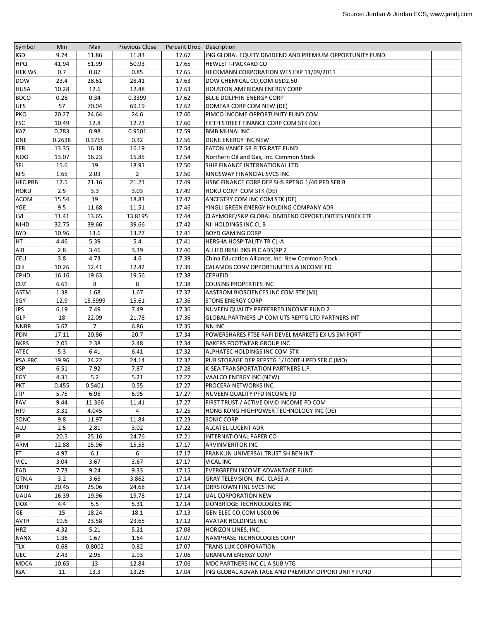| Symbol                    | Min    | Max            | <b>Previous Close</b> | Percent Drop Description |                                                         |  |
|---------------------------|--------|----------------|-----------------------|--------------------------|---------------------------------------------------------|--|
| IGD                       | 9.74   | 11.86          | 11.83                 | 17.67                    | ING GLOBAL EQUITY DIVIDEND AND PREMIUM OPPORTUNITY FUND |  |
| <b>HPQ</b>                | 41.94  | 51.99          | 50.93                 | 17.65                    | HEWLETT-PACKARD CO                                      |  |
| <b>HEK.WS</b>             | 0.7    | 0.87           | 0.85                  | 17.65                    | HECKMANN CORPORATION WTS EXP 11/09/2011                 |  |
| <b>DOW</b>                | 23.4   | 28.61          | 28.41                 | 17.63                    | DOW CHEMICAL CO;COM USD2.50                             |  |
| <b>HUSA</b>               | 10.28  | 12.6           | 12.48                 | 17.63                    | <b>HOUSTON AMERICAN ENERGY CORP</b>                     |  |
| <b>BDCO</b>               | 0.28   | 0.34           | 0.3399                | 17.62                    | <b>BLUE DOLPHIN ENERGY CORP</b>                         |  |
| <b>UFS</b>                | 57     | 70.04          | 69.19                 | 17.62                    | DOMTAR CORP COM NEW (DE)                                |  |
| PKO                       | 20.27  | 24.64          | 24.6                  | 17.60                    | PIMCO INCOME OPPORTUNITY FUND COM                       |  |
| <b>FSC</b>                | 10.49  | 12.8           | 12.73                 | 17.60                    | FIFTH STREET FINANCE CORP COM STK (DE)                  |  |
| KAZ                       | 0.783  | 0.98           | 0.9501                | 17.59                    | <b>BMB MUNAI INC</b>                                    |  |
| <b>DNE</b>                | 0.2638 | 0.3765         | 0.32                  | 17.56                    | DUNE ENERGY INC NEW                                     |  |
| <b>EFR</b>                | 13.35  | 16.18          | 16.19                 | 17.54                    | <b>EATON VANCE SR FLTG RATE FUND</b>                    |  |
| NOG                       | 13.07  | 16.23          | 15.85                 | 17.54                    | Northern Oil and Gas, Inc. Common Stock                 |  |
| <b>SFL</b>                | 15.6   | 19             | 18.91                 | 17.50                    | SHIP FINANCE INTERNATIONAL LTD                          |  |
| <b>KFS</b>                | 1.65   | 2.03           | $\overline{2}$        | 17.50                    | KINGSWAY FINANCIAL SVCS INC                             |  |
| HFC.PRB                   | 17.5   | 21.16          | 21.21                 | 17.49                    | HSBC FINANCE CORP DEP SHS RPTNG 1/40 PFD SER B          |  |
| <b>HOKU</b>               | 2.5    | 3.3            | 3.03                  | 17.49                    | HOKU CORP COM STK (DE)                                  |  |
| <b>ACOM</b>               | 15.54  | 19             | 18.83                 | 17.47                    | ANCESTRY COM INC COM STK (DE)                           |  |
| YGE                       | 9.5    | 11.68          | 11.51                 | 17.46                    | YINGLI GREEN ENERGY HOLDING COMPANY ADR                 |  |
| LVL                       | 11.41  | 13.65          | 13.8195               | 17.44                    | CLAYMORE/S&P GLOBAL DIVIDEND OPPORTUNITIES INDEX ETF    |  |
| <b>NIHD</b>               | 32.75  | 39.66          | 39.66                 | 17.42                    | NII HOLDINGS INC CL B                                   |  |
| <b>BYD</b>                | 10.96  | 13.6           | 13.27                 | 17.41                    | <b>BOYD GAMING CORP</b>                                 |  |
| HT                        | 4.46   | 5.39           | 5.4                   | 17.41                    | HERSHA HOSPITALITY TR CL-A                              |  |
| AIB                       | 2.8    | 3.46           | 3.39                  | 17.40                    | ALLIED IRISH BKS PLC ADS(RP 2                           |  |
| <b>CEU</b>                | 3.8    | 4.73           | 4.6                   | 17.39                    | China Education Alliance, Inc. New Common Stock         |  |
| <b>CHI</b>                | 10.26  | 12.41          | 12.42                 | 17.39                    | CALAMOS CONV OPPORTUNITIES & INCOME FD                  |  |
| <b>CPHD</b>               | 16.16  | 19.63          | 19.56                 | 17.38                    | <b>CEPHEID</b>                                          |  |
| CUZ                       | 6.61   | 8              | 8                     | 17.38                    | <b>COUSINS PROPERTIES INC</b>                           |  |
| ASTM                      | 1.38   | 1.68           | 1.67                  | 17.37                    | AASTROM BIOSCIENCES INC COM STK (MI)                    |  |
| SGY                       | 12.9   | 15.6999        |                       | 17.36                    | <b>STONE ENERGY CORP</b>                                |  |
| <b>JPS</b>                | 6.19   | 7.49           | 15.61<br>7.49         | 17.36                    | NUVEEN QUALITY PREFERRED INCOME FUND 2                  |  |
| GLP                       | 18     | 22.09          | 21.78                 | 17.36                    | GLOBAL PARTNERS LP COM UTS REPTG LTD PARTNERS INT       |  |
|                           | 5.67   | $\overline{7}$ | 6.86                  | 17.35                    | <b>NN INC</b>                                           |  |
| <b>NNBR</b><br><b>PDN</b> | 17.11  | 20.86          | 20.7                  | 17.34                    | POWERSHARES FTSE RAFI DEVEL MARKETS EX US SM PORT       |  |
|                           | 2.05   | 2.38           | 2.48                  |                          | <b>BAKERS FOOTWEAR GROUP INC</b>                        |  |
| <b>BKRS</b><br>ATEC       | 5.3    | 6.41           | 6.41                  | 17.34<br>17.32           | ALPHATEC HOLDINGS INC COM STK                           |  |
| PSA.PRC                   | 19.96  | 24.22          |                       | 17.32                    |                                                         |  |
|                           |        |                | 24.14                 |                          | PUB STORAGE DEP REPSTG 1/1000TH PFD SER C (MD)          |  |
| <b>KSP</b>                | 6.51   | 7.92<br>5.2    | 7.87                  | 17.28                    | K-SEA TRANSPORTATION PARTNERS L.P.                      |  |
| EGY                       | 4.31   |                | 5.21                  | 17.27                    | VAALCO ENERGY INC (NEW)                                 |  |
| <b>PKT</b>                | 0.455  | 0.5401         | 0.55                  | 17.27                    | PROCERA NETWORKS INC                                    |  |
| <b>JTP</b>                | 5.75   | 6.95           | 6.95                  | 17.27                    | NUVEEN QUALITY PFD INCOME FD                            |  |
| FAV                       | 9.44   | 11.366         | 11.41                 | 17.27                    | FIRST TRUST / ACTIVE DIVID INCOME FD COM                |  |
| HPJ                       | 3.31   | 4.045          | 4                     | 17.25                    | HONG KONG HIGHPOWER TECHNOLOGY INC (DE)                 |  |
| SONC                      | 9.8    | 11.97          | 11.84                 | 17.23                    | SONIC CORP                                              |  |
| ALU                       | 2.5    | 2.81           | 3.02                  | 17.22                    | ALCATEL-LUCENT ADR                                      |  |
| IP                        | 20.5   | 25.16          | 24.76                 | 17.21                    | INTERNATIONAL PAPER CO                                  |  |
| ARM                       | 12.88  | 15.96          | 15.55                 | 17.17                    | <b>ARVINMERITOR INC</b>                                 |  |
| FT.                       | 4.97   | 6.1            | 6                     | 17.17                    | FRANKLIN UNIVERSAL TRUST SH BEN INT                     |  |
| <b>VICL</b>               | 3.04   | 3.67           | 3.67                  | 17.17                    | <b>VICAL INC</b>                                        |  |
| EAD                       | 7.73   | 9.24           | 9.33                  | 17.15                    | EVERGREEN INCOME ADVANTAGE FUND                         |  |
| GTN.A                     | 3.2    | 3.66           | 3.862                 | 17.14                    | GRAY TELEVISION, INC. CLASS A                           |  |
| <b>ORRF</b>               | 20.45  | 25.06          | 24.68                 | 17.14                    | ORRSTOWN FINL SVCS INC                                  |  |
| <b>UAUA</b>               | 16.39  | 19.96          | 19.78                 | 17.14                    | UAL CORPORATION NEW                                     |  |
| LIOX                      | 4.4    | 5.5            | 5.31                  | 17.14                    | LIONBRIDGE TECHNOLOGIES INC                             |  |
| <b>GE</b>                 | 15     | 18.24          | 18.1                  | 17.13                    | GEN ELEC CO;COM USD0.06                                 |  |
| <b>AVTR</b>               | 19.6   | 23.58          | 23.65                 | 17.12                    | <b>AVATAR HOLDINGS INC</b>                              |  |
| HRZ                       | 4.32   | 5.21           | 5.21                  | 17.08                    | HORIZON LINES, INC.                                     |  |
| <b>NANX</b>               | 1.36   | 1.67           | 1.64                  | 17.07                    | NAMPHASE TECHNOLOGIES CORP                              |  |
| TLX                       | 0.68   | 0.8002         | 0.82                  | 17.07                    | TRANS LUX CORPORATION                                   |  |
| <b>UEC</b>                | 2.43   | 2.95           | 2.93                  | 17.06                    | URANIUM ENERGY CORP                                     |  |
| <b>MDCA</b>               | 10.65  | 13             | 12.84                 | 17.06                    | MDC PARTNERS INC CL A SUB VTG                           |  |
| IGA                       | 11     | 13.3           | 13.26                 | 17.04                    | ING GLOBAL ADVANTAGE AND PREMIUM OPPORTUNITY FUND       |  |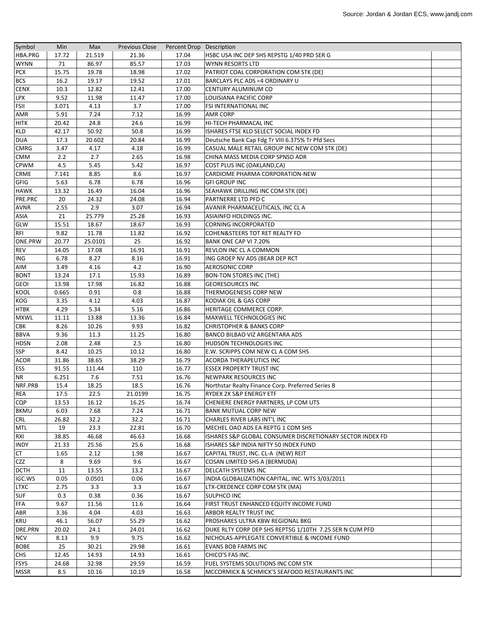| Symbol      | Min   | Max     | <b>Previous Close</b> | Percent Drop Description |                                                           |  |
|-------------|-------|---------|-----------------------|--------------------------|-----------------------------------------------------------|--|
| HBA.PRG     | 17.72 | 21.519  | 21.36                 | 17.04                    | HSBC USA INC DEP SHS REPSTG 1/40 PRD SER G                |  |
| <b>WYNN</b> | 71    | 86.97   | 85.57                 | 17.03                    | <b>WYNN RESORTS LTD</b>                                   |  |
| <b>PCX</b>  | 15.75 | 19.78   | 18.98                 | 17.02                    | PATRIOT COAL CORPORATION COM STK (DE)                     |  |
| <b>BCS</b>  | 16.2  | 19.17   | 19.52                 | 17.01                    | BARCLAYS PLC ADS =4 ORDINARY U                            |  |
| <b>CENX</b> | 10.3  | 12.82   | 12.41                 | 17.00                    | CENTURY ALUMINUM CO                                       |  |
| <b>LPX</b>  | 9.52  | 11.98   | 11.47                 | 17.00                    | LOUISIANA PACIFIC CORP                                    |  |
| FSII        | 3.071 | 4.13    | 3.7                   | 17.00                    | FSI INTERNATIONAL INC                                     |  |
| AMR         | 5.91  | 7.24    | 7.12                  | 16.99                    | <b>AMR CORP</b>                                           |  |
| <b>HITK</b> | 20.42 | 24.8    | 24.6                  | 16.99                    | HI-TECH PHARMACAL INC                                     |  |
| <b>KLD</b>  | 42.17 | 50.92   | 50.8                  | 16.99                    | ISHARES FTSE KLD SELECT SOCIAL INDEX FD                   |  |
| <b>DUA</b>  | 17.3  | 20.602  | 20.84                 | 16.99                    | Deutsche Bank Cap Fdg Tr VIII 6.375% Tr Pfd Secs          |  |
| <b>CMRG</b> | 3.47  | 4.17    | 4.18                  | 16.99                    | CASUAL MALE RETAIL GROUP INC NEW COM STK (DE)             |  |
|             |       | 2.7     |                       |                          |                                                           |  |
| <b>CMM</b>  | 2.2   |         | 2.65                  | 16.98                    | CHINA MASS MEDIA CORP SPNSD ADR                           |  |
| <b>CPWM</b> | 4.5   | 5.45    | 5.42                  | 16.97                    | COST PLUS INC (OAKLAND,CA)                                |  |
| CRME        | 7.141 | 8.85    | 8.6                   | 16.97                    | CARDIOME PHARMA CORPORATION-NEW                           |  |
| GFIG        | 5.63  | 6.78    | 6.78                  | 16.96                    | <b>GFI GROUP INC</b>                                      |  |
| <b>HAWK</b> | 13.32 | 16.49   | 16.04                 | 16.96                    | SEAHAWK DRILLING INC COM STK (DE)                         |  |
| PRE.PRC     | 20    | 24.32   | 24.08                 | 16.94                    | PARTNERRE LTD PFD C                                       |  |
| AVNR        | 2.55  | 2.9     | 3.07                  | 16.94                    | AVANIR PHARMACEUTICALS, INC CL A                          |  |
| <b>ASIA</b> | 21    | 25.779  | 25.28                 | 16.93                    | ASIAINFO HOLDINGS INC.                                    |  |
| GLW         | 15.51 | 18.67   | 18.67                 | 16.93                    | <b>CORNING INCORPORATED</b>                               |  |
| <b>RFI</b>  | 9.82  | 11.78   | 11.82                 | 16.92                    | COHEN&STEERS TOT RET REALTY FD                            |  |
| ONE.PRW     | 20.77 | 25.0101 | 25                    | 16.92                    | BANK ONE CAP VI 7.20%                                     |  |
| <b>REV</b>  | 14.05 | 17.08   | 16.91                 | 16.91                    | <b>REVLON INC CL A COMMON</b>                             |  |
| <b>ING</b>  | 6.78  | 8.27    | 8.16                  | 16.91                    | ING GROEP NV ADS (BEAR DEP RCT                            |  |
| AIM         | 3.49  | 4.16    | 4.2                   | 16.90                    | <b>AEROSONIC CORP</b>                                     |  |
| <b>BONT</b> | 13.24 | 17.1    | 15.93                 | 16.89                    | <b>BON-TON STORES INC (THE)</b>                           |  |
| <b>GEOI</b> | 13.98 | 17.98   | 16.82                 | 16.88                    | <b>GEORESOURCES INC</b>                                   |  |
| <b>KOOL</b> | 0.665 | 0.91    | 0.8                   | 16.88                    | THERMOGENESIS CORP NEW                                    |  |
| <b>KOG</b>  | 3.35  | 4.12    | 4.03                  | 16.87                    | KODIAK OIL & GAS CORP                                     |  |
| <b>HTBK</b> | 4.29  | 5.34    | 5.16                  | 16.86                    | HERITAGE COMMERCE CORP.                                   |  |
| <b>MXWL</b> | 11.11 | 13.88   | 13.36                 | 16.84                    | <b>MAXWELL TECHNOLOGIES INC</b>                           |  |
| CBK         | 8.26  | 10.26   | 9.93                  | 16.82                    | <b>CHRISTOPHER &amp; BANKS CORP</b>                       |  |
| <b>BBVA</b> | 9.36  | 11.3    | 11.25                 | 16.80                    | BANCO BILBAO VIZ ARGENTARA ADS                            |  |
| <b>HDSN</b> | 2.08  | 2.48    | 2.5                   | 16.80                    | <b>HUDSON TECHNOLOGIES INC</b>                            |  |
| SSP         | 8.42  | 10.25   | 10.12                 | 16.80                    | E.W. SCRIPPS COM NEW CL A COM SHS                         |  |
| ACOR        | 31.86 | 38.65   | 38.29                 | 16.79                    | ACORDA THERAPEUTICS INC                                   |  |
| <b>ESS</b>  | 91.55 | 111.44  | 110                   | 16.77                    | <b>ESSEX PROPERTY TRUST INC</b>                           |  |
| <b>NR</b>   | 6.251 | 7.6     | 7.51                  | 16.76                    | NEWPARK RESOURCES INC                                     |  |
| NRF.PRB     | 15.4  | 18.25   | 18.5                  | 16.76                    | Northstar Realty Finance Corp. Preferred Series B         |  |
| REA         | 17.5  | 22.5    | 21.0199               | 16.75                    | RYDEX 2X S&P ENERGY ETF                                   |  |
|             |       |         |                       |                          |                                                           |  |
| CQP         | 13.53 | 16.12   | 16.25                 | 16.74                    | CHENIERE ENERGY PARTNERS, LP COM UTS                      |  |
| <b>BKMU</b> | 6.03  | 7.68    | 7.24                  | 16.71                    | <b>BANK MUTUAL CORP NEW</b>                               |  |
| <b>CRL</b>  | 26.82 | 32.2    | 32.2                  | 16.71                    | CHARLES RIVER LABS INT'L INC                              |  |
| <b>MTL</b>  | 19    | 23.3    | 22.81                 | 16.70                    | MECHEL OAO ADS EA REPTG 1 COM SHS                         |  |
| <b>RXI</b>  | 38.85 | 46.68   | 46.63                 | 16.68                    | ISHARES S&P GLOBAL CONSUMER DISCRETIONARY SECTOR INDEX FD |  |
| <b>INDY</b> | 21.33 | 25.56   | 25.6                  | 16.68                    | ISHARES S&P INDIA NIFTY 50 INDEX FUND                     |  |
| CT          | 1.65  | 2.12    | 1.98                  | 16.67                    | CAPITAL TRUST, INC. CL-A (NEW) REIT                       |  |
| <b>CZZ</b>  | 8     | 9.69    | 9.6                   | 16.67                    | COSAN LIMITED SHS A (BERMUDA)                             |  |
| <b>DCTH</b> | 11    | 13.55   | 13.2                  | 16.67                    | <b>DELCATH SYSTEMS INC</b>                                |  |
| IGC.WS      | 0.05  | 0.0501  | 0.06                  | 16.67                    | INDIA GLOBALIZATION CAPITAL, INC. WTS 3/03/2011           |  |
| <b>LTXC</b> | 2.75  | 3.3     | 3.3                   | 16.67                    | LTX-CREDENCE CORP COM STK (MA)                            |  |
| <b>SUF</b>  | 0.3   | 0.38    | 0.36                  | 16.67                    | <b>SULPHCO INC</b>                                        |  |
| FFA         | 9.67  | 11.56   | 11.6                  | 16.64                    | FIRST TRUST ENHANCED EQUITY INCOME FUND                   |  |
| ABR         | 3.36  | 4.04    | 4.03                  | 16.63                    | ARBOR REALTY TRUST INC                                    |  |
| <b>KRU</b>  | 46.1  | 56.07   | 55.29                 | 16.62                    | PROSHARES ULTRA KBW REGIONAL BKG                          |  |
| DRE.PRN     | 20.02 | 24.1    | 24.01                 | 16.62                    | DUKE RLTY CORP DEP SHS REPTSG 1/10TH 7.25 SER N CUM PFD   |  |
| <b>NCV</b>  | 8.13  | 9.9     | 9.75                  | 16.62                    | NICHOLAS-APPLEGATE CONVERTIBLE & INCOME FUND              |  |
| <b>BOBE</b> | 25    | 30.21   | 29.98                 | 16.61                    | <b>EVANS BOB FARMS INC</b>                                |  |
| <b>CHS</b>  | 12.45 | 14.93   | 14.93                 | 16.61                    | CHICO'S FAS INC.                                          |  |
| <b>FSYS</b> | 24.68 | 32.98   | 29.59                 | 16.59                    | FUEL SYSTEMS SOLUTIONS INC COM STK                        |  |
| <b>MSSR</b> | 8.5   | 10.16   | 10.19                 | 16.58                    | MCCORMICK & SCHMICK'S SEAFOOD RESTAURANTS INC             |  |
|             |       |         |                       |                          |                                                           |  |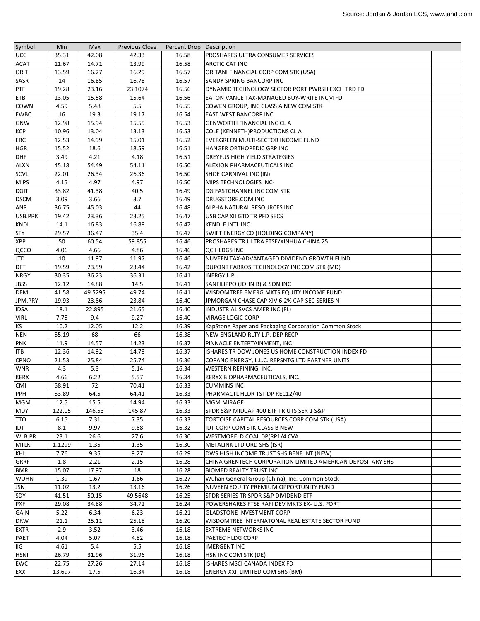| Symbol            | Min         | Max            | <b>Previous Close</b> | Percent Drop Description |                                                                                      |  |
|-------------------|-------------|----------------|-----------------------|--------------------------|--------------------------------------------------------------------------------------|--|
| <b>UCC</b>        | 35.31       | 42.08          | 42.33                 | 16.58                    | PROSHARES ULTRA CONSUMER SERVICES                                                    |  |
| <b>ACAT</b>       | 11.67       | 14.71          | 13.99                 | 16.58                    | <b>ARCTIC CAT INC</b>                                                                |  |
| ORIT              | 13.59       | 16.27          | 16.29                 | 16.57                    | ORITANI FINANCIAL CORP COM STK (USA)                                                 |  |
| SASR              | 14          | 16.85          | 16.78                 | 16.57                    | SANDY SPRING BANCORP INC                                                             |  |
| PTF               | 19.28       | 23.16          | 23.1074               | 16.56                    | DYNAMIC TECHNOLOGY SECTOR PORT PWRSH EXCH TRD FD                                     |  |
| ETB               | 13.05       | 15.58          | 15.64                 | 16.56                    | <b>EATON VANCE TAX-MANAGED BUY-WRITE INCM FD</b>                                     |  |
| <b>COWN</b>       | 4.59        | 5.48           | 5.5                   | 16.55                    | COWEN GROUP, INC CLASS A NEW COM STK                                                 |  |
| <b>EWBC</b>       | 16          | 19.3           | 19.17                 | 16.54                    | EAST WEST BANCORP INC                                                                |  |
| <b>GNW</b>        | 12.98       | 15.94          | 15.55                 | 16.53                    | <b>GENWORTH FINANCIAL INC CLA</b>                                                    |  |
| <b>KCP</b>        | 10.96       | 13.04          | 13.13                 | 16.53                    | COLE (KENNETH) PRODUCTIONS CL A                                                      |  |
| ERC               | 12.53       | 14.99          | 15.01                 | 16.52                    | EVERGREEN MULTI-SECTOR INCOME FUND                                                   |  |
| <b>HGR</b>        | 15.52       | 18.6           | 18.59                 | 16.51                    | HANGER ORTHOPEDIC GRP INC                                                            |  |
| DHF               | 3.49        | 4.21           | 4.18                  | 16.51                    | DREYFUS HIGH YIELD STRATEGIES                                                        |  |
| <b>ALXN</b>       | 45.18       | 54.49          | 54.11                 | 16.50                    | ALEXION PHARMACEUTICALS INC                                                          |  |
| SCVL              | 22.01       | 26.34          | 26.36                 | 16.50                    | SHOE CARNIVAL INC (IN)                                                               |  |
| <b>MIPS</b>       | 4.15        | 4.97           | 4.97                  | 16.50                    | MIPS TECHNOLOGIES INC-                                                               |  |
| <b>DGIT</b>       | 33.82       | 41.38          | 40.5                  | 16.49                    | DG FASTCHANNEL INC COM STK                                                           |  |
| <b>DSCM</b>       | 3.09        | 3.66           | 3.7                   | 16.49                    | DRUGSTORE.COM INC                                                                    |  |
| ANR               | 36.75       | 45.03          | 44                    | 16.48                    | ALPHA NATURAL RESOURCES INC.                                                         |  |
| USB.PRK           | 19.42       | 23.36          | 23.25                 | 16.47                    | USB CAP XII GTD TR PFD SECS                                                          |  |
| KNDL              | 14.1        | 16.83          | 16.88                 | 16.47                    | <b>KENDLE INTL INC</b>                                                               |  |
| SFY               | 29.57       | 36.47          | 35.4                  | 16.47                    | SWIFT ENERGY CO (HOLDING COMPANY)                                                    |  |
| <b>XPP</b>        | 50          | 60.54          | 59.855                | 16.46                    | PROSHARES TR ULTRA FTSE/XINHUA CHINA 25                                              |  |
| QCCO              | 4.06        | 4.66           | 4.86                  | 16.46                    | QC HLDGS INC                                                                         |  |
| JTD               | 10          | 11.97          | 11.97                 | 16.46                    | NUVEEN TAX-ADVANTAGED DIVIDEND GROWTH FUND                                           |  |
| <b>DFT</b>        | 19.59       | 23.59          | 23.44                 | 16.42                    | DUPONT FABROS TECHNOLOGY INC COM STK (MD)                                            |  |
| <b>NRGY</b>       | 30.35       | 36.23          | 36.31                 | 16.41                    | <b>INERGY L.P.</b>                                                                   |  |
| <b>JBSS</b>       | 12.12       | 14.88          | 14.5                  | 16.41                    | SANFILIPPO (JOHN B) & SON INC                                                        |  |
| DEM               | 41.58       | 49.5295        | 49.74                 | 16.41                    | WISDOMTREE EMERG MKTS EQUITY INCOME FUND                                             |  |
| JPM.PRY           | 19.93       | 23.86          | 23.84                 | 16.40                    | JPMORGAN CHASE CAP XIV 6.2% CAP SEC SERIES N                                         |  |
| <b>IDSA</b>       | 18.1        | 22.895         | 21.65                 | 16.40                    | INDUSTRIAL SVCS AMER INC (FL)                                                        |  |
| <b>VIRL</b>       | 7.75        | 9.4            | 9.27                  | 16.40                    | <b>VIRAGE LOGIC CORP</b>                                                             |  |
| <b>KS</b>         | 10.2        | 12.05          | 12.2                  | 16.39                    | KapStone Paper and Packaging Corporation Common Stock                                |  |
| <b>NEN</b>        | 55.19       | 68             | 66                    | 16.38                    | NEW ENGLAND RLTY L.P. DEP RECP                                                       |  |
| <b>PNK</b>        | 11.9        | 14.57          | 14.23                 | 16.37                    | PINNACLE ENTERTAINMENT, INC                                                          |  |
| ITB               | 12.36       | 14.92          | 14.78                 | 16.37                    | ISHARES TR DOW JONES US HOME CONSTRUCTION INDEX FD                                   |  |
| <b>CPNO</b>       | 21.53       | 25.84          | 25.74                 | 16.36                    | COPANO ENERGY, L.L.C. REPSNTG LTD PARTNER UNITS                                      |  |
| <b>WNR</b>        | 4.3         | 5.3            | 5.14                  | 16.34                    | WESTERN REFINING, INC.                                                               |  |
| <b>KERX</b>       | 4.66        | 6.22           | 5.57                  | 16.34                    | KERYX BIOPHARMACEUTICALS, INC.                                                       |  |
| <b>CMI</b>        | 58.91       | 72             | 70.41                 | 16.33                    | <b>CUMMINS INC</b>                                                                   |  |
| PPH               | 53.89       | 64.5           | 64.41                 | 16.33                    | PHARMACTL HLDR TST DP REC12/40                                                       |  |
|                   |             |                | 14.94                 |                          |                                                                                      |  |
| <b>MGM</b>        | 12.5        | 15.5<br>146.53 |                       | 16.33                    | MGM MIRAGE                                                                           |  |
| MDY<br><b>TTO</b> | 122.05      | 7.31           | 145.87<br>7.35        | 16.33<br>16.33           | SPDR S&P MIDCAP 400 ETF TR UTS SER 1 S&P                                             |  |
| IDT               | 6.15<br>8.1 | 9.97           |                       | 16.32                    | TORTOISE CAPITAL RESOURCES CORP COM STK (USA)<br><b>IDT CORP COM STK CLASS B NEW</b> |  |
|                   |             |                | 9.68                  |                          |                                                                                      |  |
| WLB.PR            | 23.1        | 26.6           | 27.6                  | 16.30                    | WESTMORELD COAL DP(RP1/4 CVA                                                         |  |
| <b>MTLK</b>       | 1.1299      | 1.35<br>9.35   | 1.35<br>9.27          | 16.30<br>16.29           | METALINK LTD ORD SHS (ISR)<br>DWS HIGH INCOME TRUST SHS BENE INT (NEW)               |  |
| KHI               | 7.76        |                |                       |                          |                                                                                      |  |
| <b>GRRF</b>       | 1.8         | 2.21           | 2.15                  | 16.28                    | CHINA GRENTECH CORPORATION LIMITED AMERICAN DEPOSITARY SHS                           |  |
| <b>BMR</b>        | 15.07       | 17.97          | 18                    | 16.28                    | <b>BIOMED REALTY TRUST INC</b>                                                       |  |
| <b>WUHN</b>       | 1.39        | 1.67           | 1.66                  | 16.27                    | Wuhan General Group (China), Inc. Common Stock                                       |  |
| <b>JSN</b>        | 11.02       | 13.2           | 13.16                 | 16.26                    | NUVEEN EQUITY PREMIUM OPPORTUNITY FUND                                               |  |
| SDY               | 41.51       | 50.15          | 49.5648               | 16.25                    | SPDR SERIES TR SPDR S&P DIVIDEND ETF                                                 |  |
| <b>PXF</b>        | 29.08       | 34.88          | 34.72                 | 16.24                    | POWERSHARES FTSE RAFI DEV MKTS EX- U.S. PORT                                         |  |
| <b>GAIN</b>       | 5.22        | 6.34           | 6.23                  | 16.21                    | <b>GLADSTONE INVESTMENT CORP</b>                                                     |  |
| <b>DRW</b>        | 21.1        | 25.11          | 25.18                 | 16.20                    | WISDOMTREE INTERNATONAL REAL ESTATE SECTOR FUND                                      |  |
| <b>EXTR</b>       | 2.9         | 3.52           | 3.46                  | 16.18                    | <b>EXTREME NETWORKS INC</b>                                                          |  |
| <b>PAET</b>       | 4.04        | 5.07           | 4.82                  | 16.18                    | PAETEC HLDG CORP                                                                     |  |
| <b>IIG</b>        | 4.61        | 5.4            | 5.5                   | 16.18                    | <b>IMERGENT INC</b>                                                                  |  |
| <b>HSNI</b>       | 26.79       | 31.96          | 31.96                 | 16.18                    | HSN INC COM STK (DE)                                                                 |  |
| EWC               | 22.75       | 27.26          | 27.14                 | 16.18                    | ISHARES MSCI CANADA INDEX FD                                                         |  |
| <b>EXXI</b>       | 13.697      | 17.5           | 16.34                 | 16.18                    | ENERGY XXI LIMITED COM SHS (BM)                                                      |  |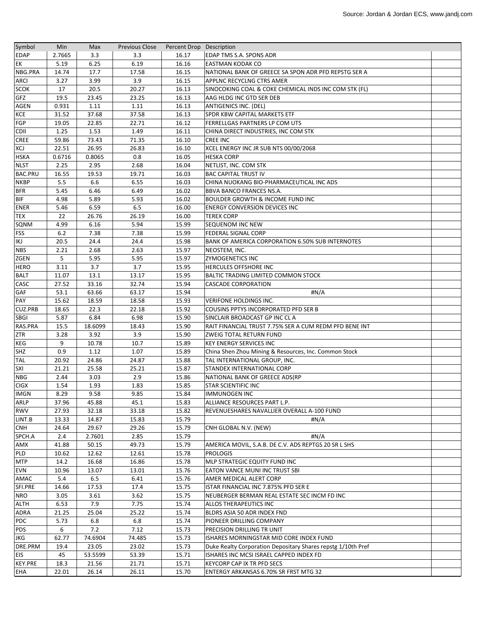| Symbol         | Min    | Max     | <b>Previous Close</b> | Percent Drop Description |                                                              |  |
|----------------|--------|---------|-----------------------|--------------------------|--------------------------------------------------------------|--|
| <b>EDAP</b>    | 2.7665 | 3.3     | 3.3                   | 16.17                    | EDAP TMS S.A. SPONS ADR                                      |  |
| EK             | 5.19   | 6.25    | 6.19                  | 16.16                    | <b>EASTMAN KODAK CO</b>                                      |  |
| NBG.PRA        | 14.74  | 17.7    | 17.58                 | 16.15                    | NATIONAL BANK OF GREECE SA SPON ADR PFD REPSTG SER A         |  |
| ARCI           | 3.27   | 3.99    | 3.9                   | 16.15                    | APPLNC RECYCLNG CTRS AMER                                    |  |
| <b>SCOK</b>    | 17     | 20.5    | 20.27                 | 16.13                    | SINOCOKING COAL & COKE CHEMICAL INDS INC COM STK (FL)        |  |
| <b>GFZ</b>     | 19.5   | 23.45   | 23.25                 | 16.13                    | AAG HLDG INC GTD SER DEB                                     |  |
| <b>AGEN</b>    | 0.931  | 1.11    | 1.11                  | 16.13                    | <b>ANTIGENICS INC. (DEL)</b>                                 |  |
| <b>KCE</b>     | 31.52  | 37.68   | 37.58                 | 16.13                    | SPDR KBW CAPITAL MARKETS ETF                                 |  |
| <b>FGP</b>     | 19.05  | 22.85   | 22.71                 | 16.12                    | FERRELLGAS PARTNERS LP COM UTS                               |  |
| <b>CDII</b>    | 1.25   | 1.53    | 1.49                  | 16.11                    | CHINA DIRECT INDUSTRIES, INC COM STK                         |  |
| <b>CREE</b>    | 59.86  | 73.43   | 71.35                 | 16.10                    | <b>CREE INC</b>                                              |  |
| XCJ            | 22.51  | 26.95   | 26.83                 | 16.10                    | XCEL ENERGY INC JR SUB NTS 00/00/2068                        |  |
| <b>HSKA</b>    | 0.6716 | 0.8065  | 0.8                   | 16.05                    | <b>HESKA CORP</b>                                            |  |
| <b>NLST</b>    | 2.25   | 2.95    | 2.68                  | 16.04                    | NETLIST, INC. COM STK                                        |  |
| <b>BAC.PRU</b> | 16.55  | 19.53   | 19.71                 | 16.03                    | <b>BAC CAPITAL TRUST IV</b>                                  |  |
| <b>NKBP</b>    | 5.5    | 6.6     | 6.55                  | 16.03                    | CHINA NUOKANG BIO-PHARMACEUTICAL INC ADS                     |  |
| <b>BFR</b>     | 5.45   | 6.46    | 6.49                  | 16.02                    | BBVA BANCO FRANCES NS.A.                                     |  |
| <b>BIF</b>     | 4.98   | 5.89    | 5.93                  | 16.02                    | <b>BOULDER GROWTH &amp; INCOME FUND INC</b>                  |  |
| <b>ENER</b>    | 5.46   | 6.59    | 6.5                   | 16.00                    | <b>ENERGY CONVERSION DEVICES INC</b>                         |  |
| <b>TEX</b>     | 22     | 26.76   | 26.19                 | 16.00                    | <b>TEREX CORP</b>                                            |  |
| SQNM           | 4.99   | 6.16    | 5.94                  | 15.99                    | <b>SEQUENOM INC NEW</b>                                      |  |
| <b>FSS</b>     | 6.2    | 7.38    | 7.38                  | 15.99                    | FEDERAL SIGNAL CORP                                          |  |
| IKJ            | 20.5   | 24.4    | 24.4                  | 15.98                    | BANK OF AMERICA CORPORATION 6.50% SUB INTERNOTES             |  |
| <b>NBS</b>     | 2.21   | 2.68    | 2.63                  | 15.97                    | NEOSTEM, INC.                                                |  |
| ZGEN           | 5      | 5.95    | 5.95                  | 15.97                    | <b>ZYMOGENETICS INC</b>                                      |  |
| <b>HERO</b>    | 3.11   | 3.7     | 3.7                   | 15.95                    | HERCULES OFFSHORE INC                                        |  |
| <b>BALT</b>    | 11.07  | 13.1    | 13.17                 | 15.95                    | BALTIC TRADING LIMITED COMMON STOCK                          |  |
| CASC           | 27.52  | 33.16   | 32.74                 | 15.94                    | <b>CASCADE CORPORATION</b>                                   |  |
| <b>GAF</b>     | 53.1   | 63.66   | 63.17                 | 15.94                    | #N/A                                                         |  |
| PAY            | 15.62  | 18.59   | 18.58                 | 15.93                    | VERIFONE HOLDINGS INC.                                       |  |
| <b>CUZ.PRB</b> | 18.65  | 22.3    | 22.18                 | 15.92                    | COUSINS PPTYS INCORPORATED PFD SER B                         |  |
| SBGI           | 5.87   | 6.84    | 6.98                  | 15.90                    | SINCLAIR BROADCAST GP INC CL A                               |  |
| RAS.PRA        | 15.5   | 18.6099 | 18.43                 | 15.90                    | RAIT FINANCIAL TRUST 7.75% SER A CUM REDM PFD BENE INT       |  |
| ZTR            | 3.28   | 3.92    | 3.9                   | 15.90                    | ZWEIG TOTAL RETURN FUND                                      |  |
| KEG            | 9      | 10.78   | 10.7                  | 15.89                    | <b>KEY ENERGY SERVICES INC</b>                               |  |
| SHZ            | 0.9    | 1.12    | 1.07                  | 15.89                    | China Shen Zhou Mining & Resources, Inc. Common Stock        |  |
| <b>TAL</b>     | 20.92  | 24.86   | 24.87                 | 15.88                    | TAL INTERNATIONAL GROUP, INC.                                |  |
| SXI            | 21.21  | 25.58   | 25.21                 | 15.87                    | STANDEX INTERNATIONAL CORP                                   |  |
| <b>NBG</b>     | 2.44   | 3.03    | 2.9                   | 15.86                    | NATIONAL BANK OF GREECE ADS(RP                               |  |
| <b>CIGX</b>    | 1.54   | 1.93    | 1.83                  | 15.85                    | <b>STAR SCIENTIFIC INC</b>                                   |  |
| <b>IMGN</b>    | 8.29   | 9.58    | 9.85                  | 15.84                    | <b>IMMUNOGEN INC</b>                                         |  |
| ARLP           | 37.96  | 45.88   | 45.1                  | 15.83                    | ALLIANCE RESOURCES PART L.P.                                 |  |
| <b>RWV</b>     | 27.93  | 32.18   | 33.18                 | 15.82                    | REVENUESHARES NAVALLIER OVERALL A-100 FUND                   |  |
| LINT.B         | 13.33  | 14.87   | 15.83                 | 15.79                    | #N/A                                                         |  |
| <b>CNH</b>     | 24.64  | 29.67   | 29.26                 | 15.79                    | CNH GLOBAL N.V. (NEW)                                        |  |
| SPCH.A         | 2.4    | 2.7601  | 2.85                  | 15.79                    | #N/A                                                         |  |
| AMX            | 41.88  | 50.15   | 49.73                 | 15.79                    | AMERICA MOVIL, S.A.B. DE C.V. ADS REPTGS 20 SR L SHS         |  |
| <b>PLD</b>     | 10.62  | 12.62   | 12.61                 | 15.78                    | <b>PROLOGIS</b>                                              |  |
| <b>MTP</b>     | 14.2   | 16.68   | 16.86                 | 15.78                    | MLP STRATEGIC EQUITY FUND INC                                |  |
| <b>EVN</b>     | 10.96  | 13.07   | 13.01                 | 15.76                    | EATON VANCE MUNI INC TRUST SBI                               |  |
| AMAC           | 5.4    | 6.5     | 6.41                  | 15.76                    | AMER MEDICAL ALERT CORP                                      |  |
| SFI.PRE        | 14.66  | 17.53   | 17.4                  | 15.75                    | ISTAR FINANCIAL INC 7.875% PFD SER E                         |  |
| <b>NRO</b>     | 3.05   | 3.61    | 3.62                  | 15.75                    | NEUBERGER BERMAN REAL ESTATE SEC INCM FD INC                 |  |
| <b>ALTH</b>    | 6.53   | 7.9     | 7.75                  | 15.74                    | ALLOS THERAPEUTICS INC                                       |  |
| ADRA           | 21.25  | 25.04   | 25.22                 | 15.74                    | BLDRS ASIA 50 ADR INDEX FND                                  |  |
| PDC            | 5.73   | 6.8     | 6.8                   | 15.74                    | PIONEER DRILLING COMPANY                                     |  |
| <b>PDS</b>     | 6      | 7.2     | 7.12                  | 15.73                    | PRECISION DRILLING TR UNIT                                   |  |
| <b>JKG</b>     | 62.77  | 74.6904 | 74.485                | 15.73                    | ISHARES MORNINGSTAR MID CORE INDEX FUND                      |  |
| DRE.PRM        | 19.4   | 23.05   | 23.02                 | 15.73                    | Duke Realty Corporation Depositary Shares repstg 1/10th Pref |  |
| <b>EIS</b>     | 45     | 53.5599 | 53.39                 | 15.71                    | ISHARES INC MCSI ISRAEL CAPPED INDEX FD                      |  |
| <b>KEY.PRE</b> | 18.3   | 21.56   | 21.71                 | 15.71                    | KEYCORP CAP IX TR PFD SECS                                   |  |
| EHA            | 22.01  | 26.14   | 26.11                 | 15.70                    | ENTERGY ARKANSAS 6.70% SR FRST MTG 32                        |  |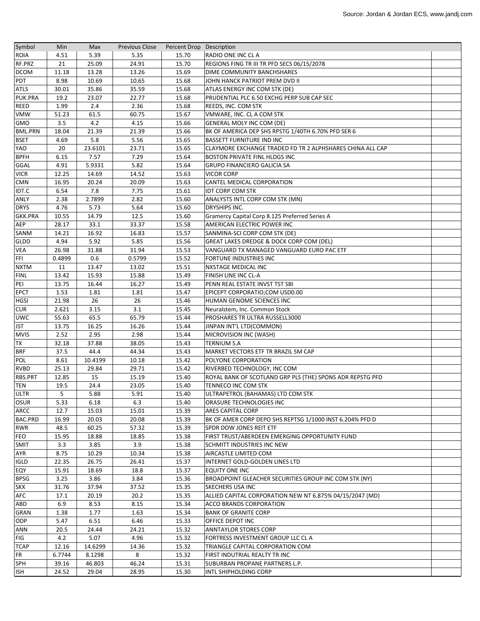| Symbol         | Min            | Max     | <b>Previous Close</b> | Percent Drop Description |                                                           |  |
|----------------|----------------|---------|-----------------------|--------------------------|-----------------------------------------------------------|--|
| <b>ROIA</b>    | 4.51           | 5.39    | 5.35                  | 15.70                    | RADIO ONE INC CLA                                         |  |
| RF.PRZ         | 21             | 25.09   | 24.91                 | 15.70                    | REGIONS FING TR III TR PFD SECS 06/15/2078                |  |
| <b>DCOM</b>    | 11.18          | 13.28   | 13.26                 | 15.69                    | DIME COMMUNITY BANCHSHARES                                |  |
| <b>PDT</b>     | 8.98           | 10.69   | 10.65                 | 15.68                    | JOHN HANCK PATRIOT PREM DVD II                            |  |
| <b>ATLS</b>    | 30.01          | 35.86   | 35.59                 | 15.68                    | ATLAS ENERGY INC COM STK (DE)                             |  |
| PUK.PRA        | 19.2           | 23.07   | 22.77                 | 15.68                    | PRUDENTIAL PLC 6.50 EXCHG PERP SUB CAP SEC                |  |
| <b>REED</b>    | 1.99           | 2.4     | 2.36                  | 15.68                    | REEDS, INC. COM STK                                       |  |
| <b>VMW</b>     | 51.23          | 61.5    | 60.75                 | 15.67                    | VMWARE, INC. CL A COM STK                                 |  |
| <b>GMO</b>     | 3.5            | 4.2     | 4.15                  | 15.66                    | GENERAL MOLY INC COM (DE)                                 |  |
| <b>BML.PRN</b> | 18.04          | 21.39   | 21.39                 | 15.66                    | BK OF AMERICA DEP SHS RPSTG 1/40TH 6.70% PFD SER 6        |  |
| <b>BSET</b>    | 4.69           | 5.8     | 5.56                  | 15.65                    | <b>BASSETT FURNITURE IND INC</b>                          |  |
| YAO            | 20             | 23.6101 | 23.71                 | 15.65                    | CLAYMORE EXCHANGE TRADED FD TR 2 ALPHSHARES CHINA ALL CAP |  |
| <b>BPFH</b>    | 6.15           | 7.57    | 7.29                  | 15.64                    | <b>BOSTON PRIVATE FINL HLDGS INC</b>                      |  |
| GGAL           | 4.91           | 5.9331  | 5.82                  | 15.64                    | <b>GRUPO FINANCIERO GALICIA SA</b>                        |  |
| <b>VICR</b>    | 12.25          | 14.69   | 14.52                 | 15.63                    | <b>VICOR CORP</b>                                         |  |
| <b>CMN</b>     | 16.95          | 20.24   | 20.09                 | 15.63                    | CANTEL MEDICAL CORPORATION                                |  |
| IDT.C          | 6.54           | 7.8     | 7.75                  | 15.61                    | <b>IDT CORP COM STK</b>                                   |  |
| ANLY           | 2.38           | 2.7899  | 2.82                  | 15.60                    | ANALYSTS INTL CORP COM STK (MN)                           |  |
| <b>DRYS</b>    | 4.76           | 5.73    | 5.64                  | 15.60                    | DRYSHIPS INC.                                             |  |
| <b>GKK.PRA</b> | 10.55          | 14.79   | 12.5                  | 15.60                    | Gramercy Capital Corp 8.125 Preferred Series A            |  |
| AEP            | 28.17          | 33.1    | 33.37                 | 15.58                    | AMERICAN ELECTRIC POWER INC                               |  |
| SANM           | 14.21          | 16.92   | 16.83                 | 15.57                    | SANMINA-SCI CORP COM STK (DE)                             |  |
| GLDD           | 4.94           | 5.92    | 5.85                  | 15.56                    | <b>GREAT LAKES DREDGE &amp; DOCK CORP COM (DEL)</b>       |  |
| <b>VEA</b>     | 26.98          | 31.88   | 31.94                 | 15.53                    | VANGUARD TX MANAGED VANGUARD EURO PAC ETF                 |  |
| FFI            | 0.4899         | 0.6     | 0.5799                | 15.52                    | <b>FORTUNE INDUSTRIES INC</b>                             |  |
| <b>NXTM</b>    | 11             | 13.47   | 13.02                 | 15.51                    | <b>NXSTAGE MEDICAL INC</b>                                |  |
| <b>FINL</b>    | 13.42          | 15.93   | 15.88                 | 15.49                    | FINISH LINE INC CL-A                                      |  |
| PEI            | 13.75          | 16.44   | 16.27                 | 15.49                    | PENN REAL ESTATE INVST TST SBI                            |  |
| <b>EPCT</b>    | 1.53           | 1.81    | 1.81                  | 15.47                    | EPICEPT CORPORATIO;COM USD0.00                            |  |
| <b>HGSI</b>    | 21.98          | 26      | 26                    | 15.46                    | HUMAN GENOME SCIENCES INC                                 |  |
| <b>CUR</b>     | 2.621          | 3.15    | 3.1                   | 15.45                    | Neuralstem, Inc. Common Stock                             |  |
| <b>UWC</b>     | 55.63          | 65.5    | 65.79                 | 15.44                    | PROSHARES TR ULTRA RUSSELL3000                            |  |
| JST            | 13.75          | 16.25   | 16.26                 | 15.44                    | JINPAN INT'L LTD(COMMON)                                  |  |
| <b>MVIS</b>    | 2.52           | 2.95    | 2.98                  | 15.44                    | MICROVISION INC (WASH)                                    |  |
| <b>TX</b>      | 32.18          | 37.88   | 38.05                 | 15.43                    | <b>TERNIUM S.A</b>                                        |  |
| <b>BRF</b>     | 37.5           | 44.4    | 44.34                 | 15.43                    | MARKET VECTORS ETF TR BRAZIL SM CAP                       |  |
| POL            | 8.61           | 10.4199 | 10.18                 | 15.42                    | POLYONE CORPORATION                                       |  |
| <b>RVBD</b>    | 25.13          | 29.84   | 29.71                 | 15.42                    | RIVERBED TECHNOLOGY, INC COM                              |  |
| RBS.PRT        | 12.85          | 15      | 15.19                 | 15.40                    | ROYAL BANK OF SCOTLAND GRP PLS (THE) SPONS ADR REPSTG PFD |  |
| <b>TEN</b>     | 19.5           | 24.4    | 23.05                 | 15.40                    | TENNECO INC COM STK                                       |  |
| <b>ULTR</b>    | 5 <sub>1</sub> | 5.88    | 5.91                  | 15.40                    | ULTRAPETROL (BAHAMAS) LTD COM STK                         |  |
| <b>OSUR</b>    | 5.33           | 6.18    | 6.3                   | 15.40                    | ORASURE TECHNOLOGIES INC                                  |  |
| ARCC           | 12.7           | 15.03   | 15.01                 | 15.39                    | <b>ARES CAPITAL CORP</b>                                  |  |
| BAC.PRD        | 16.99          | 20.03   | 20.08                 | 15.39                    | BK OF AMER CORP DEPO SHS REPTSG 1/1000 INST 6.204% PFD D  |  |
| <b>RWR</b>     | 48.5           | 60.25   | 57.32                 | 15.39                    | SPDR DOW JONES REIT ETF                                   |  |
| <b>FEO</b>     | 15.95          | 18.88   | 18.85                 | 15.38                    | FIRST TRUST/ABERDEEN EMERGING OPPORTUNITY FUND            |  |
| <b>SMIT</b>    | 3.3            | 3.85    | 3.9                   | 15.38                    | <b>SCHMITT INDUSTRIES INC NEW</b>                         |  |
| AYR            | 8.75           | 10.29   | 10.34                 | 15.38                    | AIRCASTLE LIMITED COM                                     |  |
| <b>IGLD</b>    | 22.35          | 26.75   | 26.41                 | 15.37                    | INTERNET GOLD-GOLDEN LINES LTD                            |  |
| EQY            | 15.91          | 18.69   | 18.8                  | 15.37                    | <b>EQUITY ONE INC</b>                                     |  |
| <b>BPSG</b>    | 3.25           | 3.86    | 3.84                  | 15.36                    | BROADPOINT GLEACHER SECURITIES GROUP INC COM STK (NY)     |  |
| <b>SKX</b>     | 31.76          | 37.94   | 37.52                 | 15.35                    | <b>SKECHERS USA INC</b>                                   |  |
| AFC            | 17.1           | 20.19   | 20.2                  | 15.35                    | ALLIED CAPITAL CORPORATION NEW NT 6.875% 04/15/2047 (MD)  |  |
| ABD            | 6.9            | 8.53    | 8.15                  | 15.34                    | ACCO BRANDS CORPORATION                                   |  |
| GRAN           | 1.38           | 1.77    | 1.63                  | 15.34                    | <b>BANK OF GRANITE CORP</b>                               |  |
| ODP            | 5.47           | 6.51    | 6.46                  | 15.33                    | OFFICE DEPOT INC                                          |  |
| ANN            | 20.5           | 24.44   | 24.21                 | 15.32                    | <b>ANNTAYLOR STORES CORP</b>                              |  |
| <b>FIG</b>     | 4.2            | 5.07    | 4.96                  | 15.32                    | FORTRESS INVESTMENT GROUP LLC CL A                        |  |
| <b>TCAP</b>    | 12.16          | 14.6299 | 14.36                 | 15.32                    | TRIANGLE CAPITAL CORPORATION COM                          |  |
| <b>FR</b>      | 6.7744         | 8.1298  | 8                     | 15.32                    | FIRST INDUTRIAL REALTY TR INC                             |  |
| <b>SPH</b>     | 39.16          | 46.803  | 46.24                 | 15.31                    | SUBURBAN PROPANE PARTNERS L.P.                            |  |
| <b>ISH</b>     | 24.52          | 29.04   | 28.95                 | 15.30                    | INTL SHIPHOLDING CORP                                     |  |
|                |                |         |                       |                          |                                                           |  |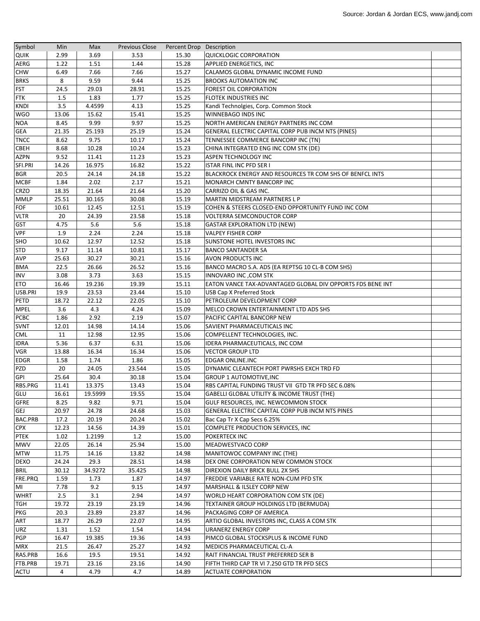| Symbol      | Min   | Max     | <b>Previous Close</b> | Percent Drop Description |                                                            |  |
|-------------|-------|---------|-----------------------|--------------------------|------------------------------------------------------------|--|
| <b>QUIK</b> | 2.99  | 3.69    | 3.53                  | 15.30                    | <b>QUICKLOGIC CORPORATION</b>                              |  |
| AERG        | 1.22  | 1.51    | 1.44                  | 15.28                    | <b>APPLIED ENERGETICS, INC</b>                             |  |
| <b>CHW</b>  | 6.49  | 7.66    | 7.66                  | 15.27                    | CALAMOS GLOBAL DYNAMIC INCOME FUND                         |  |
| <b>BRKS</b> | 8     | 9.59    | 9.44                  | 15.25                    | <b>BROOKS AUTOMATION INC</b>                               |  |
| <b>FST</b>  | 24.5  | 29.03   | 28.91                 | 15.25                    | <b>FOREST OIL CORPORATION</b>                              |  |
| <b>FTK</b>  | 1.5   | 1.83    | 1.77                  | 15.25                    | <b>FLOTEK INDUSTRIES INC</b>                               |  |
| <b>KNDI</b> | 3.5   | 4.4599  | 4.13                  | 15.25                    | Kandi Technolgies, Corp. Common Stock                      |  |
| <b>WGO</b>  | 13.06 | 15.62   | 15.41                 | 15.25                    | WINNEBAGO INDS INC                                         |  |
| <b>NOA</b>  | 8.45  | 9.99    | 9.97                  | 15.25                    | NORTH AMERICAN ENERGY PARTNERS INC COM                     |  |
| <b>GEA</b>  | 21.35 | 25.193  | 25.19                 | 15.24                    | GENERAL ELECTRIC CAPITAL CORP PUB INCM NTS (PINES)         |  |
| <b>TNCC</b> | 8.62  | 9.75    | 10.17                 | 15.24                    | TENNESSEE COMMERCE BANCORP INC (TN)                        |  |
| <b>CBEH</b> | 8.68  | 10.28   | 10.24                 | 15.23                    | CHINA INTEGRATED ENG INC COM STK (DE)                      |  |
| AZPN        | 9.52  | 11.41   | 11.23                 | 15.23                    | <b>ASPEN TECHNOLOGY INC</b>                                |  |
| SFI.PRI     | 14.26 | 16.975  | 16.82                 | 15.22                    | <b>ISTAR FINL INC PFD SER I</b>                            |  |
| <b>BGR</b>  | 20.5  | 24.14   | 24.18                 | 15.22                    | BLACKROCK ENERGY AND RESOURCES TR COM SHS OF BENFCL INTS   |  |
| <b>MCBF</b> | 1.84  | 2.02    | 2.17                  | 15.21                    | MONARCH CMNTY BANCORP INC                                  |  |
| <b>CRZO</b> | 18.35 | 21.64   | 21.64                 | 15.20                    | CARRIZO OIL & GAS INC.                                     |  |
| <b>MMLP</b> | 25.51 | 30.165  | 30.08                 | 15.19                    | MARTIN MIDSTREAM PARTNERS L P                              |  |
| FOF         | 10.61 | 12.45   | 12.51                 | 15.19                    | COHEN & STEERS CLOSED-END OPPORTUNITY FUND INC COM         |  |
| <b>VLTR</b> | 20    | 24.39   | 23.58                 | 15.18                    | <b>VOLTERRA SEMCONDUCTOR CORP</b>                          |  |
| <b>GST</b>  | 4.75  | 5.6     | 5.6                   | 15.18                    | <b>GASTAR EXPLORATION LTD (NEW)</b>                        |  |
| <b>VPF</b>  | 1.9   | 2.24    | 2.24                  | 15.18                    | <b>VALPEY FISHER CORP</b>                                  |  |
| SHO         | 10.62 | 12.97   | 12.52                 | 15.18                    | <b>SUNSTONE HOTEL INVESTORS INC</b>                        |  |
| <b>STD</b>  | 9.17  | 11.14   | 10.81                 | 15.17                    | <b>BANCO SANTANDER SA</b>                                  |  |
| AVP         | 25.63 | 30.27   | 30.21                 | 15.16                    | AVON PRODUCTS INC                                          |  |
| <b>BMA</b>  | 22.5  | 26.66   | 26.52                 | 15.16                    | BANCO MACRO S.A. ADS (EA REPTSG 10 CL-B COM SHS)           |  |
| INV         | 3.08  | 3.73    | 3.63                  | 15.15                    | <b>INNOVARO INC, COM STK</b>                               |  |
| <b>ETO</b>  | 16.46 | 19.236  | 19.39                 | 15.11                    | EATON VANCE TAX-ADVANTAGED GLOBAL DIV OPPORTS FDS BENE INT |  |
| USB.PRI     | 19.9  | 23.53   | 23.44                 | 15.10                    | USB Cap X Preferred Stock                                  |  |
| PETD        | 18.72 | 22.12   | 22.05                 | 15.10                    | PETROLEUM DEVELOPMENT CORP                                 |  |
| <b>MPEL</b> | 3.6   | 4.3     | 4.24                  | 15.09                    | MELCO CROWN ENTERTAINMENT LTD ADS SHS                      |  |
| <b>PCBC</b> | 1.86  | 2.92    | 2.19                  | 15.07                    | PACIFIC CAPITAL BANCORP NEW                                |  |
| <b>SVNT</b> | 12.01 | 14.98   | 14.14                 | 15.06                    | SAVIENT PHARMACEUTICALS INC                                |  |
| <b>CML</b>  | 11    | 12.98   | 12.95                 | 15.06                    | COMPELLENT TECHNOLOGIES, INC.                              |  |
| <b>IDRA</b> | 5.36  | 6.37    | 6.31                  | 15.06                    | IDERA PHARMACEUTICALS, INC COM                             |  |
| <b>VGR</b>  | 13.88 | 16.34   | 16.34                 | 15.06                    | <b>VECTOR GROUP LTD</b>                                    |  |
| EDGR        | 1.58  | 1.74    | 1.86                  | 15.05                    | <b>EDGAR ONLINE.INC</b>                                    |  |
| PZD         | 20    | 24.05   | 23.544                | 15.05                    | DYNAMIC CLEANTECH PORT PWRSHS EXCH TRD FD                  |  |
| GPI         | 25.64 | 30.4    | 30.18                 | 15.04                    | <b>GROUP 1 AUTOMOTIVE, INC</b>                             |  |
| RBS.PRG     | 11.41 | 13.375  | 13.43                 | 15.04                    | RBS CAPITAL FUNDING TRUST VII GTD TR PFD SEC 6.08%         |  |
| GLU         | 16.61 | 19.5999 | 19.55                 | 15.04                    | GABELLI GLOBAL UTILITY & INCOME TRUST (THE)                |  |
| <b>GFRE</b> | 8.25  | 9.82    | 9.71                  | 15.04                    | GULF RESOURCES, INC. NEWCOMMON STOCK                       |  |
| GEJ         | 20.97 | 24.78   | 24.68                 | 15.03                    | GENERAL ELECTRIC CAPITAL CORP PUB INCM NTS PINES           |  |
| BAC.PRB     | 17.2  | 20.19   | 20.24                 | 15.02                    | Bac Cap Tr X Cap Secs 6.25%                                |  |
| <b>CPX</b>  | 12.23 | 14.56   | 14.39                 | 15.01                    | COMPLETE PRODUCTION SERVICES, INC                          |  |
| <b>PTEK</b> | 1.02  | 1.2199  | 1.2                   | 15.00                    | <b>POKERTECK INC</b>                                       |  |
| <b>MWV</b>  | 22.05 | 26.14   | 25.94                 | 15.00                    | MEADWESTVACO CORP                                          |  |
| <b>MTW</b>  | 11.75 | 14.16   | 13.82                 | 14.98                    | MANITOWOC COMPANY INC (THE)                                |  |
| <b>DEXO</b> | 24.24 | 29.3    | 28.51                 | 14.98                    | DEX ONE CORPORATION NEW COMMON STOCK                       |  |
| <b>BRIL</b> | 30.12 | 34.9272 | 35.425                | 14.98                    | DIREXION DAILY BRICK BULL 2X SHS                           |  |
| FRE.PRQ     | 1.59  | 1.73    | 1.87                  | 14.97                    | FREDDIE VARIABLE RATE NON-CUM PFD STK                      |  |
| MI          | 7.78  | 9.2     | 9.15                  | 14.97                    | MARSHALL & ILSLEY CORP NEW                                 |  |
| <b>WHRT</b> | 2.5   | 3.1     | 2.94                  | 14.97                    | WORLD HEART CORPORATION COM STK (DE)                       |  |
| TGH         | 19.72 | 23.19   | 23.19                 | 14.96                    | TEXTAINER GROUP HOLDINGS LTD (BERMUDA)                     |  |
| PKG         | 20.3  | 23.89   | 23.87                 | 14.96                    | PACKAGING CORP OF AMERICA                                  |  |
| ART         | 18.77 | 26.29   | 22.07                 | 14.95                    | ARTIO GLOBAL INVESTORS INC, CLASS A COM STK                |  |
| URZ         | 1.31  | 1.52    | 1.54                  | 14.94                    | <b>URANERZ ENERGY CORP</b>                                 |  |
| PGP         | 16.47 | 19.385  | 19.36                 | 14.93                    | PIMCO GLOBAL STOCKSPLUS & INCOME FUND                      |  |
| <b>MRX</b>  | 21.5  | 26.47   | 25.27                 | 14.92                    | MEDICIS PHARMACEUTICAL CL-A                                |  |
| RAS.PRB     | 16.6  | 19.5    | 19.51                 | 14.92                    | RAIT FINANCIAL TRUST PREFERRED SER B                       |  |
| FTB.PRB     | 19.71 | 23.16   | 23.16                 | 14.90                    | FIFTH THIRD CAP TR VI 7.250 GTD TR PFD SECS                |  |
| ACTU        | 4     | 4.79    | 4.7                   | 14.89                    | <b>ACTUATE CORPORATION</b>                                 |  |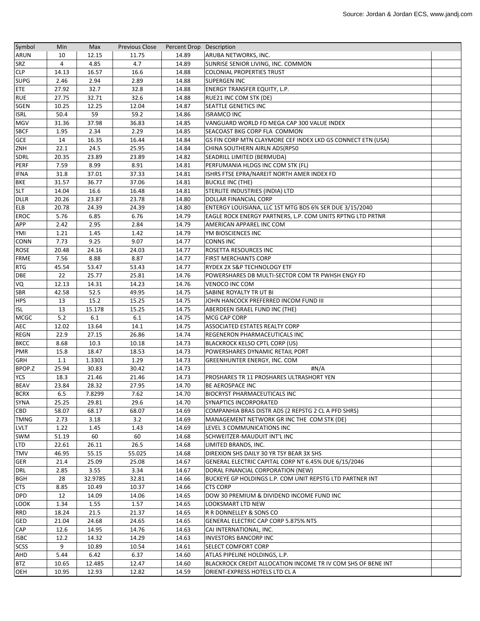| Symbol                     | Min   | Max     | <b>Previous Close</b> | Percent Drop Description |                                                              |  |
|----------------------------|-------|---------|-----------------------|--------------------------|--------------------------------------------------------------|--|
| <b>ARUN</b>                | 10    | 12.15   | 11.75                 | 14.89                    | ARUBA NETWORKS, INC.                                         |  |
| <b>SRZ</b>                 | 4     | 4.85    | 4.7                   | 14.89                    | SUNRISE SENIOR LIVING, INC. COMMON                           |  |
| <b>CLP</b>                 | 14.13 | 16.57   | 16.6                  | 14.88                    | <b>COLONIAL PROPERTIES TRUST</b>                             |  |
| <b>SUPG</b>                | 2.46  | 2.94    | 2.89                  | 14.88                    | <b>SUPERGEN INC</b>                                          |  |
| ETE                        | 27.92 | 32.7    | 32.8                  | 14.88                    | ENERGY TRANSFER EQUITY, L.P.                                 |  |
| <b>RUE</b>                 | 27.75 | 32.71   | 32.6                  | 14.88                    | RUE21 INC COM STK (DE)                                       |  |
| <b>SGEN</b>                | 10.25 | 12.25   | 12.04                 | 14.87                    | SEATTLE GENETICS INC                                         |  |
| <b>ISRL</b>                | 50.4  | 59      | 59.2                  | 14.86                    | <b>ISRAMCO INC</b>                                           |  |
| <b>MGV</b>                 | 31.36 | 37.98   | 36.83                 | 14.85                    | VANGUARD WORLD FD MEGA CAP 300 VALUE INDEX                   |  |
| <b>SBCF</b>                | 1.95  | 2.34    | 2.29                  | 14.85                    | SEACOAST BKG CORP FLA COMMON                                 |  |
| <b>GCE</b>                 | 14    | 16.35   | 16.44                 | 14.84                    | GS FIN CORP MTN CLAYMORE CEF INDEX LKD GS CONNECT ETN (USA)  |  |
| ZNH                        | 22.1  | 24.5    | 25.95                 | 14.84                    | CHINA SOUTHERN AIRLN ADS(RP50                                |  |
| <b>SDRL</b>                | 20.35 | 23.89   | 23.89                 | 14.82                    | SEADRILL LIMITED (BERMUDA)                                   |  |
| PERF                       | 7.59  | 8.99    | 8.91                  | 14.81                    | PERFUMANIA HLDGS INC COM STK (FL)                            |  |
| <b>IFNA</b>                | 31.8  | 37.01   | 37.33                 | 14.81                    | ISHRS FTSE EPRA/NAREIT NORTH AMER INDEX FD                   |  |
| <b>BKE</b>                 | 31.57 | 36.77   | 37.06                 | 14.81                    | <b>BUCKLE INC (THE)</b>                                      |  |
| <b>SLT</b>                 | 14.04 | 16.6    | 16.48                 | 14.81                    | STERLITE INDUSTRIES (INDIA) LTD                              |  |
| <b>DLLR</b>                | 20.26 | 23.87   | 23.78                 | 14.80                    | <b>DOLLAR FINANCIAL CORP</b>                                 |  |
| <b>ELB</b>                 | 20.78 | 24.39   | 24.39                 | 14.80                    | ENTERGY LOUISIANA, LLC 1ST MTG BDS 6% SER DUE 3/15/2040      |  |
| <b>EROC</b>                | 5.76  | 6.85    | 6.76                  | 14.79                    | EAGLE ROCK ENERGY PARTNERS, L.P. COM UNITS RPTNG LTD PRTNR   |  |
| <b>APP</b>                 | 2.42  | 2.95    | 2.84                  | 14.79                    | AMERICAN APPAREL INC COM                                     |  |
| YMI                        | 1.21  | 1.45    | 1.42                  | 14.79                    | YM BIOSCIENCES INC                                           |  |
| <b>CONN</b>                | 7.73  | 9.25    | 9.07                  | 14.77                    | <b>CONNS INC</b>                                             |  |
| <b>ROSE</b>                | 20.48 | 24.16   | 24.03                 | 14.77                    | ROSETTA RESOURCES INC                                        |  |
| <b>FRME</b>                | 7.56  | 8.88    | 8.87                  | 14.77                    | <b>FIRST MERCHANTS CORP</b>                                  |  |
| <b>RTG</b>                 | 45.54 | 53.47   | 53.43                 | 14.77                    | RYDEX 2X S&P TECHNOLOGY ETF                                  |  |
| <b>DBE</b>                 | 22    | 25.77   | 25.81                 | 14.76                    | POWERSHARES DB MULTI-SECTOR COM TR PWHSH ENGY FD             |  |
| VQ                         | 12.13 | 14.31   | 14.23                 | 14.76                    | <b>VENOCO INC COM</b>                                        |  |
| <b>SBR</b>                 | 42.58 | 52.5    | 49.95                 | 14.75                    | SABINE ROYALTY TR UT BI                                      |  |
| <b>HPS</b>                 | 13    | 15.2    | 15.25                 | 14.75                    | JOHN HANCOCK PREFERRED INCOM FUND III                        |  |
| <b>ISL</b>                 | 13    | 15.178  | 15.25                 | 14.75                    | ABERDEEN ISRAEL FUND INC (THE)                               |  |
| <b>MCGC</b>                | 5.2   | 6.1     | 6.1                   | 14.75                    | MCG CAP CORP                                                 |  |
| <b>AEC</b>                 | 12.02 | 13.64   | 14.1                  | 14.75                    | ASSOCIATED ESTATES REALTY CORP                               |  |
| <b>REGN</b>                | 22.9  | 27.15   | 26.86                 | 14.74                    | REGENERON PHARMACEUTICALS INC                                |  |
| <b>BKCC</b>                | 8.68  | 10.3    | 10.18                 | 14.73                    | <b>BLACKROCK KELSO CPTL CORP (US)</b>                        |  |
| <b>PMR</b>                 | 15.8  | 18.47   | 18.53                 | 14.73                    | POWERSHARES DYNAMIC RETAIL PORT                              |  |
| GRH                        | 1.1   | 1.3301  | 1.29                  | 14.73                    | GREENHUNTER ENERGY, INC. COM                                 |  |
| BPOP.Z                     | 25.94 | 30.83   | 30.42                 | 14.73                    | #N/A                                                         |  |
| <b>YCS</b>                 | 18.3  | 21.46   | 21.46                 | 14.73                    | PROSHARES TR 11 PROSHARES ULTRASHORT YEN                     |  |
|                            | 23.84 | 28.32   |                       |                          |                                                              |  |
| <b>BEAV</b><br><b>BCRX</b> |       | 7.8299  | 27.95<br>7.62         | 14.70<br>14.70           | BE AEROSPACE INC<br><b>BIOCRYST PHARMACEUTICALS INC</b>      |  |
|                            | 6.5   |         |                       |                          |                                                              |  |
| <b>SYNA</b>                | 25.25 | 29.81   | 29.6                  | 14.70                    | SYNAPTICS INCORPORATED                                       |  |
| CBD                        | 58.07 | 68.17   | 68.07                 | 14.69                    | COMPANHIA BRAS DISTR ADS (2 REPSTG 2 CL A PFD SHRS)          |  |
| <b>TMNG</b>                | 2.73  | 3.18    | 3.2                   | 14.69                    | MANAGEMENT NETWORK GR INC THE COM STK (DE)                   |  |
| <b>LVLT</b>                | 1.22  | 1.45    | 1.43                  | 14.69                    | LEVEL 3 COMMUNICATIONS INC                                   |  |
| <b>SWM</b>                 | 51.19 | 60      | 60                    | 14.68                    | SCHWEITZER-MAUDUIT INT'L INC                                 |  |
| <b>LTD</b>                 | 22.61 | 26.11   | 26.5                  | 14.68                    | LIMITED BRANDS, INC.                                         |  |
| <b>TMV</b>                 | 46.95 | 55.15   | 55.025                | 14.68                    | DIREXION SHS DAILY 30 YR TSY BEAR 3X SHS                     |  |
| <b>GER</b>                 | 21.4  | 25.09   | 25.08                 | 14.67                    | GENERAL ELECTRIC CAPITAL CORP NT 6.45% DUE 6/15/2046         |  |
| <b>DRL</b>                 | 2.85  | 3.55    | 3.34                  | 14.67                    | DORAL FINANCIAL CORPORATION (NEW)                            |  |
| <b>BGH</b>                 | 28    | 32.9785 | 32.81                 | 14.66                    | BUCKEYE GP HOLDINGS L.P. COM UNIT REPSTG LTD PARTNER INT     |  |
| <b>CTS</b>                 | 8.85  | 10.49   | 10.37                 | 14.66                    | <b>CTS CORP</b>                                              |  |
| <b>DPD</b>                 | 12    | 14.09   | 14.06                 | 14.65                    | DOW 30 PREMIUM & DIVIDEND INCOME FUND INC                    |  |
| <b>LOOK</b>                | 1.34  | 1.55    | 1.57                  | 14.65                    | LOOKSMART LTD NEW                                            |  |
| <b>RRD</b>                 | 18.24 | 21.5    | 21.37                 | 14.65                    | R R DONNELLEY & SONS CO                                      |  |
| <b>GED</b>                 | 21.04 | 24.68   | 24.65                 | 14.65                    | GENERAL ELECTRIC CAP CORP 5.875% NTS                         |  |
| CAP                        | 12.6  | 14.95   | 14.76                 | 14.63                    | CAI INTERNATIONAL, INC.                                      |  |
| <b>ISBC</b>                | 12.2  | 14.32   | 14.29                 | 14.63                    | <b>INVESTORS BANCORP INC</b>                                 |  |
| SCSS                       | 9     | 10.89   | 10.54                 | 14.61                    | SELECT COMFORT CORP                                          |  |
| AHD                        | 5.44  | 6.42    | 6.37                  | 14.60                    | ATLAS PIPELINE HOLDINGS, L.P.                                |  |
| <b>BTZ</b>                 | 10.65 | 12.485  | 12.47                 | 14.60                    | BLACKROCK CREDIT ALLOCATION INCOME TR IV COM SHS OF BENE INT |  |
| OEH                        | 10.95 | 12.93   | 12.82                 | 14.59                    | ORIENT-EXPRESS HOTELS LTD CL A                               |  |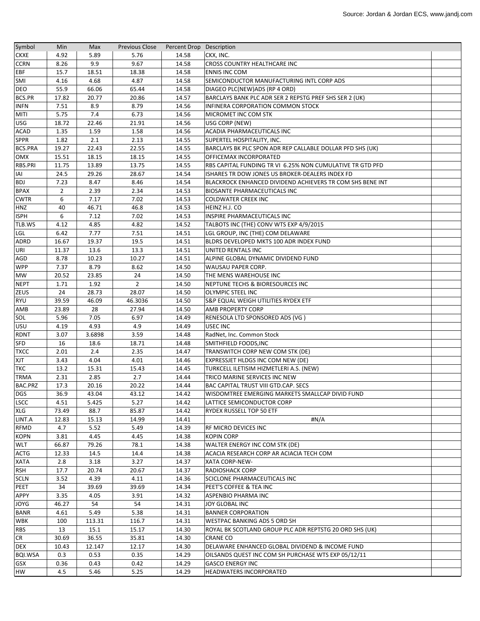| Symbol         | Min            | Max          | <b>Previous Close</b> | Percent Drop Description |                                                           |  |
|----------------|----------------|--------------|-----------------------|--------------------------|-----------------------------------------------------------|--|
| <b>CKXE</b>    | 4.92           | 5.89         | 5.76                  | 14.58                    | CKX, INC.                                                 |  |
| <b>CCRN</b>    | 8.26           | 9.9          | 9.67                  | 14.58                    | <b>CROSS COUNTRY HEALTHCARE INC</b>                       |  |
| <b>EBF</b>     | 15.7           | 18.51        | 18.38                 | 14.58                    | <b>ENNIS INC COM</b>                                      |  |
| SMI            | 4.16           | 4.68         | 4.87                  | 14.58                    | SEMICONDUCTOR MANUFACTURING INTL CORP ADS                 |  |
| <b>DEO</b>     | 55.9           | 66.06        | 65.44                 | 14.58                    | DIAGEO PLC(NEW)ADS (RP 4 ORD)                             |  |
| BCS.PR         | 17.82          | 20.77        | 20.86                 | 14.57                    | BARCLAYS BANK PLC ADR SER 2 REPSTG PREF SHS SER 2 (UK)    |  |
| <b>INFN</b>    | 7.51           | 8.9          | 8.79                  | 14.56                    | INFINERA CORPORATION COMMON STOCK                         |  |
| <b>MITI</b>    | 5.75           | 7.4          | 6.73                  | 14.56                    | MICROMET INC COM STK                                      |  |
| <b>USG</b>     | 18.72          | 22.46        | 21.91                 | 14.56                    | USG CORP (NEW)                                            |  |
| <b>ACAD</b>    | 1.35           | 1.59         | 1.58                  | 14.56                    | ACADIA PHARMACEUTICALS INC                                |  |
| <b>SPPR</b>    | 1.82           | 2.1          | 2.13                  | 14.55                    | SUPERTEL HOSPITALITY, INC.                                |  |
| <b>BCS.PRA</b> | 19.27          | 22.43        | 22.55                 | 14.55                    | BARCLAYS BK PLC SPON ADR REP CALLABLE DOLLAR PFD SHS (UK) |  |
| <b>OMX</b>     | 15.51          | 18.15        | 18.15                 | 14.55                    | OFFICEMAX INCORPORATED                                    |  |
| RBS.PRI        |                |              |                       |                          |                                                           |  |
|                | 11.75          | 13.89        | 13.75                 | 14.55                    | RBS CAPITAL FUNDING TR VI 6.25% NON CUMULATIVE TR GTD PFD |  |
| IAI            | 24.5           | 29.26        | 28.67                 | 14.54                    | ISHARES TR DOW JONES US BROKER-DEALERS INDEX FD           |  |
| <b>BDJ</b>     | 7.23           | 8.47         | 8.46                  | 14.54                    | BLACKROCK ENHANCED DIVIDEND ACHIEVERS TR COM SHS BENE INT |  |
| <b>BPAX</b>    | $\overline{2}$ | 2.39         | 2.34                  | 14.53                    | <b>BIOSANTE PHARMACEUTICALS INC</b>                       |  |
| <b>CWTR</b>    | 6              | 7.17         | 7.02                  | 14.53                    | <b>COLDWATER CREEK INC</b>                                |  |
| <b>HNZ</b>     | 40             | 46.71        | 46.8                  | 14.53                    | HEINZ H.J. CO                                             |  |
| <b>ISPH</b>    | 6              | 7.12         | 7.02                  | 14.53                    | <b>INSPIRE PHARMACEUTICALS INC</b>                        |  |
| TLB.WS         | 4.12           | 4.85         | 4.82                  | 14.52                    | TALBOTS INC (THE) CONV WTS EXP 4/9/2015                   |  |
| LGL            | 6.42           | 7.77         | 7.51                  | 14.51                    | LGL GROUP, INC (THE) COM DELAWARE                         |  |
| ADRD           | 16.67          | 19.37        | 19.5                  | 14.51                    | BLDRS DEVELOPED MKTS 100 ADR INDEX FUND                   |  |
| URI            | 11.37          | 13.6         | 13.3                  | 14.51                    | UNITED RENTALS INC                                        |  |
| <b>AGD</b>     | 8.78           | 10.23        | 10.27                 | 14.51                    | ALPINE GLOBAL DYNAMIC DIVIDEND FUND                       |  |
| <b>WPP</b>     | 7.37           | 8.79         | 8.62                  | 14.50                    | <b>WAUSAU PAPER CORP.</b>                                 |  |
| <b>MW</b>      | 20.52          | 23.85        | 24                    | 14.50                    | THE MENS WAREHOUSE INC                                    |  |
| <b>NEPT</b>    | 1.71           | 1.92         | $\overline{2}$        | 14.50                    | NEPTUNE TECHS & BIORESOURCES INC                          |  |
| ZEUS           | 24             | 28.73        | 28.07                 | 14.50                    | <b>OLYMPIC STEEL INC</b>                                  |  |
| <b>RYU</b>     | 39.59          | 46.09        | 46.3036               | 14.50                    | S&P EQUAL WEIGH UTILITIES RYDEX ETF                       |  |
| AMB            | 23.89          | 28           | 27.94                 | 14.50                    | <b>AMB PROPERTY CORP</b>                                  |  |
| SOL            | 5.96           | 7.05         | 6.97                  | 14.49                    | RENESOLA LTD SPONSORED ADS (VG)                           |  |
| USU            | 4.19           | 4.93         | 4.9                   | 14.49                    | USEC INC                                                  |  |
| RDNT           | 3.07           | 3.6898       | 3.59                  | 14.48                    | RadNet, Inc. Common Stock                                 |  |
| <b>SFD</b>     | 16             | 18.6         | 18.71                 | 14.48                    | SMITHFIELD FOODS, INC                                     |  |
| <b>TXCC</b>    | 2.01           | 2.4          | 2.35                  | 14.47                    | TRANSWITCH CORP NEW COM STK (DE)                          |  |
| <b>XJT</b>     | 3.43           | 4.04         | 4.01                  | 14.46                    | EXPRESSJET HLDGS INC COM NEW (DE)                         |  |
| <b>TKC</b>     | 13.2           | 15.31        | 15.43                 | 14.45                    | TURKCELL ILETISIM HIZMETLERI A.S. (NEW)                   |  |
| <b>TRMA</b>    | 2.31           | 2.85         | 2.7                   | 14.44                    | TRICO MARINE SERVICES INC NEW                             |  |
| BAC.PRZ        | 17.3           | 20.16        | 20.22                 | 14.44                    | <b>BAC CAPITAL TRUST VIII GTD.CAP. SECS</b>               |  |
| <b>DGS</b>     | 36.9           | 43.04        | 43.12                 | 14.42                    | WISDOMTREE EMERGING MARKETS SMALLCAP DIVID FUND           |  |
| <b>LSCC</b>    | 4.51           | 5.425        | 5.27                  | 14.42                    | LATTICE SEMICONDUCTOR CORP                                |  |
| <b>XLG</b>     | 73.49          | 88.7         | 85.87                 | 14.42                    |                                                           |  |
| LINT.A         | 12.83          | 15.13        | 14.99                 | 14.41                    | RYDEX RUSSELL TOP 50 ETF<br>#N/A                          |  |
| <b>RFMD</b>    | 4.7            |              | 5.49                  | 14.39                    |                                                           |  |
| <b>KOPN</b>    | 3.81           | 5.52<br>4.45 | 4.45                  | 14.38                    | <b>RF MICRO DEVICES INC</b><br><b>KOPIN CORP</b>          |  |
|                |                |              |                       |                          |                                                           |  |
| <b>WLT</b>     | 66.87          | 79.26        | 78.1                  | 14.38                    | WALTER ENERGY INC COM STK (DE)                            |  |
| <b>ACTG</b>    | 12.33          | 14.5         | 14.4                  | 14.38                    | ACACIA RESEARCH CORP AR ACIACIA TECH COM                  |  |
| <b>XATA</b>    | 2.8            | 3.18         | 3.27                  | 14.37                    | XATA CORP-NEW-                                            |  |
| <b>RSH</b>     | 17.7           | 20.74        | 20.67                 | 14.37                    | <b>RADIOSHACK CORP</b>                                    |  |
| <b>SCLN</b>    | 3.52           | 4.39         | 4.11                  | 14.36                    | SCICLONE PHARMACEUTICALS INC                              |  |
| PEET           | 34             | 39.69        | 39.69                 | 14.34                    | PEET'S COFFEE & TEA INC                                   |  |
| <b>APPY</b>    | 3.35           | 4.05         | 3.91                  | 14.32                    | ASPENBIO PHARMA INC                                       |  |
| JOYG           | 46.27          | 54           | 54                    | 14.31                    | JOY GLOBAL INC                                            |  |
| <b>BANR</b>    | 4.61           | 5.49         | 5.38                  | 14.31                    | <b>BANNER CORPORATION</b>                                 |  |
| <b>WBK</b>     | 100            | 113.31       | 116.7                 | 14.31                    | <b>WESTPAC BANKING ADS 5 ORD SH</b>                       |  |
| <b>RBS</b>     | 13             | 15.1         | 15.17                 | 14.30                    | ROYAL BK SCOTLAND GROUP PLC ADR REPTSTG 20 ORD SHS (UK)   |  |
| CR             | 30.69          | 36.55        | 35.81                 | 14.30                    | <b>CRANE CO</b>                                           |  |
| <b>DEX</b>     | 10.43          | 12.147       | 12.17                 | 14.30                    | DELAWARE ENHANCED GLOBAL DIVIDEND & INCOME FUND           |  |
| <b>BQI.WSA</b> | 0.3            | 0.53         | 0.35                  | 14.29                    | OILSANDS QUEST INC COM SH PURCHASE WTS EXP 05/12/11       |  |
| <b>GSX</b>     | 0.36           | 0.43         | 0.42                  | 14.29                    | <b>GASCO ENERGY INC</b>                                   |  |
| HW             | 4.5            | 5.46         | 5.25                  | 14.29                    | HEADWATERS INCORPORATED                                   |  |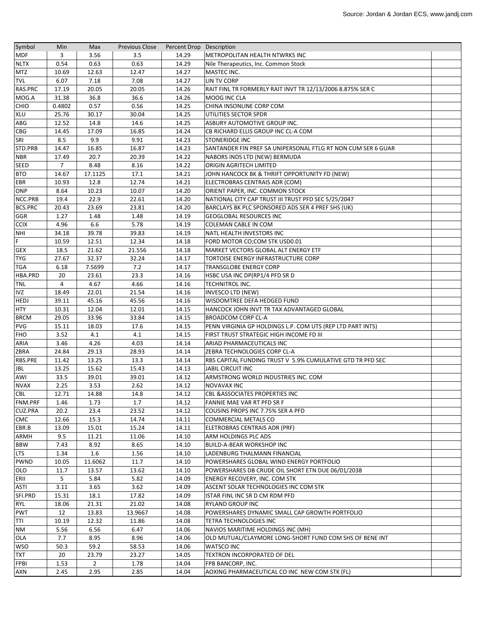| Symbol         | Min            | Max            | <b>Previous Close</b> | Percent Drop Description |                                                              |  |
|----------------|----------------|----------------|-----------------------|--------------------------|--------------------------------------------------------------|--|
| <b>MDF</b>     | 3              | 3.56           | 3.5                   | 14.29                    | <b>METROPOLITAN HEALTH NTWRKS INC</b>                        |  |
| <b>NLTX</b>    | 0.54           | 0.63           | 0.63                  | 14.29                    | Nile Therapeutics, Inc. Common Stock                         |  |
| <b>MTZ</b>     | 10.69          | 12.63          | 12.47                 | 14.27                    | MASTEC INC.                                                  |  |
| <b>TVL</b>     | 6.07           | 7.18           | 7.08                  | 14.27                    | LIN TV CORP                                                  |  |
| RAS.PRC        | 17.19          | 20.05          | 20.05                 | 14.26                    | RAIT FINL TR FORMERLY RAIT INVT TR 12/13/2006 8.875% SER C   |  |
| MOG.A          | 31.38          | 36.8           | 36.6                  | 14.26                    | MOOG INC CLA                                                 |  |
| <b>CHIO</b>    | 0.4802         | 0.57           | 0.56                  | 14.25                    | CHINA INSONLINE CORP COM                                     |  |
| <b>XLU</b>     | 25.76          | 30.17          | 30.04                 | 14.25                    | UTILITIES SECTOR SPDR                                        |  |
| ABG            | 12.52          | 14.8           | 14.6                  | 14.25                    | ASBURY AUTOMOTIVE GROUP INC.                                 |  |
| <b>CBG</b>     | 14.45          | 17.09          | 16.85                 | 14.24                    | CB RICHARD ELLIS GROUP INC CL-A COM                          |  |
| SRI            | 8.5            | 9.9            | 9.91                  | 14.23                    | <b>STONERIDGE INC</b>                                        |  |
| STD.PRB        | 14.47          | 16.85          | 16.87                 | 14.23                    | SANTANDER FIN PREF SA UNIPERSONAL FTLG RT NON CUM SER 6 GUAR |  |
| <b>NBR</b>     | 17.49          | 20.7           | 20.39                 | 14.22                    | NABORS INDS LTD (NEW) BERMUDA                                |  |
| <b>SEED</b>    | $\overline{7}$ | 8.48           | 8.16                  | 14.22                    | <b>ORIGIN AGRITECH LIMITED</b>                               |  |
| <b>BTO</b>     | 14.67          | 17.1125        | 17.1                  | 14.21                    | JOHN HANCOCK BK & THRIFT OPPORTUNITY FD (NEW)                |  |
| EBR            | 10.93          | 12.8           | 12.74                 | 14.21                    | ELECTROBRAS CENTRAIS ADR (COM)                               |  |
| ONP            | 8.64           | 10.23          | 10.07                 | 14.20                    | ORIENT PAPER, INC. COMMON STOCK                              |  |
| NCC.PRB        | 19.4           | 22.9           | 22.61                 | 14.20                    | NATIONAL CITY CAP TRUST III TRUST PFD SEC 5/25/2047          |  |
| <b>BCS.PRC</b> | 20.43          | 23.69          | 23.81                 | 14.20                    | BARCLAYS BK PLC SPONSORED ADS SER 4 PREF SHS (UK)            |  |
| GGR            | 1.27           | 1.48           | 1.48                  | 14.19                    | <b>GEOGLOBAL RESOURCES INC</b>                               |  |
| <b>CCIX</b>    | 4.96           | 6.6            | 5.78                  | 14.19                    | <b>COLEMAN CABLE IN COM</b>                                  |  |
| <b>NHI</b>     | 34.18          | 39.78          | 39.83                 | 14.19                    | NATL HEALTH INVESTORS INC                                    |  |
| F              | 10.59          | 12.51          | 12.34                 | 14.18                    | FORD MOTOR CO;COM STK USD0.01                                |  |
| <b>GEX</b>     | 18.5           | 21.62          | 21.556                | 14.18                    | MARKET VECTORS GLOBAL ALT ENERGY ETF                         |  |
| <b>TYG</b>     | 27.67          | 32.37          | 32.24                 | 14.17                    | TORTOISE ENERGY INFRASTRUCTURE CORP                          |  |
| <b>TGA</b>     | 6.18           | 7.5699         | 7.2                   | 14.17                    | <b>TRANSGLOBE ENERGY CORP</b>                                |  |
| HBA.PRD        | 20             | 23.61          | 23.3                  | 14.16                    | HSBC USA INC DP(RP1/4 PFD SR D                               |  |
| <b>TNL</b>     | 4              | 4.67           | 4.66                  | 14.16                    | <b>TECHNITROL INC.</b>                                       |  |
| <b>IVZ</b>     | 18.49          | 22.01          | 21.54                 | 14.16                    | INVESCO LTD (NEW)                                            |  |
| <b>HEDJ</b>    | 39.11          | 45.16          | 45.56                 | 14.16                    | WISDOMTREE DEFA HEDGED FUND                                  |  |
| <b>HTY</b>     | 10.31          | 12.04          | 12.01                 | 14.15                    | HANCOCK JOHN INVT TR TAX ADVANTAGED GLOBAL                   |  |
| <b>BRCM</b>    | 29.05          | 33.96          | 33.84                 | 14.15                    | <b>BROADCOM CORP CL-A</b>                                    |  |
| <b>PVG</b>     | 15.11          | 18.03          | 17.6                  | 14.15                    | PENN VIRGINIA GP HOLDINGS L.P. COM UTS (REP LTD PART INTS)   |  |
| <b>FHO</b>     | 3.52           | 4.1            | 4.1                   | 14.15                    | FIRST TRUST STRATEGIC HIGH INCOME FD III                     |  |
| ARIA           | 3.46           | 4.26           | 4.03                  | 14.14                    | ARIAD PHARMACEUTICALS INC                                    |  |
| <b>ZBRA</b>    | 24.84          | 29.13          | 28.93                 | 14.14                    | ZEBRA TECHNOLOGIES CORP CL-A                                 |  |
| <b>RBS.PRE</b> | 11.42          | 13.25          | 13.3                  | 14.14                    | RBS CAPITAL FUNDING TRUST V 5.9% CUMULATIVE GTD TR PFD SEC   |  |
| JBL            | 13.25          | 15.62          | 15.43                 | 14.13                    | JABIL CIRCUIT INC                                            |  |
| AWI            | 33.5           | 39.01          | 39.01                 | 14.12                    | ARMSTRONG WORLD INDUSTRIES INC. COM                          |  |
| <b>NVAX</b>    | 2.25           | 3.53           | 2.62                  | 14.12                    | <b>NOVAVAX INC</b>                                           |  |
| CBL            | 12.71          | 14.88          | 14.8                  | 14.12                    | <b>CBL &amp; ASSOCIATES PROPERTIES INC</b>                   |  |
| FNM.PRF        | 1.46           | 1.73           | 1.7                   | 14.12                    | FANNIE MAE VAR RT PFD SR F                                   |  |
| <b>CUZ.PRA</b> | 20.2           | 23.4           | 23.52                 | 14.12                    | COUSINS PROPS INC 7.75% SER A PFD                            |  |
| <b>CMC</b>     | 12.66          | 15.3           | 14.74                 | 14.11                    | COMMERCIAL METALS CO                                         |  |
| EBR.B          | 13.09          | 15.01          | 15.24                 | 14.11                    | ELETROBRAS CENTRAIS ADR (PRF)                                |  |
| <b>ARMH</b>    | 9.5            | 11.21          | 11.06                 | 14.10                    | ARM HOLDINGS PLC ADS                                         |  |
| <b>BBW</b>     | 7.43           | 8.92           | 8.65                  | 14.10                    | <b>BUILD-A-BEAR WORKSHOP INC</b>                             |  |
| LTS            | 1.34           | 1.6            | 1.56                  | 14.10                    | LADENBURG THALMANN FINANCIAL                                 |  |
| <b>PWND</b>    | 10.05          | 11.6062        | 11.7                  | 14.10                    | POWERSHARES GLOBAL WIND ENERGY PORTFOLIO                     |  |
| OLO            | 11.7           | 13.57          | 13.62                 | 14.10                    | POWERSHARES DB CRUDE OIL SHORT ETN DUE 06/01/2038            |  |
| ERII           | 5              | 5.84           | 5.82                  | 14.09                    | <b>ENERGY RECOVERY, INC. COM STK</b>                         |  |
| ASTI           | 3.11           | 3.65           | 3.62                  | 14.09                    | ASCENT SOLAR TECHNOLOGIES INC COM STK                        |  |
| SFI.PRD        | 15.31          | 18.1           | 17.82                 | 14.09                    | ISTAR FINL INC SR D CM RDM PFD                               |  |
| <b>RYL</b>     | 18.06          | 21.31          | 21.02                 | 14.08                    | <b>RYLAND GROUP INC</b>                                      |  |
| <b>PWT</b>     | 12             | 13.83          | 13.9667               | 14.08                    | POWERSHARES DYNAMIC SMALL CAP GROWTH PORTFOLIO               |  |
| TTI            | 10.19          | 12.32          | 11.86                 | 14.08                    | <b>TETRA TECHNOLOGIES INC</b>                                |  |
| <b>NM</b>      | 5.56           | 6.56           | 6.47                  | 14.06                    | NAVIOS MARITIME HOLDINGS INC (MH)                            |  |
| <b>OLA</b>     | 7.7            | 8.95           | 8.96                  | 14.06                    | OLD MUTUAL/CLAYMORE LONG-SHORT FUND COM SHS OF BENE INT      |  |
| <b>WSO</b>     | 50.3           | 59.2           | 58.53                 | 14.06                    | <b>WATSCO INC</b>                                            |  |
| <b>TXT</b>     | 20             | 23.79          | 23.27                 | 14.05                    | TEXTRON INCORPORATED OF DEL                                  |  |
| <b>FPBI</b>    | 1.53           | $\overline{2}$ | 1.78                  | 14.04                    | <b>FPB BANCORP, INC.</b>                                     |  |
| <b>AXN</b>     | 2.45           | 2.95           | 2.85                  | 14.04                    | AOXING PHARMACEUTICAL CO INC NEW COM STK (FL)                |  |
|                |                |                |                       |                          |                                                              |  |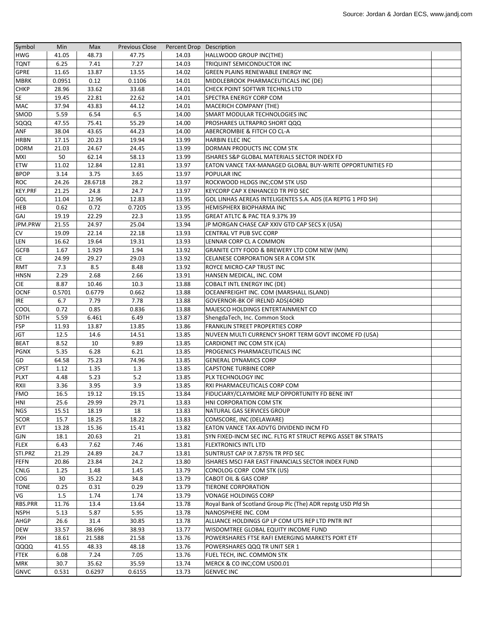| Symbol         | Min    | Max     | <b>Previous Close</b> | Percent Drop Description |                                                              |  |
|----------------|--------|---------|-----------------------|--------------------------|--------------------------------------------------------------|--|
| <b>HWG</b>     | 41.05  | 48.73   | 47.75                 | 14.03                    | HALLWOOD GROUP INC(THE)                                      |  |
| <b>TQNT</b>    | 6.25   | 7.41    | 7.27                  | 14.03                    | TRIQUINT SEMICONDUCTOR INC                                   |  |
| <b>GPRE</b>    | 11.65  | 13.87   | 13.55                 | 14.02                    | <b>GREEN PLAINS RENEWABLE ENERGY INC</b>                     |  |
| <b>MBRK</b>    | 0.0951 | 0.12    | 0.1106                | 14.01                    | MIDDLEBROOK PHARMACEUTICALS INC (DE)                         |  |
| <b>CHKP</b>    | 28.96  | 33.62   | 33.68                 | 14.01                    | CHECK POINT SOFTWR TECHNLS LTD                               |  |
| <b>SE</b>      | 19.45  | 22.81   | 22.62                 | 14.01                    | <b>SPECTRA ENERGY CORP COM</b>                               |  |
| <b>MAC</b>     | 37.94  | 43.83   | 44.12                 | 14.01                    | <b>MACERICH COMPANY (THE)</b>                                |  |
| SMOD           | 5.59   | 6.54    | 6.5                   | 14.00                    | SMART MODULAR TECHNOLOGIES INC                               |  |
| SQQQ           | 47.55  | 75.41   | 55.29                 | 14.00                    | PROSHARES ULTRAPRO SHORT QQQ                                 |  |
| <b>ANF</b>     | 38.04  | 43.65   | 44.23                 | 14.00                    | <b>ABERCROMBIE &amp; FITCH CO CL-A</b>                       |  |
| <b>HRBN</b>    | 17.15  | 20.23   | 19.94                 | 13.99                    | <b>HARBIN ELEC INC</b>                                       |  |
| <b>DORM</b>    | 21.03  | 24.67   | 24.45                 | 13.99                    | DORMAN PRODUCTS INC COM STK                                  |  |
| <b>MXI</b>     | 50     | 62.14   | 58.13                 | 13.99                    | ISHARES S&P GLOBAL MATERIALS SECTOR INDEX FD                 |  |
| ETW            | 11.02  | 12.84   | 12.81                 | 13.97                    | EATON VANCE TAX-MANAGED GLOBAL BUY-WRITE OPPORTUNITIES FD    |  |
| <b>BPOP</b>    | 3.14   | 3.75    | 3.65                  | 13.97                    | <b>POPULAR INC</b>                                           |  |
| <b>ROC</b>     | 24.26  | 28.6718 | 28.2                  | 13.97                    | ROCKWOOD HLDGS INC;COM STK USD                               |  |
| <b>KEY.PRF</b> | 21.25  | 24.8    | 24.7                  | 13.97                    | KEYCORP CAP X ENHANCED TR PFD SEC                            |  |
| <b>GOL</b>     | 11.04  | 12.96   | 12.83                 | 13.95                    | GOL LINHAS AEREAS INTELIGENTES S.A. ADS (EA REPTG 1 PFD SH)  |  |
| <b>HEB</b>     | 0.62   | 0.72    | 0.7205                | 13.95                    | HEMISPHERX BIOPHARMA INC                                     |  |
| <b>GAJ</b>     | 19.19  | 22.29   | 22.3                  | 13.95                    | GREAT ATLTC & PAC TEA 9.37% 39                               |  |
| JPM.PRW        | 21.55  | 24.97   | 25.04                 | 13.94                    | JP MORGAN CHASE CAP XXIV GTD CAP SECS X (USA)                |  |
| <b>CV</b>      | 19.09  | 22.14   | 22.18                 | 13.93                    | CENTRAL VT PUB SVC CORP                                      |  |
| LEN            | 16.62  | 19.64   | 19.31                 | 13.93                    | LENNAR CORP CL A COMMON                                      |  |
| <b>GCFB</b>    | 1.67   | 1.929   | 1.94                  | 13.92                    | GRANITE CITY FOOD & BREWERY LTD COM NEW (MN)                 |  |
| <b>CE</b>      | 24.99  | 29.27   | 29.03                 | 13.92                    | CELANESE CORPORATION SER A COM STK                           |  |
| RMT            | 7.3    | 8.5     | 8.48                  | 13.92                    | ROYCE MICRO-CAP TRUST INC                                    |  |
| <b>HNSN</b>    | 2.29   | 2.68    | 2.66                  | 13.91                    | HANSEN MEDICAL, INC. COM                                     |  |
| <b>CIE</b>     | 8.87   | 10.46   | 10.3                  | 13.88                    | <b>COBALT INTL ENERGY INC (DE)</b>                           |  |
| <b>OCNF</b>    | 0.5701 | 0.6779  | 0.662                 | 13.88                    | OCEANFREIGHT INC. COM (MARSHALL ISLAND)                      |  |
| <b>IRE</b>     | 6.7    | 7.79    | 7.78                  | 13.88                    | GOVERNOR-BK OF IRELND ADS(4ORD                               |  |
| <b>COOL</b>    | 0.72   | 0.85    | 0.836                 | 13.88                    | MAJESCO HOLDINGS ENTERTAINMENT CO                            |  |
| <b>SDTH</b>    | 5.59   | 6.461   | 6.49                  | 13.87                    | ShengdaTech, Inc. Common Stock                               |  |
| <b>FSP</b>     | 11.93  | 13.87   | 13.85                 | 13.86                    | <b>FRANKLIN STREET PROPERTIES CORP</b>                       |  |
| <b>JGT</b>     | 12.5   | 14.6    | 14.51                 | 13.85                    | NUVEEN MULTI CURRENCY SHORT TERM GOVT INCOME FD (USA)        |  |
| <b>BEAT</b>    | 8.52   | 10      | 9.89                  | 13.85                    | CARDIONET INC COM STK (CA)                                   |  |
| <b>PGNX</b>    | 5.35   | 6.28    | 6.21                  | 13.85                    | PROGENICS PHARMACEUTICALS INC                                |  |
| GD             | 64.58  | 75.23   | 74.96                 | 13.85                    | <b>GENERAL DYNAMICS CORP</b>                                 |  |
| <b>CPST</b>    | 1.12   | 1.35    | 1.3                   | 13.85                    | <b>CAPSTONE TURBINE CORP</b>                                 |  |
| <b>PLXT</b>    | 4.48   | 5.23    | 5.2                   | 13.85                    | PLX TECHNOLOGY INC                                           |  |
| RXII           | 3.36   | 3.95    | 3.9                   | 13.85                    | RXI PHARMACEUTICALS CORP COM                                 |  |
| <b>FMO</b>     | 16.5   | 19.12   | 19.15                 | 13.84                    | FIDUCIARY/CLAYMORE MLP OPPORTUNITY FD BENE INT               |  |
| HNI            | 25.6   | 29.99   | 29.71                 | 13.83                    | HNI CORPORATION COM STK                                      |  |
| <b>NGS</b>     | 15.51  | 18.19   | 18                    | 13.83                    | NATURAL GAS SERVICES GROUP                                   |  |
| <b>SCOR</b>    | 15.7   | 18.25   | 18.22                 | 13.83                    | COMSCORE, INC (DELAWARE)                                     |  |
| <b>EVT</b>     | 13.28  | 15.36   | 15.41                 | 13.82                    | EATON VANCE TAX-ADVTG DIVIDEND INCM FD                       |  |
| GJN            | 18.1   | 20.63   | 21                    | 13.81                    | SYN FIXED-INCM SEC INC. FLTG RT STRUCT REPKG ASSET BK STRATS |  |
| <b>FLEX</b>    | 6.43   | 7.62    | 7.46                  | 13.81                    | <b>FLEXTRONICS INTL LTD</b>                                  |  |
| STI.PRZ        | 21.29  | 24.89   | 24.7                  | 13.81                    | SUNTRUST CAP IX 7.875% TR PFD SEC                            |  |
| <b>FEFN</b>    | 20.86  | 23.84   | 24.2                  | 13.80                    | ISHARES MSCI FAR EAST FINANCIALS SECTOR INDEX FUND           |  |
| <b>CNLG</b>    | 1.25   | 1.48    | 1.45                  | 13.79                    | CONOLOG CORP COM STK (US)                                    |  |
| <b>COG</b>     | 30     | 35.22   | 34.8                  | 13.79                    | <b>CABOT OIL &amp; GAS CORP</b>                              |  |
| <b>TONE</b>    | 0.25   | 0.31    | 0.29                  | 13.79                    | <b>TIERONE CORPORATION</b>                                   |  |
| VG             | 1.5    | 1.74    |                       | 13.79                    | <b>VONAGE HOLDINGS CORP</b>                                  |  |
|                |        |         | 1.74                  |                          |                                                              |  |
| RBS.PRR        | 11.76  | 13.4    | 13.64                 | 13.78                    | Royal Bank of Scotland Group Plc (The) ADR repstg USD Pfd Sh |  |
| <b>NSPH</b>    | 5.13   | 5.87    | 5.95                  | 13.78                    | NANOSPHERE INC. COM                                          |  |
| <b>AHGP</b>    | 26.6   | 31.4    | 30.85                 | 13.78                    | ALLIANCE HOLDINGS GP LP COM UTS REP LTD PNTR INT             |  |
| <b>DEW</b>     | 33.57  | 38.696  | 38.93                 | 13.77                    | WISDOMTREE GLOBAL EQUITY INCOME FUND                         |  |
| <b>PXH</b>     | 18.61  | 21.588  | 21.58                 | 13.76                    | POWERSHARES FTSE RAFI EMERGING MARKETS PORT ETF              |  |
| QQQQ           | 41.55  | 48.33   | 48.18                 | 13.76                    | POWERSHARES QQQ TR UNIT SER 1                                |  |
| <b>FTEK</b>    | 6.08   | 7.24    | 7.05                  | 13.76                    | FUEL TECH, INC. COMMON STK                                   |  |
| <b>MRK</b>     | 30.7   | 35.62   | 35.59                 | 13.74                    | MERCK & CO INC;COM USD0.01                                   |  |
| <b>GNVC</b>    | 0.531  | 0.6297  | 0.6155                | 13.73                    | <b>GENVEC INC</b>                                            |  |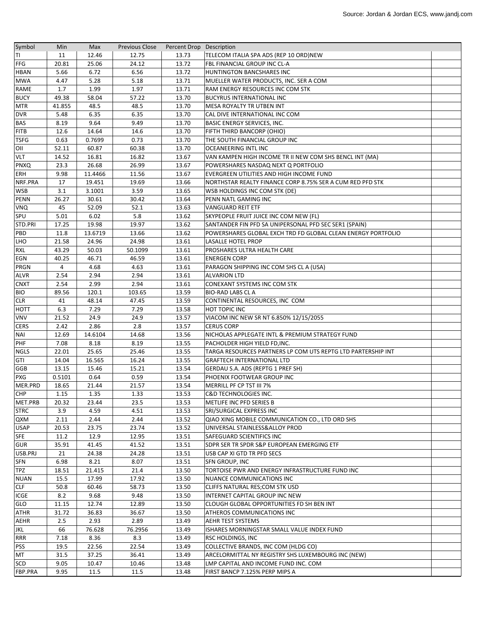| Symbol      | Min    | Max     | <b>Previous Close</b> | Percent Drop Description |                                                              |  |
|-------------|--------|---------|-----------------------|--------------------------|--------------------------------------------------------------|--|
| ΠI          | 11     | 12.46   | 12.75                 | 13.73                    | TELECOM ITALIA SPA ADS (REP 10 ORD)NEW                       |  |
| FFG         | 20.81  | 25.06   | 24.12                 | 13.72                    | FBL FINANCIAL GROUP INC CL-A                                 |  |
| <b>HBAN</b> | 5.66   | 6.72    | 6.56                  | 13.72                    | HUNTINGTON BANCSHARES INC                                    |  |
| <b>MWA</b>  | 4.47   | 5.28    | 5.18                  | 13.71                    | MUELLER WATER PRODUCTS, INC. SER A COM                       |  |
| RAME        | 1.7    | 1.99    | 1.97                  | 13.71                    | RAM ENERGY RESOURCES INC COM STK                             |  |
| <b>BUCY</b> | 49.38  | 58.04   | 57.22                 | 13.70                    | <b>BUCYRUS INTERNATIONAL INC</b>                             |  |
| <b>MTR</b>  | 41.855 | 48.5    | 48.5                  | 13.70                    | MESA ROYALTY TR UTBEN INT                                    |  |
| <b>DVR</b>  | 5.48   | 6.35    | 6.35                  | 13.70                    | CAL DIVE INTERNATIONAL INC COM                               |  |
| <b>BAS</b>  | 8.19   | 9.64    | 9.49                  | 13.70                    | <b>BASIC ENERGY SERVICES, INC.</b>                           |  |
| <b>FITB</b> | 12.6   | 14.64   | 14.6                  | 13.70                    | <b>FIFTH THIRD BANCORP (OHIO)</b>                            |  |
| <b>TSFG</b> | 0.63   | 0.7699  | 0.73                  | 13.70                    | THE SOUTH FINANCIAL GROUP INC                                |  |
| OII         | 52.11  | 60.87   | 60.38                 | 13.70                    | <b>OCEANEERING INTL INC</b>                                  |  |
| <b>VLT</b>  | 14.52  | 16.81   | 16.82                 | 13.67                    | VAN KAMPEN HIGH INCOME TR II NEW COM SHS BENCL INT (MA)      |  |
| <b>PNXQ</b> | 23.3   | 26.68   | 26.99                 | 13.67                    | POWERSHARES NASDAQ NEXT Q PORTFOLIO                          |  |
| ERH         | 9.98   | 11.4466 | 11.56                 | 13.67                    | EVERGREEN UTILITIES AND HIGH INCOME FUND                     |  |
| NRF.PRA     | 17     | 19.451  | 19.69                 | 13.66                    | NORTHSTAR REALTY FINANCE CORP 8.75% SER A CUM RED PFD STK    |  |
| <b>WSB</b>  | 3.1    | 3.1001  | 3.59                  | 13.65                    | WSB HOLDINGS INC COM STK (DE)                                |  |
| <b>PENN</b> | 26.27  | 30.61   | 30.42                 | 13.64                    | PENN NATL GAMING INC                                         |  |
| <b>VNQ</b>  | 45     | 52.09   | 52.1                  | 13.63                    | <b>VANGUARD REIT ETF</b>                                     |  |
| SPU         | 5.01   | 6.02    | 5.8                   | 13.62                    | SKYPEOPLE FRUIT JUICE INC COM NEW (FL)                       |  |
| STD.PRI     | 17.25  | 19.98   | 19.97                 | 13.62                    | SANTANDER FIN PFD SA UNIPERSONAL PFD SEC SER1 (SPAIN)        |  |
| PBD         | 11.8   | 13.6719 | 13.66                 | 13.62                    | POWERSHARES GLOBAL EXCH TRD FD GLOBAL CLEAN ENERGY PORTFOLIO |  |
| LHO         | 21.58  | 24.96   | 24.98                 | 13.61                    | <b>LASALLE HOTEL PROP</b>                                    |  |
| <b>RXL</b>  | 43.29  | 50.03   | 50.1099               | 13.61                    | PROSHARES ULTRA HEALTH CARE                                  |  |
| EGN         | 40.25  | 46.71   | 46.59                 | 13.61                    | <b>ENERGEN CORP</b>                                          |  |
| <b>PRGN</b> | 4      | 4.68    | 4.63                  | 13.61                    | PARAGON SHIPPING INC COM SHS CL A (USA)                      |  |
| <b>ALVR</b> | 2.54   | 2.94    | 2.94                  | 13.61                    | <b>ALVARION LTD</b>                                          |  |
| <b>CNXT</b> | 2.54   | 2.99    | 2.94                  | 13.61                    | CONEXANT SYSTEMS INC COM STK                                 |  |
| <b>BIO</b>  | 89.56  | 120.1   | 103.65                | 13.59                    | <b>BIO-RAD LABS CL A</b>                                     |  |
| <b>CLR</b>  | 41     | 48.14   | 47.45                 | 13.59                    | CONTINENTAL RESOURCES, INC COM                               |  |
| <b>HOTT</b> | 6.3    | 7.29    | 7.29                  | 13.58                    | <b>HOT TOPIC INC</b>                                         |  |
| <b>VNV</b>  | 21.52  | 24.9    | 24.9                  | 13.57                    | VIACOM INC NEW SR NT 6.850% 12/15/2055                       |  |
| <b>CERS</b> | 2.42   | 2.86    | 2.8                   | 13.57                    | <b>CERUS CORP</b>                                            |  |
| <b>NAI</b>  | 12.69  | 14.6104 | 14.68                 | 13.56                    | NICHOLAS APPLEGATE INTL & PREMIUM STRATEGY FUND              |  |
| PHF         | 7.08   | 8.18    | 8.19                  | 13.55                    | PACHOLDER HIGH YIELD FD, INC.                                |  |
| <b>NGLS</b> | 22.01  | 25.65   | 25.46                 | 13.55                    | TARGA RESOURCES PARTNERS LP COM UTS REPTG LTD PARTERSHIP INT |  |
| GTI         | 14.04  | 16.565  | 16.24                 | 13.55                    | <b>GRAFTECH INTERNATIONAL LTD</b>                            |  |
| <b>GGB</b>  | 13.15  | 15.46   | 15.21                 | 13.54                    | GERDAU S.A. ADS (REPTG 1 PREF SH)                            |  |
| <b>PXG</b>  | 0.5101 | 0.64    | 0.59                  | 13.54                    | PHOENIX FOOTWEAR GROUP INC                                   |  |
| MER.PRD     | 18.65  | 21.44   | 21.57                 | 13.54                    | MERRILL PF CP TST III 7%                                     |  |
| <b>CHP</b>  | 1.15   | 1.35    | 1.33                  | 13.53                    | <b>C&amp;D TECHNOLOGIES INC.</b>                             |  |
| MET.PRB     | 20.32  | 23.44   | 23.5                  | 13.53                    | METLIFE INC PFD SERIES B                                     |  |
| <b>STRC</b> | 3.9    | 4.59    | 4.51                  | 13.53                    | SRI/SURGICAL EXPRESS INC                                     |  |
| QXM         | 2.11   | 2.44    | 2.44                  | 13.52                    | QIAO XING MOBILE COMMUNICATION CO., LTD ORD SHS              |  |
| <b>USAP</b> | 20.53  | 23.75   | 23.74                 | 13.52                    | UNIVERSAL STAINLESS&ALLOY PROD                               |  |
| <b>SFE</b>  | 11.2   | 12.9    | 12.95                 | 13.51                    | SAFEGUARD SCIENTIFICS INC                                    |  |
| <b>GUR</b>  | 35.91  | 41.45   | 41.52                 | 13.51                    | SDPR SER TR SPDR S&P EUROPEAN EMERGING ETF                   |  |
| USB.PRJ     | 21     | 24.38   | 24.28                 | 13.51                    | USB CAP XI GTD TR PFD SECS                                   |  |
| <b>SFN</b>  | 6.98   | 8.21    | 8.07                  | 13.51                    | <b>SFN GROUP, INC</b>                                        |  |
| <b>TPZ</b>  | 18.51  | 21.415  | 21.4                  | 13.50                    | TORTOISE PWR AND ENERGY INFRASTRUCTURE FUND INC              |  |
| <b>NUAN</b> | 15.5   | 17.99   | 17.92                 | 13.50                    | NUANCE COMMUNICATIONS INC                                    |  |
| <b>CLF</b>  | 50.8   | 60.46   | 58.73                 | 13.50                    | CLIFFS NATURAL RES;COM STK USD                               |  |
| <b>ICGE</b> | 8.2    | 9.68    | 9.48                  | 13.50                    | INTERNET CAPITAL GROUP INC NEW                               |  |
| GLO         | 11.15  | 12.74   | 12.89                 | 13.50                    | CLOUGH GLOBAL OPPORTUNITIES FD SH BEN INT                    |  |
| <b>ATHR</b> | 31.72  | 36.83   | 36.67                 | 13.50                    | <b>ATHEROS COMMUNICATIONS INC</b>                            |  |
| <b>AEHR</b> | 2.5    | 2.93    | 2.89                  | 13.49                    | <b>AEHR TEST SYSTEMS</b>                                     |  |
| JKL         | 66     | 76.628  | 76.2956               | 13.49                    | ISHARES MORNINGSTAR SMALL VALUE INDEX FUND                   |  |
| <b>RRR</b>  | 7.18   | 8.36    | 8.3                   | 13.49                    | <b>RSC HOLDINGS, INC</b>                                     |  |
| <b>PSS</b>  | 19.5   | 22.56   | 22.54                 | 13.49                    | COLLECTIVE BRANDS, INC COM (HLDG CO)                         |  |
| MT          | 31.5   | 37.25   | 36.41                 | 13.49                    | ARCELORMITTAL NY REGISTRY SHS LUXEMBOURG INC (NEW)           |  |
| SCD         | 9.05   | 10.47   | 10.46                 | 13.48                    | LMP CAPITAL AND INCOME FUND INC. COM                         |  |
| FBP.PRA     | 9.95   | 11.5    | 11.5                  | 13.48                    | FIRST BANCP 7.125% PERP MIPS A                               |  |
|             |        |         |                       |                          |                                                              |  |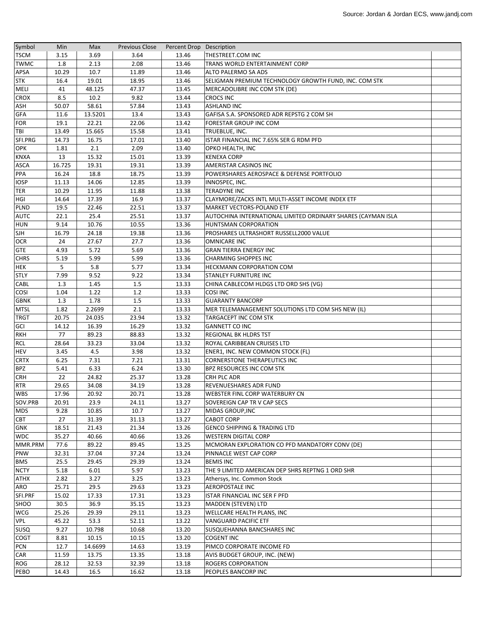| 3.15<br>3.69<br>3.64<br>13.46<br>THESTREET.COM INC<br>1.8<br>2.13<br>2.08<br>13.46<br>TRANS WORLD ENTERTAINMENT CORP<br>10.7<br>10.29<br>11.89<br>13.46<br>APSA<br>ALTO PALERMO SA ADS<br>13.46<br>16.4<br>19.01<br>18.95<br>SELIGMAN PREMIUM TECHNOLOGY GROWTH FUND, INC. COM STK<br>41<br>48.125<br>47.37<br>13.45<br>MERCADOLIBRE INC COM STK (DE)<br>8.5<br>10.2<br>9.82<br>13.44<br><b>CROCS INC</b><br>50.07<br>58.61<br>13.43<br>57.84<br><b>ASHLAND INC</b><br>11.6<br>13.5201<br>13.4<br>13.43<br>GAFISA S.A. SPONSORED ADR REPSTG 2 COM SH<br>19.1<br>22.21<br>13.42<br>22.06<br>FORESTAR GROUP INC COM<br>15.665<br>15.58<br>13.49<br>13.41<br>TRUEBLUE, INC.<br>16.75<br>14.73<br>17.01<br>13.40<br>ISTAR FINANCIAL INC 7.65% SER G RDM PFD<br>2.1<br>2.09<br>1.81<br>13.40<br>OPKO HEALTH, INC<br>13<br>15.32<br>15.01<br>13.39<br><b>KENEXA CORP</b><br>16.725<br>19.31<br>19.31<br>13.39<br>AMERISTAR CASINOS INC<br>16.24<br>18.8<br>18.75<br>13.39<br>POWERSHARES AEROSPACE & DEFENSE PORTFOLIO<br>14.06<br>11.13<br>12.85<br>13.39<br>INNOSPEC, INC.<br>10.29<br>11.95<br>13.38<br>11.88<br><b>TERADYNE INC</b><br>14.64<br>17.39<br>16.9<br>13.37<br>CLAYMORE/ZACKS INTL MULTI-ASSET INCOME INDEX ETF<br>19.5<br>22.46<br>22.51<br>13.37<br>MARKET VECTORS-POLAND ETF<br>22.1<br>25.4<br>25.51<br>13.37<br>AUTOCHINA INTERNATIONAL LIMITED ORDINARY SHARES (CAYMAN ISLA<br>9.14<br>10.76<br>10.55<br>13.36<br>HUNTSMAN CORPORATION<br>24.18<br>19.38<br>13.36<br>PROSHARES ULTRASHORT RUSSELL2000 VALUE<br>16.79<br>24<br>27.67<br>27.7<br>13.36<br><b>OMNICARE INC</b><br>5.72<br>4.93<br>13.36<br>5.69<br><b>GRAN TIERRA ENERGY INC</b><br><b>CHRS</b><br>5.19<br>5.99<br>5.99<br>13.36<br><b>CHARMING SHOPPES INC</b><br>5<br>5.8<br>5.77<br>13.34<br>HECKMANN CORPORATION COM<br>7.99<br>9.52<br>13.34<br>9.22<br>STANLEY FURNITURE INC<br>1.3<br>1.45<br>1.5<br>13.33<br>CABL<br>CHINA CABLECOM HLDGS LTD ORD SHS (VG)<br>1.04<br>1.22<br>1.2<br>13.33<br><b>COSI INC</b><br>1.3<br>1.78<br>1.5<br>13.33<br><b>GUARANTY BANCORP</b><br>2.2699<br>1.82<br>2.1<br>MER TELEMANAGEMENT SOLUTIONS LTD COM SHS NEW (IL)<br>13.33<br>20.75<br>24.035<br>23.94<br>13.32<br>TARGACEPT INC COM STK<br>14.12<br>16.39<br>16.29<br>13.32<br><b>GANNETT CO INC</b><br>77<br>89.23<br>88.83<br>13.32<br><b>REGIONAL BK HLDRS TST</b><br>28.64<br>33.23<br>13.32<br>33.04<br>ROYAL CARIBBEAN CRUISES LTD<br>3.45<br>4.5<br>3.98<br>13.32<br>ENER1, INC. NEW COMMON STOCK (FL)<br>6.25<br>7.31<br>7.21<br>13.31<br><b>CORNERSTONE THERAPEUTICS INC</b><br>5.41<br>6.33<br>6.24<br>13.30<br>BPZ RESOURCES INC COM STK<br>22<br>24.82<br>25.37<br>13.28<br>CRH PLC ADR<br>29.65<br>34.08<br><b>REVENUESHARES ADR FUND</b><br>34.19<br>13.28<br>20.92<br>20.71<br>17.96<br>13.28<br>WEBSTER FINL CORP WATERBURY CN<br>23.9<br>13.27<br>SOVEREIGN CAP TR V CAP SECS<br>20.91<br>24.11<br>10.7<br>13.27<br>9.28<br>10.85<br>MIDAS GROUP, INC<br>27<br>31.39<br>13.27<br>31.13<br><b>CABOT CORP</b><br>13.26<br>18.51<br>21.43<br>21.34<br><b>GENCO SHIPPING &amp; TRADING LTD</b><br>35.27<br>40.66<br>40.66<br>13.26<br><b>WESTERN DIGITAL CORP</b><br>89.22<br>77.6<br>89.45<br>13.25<br>MCMORAN EXPLORATION CO PFD MANDATORY CONV (DE)<br>37.24<br>32.31<br>37.04<br>13.24<br>PINNACLE WEST CAP CORP<br>13.24<br>25.5<br>29.45<br>29.39<br><b>BEMIS INC</b><br>5.18<br>6.01<br>5.97<br>13.23<br>THE 9 LIMITED AMERICAN DEP SHRS REPTNG 1 ORD SHR<br>2.82<br>3.27<br>3.25<br>13.23<br>Athersys, Inc. Common Stock<br>25.71<br>29.5<br>29.63<br>13.23<br>AEROPOSTALE INC<br>13.23<br>15.02<br>17.33<br>17.31<br>ISTAR FINANCIAL INC SER F PFD<br>30.5<br>36.9<br>35.15<br>13.23<br><b>MADDEN (STEVEN) LTD</b><br>13.23<br>25.26<br>29.39<br>29.11<br>WELLCARE HEALTH PLANS, INC<br>53.3<br>45.22<br>52.11<br>13.22<br>VANGUARD PACIFIC ETF<br>9.27<br>10.798<br>10.68<br>13.20<br>SUSQUEHANNA BANCSHARES INC<br>8.81<br>10.15<br>10.15<br>13.20<br><b>COGENT INC</b><br>12.7<br>14.6699<br>14.63<br>13.19<br>PIMCO CORPORATE INCOME FD<br>11.59<br>13.75<br>13.35<br>13.18<br>AVIS BUDGET GROUP, INC. (NEW)<br>28.12<br>32.53<br>32.39<br>13.18<br>ROGERS CORPORATION<br>14.43<br>16.5<br>16.62<br>13.18<br>PEOPLES BANCORP INC | Symbol      | Min | Max | <b>Previous Close</b> | Percent Drop Description |  |
|-------------------------------------------------------------------------------------------------------------------------------------------------------------------------------------------------------------------------------------------------------------------------------------------------------------------------------------------------------------------------------------------------------------------------------------------------------------------------------------------------------------------------------------------------------------------------------------------------------------------------------------------------------------------------------------------------------------------------------------------------------------------------------------------------------------------------------------------------------------------------------------------------------------------------------------------------------------------------------------------------------------------------------------------------------------------------------------------------------------------------------------------------------------------------------------------------------------------------------------------------------------------------------------------------------------------------------------------------------------------------------------------------------------------------------------------------------------------------------------------------------------------------------------------------------------------------------------------------------------------------------------------------------------------------------------------------------------------------------------------------------------------------------------------------------------------------------------------------------------------------------------------------------------------------------------------------------------------------------------------------------------------------------------------------------------------------------------------------------------------------------------------------------------------------------------------------------------------------------------------------------------------------------------------------------------------------------------------------------------------------------------------------------------------------------------------------------------------------------------------------------------------------------------------------------------------------------------------------------------------------------------------------------------------------------------------------------------------------------------------------------------------------------------------------------------------------------------------------------------------------------------------------------------------------------------------------------------------------------------------------------------------------------------------------------------------------------------------------------------------------------------------------------------------------------------------------------------------------------------------------------------------------------------------------------------------------------------------------------------------------------------------------------------------------------------------------------------------------------------------------------------------------------------------------------------------------------------------------------------------------------------------------------------------------------------------------------------------------------------------------------------------------------------------------------------------------------------------------------------------------------------------------------------------------------------------------------------------------------------------------------------------------------------------------------------------------------------------------------------------------------------------------------------------------------------------------------------------------------------|-------------|-----|-----|-----------------------|--------------------------|--|
|                                                                                                                                                                                                                                                                                                                                                                                                                                                                                                                                                                                                                                                                                                                                                                                                                                                                                                                                                                                                                                                                                                                                                                                                                                                                                                                                                                                                                                                                                                                                                                                                                                                                                                                                                                                                                                                                                                                                                                                                                                                                                                                                                                                                                                                                                                                                                                                                                                                                                                                                                                                                                                                                                                                                                                                                                                                                                                                                                                                                                                                                                                                                                                                                                                                                                                                                                                                                                                                                                                                                                                                                                                                                                                                                                                                                                                                                                                                                                                                                                                                                                                                                                                                                                                     | <b>TSCM</b> |     |     |                       |                          |  |
|                                                                                                                                                                                                                                                                                                                                                                                                                                                                                                                                                                                                                                                                                                                                                                                                                                                                                                                                                                                                                                                                                                                                                                                                                                                                                                                                                                                                                                                                                                                                                                                                                                                                                                                                                                                                                                                                                                                                                                                                                                                                                                                                                                                                                                                                                                                                                                                                                                                                                                                                                                                                                                                                                                                                                                                                                                                                                                                                                                                                                                                                                                                                                                                                                                                                                                                                                                                                                                                                                                                                                                                                                                                                                                                                                                                                                                                                                                                                                                                                                                                                                                                                                                                                                                     | <b>TWMC</b> |     |     |                       |                          |  |
|                                                                                                                                                                                                                                                                                                                                                                                                                                                                                                                                                                                                                                                                                                                                                                                                                                                                                                                                                                                                                                                                                                                                                                                                                                                                                                                                                                                                                                                                                                                                                                                                                                                                                                                                                                                                                                                                                                                                                                                                                                                                                                                                                                                                                                                                                                                                                                                                                                                                                                                                                                                                                                                                                                                                                                                                                                                                                                                                                                                                                                                                                                                                                                                                                                                                                                                                                                                                                                                                                                                                                                                                                                                                                                                                                                                                                                                                                                                                                                                                                                                                                                                                                                                                                                     |             |     |     |                       |                          |  |
|                                                                                                                                                                                                                                                                                                                                                                                                                                                                                                                                                                                                                                                                                                                                                                                                                                                                                                                                                                                                                                                                                                                                                                                                                                                                                                                                                                                                                                                                                                                                                                                                                                                                                                                                                                                                                                                                                                                                                                                                                                                                                                                                                                                                                                                                                                                                                                                                                                                                                                                                                                                                                                                                                                                                                                                                                                                                                                                                                                                                                                                                                                                                                                                                                                                                                                                                                                                                                                                                                                                                                                                                                                                                                                                                                                                                                                                                                                                                                                                                                                                                                                                                                                                                                                     | <b>STK</b>  |     |     |                       |                          |  |
|                                                                                                                                                                                                                                                                                                                                                                                                                                                                                                                                                                                                                                                                                                                                                                                                                                                                                                                                                                                                                                                                                                                                                                                                                                                                                                                                                                                                                                                                                                                                                                                                                                                                                                                                                                                                                                                                                                                                                                                                                                                                                                                                                                                                                                                                                                                                                                                                                                                                                                                                                                                                                                                                                                                                                                                                                                                                                                                                                                                                                                                                                                                                                                                                                                                                                                                                                                                                                                                                                                                                                                                                                                                                                                                                                                                                                                                                                                                                                                                                                                                                                                                                                                                                                                     | MELI        |     |     |                       |                          |  |
|                                                                                                                                                                                                                                                                                                                                                                                                                                                                                                                                                                                                                                                                                                                                                                                                                                                                                                                                                                                                                                                                                                                                                                                                                                                                                                                                                                                                                                                                                                                                                                                                                                                                                                                                                                                                                                                                                                                                                                                                                                                                                                                                                                                                                                                                                                                                                                                                                                                                                                                                                                                                                                                                                                                                                                                                                                                                                                                                                                                                                                                                                                                                                                                                                                                                                                                                                                                                                                                                                                                                                                                                                                                                                                                                                                                                                                                                                                                                                                                                                                                                                                                                                                                                                                     | CROX        |     |     |                       |                          |  |
|                                                                                                                                                                                                                                                                                                                                                                                                                                                                                                                                                                                                                                                                                                                                                                                                                                                                                                                                                                                                                                                                                                                                                                                                                                                                                                                                                                                                                                                                                                                                                                                                                                                                                                                                                                                                                                                                                                                                                                                                                                                                                                                                                                                                                                                                                                                                                                                                                                                                                                                                                                                                                                                                                                                                                                                                                                                                                                                                                                                                                                                                                                                                                                                                                                                                                                                                                                                                                                                                                                                                                                                                                                                                                                                                                                                                                                                                                                                                                                                                                                                                                                                                                                                                                                     | ASH         |     |     |                       |                          |  |
|                                                                                                                                                                                                                                                                                                                                                                                                                                                                                                                                                                                                                                                                                                                                                                                                                                                                                                                                                                                                                                                                                                                                                                                                                                                                                                                                                                                                                                                                                                                                                                                                                                                                                                                                                                                                                                                                                                                                                                                                                                                                                                                                                                                                                                                                                                                                                                                                                                                                                                                                                                                                                                                                                                                                                                                                                                                                                                                                                                                                                                                                                                                                                                                                                                                                                                                                                                                                                                                                                                                                                                                                                                                                                                                                                                                                                                                                                                                                                                                                                                                                                                                                                                                                                                     | <b>GFA</b>  |     |     |                       |                          |  |
|                                                                                                                                                                                                                                                                                                                                                                                                                                                                                                                                                                                                                                                                                                                                                                                                                                                                                                                                                                                                                                                                                                                                                                                                                                                                                                                                                                                                                                                                                                                                                                                                                                                                                                                                                                                                                                                                                                                                                                                                                                                                                                                                                                                                                                                                                                                                                                                                                                                                                                                                                                                                                                                                                                                                                                                                                                                                                                                                                                                                                                                                                                                                                                                                                                                                                                                                                                                                                                                                                                                                                                                                                                                                                                                                                                                                                                                                                                                                                                                                                                                                                                                                                                                                                                     | <b>FOR</b>  |     |     |                       |                          |  |
|                                                                                                                                                                                                                                                                                                                                                                                                                                                                                                                                                                                                                                                                                                                                                                                                                                                                                                                                                                                                                                                                                                                                                                                                                                                                                                                                                                                                                                                                                                                                                                                                                                                                                                                                                                                                                                                                                                                                                                                                                                                                                                                                                                                                                                                                                                                                                                                                                                                                                                                                                                                                                                                                                                                                                                                                                                                                                                                                                                                                                                                                                                                                                                                                                                                                                                                                                                                                                                                                                                                                                                                                                                                                                                                                                                                                                                                                                                                                                                                                                                                                                                                                                                                                                                     | TBI         |     |     |                       |                          |  |
|                                                                                                                                                                                                                                                                                                                                                                                                                                                                                                                                                                                                                                                                                                                                                                                                                                                                                                                                                                                                                                                                                                                                                                                                                                                                                                                                                                                                                                                                                                                                                                                                                                                                                                                                                                                                                                                                                                                                                                                                                                                                                                                                                                                                                                                                                                                                                                                                                                                                                                                                                                                                                                                                                                                                                                                                                                                                                                                                                                                                                                                                                                                                                                                                                                                                                                                                                                                                                                                                                                                                                                                                                                                                                                                                                                                                                                                                                                                                                                                                                                                                                                                                                                                                                                     | SFI.PRG     |     |     |                       |                          |  |
|                                                                                                                                                                                                                                                                                                                                                                                                                                                                                                                                                                                                                                                                                                                                                                                                                                                                                                                                                                                                                                                                                                                                                                                                                                                                                                                                                                                                                                                                                                                                                                                                                                                                                                                                                                                                                                                                                                                                                                                                                                                                                                                                                                                                                                                                                                                                                                                                                                                                                                                                                                                                                                                                                                                                                                                                                                                                                                                                                                                                                                                                                                                                                                                                                                                                                                                                                                                                                                                                                                                                                                                                                                                                                                                                                                                                                                                                                                                                                                                                                                                                                                                                                                                                                                     | <b>OPK</b>  |     |     |                       |                          |  |
|                                                                                                                                                                                                                                                                                                                                                                                                                                                                                                                                                                                                                                                                                                                                                                                                                                                                                                                                                                                                                                                                                                                                                                                                                                                                                                                                                                                                                                                                                                                                                                                                                                                                                                                                                                                                                                                                                                                                                                                                                                                                                                                                                                                                                                                                                                                                                                                                                                                                                                                                                                                                                                                                                                                                                                                                                                                                                                                                                                                                                                                                                                                                                                                                                                                                                                                                                                                                                                                                                                                                                                                                                                                                                                                                                                                                                                                                                                                                                                                                                                                                                                                                                                                                                                     | <b>KNXA</b> |     |     |                       |                          |  |
|                                                                                                                                                                                                                                                                                                                                                                                                                                                                                                                                                                                                                                                                                                                                                                                                                                                                                                                                                                                                                                                                                                                                                                                                                                                                                                                                                                                                                                                                                                                                                                                                                                                                                                                                                                                                                                                                                                                                                                                                                                                                                                                                                                                                                                                                                                                                                                                                                                                                                                                                                                                                                                                                                                                                                                                                                                                                                                                                                                                                                                                                                                                                                                                                                                                                                                                                                                                                                                                                                                                                                                                                                                                                                                                                                                                                                                                                                                                                                                                                                                                                                                                                                                                                                                     | <b>ASCA</b> |     |     |                       |                          |  |
|                                                                                                                                                                                                                                                                                                                                                                                                                                                                                                                                                                                                                                                                                                                                                                                                                                                                                                                                                                                                                                                                                                                                                                                                                                                                                                                                                                                                                                                                                                                                                                                                                                                                                                                                                                                                                                                                                                                                                                                                                                                                                                                                                                                                                                                                                                                                                                                                                                                                                                                                                                                                                                                                                                                                                                                                                                                                                                                                                                                                                                                                                                                                                                                                                                                                                                                                                                                                                                                                                                                                                                                                                                                                                                                                                                                                                                                                                                                                                                                                                                                                                                                                                                                                                                     | PPA         |     |     |                       |                          |  |
|                                                                                                                                                                                                                                                                                                                                                                                                                                                                                                                                                                                                                                                                                                                                                                                                                                                                                                                                                                                                                                                                                                                                                                                                                                                                                                                                                                                                                                                                                                                                                                                                                                                                                                                                                                                                                                                                                                                                                                                                                                                                                                                                                                                                                                                                                                                                                                                                                                                                                                                                                                                                                                                                                                                                                                                                                                                                                                                                                                                                                                                                                                                                                                                                                                                                                                                                                                                                                                                                                                                                                                                                                                                                                                                                                                                                                                                                                                                                                                                                                                                                                                                                                                                                                                     | <b>IOSP</b> |     |     |                       |                          |  |
|                                                                                                                                                                                                                                                                                                                                                                                                                                                                                                                                                                                                                                                                                                                                                                                                                                                                                                                                                                                                                                                                                                                                                                                                                                                                                                                                                                                                                                                                                                                                                                                                                                                                                                                                                                                                                                                                                                                                                                                                                                                                                                                                                                                                                                                                                                                                                                                                                                                                                                                                                                                                                                                                                                                                                                                                                                                                                                                                                                                                                                                                                                                                                                                                                                                                                                                                                                                                                                                                                                                                                                                                                                                                                                                                                                                                                                                                                                                                                                                                                                                                                                                                                                                                                                     | TER         |     |     |                       |                          |  |
|                                                                                                                                                                                                                                                                                                                                                                                                                                                                                                                                                                                                                                                                                                                                                                                                                                                                                                                                                                                                                                                                                                                                                                                                                                                                                                                                                                                                                                                                                                                                                                                                                                                                                                                                                                                                                                                                                                                                                                                                                                                                                                                                                                                                                                                                                                                                                                                                                                                                                                                                                                                                                                                                                                                                                                                                                                                                                                                                                                                                                                                                                                                                                                                                                                                                                                                                                                                                                                                                                                                                                                                                                                                                                                                                                                                                                                                                                                                                                                                                                                                                                                                                                                                                                                     | HGI         |     |     |                       |                          |  |
|                                                                                                                                                                                                                                                                                                                                                                                                                                                                                                                                                                                                                                                                                                                                                                                                                                                                                                                                                                                                                                                                                                                                                                                                                                                                                                                                                                                                                                                                                                                                                                                                                                                                                                                                                                                                                                                                                                                                                                                                                                                                                                                                                                                                                                                                                                                                                                                                                                                                                                                                                                                                                                                                                                                                                                                                                                                                                                                                                                                                                                                                                                                                                                                                                                                                                                                                                                                                                                                                                                                                                                                                                                                                                                                                                                                                                                                                                                                                                                                                                                                                                                                                                                                                                                     | PLND        |     |     |                       |                          |  |
|                                                                                                                                                                                                                                                                                                                                                                                                                                                                                                                                                                                                                                                                                                                                                                                                                                                                                                                                                                                                                                                                                                                                                                                                                                                                                                                                                                                                                                                                                                                                                                                                                                                                                                                                                                                                                                                                                                                                                                                                                                                                                                                                                                                                                                                                                                                                                                                                                                                                                                                                                                                                                                                                                                                                                                                                                                                                                                                                                                                                                                                                                                                                                                                                                                                                                                                                                                                                                                                                                                                                                                                                                                                                                                                                                                                                                                                                                                                                                                                                                                                                                                                                                                                                                                     | <b>AUTC</b> |     |     |                       |                          |  |
|                                                                                                                                                                                                                                                                                                                                                                                                                                                                                                                                                                                                                                                                                                                                                                                                                                                                                                                                                                                                                                                                                                                                                                                                                                                                                                                                                                                                                                                                                                                                                                                                                                                                                                                                                                                                                                                                                                                                                                                                                                                                                                                                                                                                                                                                                                                                                                                                                                                                                                                                                                                                                                                                                                                                                                                                                                                                                                                                                                                                                                                                                                                                                                                                                                                                                                                                                                                                                                                                                                                                                                                                                                                                                                                                                                                                                                                                                                                                                                                                                                                                                                                                                                                                                                     | <b>HUN</b>  |     |     |                       |                          |  |
|                                                                                                                                                                                                                                                                                                                                                                                                                                                                                                                                                                                                                                                                                                                                                                                                                                                                                                                                                                                                                                                                                                                                                                                                                                                                                                                                                                                                                                                                                                                                                                                                                                                                                                                                                                                                                                                                                                                                                                                                                                                                                                                                                                                                                                                                                                                                                                                                                                                                                                                                                                                                                                                                                                                                                                                                                                                                                                                                                                                                                                                                                                                                                                                                                                                                                                                                                                                                                                                                                                                                                                                                                                                                                                                                                                                                                                                                                                                                                                                                                                                                                                                                                                                                                                     | <b>SJH</b>  |     |     |                       |                          |  |
|                                                                                                                                                                                                                                                                                                                                                                                                                                                                                                                                                                                                                                                                                                                                                                                                                                                                                                                                                                                                                                                                                                                                                                                                                                                                                                                                                                                                                                                                                                                                                                                                                                                                                                                                                                                                                                                                                                                                                                                                                                                                                                                                                                                                                                                                                                                                                                                                                                                                                                                                                                                                                                                                                                                                                                                                                                                                                                                                                                                                                                                                                                                                                                                                                                                                                                                                                                                                                                                                                                                                                                                                                                                                                                                                                                                                                                                                                                                                                                                                                                                                                                                                                                                                                                     | <b>OCR</b>  |     |     |                       |                          |  |
|                                                                                                                                                                                                                                                                                                                                                                                                                                                                                                                                                                                                                                                                                                                                                                                                                                                                                                                                                                                                                                                                                                                                                                                                                                                                                                                                                                                                                                                                                                                                                                                                                                                                                                                                                                                                                                                                                                                                                                                                                                                                                                                                                                                                                                                                                                                                                                                                                                                                                                                                                                                                                                                                                                                                                                                                                                                                                                                                                                                                                                                                                                                                                                                                                                                                                                                                                                                                                                                                                                                                                                                                                                                                                                                                                                                                                                                                                                                                                                                                                                                                                                                                                                                                                                     | <b>GTE</b>  |     |     |                       |                          |  |
|                                                                                                                                                                                                                                                                                                                                                                                                                                                                                                                                                                                                                                                                                                                                                                                                                                                                                                                                                                                                                                                                                                                                                                                                                                                                                                                                                                                                                                                                                                                                                                                                                                                                                                                                                                                                                                                                                                                                                                                                                                                                                                                                                                                                                                                                                                                                                                                                                                                                                                                                                                                                                                                                                                                                                                                                                                                                                                                                                                                                                                                                                                                                                                                                                                                                                                                                                                                                                                                                                                                                                                                                                                                                                                                                                                                                                                                                                                                                                                                                                                                                                                                                                                                                                                     |             |     |     |                       |                          |  |
|                                                                                                                                                                                                                                                                                                                                                                                                                                                                                                                                                                                                                                                                                                                                                                                                                                                                                                                                                                                                                                                                                                                                                                                                                                                                                                                                                                                                                                                                                                                                                                                                                                                                                                                                                                                                                                                                                                                                                                                                                                                                                                                                                                                                                                                                                                                                                                                                                                                                                                                                                                                                                                                                                                                                                                                                                                                                                                                                                                                                                                                                                                                                                                                                                                                                                                                                                                                                                                                                                                                                                                                                                                                                                                                                                                                                                                                                                                                                                                                                                                                                                                                                                                                                                                     | <b>HEK</b>  |     |     |                       |                          |  |
|                                                                                                                                                                                                                                                                                                                                                                                                                                                                                                                                                                                                                                                                                                                                                                                                                                                                                                                                                                                                                                                                                                                                                                                                                                                                                                                                                                                                                                                                                                                                                                                                                                                                                                                                                                                                                                                                                                                                                                                                                                                                                                                                                                                                                                                                                                                                                                                                                                                                                                                                                                                                                                                                                                                                                                                                                                                                                                                                                                                                                                                                                                                                                                                                                                                                                                                                                                                                                                                                                                                                                                                                                                                                                                                                                                                                                                                                                                                                                                                                                                                                                                                                                                                                                                     | <b>STLY</b> |     |     |                       |                          |  |
|                                                                                                                                                                                                                                                                                                                                                                                                                                                                                                                                                                                                                                                                                                                                                                                                                                                                                                                                                                                                                                                                                                                                                                                                                                                                                                                                                                                                                                                                                                                                                                                                                                                                                                                                                                                                                                                                                                                                                                                                                                                                                                                                                                                                                                                                                                                                                                                                                                                                                                                                                                                                                                                                                                                                                                                                                                                                                                                                                                                                                                                                                                                                                                                                                                                                                                                                                                                                                                                                                                                                                                                                                                                                                                                                                                                                                                                                                                                                                                                                                                                                                                                                                                                                                                     |             |     |     |                       |                          |  |
|                                                                                                                                                                                                                                                                                                                                                                                                                                                                                                                                                                                                                                                                                                                                                                                                                                                                                                                                                                                                                                                                                                                                                                                                                                                                                                                                                                                                                                                                                                                                                                                                                                                                                                                                                                                                                                                                                                                                                                                                                                                                                                                                                                                                                                                                                                                                                                                                                                                                                                                                                                                                                                                                                                                                                                                                                                                                                                                                                                                                                                                                                                                                                                                                                                                                                                                                                                                                                                                                                                                                                                                                                                                                                                                                                                                                                                                                                                                                                                                                                                                                                                                                                                                                                                     | <b>COSI</b> |     |     |                       |                          |  |
|                                                                                                                                                                                                                                                                                                                                                                                                                                                                                                                                                                                                                                                                                                                                                                                                                                                                                                                                                                                                                                                                                                                                                                                                                                                                                                                                                                                                                                                                                                                                                                                                                                                                                                                                                                                                                                                                                                                                                                                                                                                                                                                                                                                                                                                                                                                                                                                                                                                                                                                                                                                                                                                                                                                                                                                                                                                                                                                                                                                                                                                                                                                                                                                                                                                                                                                                                                                                                                                                                                                                                                                                                                                                                                                                                                                                                                                                                                                                                                                                                                                                                                                                                                                                                                     | <b>GBNK</b> |     |     |                       |                          |  |
|                                                                                                                                                                                                                                                                                                                                                                                                                                                                                                                                                                                                                                                                                                                                                                                                                                                                                                                                                                                                                                                                                                                                                                                                                                                                                                                                                                                                                                                                                                                                                                                                                                                                                                                                                                                                                                                                                                                                                                                                                                                                                                                                                                                                                                                                                                                                                                                                                                                                                                                                                                                                                                                                                                                                                                                                                                                                                                                                                                                                                                                                                                                                                                                                                                                                                                                                                                                                                                                                                                                                                                                                                                                                                                                                                                                                                                                                                                                                                                                                                                                                                                                                                                                                                                     | <b>MTSL</b> |     |     |                       |                          |  |
|                                                                                                                                                                                                                                                                                                                                                                                                                                                                                                                                                                                                                                                                                                                                                                                                                                                                                                                                                                                                                                                                                                                                                                                                                                                                                                                                                                                                                                                                                                                                                                                                                                                                                                                                                                                                                                                                                                                                                                                                                                                                                                                                                                                                                                                                                                                                                                                                                                                                                                                                                                                                                                                                                                                                                                                                                                                                                                                                                                                                                                                                                                                                                                                                                                                                                                                                                                                                                                                                                                                                                                                                                                                                                                                                                                                                                                                                                                                                                                                                                                                                                                                                                                                                                                     | <b>TRGT</b> |     |     |                       |                          |  |
|                                                                                                                                                                                                                                                                                                                                                                                                                                                                                                                                                                                                                                                                                                                                                                                                                                                                                                                                                                                                                                                                                                                                                                                                                                                                                                                                                                                                                                                                                                                                                                                                                                                                                                                                                                                                                                                                                                                                                                                                                                                                                                                                                                                                                                                                                                                                                                                                                                                                                                                                                                                                                                                                                                                                                                                                                                                                                                                                                                                                                                                                                                                                                                                                                                                                                                                                                                                                                                                                                                                                                                                                                                                                                                                                                                                                                                                                                                                                                                                                                                                                                                                                                                                                                                     | <b>GCI</b>  |     |     |                       |                          |  |
|                                                                                                                                                                                                                                                                                                                                                                                                                                                                                                                                                                                                                                                                                                                                                                                                                                                                                                                                                                                                                                                                                                                                                                                                                                                                                                                                                                                                                                                                                                                                                                                                                                                                                                                                                                                                                                                                                                                                                                                                                                                                                                                                                                                                                                                                                                                                                                                                                                                                                                                                                                                                                                                                                                                                                                                                                                                                                                                                                                                                                                                                                                                                                                                                                                                                                                                                                                                                                                                                                                                                                                                                                                                                                                                                                                                                                                                                                                                                                                                                                                                                                                                                                                                                                                     | <b>RKH</b>  |     |     |                       |                          |  |
|                                                                                                                                                                                                                                                                                                                                                                                                                                                                                                                                                                                                                                                                                                                                                                                                                                                                                                                                                                                                                                                                                                                                                                                                                                                                                                                                                                                                                                                                                                                                                                                                                                                                                                                                                                                                                                                                                                                                                                                                                                                                                                                                                                                                                                                                                                                                                                                                                                                                                                                                                                                                                                                                                                                                                                                                                                                                                                                                                                                                                                                                                                                                                                                                                                                                                                                                                                                                                                                                                                                                                                                                                                                                                                                                                                                                                                                                                                                                                                                                                                                                                                                                                                                                                                     | <b>RCL</b>  |     |     |                       |                          |  |
|                                                                                                                                                                                                                                                                                                                                                                                                                                                                                                                                                                                                                                                                                                                                                                                                                                                                                                                                                                                                                                                                                                                                                                                                                                                                                                                                                                                                                                                                                                                                                                                                                                                                                                                                                                                                                                                                                                                                                                                                                                                                                                                                                                                                                                                                                                                                                                                                                                                                                                                                                                                                                                                                                                                                                                                                                                                                                                                                                                                                                                                                                                                                                                                                                                                                                                                                                                                                                                                                                                                                                                                                                                                                                                                                                                                                                                                                                                                                                                                                                                                                                                                                                                                                                                     | <b>HEV</b>  |     |     |                       |                          |  |
|                                                                                                                                                                                                                                                                                                                                                                                                                                                                                                                                                                                                                                                                                                                                                                                                                                                                                                                                                                                                                                                                                                                                                                                                                                                                                                                                                                                                                                                                                                                                                                                                                                                                                                                                                                                                                                                                                                                                                                                                                                                                                                                                                                                                                                                                                                                                                                                                                                                                                                                                                                                                                                                                                                                                                                                                                                                                                                                                                                                                                                                                                                                                                                                                                                                                                                                                                                                                                                                                                                                                                                                                                                                                                                                                                                                                                                                                                                                                                                                                                                                                                                                                                                                                                                     | <b>CRTX</b> |     |     |                       |                          |  |
|                                                                                                                                                                                                                                                                                                                                                                                                                                                                                                                                                                                                                                                                                                                                                                                                                                                                                                                                                                                                                                                                                                                                                                                                                                                                                                                                                                                                                                                                                                                                                                                                                                                                                                                                                                                                                                                                                                                                                                                                                                                                                                                                                                                                                                                                                                                                                                                                                                                                                                                                                                                                                                                                                                                                                                                                                                                                                                                                                                                                                                                                                                                                                                                                                                                                                                                                                                                                                                                                                                                                                                                                                                                                                                                                                                                                                                                                                                                                                                                                                                                                                                                                                                                                                                     | <b>BPZ</b>  |     |     |                       |                          |  |
|                                                                                                                                                                                                                                                                                                                                                                                                                                                                                                                                                                                                                                                                                                                                                                                                                                                                                                                                                                                                                                                                                                                                                                                                                                                                                                                                                                                                                                                                                                                                                                                                                                                                                                                                                                                                                                                                                                                                                                                                                                                                                                                                                                                                                                                                                                                                                                                                                                                                                                                                                                                                                                                                                                                                                                                                                                                                                                                                                                                                                                                                                                                                                                                                                                                                                                                                                                                                                                                                                                                                                                                                                                                                                                                                                                                                                                                                                                                                                                                                                                                                                                                                                                                                                                     | <b>CRH</b>  |     |     |                       |                          |  |
|                                                                                                                                                                                                                                                                                                                                                                                                                                                                                                                                                                                                                                                                                                                                                                                                                                                                                                                                                                                                                                                                                                                                                                                                                                                                                                                                                                                                                                                                                                                                                                                                                                                                                                                                                                                                                                                                                                                                                                                                                                                                                                                                                                                                                                                                                                                                                                                                                                                                                                                                                                                                                                                                                                                                                                                                                                                                                                                                                                                                                                                                                                                                                                                                                                                                                                                                                                                                                                                                                                                                                                                                                                                                                                                                                                                                                                                                                                                                                                                                                                                                                                                                                                                                                                     | <b>RTR</b>  |     |     |                       |                          |  |
|                                                                                                                                                                                                                                                                                                                                                                                                                                                                                                                                                                                                                                                                                                                                                                                                                                                                                                                                                                                                                                                                                                                                                                                                                                                                                                                                                                                                                                                                                                                                                                                                                                                                                                                                                                                                                                                                                                                                                                                                                                                                                                                                                                                                                                                                                                                                                                                                                                                                                                                                                                                                                                                                                                                                                                                                                                                                                                                                                                                                                                                                                                                                                                                                                                                                                                                                                                                                                                                                                                                                                                                                                                                                                                                                                                                                                                                                                                                                                                                                                                                                                                                                                                                                                                     | <b>WBS</b>  |     |     |                       |                          |  |
|                                                                                                                                                                                                                                                                                                                                                                                                                                                                                                                                                                                                                                                                                                                                                                                                                                                                                                                                                                                                                                                                                                                                                                                                                                                                                                                                                                                                                                                                                                                                                                                                                                                                                                                                                                                                                                                                                                                                                                                                                                                                                                                                                                                                                                                                                                                                                                                                                                                                                                                                                                                                                                                                                                                                                                                                                                                                                                                                                                                                                                                                                                                                                                                                                                                                                                                                                                                                                                                                                                                                                                                                                                                                                                                                                                                                                                                                                                                                                                                                                                                                                                                                                                                                                                     | SOV.PRB     |     |     |                       |                          |  |
|                                                                                                                                                                                                                                                                                                                                                                                                                                                                                                                                                                                                                                                                                                                                                                                                                                                                                                                                                                                                                                                                                                                                                                                                                                                                                                                                                                                                                                                                                                                                                                                                                                                                                                                                                                                                                                                                                                                                                                                                                                                                                                                                                                                                                                                                                                                                                                                                                                                                                                                                                                                                                                                                                                                                                                                                                                                                                                                                                                                                                                                                                                                                                                                                                                                                                                                                                                                                                                                                                                                                                                                                                                                                                                                                                                                                                                                                                                                                                                                                                                                                                                                                                                                                                                     | <b>MDS</b>  |     |     |                       |                          |  |
|                                                                                                                                                                                                                                                                                                                                                                                                                                                                                                                                                                                                                                                                                                                                                                                                                                                                                                                                                                                                                                                                                                                                                                                                                                                                                                                                                                                                                                                                                                                                                                                                                                                                                                                                                                                                                                                                                                                                                                                                                                                                                                                                                                                                                                                                                                                                                                                                                                                                                                                                                                                                                                                                                                                                                                                                                                                                                                                                                                                                                                                                                                                                                                                                                                                                                                                                                                                                                                                                                                                                                                                                                                                                                                                                                                                                                                                                                                                                                                                                                                                                                                                                                                                                                                     | <b>CBT</b>  |     |     |                       |                          |  |
|                                                                                                                                                                                                                                                                                                                                                                                                                                                                                                                                                                                                                                                                                                                                                                                                                                                                                                                                                                                                                                                                                                                                                                                                                                                                                                                                                                                                                                                                                                                                                                                                                                                                                                                                                                                                                                                                                                                                                                                                                                                                                                                                                                                                                                                                                                                                                                                                                                                                                                                                                                                                                                                                                                                                                                                                                                                                                                                                                                                                                                                                                                                                                                                                                                                                                                                                                                                                                                                                                                                                                                                                                                                                                                                                                                                                                                                                                                                                                                                                                                                                                                                                                                                                                                     | <b>GNK</b>  |     |     |                       |                          |  |
|                                                                                                                                                                                                                                                                                                                                                                                                                                                                                                                                                                                                                                                                                                                                                                                                                                                                                                                                                                                                                                                                                                                                                                                                                                                                                                                                                                                                                                                                                                                                                                                                                                                                                                                                                                                                                                                                                                                                                                                                                                                                                                                                                                                                                                                                                                                                                                                                                                                                                                                                                                                                                                                                                                                                                                                                                                                                                                                                                                                                                                                                                                                                                                                                                                                                                                                                                                                                                                                                                                                                                                                                                                                                                                                                                                                                                                                                                                                                                                                                                                                                                                                                                                                                                                     | <b>WDC</b>  |     |     |                       |                          |  |
|                                                                                                                                                                                                                                                                                                                                                                                                                                                                                                                                                                                                                                                                                                                                                                                                                                                                                                                                                                                                                                                                                                                                                                                                                                                                                                                                                                                                                                                                                                                                                                                                                                                                                                                                                                                                                                                                                                                                                                                                                                                                                                                                                                                                                                                                                                                                                                                                                                                                                                                                                                                                                                                                                                                                                                                                                                                                                                                                                                                                                                                                                                                                                                                                                                                                                                                                                                                                                                                                                                                                                                                                                                                                                                                                                                                                                                                                                                                                                                                                                                                                                                                                                                                                                                     | MMR.PRM     |     |     |                       |                          |  |
|                                                                                                                                                                                                                                                                                                                                                                                                                                                                                                                                                                                                                                                                                                                                                                                                                                                                                                                                                                                                                                                                                                                                                                                                                                                                                                                                                                                                                                                                                                                                                                                                                                                                                                                                                                                                                                                                                                                                                                                                                                                                                                                                                                                                                                                                                                                                                                                                                                                                                                                                                                                                                                                                                                                                                                                                                                                                                                                                                                                                                                                                                                                                                                                                                                                                                                                                                                                                                                                                                                                                                                                                                                                                                                                                                                                                                                                                                                                                                                                                                                                                                                                                                                                                                                     | <b>PNW</b>  |     |     |                       |                          |  |
|                                                                                                                                                                                                                                                                                                                                                                                                                                                                                                                                                                                                                                                                                                                                                                                                                                                                                                                                                                                                                                                                                                                                                                                                                                                                                                                                                                                                                                                                                                                                                                                                                                                                                                                                                                                                                                                                                                                                                                                                                                                                                                                                                                                                                                                                                                                                                                                                                                                                                                                                                                                                                                                                                                                                                                                                                                                                                                                                                                                                                                                                                                                                                                                                                                                                                                                                                                                                                                                                                                                                                                                                                                                                                                                                                                                                                                                                                                                                                                                                                                                                                                                                                                                                                                     | <b>BMS</b>  |     |     |                       |                          |  |
|                                                                                                                                                                                                                                                                                                                                                                                                                                                                                                                                                                                                                                                                                                                                                                                                                                                                                                                                                                                                                                                                                                                                                                                                                                                                                                                                                                                                                                                                                                                                                                                                                                                                                                                                                                                                                                                                                                                                                                                                                                                                                                                                                                                                                                                                                                                                                                                                                                                                                                                                                                                                                                                                                                                                                                                                                                                                                                                                                                                                                                                                                                                                                                                                                                                                                                                                                                                                                                                                                                                                                                                                                                                                                                                                                                                                                                                                                                                                                                                                                                                                                                                                                                                                                                     | <b>NCTY</b> |     |     |                       |                          |  |
|                                                                                                                                                                                                                                                                                                                                                                                                                                                                                                                                                                                                                                                                                                                                                                                                                                                                                                                                                                                                                                                                                                                                                                                                                                                                                                                                                                                                                                                                                                                                                                                                                                                                                                                                                                                                                                                                                                                                                                                                                                                                                                                                                                                                                                                                                                                                                                                                                                                                                                                                                                                                                                                                                                                                                                                                                                                                                                                                                                                                                                                                                                                                                                                                                                                                                                                                                                                                                                                                                                                                                                                                                                                                                                                                                                                                                                                                                                                                                                                                                                                                                                                                                                                                                                     | <b>ATHX</b> |     |     |                       |                          |  |
|                                                                                                                                                                                                                                                                                                                                                                                                                                                                                                                                                                                                                                                                                                                                                                                                                                                                                                                                                                                                                                                                                                                                                                                                                                                                                                                                                                                                                                                                                                                                                                                                                                                                                                                                                                                                                                                                                                                                                                                                                                                                                                                                                                                                                                                                                                                                                                                                                                                                                                                                                                                                                                                                                                                                                                                                                                                                                                                                                                                                                                                                                                                                                                                                                                                                                                                                                                                                                                                                                                                                                                                                                                                                                                                                                                                                                                                                                                                                                                                                                                                                                                                                                                                                                                     | ARO         |     |     |                       |                          |  |
|                                                                                                                                                                                                                                                                                                                                                                                                                                                                                                                                                                                                                                                                                                                                                                                                                                                                                                                                                                                                                                                                                                                                                                                                                                                                                                                                                                                                                                                                                                                                                                                                                                                                                                                                                                                                                                                                                                                                                                                                                                                                                                                                                                                                                                                                                                                                                                                                                                                                                                                                                                                                                                                                                                                                                                                                                                                                                                                                                                                                                                                                                                                                                                                                                                                                                                                                                                                                                                                                                                                                                                                                                                                                                                                                                                                                                                                                                                                                                                                                                                                                                                                                                                                                                                     | SFI.PRF     |     |     |                       |                          |  |
|                                                                                                                                                                                                                                                                                                                                                                                                                                                                                                                                                                                                                                                                                                                                                                                                                                                                                                                                                                                                                                                                                                                                                                                                                                                                                                                                                                                                                                                                                                                                                                                                                                                                                                                                                                                                                                                                                                                                                                                                                                                                                                                                                                                                                                                                                                                                                                                                                                                                                                                                                                                                                                                                                                                                                                                                                                                                                                                                                                                                                                                                                                                                                                                                                                                                                                                                                                                                                                                                                                                                                                                                                                                                                                                                                                                                                                                                                                                                                                                                                                                                                                                                                                                                                                     | SHOO        |     |     |                       |                          |  |
|                                                                                                                                                                                                                                                                                                                                                                                                                                                                                                                                                                                                                                                                                                                                                                                                                                                                                                                                                                                                                                                                                                                                                                                                                                                                                                                                                                                                                                                                                                                                                                                                                                                                                                                                                                                                                                                                                                                                                                                                                                                                                                                                                                                                                                                                                                                                                                                                                                                                                                                                                                                                                                                                                                                                                                                                                                                                                                                                                                                                                                                                                                                                                                                                                                                                                                                                                                                                                                                                                                                                                                                                                                                                                                                                                                                                                                                                                                                                                                                                                                                                                                                                                                                                                                     | <b>WCG</b>  |     |     |                       |                          |  |
|                                                                                                                                                                                                                                                                                                                                                                                                                                                                                                                                                                                                                                                                                                                                                                                                                                                                                                                                                                                                                                                                                                                                                                                                                                                                                                                                                                                                                                                                                                                                                                                                                                                                                                                                                                                                                                                                                                                                                                                                                                                                                                                                                                                                                                                                                                                                                                                                                                                                                                                                                                                                                                                                                                                                                                                                                                                                                                                                                                                                                                                                                                                                                                                                                                                                                                                                                                                                                                                                                                                                                                                                                                                                                                                                                                                                                                                                                                                                                                                                                                                                                                                                                                                                                                     | <b>VPL</b>  |     |     |                       |                          |  |
|                                                                                                                                                                                                                                                                                                                                                                                                                                                                                                                                                                                                                                                                                                                                                                                                                                                                                                                                                                                                                                                                                                                                                                                                                                                                                                                                                                                                                                                                                                                                                                                                                                                                                                                                                                                                                                                                                                                                                                                                                                                                                                                                                                                                                                                                                                                                                                                                                                                                                                                                                                                                                                                                                                                                                                                                                                                                                                                                                                                                                                                                                                                                                                                                                                                                                                                                                                                                                                                                                                                                                                                                                                                                                                                                                                                                                                                                                                                                                                                                                                                                                                                                                                                                                                     | <b>SUSQ</b> |     |     |                       |                          |  |
|                                                                                                                                                                                                                                                                                                                                                                                                                                                                                                                                                                                                                                                                                                                                                                                                                                                                                                                                                                                                                                                                                                                                                                                                                                                                                                                                                                                                                                                                                                                                                                                                                                                                                                                                                                                                                                                                                                                                                                                                                                                                                                                                                                                                                                                                                                                                                                                                                                                                                                                                                                                                                                                                                                                                                                                                                                                                                                                                                                                                                                                                                                                                                                                                                                                                                                                                                                                                                                                                                                                                                                                                                                                                                                                                                                                                                                                                                                                                                                                                                                                                                                                                                                                                                                     | <b>COGT</b> |     |     |                       |                          |  |
|                                                                                                                                                                                                                                                                                                                                                                                                                                                                                                                                                                                                                                                                                                                                                                                                                                                                                                                                                                                                                                                                                                                                                                                                                                                                                                                                                                                                                                                                                                                                                                                                                                                                                                                                                                                                                                                                                                                                                                                                                                                                                                                                                                                                                                                                                                                                                                                                                                                                                                                                                                                                                                                                                                                                                                                                                                                                                                                                                                                                                                                                                                                                                                                                                                                                                                                                                                                                                                                                                                                                                                                                                                                                                                                                                                                                                                                                                                                                                                                                                                                                                                                                                                                                                                     | <b>PCN</b>  |     |     |                       |                          |  |
|                                                                                                                                                                                                                                                                                                                                                                                                                                                                                                                                                                                                                                                                                                                                                                                                                                                                                                                                                                                                                                                                                                                                                                                                                                                                                                                                                                                                                                                                                                                                                                                                                                                                                                                                                                                                                                                                                                                                                                                                                                                                                                                                                                                                                                                                                                                                                                                                                                                                                                                                                                                                                                                                                                                                                                                                                                                                                                                                                                                                                                                                                                                                                                                                                                                                                                                                                                                                                                                                                                                                                                                                                                                                                                                                                                                                                                                                                                                                                                                                                                                                                                                                                                                                                                     | CAR         |     |     |                       |                          |  |
|                                                                                                                                                                                                                                                                                                                                                                                                                                                                                                                                                                                                                                                                                                                                                                                                                                                                                                                                                                                                                                                                                                                                                                                                                                                                                                                                                                                                                                                                                                                                                                                                                                                                                                                                                                                                                                                                                                                                                                                                                                                                                                                                                                                                                                                                                                                                                                                                                                                                                                                                                                                                                                                                                                                                                                                                                                                                                                                                                                                                                                                                                                                                                                                                                                                                                                                                                                                                                                                                                                                                                                                                                                                                                                                                                                                                                                                                                                                                                                                                                                                                                                                                                                                                                                     | <b>ROG</b>  |     |     |                       |                          |  |
|                                                                                                                                                                                                                                                                                                                                                                                                                                                                                                                                                                                                                                                                                                                                                                                                                                                                                                                                                                                                                                                                                                                                                                                                                                                                                                                                                                                                                                                                                                                                                                                                                                                                                                                                                                                                                                                                                                                                                                                                                                                                                                                                                                                                                                                                                                                                                                                                                                                                                                                                                                                                                                                                                                                                                                                                                                                                                                                                                                                                                                                                                                                                                                                                                                                                                                                                                                                                                                                                                                                                                                                                                                                                                                                                                                                                                                                                                                                                                                                                                                                                                                                                                                                                                                     | PEBO        |     |     |                       |                          |  |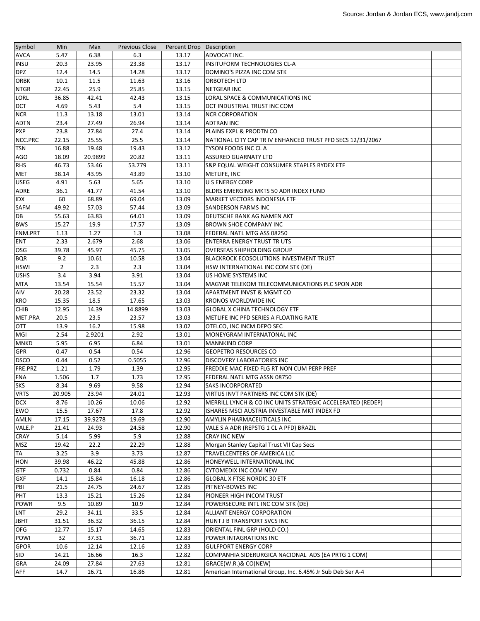| Symbol      | Min    | Max     | <b>Previous Close</b> | Percent Drop Description |                                                             |  |
|-------------|--------|---------|-----------------------|--------------------------|-------------------------------------------------------------|--|
| <b>AVCA</b> | 5.47   | 6.38    | 6.3                   | 13.17                    | ADVOCAT INC.                                                |  |
| <b>INSU</b> | 20.3   | 23.95   | 23.38                 | 13.17                    | <b>INSITUFORM TECHNOLOGIES CL-A</b>                         |  |
| <b>DPZ</b>  | 12.4   | 14.5    | 14.28                 | 13.17                    | DOMINO'S PIZZA INC COM STK                                  |  |
| <b>ORBK</b> | 10.1   | 11.5    | 11.63                 | 13.16                    | <b>ORBOTECH LTD</b>                                         |  |
| <b>NTGR</b> | 22.45  | 25.9    | 25.85                 | 13.15                    | <b>NETGEAR INC</b>                                          |  |
| LORL        | 36.85  | 42.41   | 42.43                 | 13.15                    | LORAL SPACE & COMMUNICATIONS INC                            |  |
| <b>DCT</b>  | 4.69   | 5.43    | 5.4                   | 13.15                    | DCT INDUSTRIAL TRUST INC COM                                |  |
| <b>NCR</b>  | 11.3   | 13.18   | 13.01                 | 13.14                    | <b>NCR CORPORATION</b>                                      |  |
| <b>ADTN</b> | 23.4   | 27.49   | 26.94                 | 13.14                    | <b>ADTRAN INC</b>                                           |  |
| <b>PXP</b>  | 23.8   | 27.84   | 27.4                  | 13.14                    | PLAINS EXPL & PRODTN CO                                     |  |
| NCC.PRC     | 22.15  | 25.55   | 25.5                  | 13.14                    | NATIONAL CITY CAP TR IV ENHANCED TRUST PFD SECS 12/31/2067  |  |
| <b>TSN</b>  | 16.88  | 19.48   | 19.43                 | 13.12                    | TYSON FOODS INC CLA                                         |  |
| AGO         | 18.09  | 20.9899 | 20.82                 | 13.11                    | <b>ASSURED GUARNATY LTD</b>                                 |  |
| <b>RHS</b>  | 46.73  | 53.46   | 53.779                | 13.11                    | S&P EQUAL WEIGHT CONSUMER STAPLES RYDEX ETF                 |  |
| <b>MET</b>  | 38.14  | 43.95   | 43.89                 | 13.10                    | METLIFE, INC                                                |  |
| <b>USEG</b> | 4.91   | 5.63    | 5.65                  | 13.10                    | <b>U S ENERGY CORP</b>                                      |  |
| ADRE        | 36.1   | 41.77   | 41.54                 | 13.10                    | BLDRS EMERGING MKTS 50 ADR INDEX FUND                       |  |
| IDX         | 60     | 68.89   | 69.04                 | 13.09                    | MARKET VECTORS INDONESIA ETF                                |  |
| SAFM        | 49.92  | 57.03   | 57.44                 | 13.09                    | SANDERSON FARMS INC                                         |  |
| DB          | 55.63  | 63.83   | 64.01                 | 13.09                    | DEUTSCHE BANK AG NAMEN AKT                                  |  |
| <b>BWS</b>  | 15.27  | 19.9    | 17.57                 | 13.09                    | BROWN SHOE COMPANY INC                                      |  |
| FNM.PRT     | 1.13   | 1.27    | 1.3                   | 13.08                    | FEDERAL NATL MTG ASS 08250                                  |  |
| <b>ENT</b>  | 2.33   | 2.679   | 2.68                  | 13.06                    | <b>ENTERRA ENERGY TRUST TRUTS</b>                           |  |
| OSG         | 39.78  | 45.97   | 45.75                 | 13.05                    | <b>OVERSEAS SHIPHOLDING GROUP</b>                           |  |
| <b>BQR</b>  | 9.2    | 10.61   | 10.58                 | 13.04                    | <b>BLACKROCK ECOSOLUTIONS INVESTMENT TRUST</b>              |  |
| <b>HSWI</b> | 2      | 2.3     | 2.3                   | 13.04                    | HSW INTERNATIONAL INC COM STK (DE)                          |  |
| <b>USHS</b> | 3.4    | 3.94    | 3.91                  | 13.04                    | US HOME SYSTEMS INC                                         |  |
| <b>MTA</b>  | 13.54  | 15.54   | 15.57                 | 13.04                    | MAGYAR TELEKOM TELECOMMUNICATIONS PLC SPON ADR              |  |
| AIV         | 20.28  | 23.52   | 23.32                 | 13.04                    | APARTMENT INVST & MGMT CO                                   |  |
| <b>KRO</b>  | 15.35  | 18.5    | 17.65                 | 13.03                    | <b>KRONOS WORLDWIDE INC</b>                                 |  |
| <b>CHIB</b> | 12.95  | 14.39   | 14.8899               | 13.03                    | <b>GLOBAL X CHINA TECHNOLOGY ETF</b>                        |  |
| MET.PRA     | 20.5   | 23.5    | 23.57                 | 13.03                    | METLIFE INC PFD SERIES A FLOATING RATE                      |  |
| <b>OTT</b>  | 13.9   | 16.2    | 15.98                 | 13.02                    | OTELCO, INC INCM DEPO SEC                                   |  |
| MGI         | 2.54   | 2.9201  | 2.92                  | 13.01                    | MONEYGRAM INTERNATONAL INC                                  |  |
| <b>MNKD</b> | 5.95   | 6.95    | 6.84                  | 13.01                    | <b>MANNKIND CORP</b>                                        |  |
| GPR         | 0.47   | 0.54    | 0.54                  | 12.96                    | <b>GEOPETRO RESOURCES CO</b>                                |  |
| <b>DSCO</b> | 0.44   | 0.52    | 0.5055                | 12.96                    | <b>DISCOVERY LABORATORIES INC</b>                           |  |
| FRE.PRZ     | 1.21   | 1.79    | 1.39                  | 12.95                    | FREDDIE MAC FIXED FLG RT NON CUM PERP PREF                  |  |
| <b>FNA</b>  | 1.506  | 1.7     | 1.73                  | 12.95                    | FEDERAL NATL MTG ASSN 08750                                 |  |
| <b>SKS</b>  | 8.34   | 9.69    | 9.58                  | 12.94                    | <b>SAKS INCORPORATED</b>                                    |  |
| <b>VRTS</b> | 20.905 | 23.94   | 24.01                 | 12.93                    | VIRTUS INVT PARTNERS INC COM STK (DE)                       |  |
| <b>DCX</b>  | 8.76   | 10.26   | 10.06                 | 12.92                    | MERRILL LYNCH & CO INC UNITS STRATEGIC ACCELERATED (REDEP)  |  |
| EWO         | 15.5   | 17.67   | 17.8                  | 12.92                    | ISHARES MSCI AUSTRIA INVESTABLE MKT INDEX FD                |  |
| AMLN        | 17.15  | 39.9278 | 19.69                 | 12.90                    | AMYLIN PHARMACEUTICALS INC                                  |  |
| VALE.P      | 21.41  | 24.93   | 24.58                 | 12.90                    | VALE S A ADR (REPSTG 1 CL A PFD) BRAZIL                     |  |
| CRAY        | 5.14   | 5.99    | 5.9                   | 12.88                    | <b>CRAY INC NEW</b>                                         |  |
| MSZ         | 19.42  | 22.2    | 22.29                 | 12.88                    | Morgan Stanley Capital Trust VII Cap Secs                   |  |
| <b>TA</b>   | 3.25   | 3.9     | 3.73                  | 12.87                    | TRAVELCENTERS OF AMERICA LLC                                |  |
| <b>HON</b>  | 39.98  | 46.22   | 45.88                 | 12.86                    | HONEYWELL INTERNATIONAL INC                                 |  |
| <b>GTF</b>  | 0.732  | 0.84    | 0.84                  | 12.86                    | <b>CYTOMEDIX INC COM NEW</b>                                |  |
| <b>GXF</b>  | 14.1   | 15.84   | 16.18                 | 12.86                    | <b>GLOBAL X FTSE NORDIC 30 ETF</b>                          |  |
| PBI         | 21.5   | 24.75   | 24.67                 | 12.85                    | PITNEY-BOWES INC                                            |  |
| PHT         | 13.3   | 15.21   | 15.26                 | 12.84                    | PIONEER HIGH INCOM TRUST                                    |  |
| POWR        | 9.5    | 10.89   | 10.9                  | 12.84                    | POWERSECURE INTL INC COM STK (DE)                           |  |
| LNT         | 29.2   | 34.11   | 33.5                  | 12.84                    | ALLIANT ENERGY CORPORATION                                  |  |
| <b>JBHT</b> | 31.51  | 36.32   | 36.15                 | 12.84                    | HUNT J B TRANSPORT SVCS INC                                 |  |
| OFG         | 12.77  | 15.17   | 14.65                 | 12.83                    | ORIENTAL FINL GRP (HOLD CO.)                                |  |
| POWI        | 32     | 37.31   | 36.71                 | 12.83                    | POWER INTAGRATIONS INC                                      |  |
| <b>GPOR</b> | 10.6   | 12.14   | 12.16                 | 12.83                    | <b>GULFPORT ENERGY CORP</b>                                 |  |
| <b>SID</b>  | 14.21  | 16.66   | 16.3                  | 12.82                    | COMPANHIA SIDERURGICA NACIONAL ADS (EA PRTG 1 COM)          |  |
| <b>GRA</b>  | 24.09  | 27.84   | 27.63                 | 12.81                    | GRACE(W.R.)& CO(NEW)                                        |  |
| AFF         | 14.7   | 16.71   | 16.86                 | 12.81                    | American International Group, Inc. 6.45% Jr Sub Deb Ser A-4 |  |
|             |        |         |                       |                          |                                                             |  |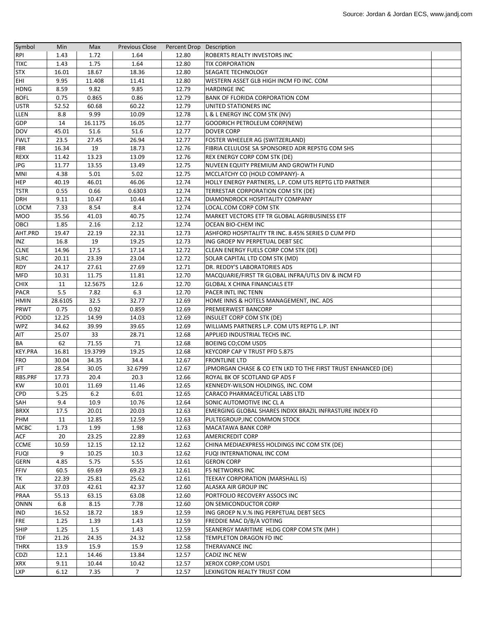| Symbol         | Min     | Max     | <b>Previous Close</b> | Percent Drop Description |                                                              |  |
|----------------|---------|---------|-----------------------|--------------------------|--------------------------------------------------------------|--|
| <b>RPI</b>     | 1.43    | 1.72    | 1.64                  | 12.80                    | ROBERTS REALTY INVESTORS INC                                 |  |
| <b>TIXC</b>    | 1.43    | 1.75    | 1.64                  | 12.80                    | <b>TIX CORPORATION</b>                                       |  |
| <b>STX</b>     | 16.01   | 18.67   | 18.36                 | 12.80                    | <b>SEAGATE TECHNOLOGY</b>                                    |  |
| EHI            | 9.95    | 11.408  | 11.41                 | 12.80                    | WESTERN ASSET GLB HIGH INCM FD INC. COM                      |  |
| <b>HDNG</b>    | 8.59    | 9.82    | 9.85                  | 12.79                    | <b>HARDINGE INC</b>                                          |  |
| <b>BOFL</b>    | 0.75    | 0.865   | 0.86                  | 12.79                    | <b>BANK OF FLORIDA CORPORATION COM</b>                       |  |
| <b>USTR</b>    | 52.52   | 60.68   | 60.22                 | 12.79                    | UNITED STATIONERS INC                                        |  |
| LLEN           | 8.8     | 9.99    | 10.09                 | 12.78                    | L & L ENERGY INC COM STK (NV)                                |  |
| GDP            | 14      | 16.1175 | 16.05                 | 12.77                    | <b>GOODRICH PETROLEUM CORP(NEW)</b>                          |  |
| DOV            | 45.01   | 51.6    | 51.6                  | 12.77                    | <b>DOVER CORP</b>                                            |  |
| <b>FWLT</b>    | 23.5    | 27.45   | 26.94                 | 12.77                    | FOSTER WHEELER AG (SWITZERLAND)                              |  |
| <b>FBR</b>     | 16.34   | 19      | 18.73                 | 12.76                    | FIBRIA CELULOSE SA SPONSORED ADR REPSTG COM SHS              |  |
|                | 11.42   | 13.23   | 13.09                 | 12.76                    | <b>REX ENERGY CORP COM STK (DE)</b>                          |  |
| <b>REXX</b>    |         |         |                       |                          |                                                              |  |
| <b>JPG</b>     | 11.77   | 13.55   | 13.49                 | 12.75                    | NUVEEN EQUITY PREMIUM AND GROWTH FUND                        |  |
| <b>MNI</b>     | 4.38    | 5.01    | 5.02                  | 12.75                    | MCCLATCHY CO (HOLD COMPANY)- A                               |  |
| <b>HEP</b>     | 40.19   | 46.01   | 46.06                 | 12.74                    | HOLLY ENERGY PARTNERS, L.P. COM UTS REPTG LTD PARTNER        |  |
| <b>TSTR</b>    | 0.55    | 0.66    | 0.6303                | 12.74                    | TERRESTAR CORPORATION COM STK (DE)                           |  |
| <b>DRH</b>     | 9.11    | 10.47   | 10.44                 | 12.74                    | DIAMONDROCK HOSPITALITY COMPANY                              |  |
| LOCM           | 7.33    | 8.54    | 8.4                   | 12.74                    | LOCAL.COM CORP COM STK                                       |  |
| <b>MOO</b>     | 35.56   | 41.03   | 40.75                 | 12.74                    | MARKET VECTORS ETF TR GLOBAL AGRIBUSINESS ETF                |  |
| <b>OBCI</b>    | 1.85    | 2.16    | 2.12                  | 12.74                    | <b>OCEAN BIO-CHEM INC</b>                                    |  |
| AHT.PRD        | 19.47   | 22.19   | 22.31                 | 12.73                    | ASHFORD HOSPITALITY TR INC. 8.45% SERIES D CUM PFD           |  |
| <b>INZ</b>     | 16.8    | 19      | 19.25                 | 12.73                    | ING GROEP NV PERPETUAL DEBT SEC                              |  |
| <b>CLNE</b>    | 14.96   | 17.5    | 17.14                 | 12.72                    | CLEAN ENERGY FUELS CORP COM STK (DE)                         |  |
| <b>SLRC</b>    | 20.11   | 23.39   | 23.04                 | 12.72                    | SOLAR CAPITAL LTD COM STK (MD)                               |  |
| <b>RDY</b>     | 24.17   | 27.61   | 27.69                 | 12.71                    | DR. REDDY'S LABORATORIES ADS                                 |  |
| <b>MFD</b>     | 10.31   | 11.75   | 11.81                 | 12.70                    | MACQUARIE/FIRST TR GLOBAL INFRA/UTLS DIV & INCM FD           |  |
| <b>CHIX</b>    | 11      | 12.5675 | 12.6                  | 12.70                    | <b>GLOBAL X CHINA FINANCIALS ETF</b>                         |  |
| <b>PACR</b>    | 5.5     | 7.82    | 6.3                   | 12.70                    | <b>PACER INTL INC TENN</b>                                   |  |
| <b>HMIN</b>    | 28.6105 | 32.5    | 32.77                 | 12.69                    | HOME INNS & HOTELS MANAGEMENT, INC. ADS                      |  |
| PRWT           | 0.75    | 0.92    | 0.859                 | 12.69                    | <b>PREMIERWEST BANCORP</b>                                   |  |
| PODD           | 12.25   | 14.99   | 14.03                 | 12.69                    | <b>INSULET CORP COM STK (DE)</b>                             |  |
| <b>WPZ</b>     | 34.62   | 39.99   | 39.65                 | 12.69                    | WILLIAMS PARTNERS L.P. COM UTS REPTG L.P. INT                |  |
| AIT            | 25.07   | 33      | 28.71                 | 12.68                    | APPLIED INDUSTRIAL TECHS INC.                                |  |
| BA             | 62      | 71.55   | 71                    | 12.68                    | <b>BOEING CO;COM USD5</b>                                    |  |
| <b>KEY.PRA</b> | 16.81   | 19.3799 | 19.25                 | 12.68                    | KEYCORP CAP V TRUST PFD 5.875                                |  |
| <b>FRO</b>     | 30.04   | 34.35   | 34.4                  | 12.67                    | <b>FRONTLINE LTD</b>                                         |  |
| <b>JFT</b>     | 28.54   | 30.05   | 32.6799               | 12.67                    | JPMORGAN CHASE & CO ETN LKD TO THE FIRST TRUST ENHANCED (DE) |  |
| RBS.PRF        | 17.73   | 20.4    | 20.3                  | 12.66                    | ROYAL BK OF SCOTLAND GP ADS F                                |  |
| <b>KW</b>      |         |         |                       |                          | KENNEDY-WILSON HOLDINGS, INC. COM                            |  |
|                | 10.01   | 11.69   | 11.46                 | 12.65                    |                                                              |  |
| <b>CPD</b>     | 5.25    | $6.2$   | 6.01                  | 12.65                    | CARACO PHARMACEUTICAL LABS LTD                               |  |
| SAH            | 9.4     | 10.9    | 10.76                 | 12.64                    | SONIC AUTOMOTIVE INC CLA                                     |  |
| <b>BRXX</b>    | 17.5    | 20.01   | 20.03                 | 12.63                    | EMERGING GLOBAL SHARES INDXX BRAZIL INFRASTURE INDEX FD      |  |
| PHM            | 11      | 12.85   | 12.59                 | 12.63                    | PULTEGROUP, INC COMMON STOCK                                 |  |
| <b>MCBC</b>    | 1.73    | 1.99    | 1.98                  | 12.63                    | <b>MACATAWA BANK CORP</b>                                    |  |
| <b>ACF</b>     | 20      | 23.25   | 22.89                 | 12.63                    | <b>AMERICREDIT CORP</b>                                      |  |
| <b>CCME</b>    | 10.59   | 12.15   | 12.12                 | 12.62                    | CHINA MEDIAEXPRESS HOLDINGS INC COM STK (DE)                 |  |
| <b>FUQI</b>    | 9       | 10.25   | 10.3                  | 12.62                    | FUQI INTERNATIONAL INC COM                                   |  |
| <b>GERN</b>    | 4.85    | 5.75    | 5.55                  | 12.61                    | <b>GERON CORP</b>                                            |  |
| FFIV           | 60.5    | 69.69   | 69.23                 | 12.61                    | <b>F5 NETWORKS INC</b>                                       |  |
| TK             | 22.39   | 25.81   | 25.62                 | 12.61                    | TEEKAY CORPORATION (MARSHALL IS)                             |  |
| <b>ALK</b>     | 37.03   | 42.61   | 42.37                 | 12.60                    | ALASKA AIR GROUP INC                                         |  |
| PRAA           | 55.13   | 63.15   | 63.08                 | 12.60                    | PORTFOLIO RECOVERY ASSOCS INC                                |  |
| <b>ONNN</b>    | 6.8     | 8.15    | 7.78                  | 12.60                    | ON SEMICONDUCTOR CORP                                        |  |
| IND            | 16.52   | 18.72   | 18.9                  | 12.59                    | ING GROEP N.V.% ING PERPETUAL DEBT SECS                      |  |
| <b>FRE</b>     | 1.25    | 1.39    | 1.43                  | 12.59                    | FREDDIE MAC D/B/A VOTING                                     |  |
| SHIP           | 1.25    | 1.5     | 1.43                  | 12.59                    | SEANERGY MARITIME HLDG CORP COM STK (MH)                     |  |
| TDF            | 21.26   | 24.35   | 24.32                 | 12.58                    | TEMPLETON DRAGON FD INC                                      |  |
| <b>THRX</b>    | 13.9    | 15.9    | 15.9                  | 12.58                    | THERAVANCE INC                                               |  |
| <b>CDZI</b>    | 12.1    | 14.46   | 13.84                 | 12.57                    | CADIZ INC NEW                                                |  |
| <b>XRX</b>     | 9.11    | 10.44   | 10.42                 | 12.57                    | XEROX CORP; COM USD1                                         |  |
| <b>LXP</b>     | 6.12    | 7.35    | $\overline{7}$        | 12.57                    | LEXINGTON REALTY TRUST COM                                   |  |
|                |         |         |                       |                          |                                                              |  |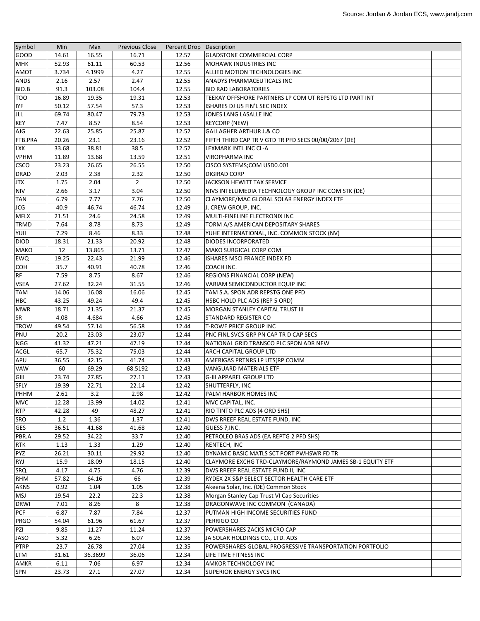| Symbol                     | Min           | Max          | <b>Previous Close</b> | Percent Drop Description |                                                                          |  |
|----------------------------|---------------|--------------|-----------------------|--------------------------|--------------------------------------------------------------------------|--|
| GOOD                       | 14.61         | 16.55        | 16.71                 | 12.57                    | <b>GLADSTONE COMMERCIAL CORP</b>                                         |  |
| <b>MHK</b>                 | 52.93         | 61.11        | 60.53                 | 12.56                    | <b>MOHAWK INDUSTRIES INC</b>                                             |  |
| AMOT                       | 3.734         | 4.1999       | 4.27                  | 12.55                    | ALLIED MOTION TECHNOLOGIES INC                                           |  |
| <b>ANDS</b>                | 2.16          | 2.57         | 2.47                  | 12.55                    | ANADYS PHARMACEUTICALS INC                                               |  |
| BIO.B                      | 91.3          | 103.08       | 104.4                 | 12.55                    | <b>BIO RAD LABORATORIES</b>                                              |  |
| <b>TOO</b>                 | 16.89         | 19.35        | 19.31                 | 12.53                    | TEEKAY OFFSHORE PARTNERS LP COM UT REPSTG LTD PART INT                   |  |
| <b>IYF</b>                 | 50.12         | 57.54        | 57.3                  | 12.53                    | ISHARES DJ US FIN'L SEC INDEX                                            |  |
| JLL                        | 69.74         | 80.47        | 79.73                 | 12.53                    | JONES LANG LASALLE INC                                                   |  |
| <b>KEY</b>                 | 7.47          | 8.57         | 8.54                  | 12.53                    | <b>KEYCORP (NEW)</b>                                                     |  |
| AJG                        | 22.63         | 25.85        | 25.87                 | 12.52                    | GALLAGHER ARTHUR J.& CO                                                  |  |
| FTB.PRA                    | 20.26         | 23.1         | 23.16                 | 12.52                    | FIFTH THIRD CAP TR V GTD TR PFD SECS 00/00/2067 (DE)                     |  |
| <b>LXK</b>                 | 33.68         | 38.81        | 38.5                  | 12.52                    | LEXMARK INTL INC CL-A                                                    |  |
| <b>VPHM</b>                | 11.89         | 13.68        | 13.59                 | 12.51                    | <b>VIROPHARMA INC</b>                                                    |  |
| <b>CSCO</b>                | 23.23         | 26.65        | 26.55                 | 12.50                    | CISCO SYSTEMS;COM USD0.001                                               |  |
| <b>DRAD</b>                | 2.03          | 2.38         | 2.32                  | 12.50                    | <b>DIGIRAD CORP</b>                                                      |  |
| JTX                        | 1.75          | 2.04         | $\overline{2}$        | 12.50                    | JACKSON HEWITT TAX SERVICE                                               |  |
| <b>NIV</b>                 | 2.66          | 3.17         | 3.04                  | 12.50                    | NIVS INTELLIMEDIA TECHNOLOGY GROUP INC COM STK (DE)                      |  |
| <b>TAN</b>                 | 6.79          | 7.77         | 7.76                  | 12.50                    | CLAYMORE/MAC GLOBAL SOLAR ENERGY INDEX ETF                               |  |
| <b>JCG</b>                 | 40.9          | 46.74        | 46.74                 | 12.49                    |                                                                          |  |
|                            |               |              |                       |                          | J. CREW GROUP, INC.<br>MULTI-FINELINE ELECTRONIX INC                     |  |
| <b>MFLX</b><br><b>TRMD</b> | 21.51<br>7.64 | 24.6<br>8.78 | 24.58<br>8.73         | 12.49<br>12.49           | TORM A/S AMERICAN DEPOSITARY SHARES                                      |  |
| YUII                       | 7.29          | 8.46         | 8.33                  | 12.48                    |                                                                          |  |
| <b>DIOD</b>                | 18.31         | 21.33        | 20.92                 | 12.48                    | YUHE INTERNATIONAL, INC. COMMON STOCK (NV)<br><b>DIODES INCORPORATED</b> |  |
|                            |               |              |                       |                          |                                                                          |  |
| <b>MAKO</b>                | 12            | 13.865       | 13.71                 | 12.47                    | <b>MAKO SURGICAL CORP COM</b>                                            |  |
| EWQ                        | 19.25         | 22.43        | 21.99                 | 12.46                    | ISHARES MSCI FRANCE INDEX FD                                             |  |
| COH                        | 35.7          | 40.91        | 40.78                 | 12.46                    | COACH INC.                                                               |  |
| <b>RF</b>                  | 7.59          | 8.75         | 8.67                  | 12.46                    | REGIONS FINANCIAL CORP (NEW)                                             |  |
| <b>VSEA</b>                | 27.62         | 32.24        | 31.55                 | 12.46                    | VARIAM SEMICONDUCTOR EQUIP INC                                           |  |
| <b>TAM</b>                 | 14.06         | 16.08        | 16.06                 | 12.45                    | TAM S.A. SPON ADR REPSTG ONE PFD                                         |  |
| HBC                        | 43.25         | 49.24        | 49.4                  | 12.45                    | HSBC HOLD PLC ADS (REP 5 ORD)                                            |  |
| <b>MWR</b>                 | 18.71         | 21.35        | 21.37                 | 12.45                    | <b>MORGAN STANLEY CAPITAL TRUST III</b>                                  |  |
| SR                         | 4.08          | 4.684        | 4.66                  | 12.45                    | <b>STANDARD REGISTER CO</b>                                              |  |
| <b>TROW</b>                | 49.54         | 57.14        | 56.58                 | 12.44                    | <b>T-ROWE PRICE GROUP INC</b>                                            |  |
| PNU                        | 20.2          | 23.03        | 23.07                 | 12.44                    | PNC FINL SVCS GRP PN CAP TR D CAP SECS                                   |  |
| NGG                        | 41.32         | 47.21        | 47.19                 | 12.44                    | NATIONAL GRID TRANSCO PLC SPON ADR NEW                                   |  |
| <b>ACGL</b>                | 65.7          | 75.32        | 75.03                 | 12.44                    | <b>ARCH CAPITAL GROUP LTD</b>                                            |  |
| APU                        | 36.55         | 42.15        | 41.74                 | 12.43                    | AMERIGAS PRTNRS LP UTS(RP COMM                                           |  |
| <b>VAW</b>                 | 60            | 69.29        | 68.5192               | 12.43                    | VANGUARD MATERIALS ETF                                                   |  |
| GIII                       | 23.74         | 27.85        | 27.11                 | 12.43                    | <b>G-III APPAREL GROUP LTD</b>                                           |  |
| <b>SFLY</b>                | 19.39         | 22.71        | 22.14                 | 12.42                    | SHUTTERFLY, INC                                                          |  |
| PHHM                       | 2.61          | 3.2          | 2.98                  | 12.42                    | PALM HARBOR HOMES INC                                                    |  |
| <b>MVC</b>                 | 12.28         | 13.99        | 14.02                 | 12.41                    | MVC CAPITAL, INC.                                                        |  |
| <b>RTP</b>                 | 42.28         | 49           | 48.27                 | 12.41                    | RIO TINTO PLC ADS (4 ORD SHS)                                            |  |
| <b>SRO</b>                 | 1.2           | 1.36         | 1.37                  | 12.41                    | DWS RREEF REAL ESTATE FUND, INC                                          |  |
| <b>GES</b>                 | 36.51         | 41.68        | 41.68                 | 12.40                    | GUESS ?, INC.                                                            |  |
| PBR.A                      | 29.52         | 34.22        | 33.7                  | 12.40                    | PETROLEO BRAS ADS (EA REPTG 2 PFD SHS)                                   |  |
| <b>RTK</b>                 | 1.13          | 1.33         | 1.29                  | 12.40                    | <b>RENTECH, INC</b>                                                      |  |
| <b>PYZ</b>                 | 26.21         | 30.11        | 29.92                 | 12.40                    | DYNAMIC BASIC MATLS SCT PORT PWHSWR FD TR                                |  |
| <b>RYJ</b>                 | 15.9          | 18.09        | 18.15                 | 12.40                    | CLAYMORE EXCHG TRD-CLAYMORE/RAYMOND JAMES SB-1 EQUITY ETF                |  |
| <b>SRQ</b>                 | 4.17          | 4.75         | 4.76                  | 12.39                    | DWS RREEF REAL ESTATE FUND II, INC                                       |  |
| <b>RHM</b>                 | 57.82         | 64.16        | 66                    | 12.39                    | RYDEX 2X S&P SELECT SECTOR HEALTH CARE ETF                               |  |
| <b>AKNS</b>                | 0.92          | 1.04         | 1.05                  | 12.38                    | Akeena Solar, Inc. (DE) Common Stock                                     |  |
| <b>MSJ</b>                 | 19.54         | 22.2         | 22.3                  | 12.38                    | Morgan Stanley Cap Trust VI Cap Securities                               |  |
| <b>DRWI</b>                | 7.01          | 8.26         | 8                     | 12.38                    | DRAGONWAVE INC COMMON (CANADA)                                           |  |
| <b>PCF</b>                 | 6.87          | 7.87         | 7.84                  | 12.37                    | PUTMAN HIGH INCOME SECURITIES FUND                                       |  |
| <b>PRGO</b>                | 54.04         | 61.96        | 61.67                 | 12.37                    | PERRIGO CO                                                               |  |
| PZI                        | 9.85          | 11.27        | 11.24                 | 12.37                    | POWERSHARES ZACKS MICRO CAP                                              |  |
| <b>JASO</b>                | 5.32          | 6.26         | 6.07                  | 12.36                    | JA SOLAR HOLDINGS CO., LTD. ADS                                          |  |
| <b>PTRP</b>                | 23.7          | 26.78        | 27.04                 | 12.35                    | POWERSHARES GLOBAL PROGRESSIVE TRANSPORTATION PORTFOLIO                  |  |
| LTM                        | 31.61         | 36.3699      | 36.06                 | 12.34                    | LIFE TIME FITNESS INC                                                    |  |
| AMKR                       | 6.11          | 7.06         | 6.97                  | 12.34                    | <b>AMKOR TECHNOLOGY INC</b>                                              |  |
| SPN                        | 23.73         | 27.1         | 27.07                 | 12.34                    | <b>SUPERIOR ENERGY SVCS INC</b>                                          |  |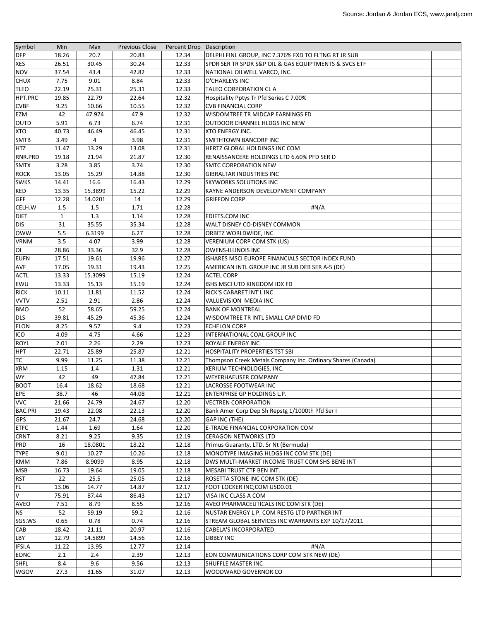| Symbol                  | Min          | Max     | <b>Previous Close</b> | Percent Drop Description |                                                             |  |
|-------------------------|--------------|---------|-----------------------|--------------------------|-------------------------------------------------------------|--|
| <b>DFP</b>              | 18.26        | 20.7    | 20.83                 | 12.34                    | DELPHI FINL GROUP, INC 7.376% FXD TO FLTNG RT JR SUB        |  |
| <b>XES</b>              | 26.51        | 30.45   | 30.24                 | 12.33                    | SPDR SER TR SPDR S&P OIL & GAS EQUIPTMENTS & SVCS ETF       |  |
| <b>NOV</b>              | 37.54        | 43.4    | 42.82                 | 12.33                    | NATIONAL OILWELL VARCO, INC.                                |  |
| <b>CHUX</b>             | 7.75         | 9.01    | 8.84                  | 12.33                    | O'CHARLEYS INC                                              |  |
| <b>TLEO</b>             | 22.19        | 25.31   | 25.31                 | 12.33                    | TALEO CORPORATION CL A                                      |  |
| HPT.PRC                 | 19.85        | 22.79   | 22.64                 | 12.32                    | Hospitality Pptys Tr Pfd Series C 7.00%                     |  |
| <b>CVBF</b>             | 9.25         | 10.66   | 10.55                 | 12.32                    | <b>CVB FINANCIAL CORP</b>                                   |  |
| EZM                     | 42           | 47.974  | 47.9                  | 12.32                    | WISDOMTREE TR MIDCAP EARNINGS FD                            |  |
| OUTD                    | 5.91         | 6.73    | 6.74                  | 12.31                    | OUTDOOR CHANNEL HLDGS INC NEW                               |  |
| <b>XTO</b>              | 40.73        | 46.49   | 46.45                 | 12.31                    | <b>XTO ENERGY INC.</b>                                      |  |
| <b>SMTB</b>             | 3.49         | 4       | 3.98                  | 12.31                    | <b>SMITHTOWN BANCORP INC</b>                                |  |
| <b>HTZ</b>              | 11.47        | 13.29   | 13.08                 | 12.31                    | HERTZ GLOBAL HOLDINGS INC COM                               |  |
| RNR.PRD                 | 19.18        | 21.94   | 21.87                 | 12.30                    | RENAISSANCERE HOLDINGS LTD 6.60% PFD SER D                  |  |
| <b>SMTX</b>             | 3.28         | 3.85    | 3.74                  | 12.30                    | <b>SMTC CORPORATION NEW</b>                                 |  |
| <b>ROCK</b>             | 13.05        | 15.29   | 14.88                 | 12.30                    | <b>GIBRALTAR INDUSTRIES INC</b>                             |  |
| <b>SWKS</b>             | 14.41        | 16.6    | 16.43                 | 12.29                    | <b>SKYWORKS SOLUTIONS INC</b>                               |  |
| <b>KED</b>              | 13.35        | 15.3899 | 15.22                 | 12.29                    | KAYNE ANDERSON DEVELOPMENT COMPANY                          |  |
| <b>GFF</b>              | 12.28        | 14.0201 | 14                    | 12.29                    | <b>GRIFFON CORP</b>                                         |  |
| CELH.W                  | 1.5          | 1.5     | 1.71                  | 12.28                    | #N/A                                                        |  |
| <b>DIET</b>             | $\mathbf{1}$ | 1.3     | 1.14                  | 12.28                    | <b>EDIETS.COM INC</b>                                       |  |
| <b>DIS</b>              | 31           | 35.55   | 35.34                 | 12.28                    | WALT DISNEY CO-DISNEY COMMON                                |  |
| <b>OWW</b>              | 5.5          | 6.3199  | 6.27                  | 12.28                    | <b>ORBITZ WORLDWIDE, INC</b>                                |  |
| <b>VRNM</b>             | 3.5          | 4.07    | 3.99                  | 12.28                    | VERENIUM CORP COM STK (US)                                  |  |
| <b>OI</b>               | 28.86        | 33.36   | 32.9                  | 12.28                    | <b>OWENS-ILLINOIS INC</b>                                   |  |
| <b>EUFN</b>             | 17.51        | 19.61   | 19.96                 | 12.27                    | ISHARES MSCI EUROPE FINANCIALS SECTOR INDEX FUND            |  |
| AVF                     | 17.05        | 19.31   | 19.43                 | 12.25                    | AMERICAN INTL GROUP INC JR SUB DEB SER A-5 (DE)             |  |
| <b>ACTL</b>             | 13.33        | 15.3099 | 15.19                 | 12.24                    | <b>ACTEL CORP</b>                                           |  |
| EWU                     | 13.33        | 15.13   | 15.19                 | 12.24                    | ISHS MSCI UTD KINGDOM IDX FD                                |  |
| <b>RICK</b>             | 10.11        | 11.81   | 11.52                 | 12.24                    | RICK'S CABARET INT'L INC                                    |  |
| <b>VVTV</b>             | 2.51         | 2.91    | 2.86                  | 12.24                    | VALUEVISION MEDIA INC                                       |  |
| <b>BMO</b>              | 52           | 58.65   | 59.25                 | 12.24                    | <b>BANK OF MONTREAL</b>                                     |  |
| <b>DLS</b>              | 39.81        | 45.29   | 45.36                 | 12.24                    | WISDOMTREE TR INTL SMALL CAP DIVID FD                       |  |
| <b>ELON</b>             | 8.25         | 9.57    | 9.4                   | 12.23                    | <b>ECHELON CORP</b>                                         |  |
| ICO                     | 4.09         | 4.75    | 4.66                  | 12.23                    | INTERNATIONAL COAL GROUP INC                                |  |
| <b>ROYL</b>             | 2.01         | 2.26    | 2.29                  | 12.23                    | ROYALE ENERGY INC                                           |  |
| <b>HPT</b>              | 22.71        | 25.89   | 25.87                 | 12.21                    | <b>HOSPITALITY PROPERTIES TST SBI</b>                       |  |
| TC                      | 9.99         | 11.25   | 11.38                 | 12.21                    | Thompson Creek Metals Company Inc. Ordinary Shares (Canada) |  |
| XRM                     | 1.15         | 1.4     | 1.31                  | 12.21                    | XERIUM TECHNOLOGIES, INC.                                   |  |
| WY                      | 42           | 49      | 47.84                 | 12.21                    | WEYERHAEUSER COMPANY                                        |  |
| <b>BOOT</b>             | 16.4         | 18.62   | 18.68                 | 12.21                    | LACROSSE FOOTWEAR INC                                       |  |
| EPE                     | 38.7         | 46      | 44.08                 | 12.21                    | <b>ENTERPRISE GP HOLDINGS L.P.</b>                          |  |
| <b>VVC</b>              | 21.66        | 24.79   | 24.67                 | 12.20                    | <b>VECTREN CORPORATION</b>                                  |  |
| <b>BAC.PRI</b>          | 19.43        | 22.08   | 22.13                 | 12.20                    | Bank Amer Corp Dep Sh Repstg 1/1000th Pfd Ser I             |  |
| GPS                     | 21.67        | 24.7    | 24.68                 | 12.20                    | GAP INC (THE)                                               |  |
| <b>ETFC</b>             | 1.44         | 1.69    | 1.64                  | 12.20                    | E-TRADE FINANCIAL CORPORATION COM                           |  |
| <b>CRNT</b>             | 8.21         | 9.25    | 9.35                  | 12.19                    | <b>CERAGON NETWORKS LTD</b>                                 |  |
| PRD                     | 16           | 18.0801 | 18.22                 | 12.18                    | Primus Guaranty, LTD. Sr Nt (Bermuda)                       |  |
| <b>TYPE</b>             | 9.01         | 10.27   | 10.26                 | 12.18                    | MONOTYPE IMAGING HLDGS INC COM STK (DE)                     |  |
| <b>KMM</b>              | 7.86         | 8.9099  | 8.95                  | 12.18                    | DWS MULTI-MARKET INCOME TRUST COM SHS BENE INT              |  |
| <b>MSB</b>              | 16.73        | 19.64   | 19.05                 | 12.18                    | MESABI TRUST CTF BEN INT.                                   |  |
| <b>RST</b>              | 22           | 25.5    | 25.05                 | 12.18                    | ROSETTA STONE INC COM STK (DE)                              |  |
| FL.                     | 13.06        | 14.77   | 14.87                 | 12.17                    | FOOT LOCKER INC;COM USD0.01                                 |  |
| $\overline{\mathsf{V}}$ | 75.91        | 87.44   | 86.43                 | 12.17                    | VISA INC CLASS A COM                                        |  |
| AVEO                    | 7.51         | 8.79    | 8.55                  | 12.16                    | AVEO PHARMACEUTICALS INC COM STK (DE)                       |  |
| N <sub>S</sub>          | 52           | 59.19   | 59.2                  | 12.16                    | NUSTAR ENERGY L.P. COM RESTG LTD PARTNER INT                |  |
| SGS.WS                  | 0.65         | 0.78    | 0.74                  | 12.16                    | STREAM GLOBAL SERVICES INC WARRANTS EXP 10/17/2011          |  |
| CAB                     | 18.42        | 21.11   | 20.97                 | 12.16                    | CABELA'S INCORPORATED                                       |  |
| LBY                     | 12.79        | 14.5899 | 14.56                 | 12.16                    | LIBBEY INC                                                  |  |
| IFSI.A                  | 11.22        | 13.95   | 12.77                 | 12.14                    | #N/A                                                        |  |
| EONC                    | 2.1          | 2.4     | 2.39                  | 12.13                    | EON COMMUNICATIONS CORP COM STK NEW (DE)                    |  |
| <b>SHFL</b>             | 8.4          | 9.6     | 9.56                  | 12.13                    | <b>SHUFFLE MASTER INC</b>                                   |  |
| WGOV                    | 27.3         | 31.65   | 31.07                 | 12.13                    | WOODWARD GOVERNOR CO                                        |  |
|                         |              |         |                       |                          |                                                             |  |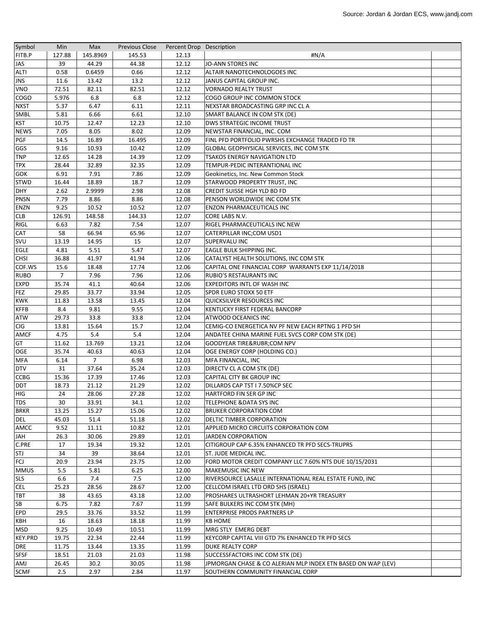| Symbol         | Min    | Max      | <b>Previous Close</b> | Percent Drop Description |                                                              |  |
|----------------|--------|----------|-----------------------|--------------------------|--------------------------------------------------------------|--|
| FITB.P         | 127.88 | 145.8969 | 145.53                | 12.13                    | #N/A                                                         |  |
| <b>JAS</b>     | 39     | 44.29    | 44.38                 | 12.12                    | <b>JO-ANN STORES INC</b>                                     |  |
| ALTI           | 0.58   | 0.6459   | 0.66                  | 12.12                    | ALTAIR NANOTECHNOLOGOES INC                                  |  |
| <b>JNS</b>     | 11.6   | 13.42    | 13.2                  | 12.12                    | JANUS CAPITAL GROUP INC.                                     |  |
| <b>VNO</b>     | 72.51  | 82.11    | 82.51                 | 12.12                    | <b>VORNADO REALTY TRUST</b>                                  |  |
| <b>COGO</b>    | 5.976  | 6.8      | 6.8                   | 12.12                    | COGO GROUP INC COMMON STOCK                                  |  |
| <b>NXST</b>    | 5.37   | 6.47     | 6.11                  | 12.11                    | NEXSTAR BROADCASTING GRP INC CL A                            |  |
| SMBL           | 5.81   | 6.66     | 6.61                  | 12.10                    | SMART BALANCE IN COM STK (DE)                                |  |
| <b>KST</b>     | 10.75  | 12.47    | 12.23                 | 12.10                    | DWS STRATEGIC INCOME TRUST                                   |  |
|                | 7.05   | 8.05     | 8.02                  |                          |                                                              |  |
| <b>NEWS</b>    |        |          |                       | 12.09                    | NEWSTAR FINANCIAL, INC. COM                                  |  |
| <b>PGF</b>     | 14.5   | 16.89    | 16.495                | 12.09                    | FINL PFD PORTFOLIO PWRSHS EXCHANGE TRADED FD TR              |  |
| GGS            | 9.16   | 10.93    | 10.42                 | 12.09                    | GLOBAL GEOPHYSICAL SERVICES, INC COM STK                     |  |
| TNP            | 12.65  | 14.28    | 14.39                 | 12.09                    | <b>TSAKOS ENERGY NAVIGATION LTD</b>                          |  |
| <b>TPX</b>     | 28.44  | 32.89    | 32.35                 | 12.09                    | TEMPUR-PEDIC INTERANTIONAL INC                               |  |
| <b>GOK</b>     | 6.91   | 7.91     | 7.86                  | 12.09                    | Geokinetics, Inc. New Common Stock                           |  |
| <b>STWD</b>    | 16.44  | 18.89    | 18.7                  | 12.09                    | STARWOOD PROPERTY TRUST, INC                                 |  |
| <b>DHY</b>     | 2.62   | 2.9999   | 2.98                  | 12.08                    | CREDIT SUISSE HGH YLD BD FD                                  |  |
| <b>PNSN</b>    | 7.79   | 8.86     | 8.86                  | 12.08                    | PENSON WORLDWIDE INC COM STK                                 |  |
| <b>ENZN</b>    | 9.25   | 10.52    | 10.52                 | 12.07                    | <b>ENZON PHARMACEUTICALS INC</b>                             |  |
| <b>CLB</b>     | 126.91 | 148.58   | 144.33                | 12.07                    | CORE LABS N.V.                                               |  |
| RIGL           | 6.63   | 7.82     | 7.54                  | 12.07                    | RIGEL PHARMACEUTICALS INC NEW                                |  |
| <b>CAT</b>     | 58     | 66.94    | 65.96                 | 12.07                    | CATERPILLAR INC;COM USD1                                     |  |
| <b>SVU</b>     | 13.19  | 14.95    | 15                    | 12.07                    | <b>SUPERVALU INC</b>                                         |  |
| <b>EGLE</b>    | 4.81   | 5.51     | 5.47                  | 12.07                    | EAGLE BULK SHIPPING INC.                                     |  |
| <b>CHSI</b>    | 36.88  | 41.97    | 41.94                 | 12.06                    | CATALYST HEALTH SOLUTIONS, INC COM STK                       |  |
| COF.WS         | 15.6   | 18.48    | 17.74                 | 12.06                    | CAPITAL ONE FINANCIAL CORP WARRANTS EXP 11/14/2018           |  |
| <b>RUBO</b>    | 7      | 7.96     | 7.96                  | 12.06                    | RUBIO'S RESTAURANTS INC                                      |  |
| EXPD           | 35.74  | 41.1     | 40.64                 | 12.06                    | EXPEDITORS INTL OF WASH INC                                  |  |
| <b>FEZ</b>     | 29.85  | 33.77    | 33.94                 | 12.05                    | SPDR EURO STOXX 50 ETF                                       |  |
| <b>KWK</b>     | 11.83  | 13.58    | 13.45                 | 12.04                    | QUICKSILVER RESOURCES INC                                    |  |
| <b>KFFB</b>    | 8.4    | 9.81     | 9.55                  | 12.04                    | KENTUCKY FIRST FEDERAL BANCORP                               |  |
|                |        |          |                       |                          |                                                              |  |
| <b>ATW</b>     | 29.73  | 33.8     | 33.8                  | 12.04                    | ATWOOD OCEANICS INC                                          |  |
| <b>CIG</b>     | 13.81  | 15.64    | 15.7                  | 12.04                    | CEMIG-CO ENERGETICA NV PF NEW EACH RPTNG 1 PFD SH            |  |
| <b>AMCF</b>    | 4.75   | 5.4      | 5.4                   | 12.04                    | ANDATEE CHINA MARINE FUEL SVCS CORP COM STK (DE)             |  |
| GT             | 11.62  | 13.769   | 13.21                 | 12.04                    | GOODYEAR TIRE&RUBRCOM NPV                                    |  |
| OGE            | 35.74  | 40.63    | 40.63                 | 12.04                    | OGE ENERGY CORP (HOLDING CO.)                                |  |
| <b>MFA</b>     | 6.14   | 7        | 6.98                  | 12.03                    | MFA FINANCIAL, INC                                           |  |
| <b>DTV</b>     | 31     | 37.64    | 35.24                 | 12.03                    | DIRECTV CL A COM STK (DE)                                    |  |
| <b>CCBG</b>    | 15.36  | 17.39    | 17.46                 | 12.03                    | CAPITAL CITY BK GROUP INC                                    |  |
| <b>DDT</b>     | 18.73  | 21.12    | 21.29                 | 12.02                    | DILLARDS CAP TST I 7.50%CP SEC                               |  |
| <b>HIG</b>     | 24     | 28.06    | 27.28                 | 12.02                    | HARTFORD FIN SER GP INC                                      |  |
| <b>TDS</b>     | 30     | 33.91    | 34.1                  | 12.02                    | TELEPHONE & DATA SYS INC                                     |  |
| <b>BRKR</b>    | 13.25  | 15.27    | 15.06                 | 12.02                    | <b>BRUKER CORPORATION COM</b>                                |  |
| <b>DEL</b>     | 45.03  | 51.4     | 51.18                 | 12.02                    | DELTIC TIMBER CORPORATION                                    |  |
| AMCC           | 9.52   | 11.11    | 10.82                 | 12.01                    | APPLIED MICRO CIRCUITS CORPORATION COM                       |  |
| <b>HAL</b>     | 26.3   | 30.06    | 29.89                 | 12.01                    | <b>JARDEN CORPORATION</b>                                    |  |
| C.PRE          | 17     | 19.34    | 19.32                 | 12.01                    | CITIGROUP CAP 6.35% ENHANCED TR PFD SECS-TRUPRS              |  |
| STJ            | 34     | 39       | 38.64                 | 12.01                    | ST. JUDE MEDICAL INC.                                        |  |
| FCJ            | 20.9   | 23.94    | 23.75                 | 12.00                    | FORD MOTOR CREDIT COMPANY LLC 7.60% NTS DUE 10/15/2031       |  |
| <b>MMUS</b>    | 5.5    | 5.81     | 6.25                  | 12.00                    | <b>MAKEMUSIC INC NEW</b>                                     |  |
| <b>SLS</b>     | 6.6    | 7.4      | 7.5                   | 12.00                    | RIVERSOURCE LASALLE INTERNATIONAL REAL ESTATE FUND, INC      |  |
| <b>CEL</b>     | 25.23  | 28.56    | 28.67                 | 12.00                    | CELLCOM ISRAEL LTD ORD SHS (ISRAEL)                          |  |
| <b>TBT</b>     | 38     | 43.65    | 43.18                 | 12.00                    | PROSHARES ULTRASHORT LEHMAN 20+YR TREASURY                   |  |
| <b>SB</b>      | 6.75   | 7.82     | 7.67                  | 11.99                    | SAFE BULKERS INC COM STK (MH)                                |  |
| <b>EPD</b>     | 29.5   | 33.76    |                       | 11.99                    |                                                              |  |
|                |        |          | 33.52                 |                          | <b>ENTERPRISE PRODS PARTNERS LP</b>                          |  |
| <b>KBH</b>     | 16     | 18.63    | 18.18                 | 11.99                    | <b>KB HOME</b>                                               |  |
| <b>MSD</b>     | 9.25   | 10.49    | 10.51                 | 11.99                    | MRG STLY EMERG DEBT                                          |  |
| <b>KEY.PRD</b> | 19.75  | 22.34    | 22.44                 | 11.99                    | KEYCORP CAPITAL VIII GTD 7% ENHANCED TR PFD SECS             |  |
| <b>DRE</b>     | 11.75  | 13.44    | 13.35                 | 11.99                    | DUKE REALTY CORP                                             |  |
| <b>SFSF</b>    | 18.51  | 21.03    | 21.03                 | 11.98                    | SUCCESSFACTORS INC COM STK (DE)                              |  |
| AMJ            | 26.45  | 30.2     | 30.05                 | 11.98                    | JPMORGAN CHASE & CO ALERIAN MLP INDEX ETN BASED ON WAP (LEV) |  |
| <b>SCMF</b>    | 2.5    | 2.97     | 2.84                  | 11.97                    | SOUTHERN COMMUNITY FINANCIAL CORP                            |  |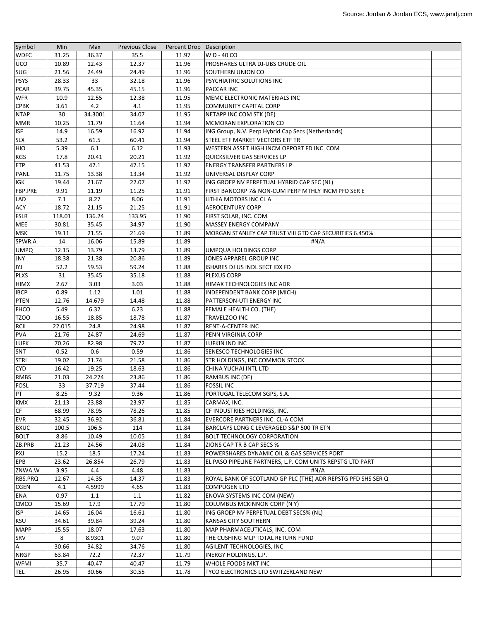| Symbol      | Min    | Max     | <b>Previous Close</b> | Percent Drop Description |                                                              |  |
|-------------|--------|---------|-----------------------|--------------------------|--------------------------------------------------------------|--|
| <b>WDFC</b> | 31.25  | 36.37   | 35.5                  | 11.97                    | W D - 40 CO                                                  |  |
| UCO         | 10.89  | 12.43   | 12.37                 | 11.96                    | PROSHARES ULTRA DJ-UBS CRUDE OIL                             |  |
| SUG         | 21.56  | 24.49   | 24.49                 | 11.96                    | SOUTHERN UNION CO                                            |  |
| <b>PSYS</b> | 28.33  | 33      | 32.18                 | 11.96                    | PSYCHIATRIC SOLUTIONS INC                                    |  |
| <b>PCAR</b> | 39.75  | 45.35   | 45.15                 | 11.96                    | <b>PACCAR INC</b>                                            |  |
| <b>WFR</b>  | 10.9   | 12.55   | 12.38                 | 11.95                    | MEMC ELECTRONIC MATERIALS INC                                |  |
| <b>CPBK</b> | 3.61   | 4.2     | 4.1                   | 11.95                    | <b>COMMUNITY CAPITAL CORP</b>                                |  |
| <b>NTAP</b> | 30     | 34.3001 | 34.07                 | 11.95                    | NETAPP INC COM STK (DE)                                      |  |
| <b>MMR</b>  | 10.25  | 11.79   | 11.64                 | 11.94                    | <b>MCMORAN EXPLORATION CO</b>                                |  |
| <b>ISF</b>  | 14.9   | 16.59   | 16.92                 | 11.94                    | ING Group, N.V. Perp Hybrid Cap Secs (Netherlands)           |  |
| <b>SLX</b>  | 53.2   | 61.5    | 60.41                 | 11.94                    | STEEL ETF MARKET VECTORS ETF TR                              |  |
| <b>HIO</b>  | 5.39   | 6.1     | 6.12                  | 11.93                    | WESTERN ASSET HIGH INCM OPPORT FD INC. COM                   |  |
| <b>KGS</b>  | 17.8   | 20.41   | 20.21                 | 11.92                    | QUICKSILVER GAS SERVICES LP                                  |  |
| <b>ETP</b>  | 41.53  | 47.1    | 47.15                 | 11.92                    | ENERGY TRANSFER PARTNERS LP                                  |  |
| PANL        | 11.75  | 13.38   | 13.34                 | 11.92                    | UNIVERSAL DISPLAY CORP                                       |  |
| <b>IGK</b>  | 19.44  | 21.67   | 22.07                 | 11.92                    | ING GROEP NV PERPETUAL HYBRID CAP SEC (NL)                   |  |
| FBP.PRE     | 9.91   | 11.19   | 11.25                 | 11.91                    | FIRST BANCORP 7& NON-CUM PERP MTHLY INCM PFD SER E           |  |
| LAD         | 7.1    | 8.27    | 8.06                  | 11.91                    | LITHIA MOTORS INC CL A                                       |  |
| <b>ACY</b>  | 18.72  | 21.15   | 21.25                 | 11.91                    | <b>AEROCENTURY CORP</b>                                      |  |
| <b>FSLR</b> | 118.01 | 136.24  | 133.95                | 11.90                    | <b>FIRST SOLAR, INC. COM</b>                                 |  |
| MEE         | 30.81  | 35.45   | 34.97                 | 11.90                    | <b>MASSEY ENERGY COMPANY</b>                                 |  |
| <b>MSK</b>  | 19.11  | 21.55   | 21.69                 | 11.89                    | MORGAN STANLEY CAP TRUST VIII GTD CAP SECURITIES 6.450%      |  |
| SPWR.A      | 14     | 16.06   | 15.89                 | 11.89                    | #N/A                                                         |  |
| <b>UMPQ</b> | 12.15  | 13.79   | 13.79                 | 11.89                    | UMPQUA HOLDINGS CORP                                         |  |
| <b>JNY</b>  | 18.38  | 21.38   | 20.86                 | 11.89                    | JONES APPAREL GROUP INC                                      |  |
| IYJ         | 52.2   | 59.53   | 59.24                 | 11.88                    | ISHARES DJ US INDL SECT IDX FD                               |  |
| <b>PLXS</b> | 31     | 35.45   | 35.18                 | 11.88                    | <b>PLEXUS CORP</b>                                           |  |
| <b>HIMX</b> | 2.67   | 3.03    | 3.03                  | 11.88                    | HIMAX TECHNOLOGIES INC ADR                                   |  |
| <b>IBCP</b> | 0.89   | 1.12    | 1.01                  | 11.88                    | <b>INDEPENDENT BANK CORP (MICH)</b>                          |  |
| <b>PTEN</b> | 12.76  | 14.679  | 14.48                 | 11.88                    | PATTERSON-UTI ENERGY INC                                     |  |
| <b>FHCO</b> | 5.49   | 6.32    | 6.23                  | 11.88                    | FEMALE HEALTH CO. (THE)                                      |  |
| <b>TZOO</b> | 16.55  | 18.85   | 18.78                 | 11.87                    | TRAVELZOO INC                                                |  |
| RCII        | 22.015 | 24.8    | 24.98                 | 11.87                    | RENT-A-CENTER INC                                            |  |
| <b>PVA</b>  | 21.76  | 24.87   | 24.69                 | 11.87                    | PENN VIRGINIA CORP                                           |  |
| <b>LUFK</b> | 70.26  | 82.98   | 79.72                 | 11.87                    | LUFKIN IND INC                                               |  |
| SNT         | 0.52   | 0.6     | 0.59                  | 11.86                    | <b>SENESCO TECHNOLOGIES INC</b>                              |  |
| <b>STRI</b> | 19.02  | 21.74   | 21.58                 | 11.86                    | <b>STR HOLDINGS, INC COMMON STOCK</b>                        |  |
| <b>CYD</b>  | 16.42  | 19.25   | 18.63                 | 11.86                    | CHINA YUCHAI INTL LTD                                        |  |
| <b>RMBS</b> | 21.03  | 24.274  | 23.86                 | 11.86                    | RAMBUS INC (DE)                                              |  |
| <b>FOSL</b> | 33     | 37.719  | 37.44                 | 11.86                    | <b>FOSSIL INC</b>                                            |  |
| PT          | 8.25   | 9.32    | 9.36                  | 11.86                    | PORTUGAL TELECOM SGPS, S.A.                                  |  |
| KMX         | 21.13  | 23.88   | 23.97                 | 11.85                    | CARMAX, INC.                                                 |  |
| CF          | 68.99  | 78.95   | 78.26                 | 11.85                    | CF INDUSTRIES HOLDINGS, INC.                                 |  |
| <b>EVR</b>  | 32.45  | 36.92   | 36.81                 | 11.84                    | EVERCORE PARTNERS INC. CL-A COM                              |  |
| <b>BXUC</b> | 100.5  | 106.5   | 114                   | 11.84                    | BARCLAYS LONG C LEVERAGED S&P 500 TR ETN                     |  |
| <b>BOLT</b> | 8.86   | 10.49   | 10.05                 | 11.84                    | <b>BOLT TECHNOLOGY CORPORATION</b>                           |  |
| ZB.PRB      | 21.23  | 24.56   | 24.08                 | 11.84                    | ZIONS CAP TR B CAP SECS %                                    |  |
| PXJ         | 15.2   | 18.5    | 17.24                 | 11.83                    | POWERSHARES DYNAMIC OIL & GAS SERVICES PORT                  |  |
| <b>EPB</b>  | 23.62  | 26.854  | 26.79                 | 11.83                    | EL PASO PIPELINE PARTNERS, L.P. COM UNITS REPSTG LTD PART    |  |
| ZNWA.W      | 3.95   | 4.4     | 4.48                  | 11.83                    | #N/A                                                         |  |
| RBS.PRQ     | 12.67  | 14.35   | 14.37                 | 11.83                    | ROYAL BANK OF SCOTLAND GP PLC (THE) ADR REPSTG PFD SHS SER Q |  |
| <b>CGEN</b> | 4.1    | 4.5999  | 4.65                  | 11.83                    | <b>COMPUGEN LTD</b>                                          |  |
| ENA         | 0.97   | 1.1     | 1.1                   | 11.82                    | <b>ENOVA SYSTEMS INC COM (NEW)</b>                           |  |
| CMCO        | 15.69  | 17.9    | 17.79                 | 11.80                    | <b>COLUMBUS MCKINNON CORP (N Y)</b>                          |  |
| <b>ISP</b>  |        | 16.04   |                       | 11.80                    |                                                              |  |
|             | 14.65  |         | 16.61                 |                          | ING GROEP NV PERPETUAL DEBT SECS% (NL)                       |  |
| <b>KSU</b>  | 34.61  | 39.84   | 39.24                 | 11.80                    | <b>KANSAS CITY SOUTHERN</b>                                  |  |
| <b>MAPP</b> | 15.55  | 18.07   | 17.63                 | 11.80                    | MAP PHARMACEUTICALS, INC. COM                                |  |
| SRV         | 8      | 8.9301  | 9.07                  | 11.80                    | THE CUSHING MLP TOTAL RETURN FUND                            |  |
| $\mathsf A$ | 30.66  | 34.82   | 34.76                 | 11.80                    | AGILENT TECHNOLOGIES, INC                                    |  |
| <b>NRGP</b> | 63.84  | 72.2    | 72.37                 | 11.79                    | INERGY HOLDINGS, L.P.                                        |  |
| WFMI        | 35.7   | 40.47   | 40.47                 | 11.79                    | <b>WHOLE FOODS MKT INC</b>                                   |  |
| <b>TEL</b>  | 26.95  | 30.66   | 30.55                 | 11.78                    | TYCO ELECTRONICS LTD SWITZERLAND NEW                         |  |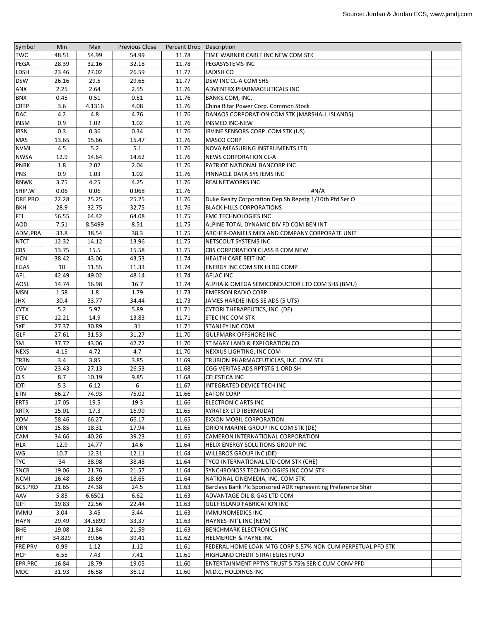| Symbol         | Min    | Max     | <b>Previous Close</b> | Percent Drop Description |                                                              |  |
|----------------|--------|---------|-----------------------|--------------------------|--------------------------------------------------------------|--|
| <b>TWC</b>     | 48.51  | 54.99   | 54.99                 | 11.78                    | TIME WARNER CABLE INC NEW COM STK                            |  |
| PEGA           | 28.39  | 32.16   | 32.18                 | 11.78                    | <b>PEGASYSTEMS INC</b>                                       |  |
| <b>LDSH</b>    | 23.46  | 27.02   | 26.59                 | 11.77                    | <b>LADISH CO</b>                                             |  |
| <b>DSW</b>     | 26.16  | 29.5    | 29.65                 | 11.77                    | DSW INC CL-A COM SHS                                         |  |
| <b>ANX</b>     | 2.25   | 2.64    | 2.55                  | 11.76                    | ADVENTRX PHARMACEUTICALS INC                                 |  |
| <b>BNX</b>     | 0.45   | 0.51    | 0.51                  | 11.76                    | BANKS.COM, INC.                                              |  |
| <b>CRTP</b>    | 3.6    | 4.1316  | 4.08                  | 11.76                    | China Ritar Power Corp. Common Stock                         |  |
| <b>DAC</b>     | 4.2    | 4.8     | 4.76                  | 11.76                    | DANAOS CORPORATION COM STK (MARSHALL ISLANDS)                |  |
| <b>INSM</b>    | 0.9    | 1.02    | 1.02                  | 11.76                    | <b>INSMED INC-NEW</b>                                        |  |
| <b>IRSN</b>    | 0.3    | 0.36    | 0.34                  | 11.76                    | IRVINE SENSORS CORP COM STK (US)                             |  |
| MAS            | 13.65  | 15.66   | 15.47                 | 11.76                    | MASCO CORP                                                   |  |
| <b>NVMI</b>    | 4.5    | 5.2     | 5.1                   | 11.76                    | <b>NOVA MEASURING INSTRUMENTS LTD</b>                        |  |
| <b>NWSA</b>    | 12.9   | 14.64   | 14.62                 | 11.76                    | <b>NEWS CORPORATION CL-A</b>                                 |  |
| <b>PNBK</b>    | 1.8    | 2.02    | 2.04                  | 11.76                    | PATRIOT NATIONAL BANCORP INC                                 |  |
| <b>PNS</b>     | 0.9    | 1.03    | 1.02                  | 11.76                    | PINNACLE DATA SYSTEMS INC                                    |  |
| <b>RNWK</b>    | 3.75   | 4.25    | 4.25                  | 11.76                    | <b>REALNETWORKS INC</b>                                      |  |
| SHIP.W         | 0.06   | 0.06    | 0.068                 | 11.76                    | #N/A                                                         |  |
| DRE.PRO        | 22.28  | 25.25   | 25.25                 | 11.76                    | Duke Realty Corporation Dep Sh Repstg 1/10th Pfd Ser O       |  |
| <b>BKH</b>     | 28.9   | 32.75   | 32.75                 | 11.76                    | <b>BLACK HILLS CORPORATIONS</b>                              |  |
| FTI            | 56.55  | 64.42   | 64.08                 | 11.75                    | FMC TECHNOLOGIES INC                                         |  |
| <b>AOD</b>     | 7.51   | 8.5499  | 8.51                  | 11.75                    | ALPINE TOTAL DYNAMIC DIV FD COM BEN INT                      |  |
| ADM.PRA        | 33.8   | 38.54   | 38.3                  | 11.75                    | ARCHER-DANIELS MIDLAND COMPANY CORPORATE UNIT                |  |
| <b>NTCT</b>    | 12.32  | 14.12   | 13.96                 | 11.75                    | <b>NETSCOUT SYSTEMS INC</b>                                  |  |
| <b>CBS</b>     | 13.75  | 15.5    | 15.58                 | 11.75                    | CBS CORPORATION CLASS B COM NEW                              |  |
| <b>HCN</b>     | 38.42  | 43.06   | 43.53                 | 11.74                    | HEALTH CARE REIT INC                                         |  |
| EGAS           | 10     | 11.55   | 11.33                 | 11.74                    | ENERGY INC COM STK HLDG COMP                                 |  |
| AFL            | 42.49  | 49.02   | 48.14                 | 11.74                    | <b>AFLAC INC</b>                                             |  |
| AOSL           | 14.74  | 16.98   | 16.7                  | 11.74                    | ALPHA & OMEGA SEMICONDUCTOR LTD COM SHS (BMU)                |  |
| <b>MSN</b>     | 1.58   | 1.8     | 1.79                  | 11.73                    | <b>EMERSON RADIO CORP</b>                                    |  |
| <b>JHX</b>     | 30.4   | 33.77   | 34.44                 | 11.73                    | JAMES HARDIE INDS SE ADS (5 UTS)                             |  |
| <b>CYTX</b>    | 5.2    | 5.97    | 5.89                  | 11.71                    | CYTORI THERAPEUTICS, INC. (DE)                               |  |
| <b>STEC</b>    | 12.21  | 14.9    | 13.83                 | 11.71                    | <b>STEC INC COM STK</b>                                      |  |
| <b>SXE</b>     | 27.37  | 30.89   | 31                    | 11.71                    | <b>STANLEY INC COM</b>                                       |  |
| GLF            | 27.61  | 31.53   | 31.27                 | 11.70                    | <b>GULFMARK OFFSHORE INC</b>                                 |  |
| SM             | 37.72  | 43.06   | 42.72                 | 11.70                    | ST MARY LAND & EXPLORATION CO                                |  |
| <b>NEXS</b>    | 4.15   | 4.72    | 4.7                   | 11.70                    | NEXXUS LIGHTING, INC COM                                     |  |
| <b>TRBN</b>    | 3.4    | 3.85    | 3.85                  | 11.69                    | TRUBION PHARMACEUTICLAS, INC. COM STK                        |  |
| <b>CGV</b>     | 23.43  | 27.13   | 26.53                 | 11.68                    | CGG VERITAS ADS RPTSTG 1 ORD SH                              |  |
| <b>CLS</b>     | 8.7    | 10.19   | 9.85                  | 11.68                    | <b>CELESTICA INC</b>                                         |  |
| <b>IDTI</b>    | 5.3    | 6.12    | 6                     | 11.67                    | INTEGRATED DEVICE TECH INC                                   |  |
| ETN            | 66.27  | 74.93   | 75.02                 | 11.66                    | <b>EATON CORP</b>                                            |  |
| <b>ERTS</b>    | 17.05  | 19.5    | 19.3                  | 11.66                    | <b>ELECTRONIC ARTS INC</b>                                   |  |
| <b>XRTX</b>    | 15.01  | 17.3    | 16.99                 | 11.65                    | XYRATEX LTD (BERMUDA)                                        |  |
| XOM            | 58.46  | 66.27   | 66.17                 | 11.65                    | EXXON MOBIL CORPORATION                                      |  |
| ORN            | 15.85  | 18.31   | 17.94                 | 11.65                    | ORION MARINE GROUP INC COM STK (DE)                          |  |
| <b>CAM</b>     | 34.66  | 40.26   | 39.23                 | 11.65                    | CAMERON INTERNATIONAL CORPORATION                            |  |
| <b>HLX</b>     | 12.9   | 14.77   | 14.6                  | 11.64                    | HELIX ENERGY SOLUTIONS GROUP INC                             |  |
| WG             | 10.7   | 12.31   | 12.11                 | 11.64                    | WILLBROS GROUP INC (DE)                                      |  |
| <b>TYC</b>     | 34     | 38.98   | 38.48                 | 11.64                    | TYCO INTERNATIONAL LTD COM STK (CHE)                         |  |
| <b>SNCR</b>    | 19.06  | 21.76   | 21.57                 | 11.64                    | SYNCHRONOSS TECHNOLOGIES INC COM STK                         |  |
| <b>NCMI</b>    | 16.48  | 18.69   | 18.65                 | 11.64                    | NATIONAL CINEMEDIA, INC. COM STK                             |  |
| <b>BCS.PRD</b> | 21.65  | 24.38   | 24.5                  | 11.63                    | Barclays Bank Plc Sponsored ADR representing Preference Shar |  |
| AAV            | 5.85   | 6.6501  | 6.62                  | 11.63                    | ADVANTAGE OIL & GAS LTD COM                                  |  |
| <b>GIFI</b>    | 19.83  | 22.56   | 22.44                 | 11.63                    | GULF ISLAND FABRICATION INC                                  |  |
| <b>IMMU</b>    | 3.04   | 3.45    | 3.44                  | 11.63                    | <b>IMMUNOMEDICS INC</b>                                      |  |
| <b>HAYN</b>    | 29.49  | 34.5899 | 33.37                 | 11.63                    | HAYNES INT'L INC (NEW)                                       |  |
| <b>BHE</b>     | 19.08  | 21.84   | 21.59                 | 11.63                    | <b>BENCHMARK ELECTRONICS INC</b>                             |  |
| HP             | 34.829 | 39.66   | 39.41                 | 11.62                    | <b>HELMERICH &amp; PAYNE INC</b>                             |  |
| FRE.PRV        | 0.99   | 1.12    | 1.12                  | 11.61                    | FEDERAL HOME LOAN MTG CORP 5.57% NON CUM PERPETUAL PFD STK   |  |
| <b>HCF</b>     | 6.55   | 7.43    | 7.41                  | 11.61                    | HIGHLAND CREDIT STRATEGIES FUND                              |  |
| EPR.PRC        | 16.84  | 18.79   | 19.05                 | 11.60                    | <b>ENTERTAINMENT PPTYS TRUST 5.75% SER C CUM CONV PFD</b>    |  |
| <b>MDC</b>     | 31.93  | 36.58   | 36.12                 | 11.60                    | M.D.C. HOLDINGS INC                                          |  |
|                |        |         |                       |                          |                                                              |  |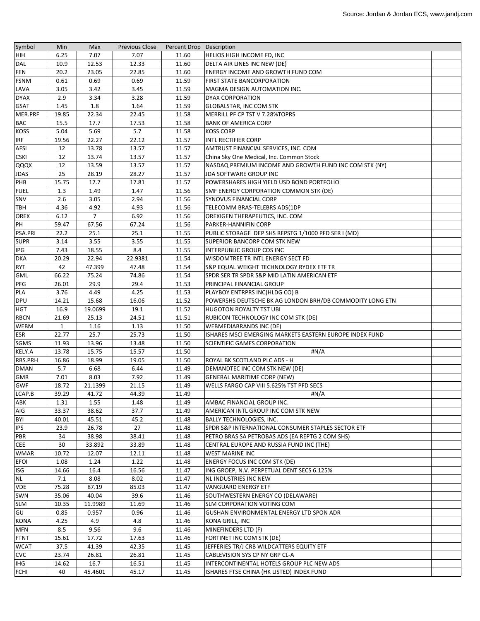| Symbol      | Min          | Max            | <b>Previous Close</b> | Percent Drop Description |                                                          |  |
|-------------|--------------|----------------|-----------------------|--------------------------|----------------------------------------------------------|--|
| HIH         | 6.25         | 7.07           | 7.07                  | 11.60                    | HELIOS HIGH INCOME FD, INC                               |  |
| <b>DAL</b>  | 10.9         | 12.53          | 12.33                 | 11.60                    | DELTA AIR LINES INC NEW (DE)                             |  |
| <b>FEN</b>  | 20.2         | 23.05          | 22.85                 | 11.60                    | ENERGY INCOME AND GROWTH FUND COM                        |  |
| <b>FSNM</b> | 0.61         | 0.69           | 0.69                  | 11.59                    | <b>FIRST STATE BANCORPORATION</b>                        |  |
| LAVA        | 3.05         | 3.42           | 3.45                  | 11.59                    | MAGMA DESIGN AUTOMATION INC.                             |  |
| <b>DYAX</b> | 2.9          | 3.34           | 3.28                  | 11.59                    | DYAX CORPORATION                                         |  |
| <b>GSAT</b> | 1.45         | 1.8            | 1.64                  | 11.59                    | <b>GLOBALSTAR, INC COM STK</b>                           |  |
| MER.PRF     | 19.85        | 22.34          | 22.45                 | 11.58                    | MERRILL PF CP TST V 7.28%TOPRS                           |  |
| <b>BAC</b>  | 15.5         | 17.7           | 17.53                 | 11.58                    | <b>BANK OF AMERICA CORP</b>                              |  |
| <b>KOSS</b> | 5.04         | 5.69           | 5.7                   | 11.58                    | <b>KOSS CORP</b>                                         |  |
| <b>IRF</b>  | 19.56        | 22.27          | 22.12                 | 11.57                    | <b>INTL RECTIFIER CORP</b>                               |  |
| <b>AFSI</b> | 12           | 13.78          | 13.57                 | 11.57                    | AMTRUST FINANCIAL SERVICES, INC. COM                     |  |
| <b>CSKI</b> | 12           | 13.74          | 13.57                 | 11.57                    | China Sky One Medical, Inc. Common Stock                 |  |
| QQQX        | 12           | 13.59          | 13.57                 | 11.57                    | NASDAQ PREMIUM INCOME AND GROWTH FUND INC COM STK (NY)   |  |
| <b>JDAS</b> | 25           | 28.19          | 28.27                 | 11.57                    | JDA SOFTWARE GROUP INC                                   |  |
| PHB         | 15.75        | 17.7           | 17.81                 | 11.57                    | POWERSHARES HIGH YIELD USD BOND PORTFOLIO                |  |
| <b>FUEL</b> | 1.3          | 1.49           | 1.47                  | 11.56                    | SMF ENERGY CORPORATION COMMON STK (DE)                   |  |
| SNV         | 2.6          | 3.05           | 2.94                  | 11.56                    | SYNOVUS FINANCIAL CORP                                   |  |
| TBH         | 4.36         | 4.92           | 4.93                  | 11.56                    | TELECOMM BRAS-TELEBRS ADS(1DP                            |  |
| <b>OREX</b> | 6.12         | $\overline{7}$ | 6.92                  | 11.56                    | OREXIGEN THERAPEUTICS, INC. COM                          |  |
| PH          | 59.47        | 67.56          | 67.24                 | 11.56                    | PARKER-HANNIFIN CORP                                     |  |
| PSA.PRI     | 22.2         | 25.1           | 25.1                  | 11.55                    | PUBLIC STORAGE DEP SHS REPSTG 1/1000 PFD SER I (MD)      |  |
| <b>SUPR</b> | 3.14         | 3.55           | 3.55                  | 11.55                    | <b>SUPERIOR BANCORP COM STK NEW</b>                      |  |
| IPG         | 7.43         | 18.55          | 8.4                   | 11.55                    | INTERPUBLIC GROUP COS INC                                |  |
| <b>DKA</b>  | 20.29        | 22.94          | 22.9381               | 11.54                    | WISDOMTREE TR INTL ENERGY SECT FD                        |  |
| <b>RYT</b>  | 42           | 47.399         | 47.48                 | 11.54                    | S&P EQUAL WEIGHT TECHNOLOGY RYDEX ETF TR                 |  |
| GML         | 66.22        | 75.24          | 74.86                 | 11.54                    | SPDR SER TR SPDR S&P MID LATIN AMERICAN ETF              |  |
| PFG         | 26.01        | 29.9           | 29.4                  | 11.53                    | PRINCIPAL FINANCIAL GROUP                                |  |
| PLA         | 3.76         | 4.49           | 4.25                  | 11.53                    | PLAYBOY ENTRPRS INC(HLDG CO) B                           |  |
| <b>DPU</b>  | 14.21        | 15.68          | 16.06                 | 11.52                    | POWERSHS DEUTSCHE BK AG LONDON BRH/DB COMMODITY LONG ETN |  |
| <b>HGT</b>  | 16.9         | 19.0699        | 19.1                  | 11.52                    | <b>HUGOTON ROYALTY TST UBI</b>                           |  |
| <b>RBCN</b> | 21.69        | 25.13          | 24.51                 | 11.51                    | RUBICON TECHNOLOGY INC COM STK (DE)                      |  |
| <b>WEBM</b> | $\mathbf{1}$ | 1.16           | 1.13                  | 11.50                    | WEBMEDIABRANDS INC (DE)                                  |  |
| <b>ESR</b>  | 22.77        | 25.7           | 25.73                 | 11.50                    | ISHARES MSCI EMERGING MARKETS EASTERN EUROPE INDEX FUND  |  |
| SGMS        | 11.93        | 13.96          | 13.48                 | 11.50                    | SCIENTIFIC GAMES CORPORATION                             |  |
| KELY.A      | 13.78        | 15.75          | 15.57                 | 11.50                    | #N/A                                                     |  |
| RBS.PRH     | 16.86        | 18.99          | 19.05                 | 11.50                    | ROYAL BK SCOTLAND PLC ADS - H                            |  |
| <b>DMAN</b> | 5.7          | 6.68           | 6.44                  | 11.49                    | DEMANDTEC INC COM STK NEW (DE)                           |  |
| <b>GMR</b>  | 7.01         | 8.03           | 7.92                  | 11.49                    | <b>GENERAL MARITIME CORP (NEW)</b>                       |  |
| <b>GWF</b>  | 18.72        | 21.1399        | 21.15                 | 11.49                    | WELLS FARGO CAP VIII 5.625% TST PFD SECS                 |  |
| LCAP.B      | 39.29        | 41.72          | 44.39                 | 11.49                    | #N/A                                                     |  |
| ABK         | 1.31         | 1.55           | 1.48                  | 11.49                    | AMBAC FINANCIAL GROUP INC.                               |  |
| AIG         | 33.37        | 38.62          | 37.7                  | 11.49                    | AMERICAN INTL GROUP INC COM STK NEW                      |  |
| BYI         | 40.01        | 45.51          | 45.2                  | 11.48                    | BALLY TECHNOLOGIES, INC.                                 |  |
| <b>IPS</b>  | 23.9         | 26.78          | 27                    | 11.48                    | SPDR S&P INTERNATIONAL CONSUMER STAPLES SECTOR ETF       |  |
| PBR         | 34           | 38.98          | 38.41                 | 11.48                    | PETRO BRAS SA PETROBAS ADS (EA REPTG 2 COM SHS)          |  |
| <b>CEE</b>  | 30           | 33.892         | 33.89                 | 11.48                    | CENTRAL EUROPE AND RUSSIA FUND INC (THE)                 |  |
| <b>WMAR</b> | 10.72        | 12.07          | 12.11                 | 11.48                    | <b>WEST MARINE INC</b>                                   |  |
| <b>EFOI</b> | 1.08         | 1.24           | 1.22                  | 11.48                    | <b>ENERGY FOCUS INC COM STK (DE)</b>                     |  |
| <b>ISG</b>  | 14.66        | 16.4           | 16.56                 | 11.47                    | ING GROEP, N.V. PERPETUAL DENT SECS 6.125%               |  |
| <b>NL</b>   | 7.1          | 8.08           | 8.02                  | 11.47                    | NL INDUSTRIES INC NEW                                    |  |
| <b>VDE</b>  | 75.28        | 87.19          | 85.03                 | 11.47                    | VANGUARD ENERGY ETF                                      |  |
| SWN         | 35.06        | 40.04          | 39.6                  | 11.46                    | SOUTHWESTERN ENERGY CO (DELAWARE)                        |  |
| <b>SLM</b>  | 10.35        | 11.9989        | 11.69                 | 11.46                    | SLM CORPORATION VOTING COM                               |  |
| GU          | 0.85         | 0.957          | 0.96                  | 11.46                    | GUSHAN ENVIRONMENTAL ENERGY LTD SPON ADR                 |  |
| <b>KONA</b> | 4.25         | 4.9            | 4.8                   | 11.46                    | KONA GRILL, INC                                          |  |
| <b>MFN</b>  | 8.5          | 9.56           | 9.6                   | 11.46                    | MINEFINDERS LTD (F)                                      |  |
| <b>FTNT</b> | 15.61        | 17.72          | 17.63                 | 11.46                    | FORTINET INC COM STK (DE)                                |  |
| <b>WCAT</b> | 37.5         | 41.39          | 42.35                 | 11.45                    | JEFFERIES TR/J CRB WILDCATTERS EQUITY ETF                |  |
| <b>CVC</b>  | 23.74        | 26.81          | 26.81                 | 11.45                    | CABLEVISION SYS CP NY GRP CL-A                           |  |
| <b>IHG</b>  | 14.62        | 16.7           | 16.51                 | 11.45                    | INTERCONTINENTAL HOTELS GROUP PLC NEW ADS                |  |
| <b>FCHI</b> | 40           | 45.4601        | 45.17                 | 11.45                    | ISHARES FTSE CHINA (HK LISTED) INDEX FUND                |  |
|             |              |                |                       |                          |                                                          |  |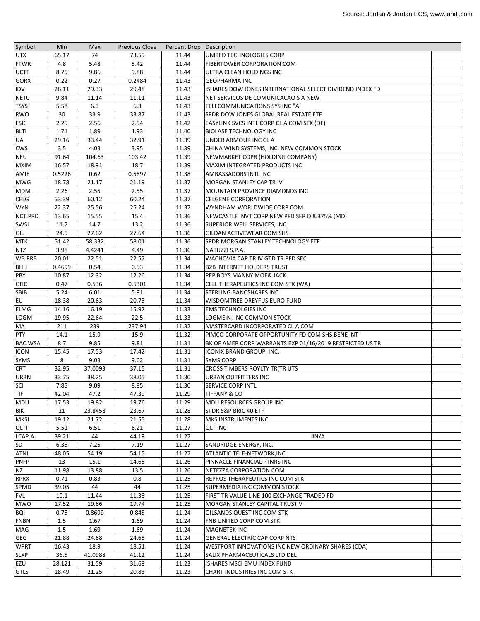| Symbol       | Min         | Max        | <b>Previous Close</b> | Percent Drop Description |                                                          |  |
|--------------|-------------|------------|-----------------------|--------------------------|----------------------------------------------------------|--|
| <b>UTX</b>   | 65.17       | 74         | 73.59                 | 11.44                    | UNITED TECHNOLOGIES CORP                                 |  |
| <b>FTWR</b>  | 4.8         | 5.48       | 5.42                  | 11.44                    | <b>FIBERTOWER CORPORATION COM</b>                        |  |
| <b>UCTT</b>  | 8.75        | 9.86       | 9.88                  | 11.44                    | ULTRA CLEAN HOLDINGS INC                                 |  |
| <b>GORX</b>  | 0.22        | 0.27       | 0.2484                | 11.43                    | <b>GEOPHARMA INC</b>                                     |  |
| <b>IDV</b>   | 26.11       | 29.33      | 29.48                 | 11.43                    | ISHARES DOW JONES INTERNATIONAL SELECT DIVIDEND INDEX FD |  |
| <b>NETC</b>  | 9.84        | 11.14      | 11.11                 | 11.43                    | NET SERVICOS DE COMUNICACAO S A NEW                      |  |
| <b>TSYS</b>  | 5.58        | 6.3        | 6.3                   | 11.43                    | TELECOMMUNICATIONS SYS INC "A"                           |  |
| <b>RWO</b>   | 30          | 33.9       | 33.87                 | 11.43                    | SPDR DOW JONES GLOBAL REAL ESTATE ETF                    |  |
| <b>ESIC</b>  | 2.25        | 2.56       | 2.54                  | 11.42                    | EASYLINK SVCS INTL CORP CL A COM STK (DE)                |  |
| <b>BLTI</b>  | 1.71        | 1.89       | 1.93                  | 11.40                    | <b>BIOLASE TECHNOLOGY INC</b>                            |  |
| UA           | 29.16       | 33.44      | 32.91                 | 11.39                    | UNDER ARMOUR INC CL A                                    |  |
| <b>CWS</b>   | 3.5         | 4.03       | 3.95                  | 11.39                    | CHINA WIND SYSTEMS, INC. NEW COMMON STOCK                |  |
| <b>NEU</b>   | 91.64       | 104.63     | 103.42                | 11.39                    | NEWMARKET COPR (HOLDING COMPANY)                         |  |
| <b>MXIM</b>  | 16.57       | 18.91      | 18.7                  | 11.39                    | MAXIM INTEGRATED PRODUCTS INC                            |  |
| AMIE         | 0.5226      | 0.62       | 0.5897                | 11.38                    | <b>AMBASSADORS INTL INC</b>                              |  |
| <b>MWG</b>   | 18.78       | 21.17      | 21.19                 | 11.37                    | MORGAN STANLEY CAP TR IV                                 |  |
| <b>MDM</b>   | 2.26        | 2.55       | 2.55                  | 11.37                    | MOUNTAIN PROVINCE DIAMONDS INC                           |  |
| <b>CELG</b>  | 53.39       | 60.12      | 60.24                 | 11.37                    | <b>CELGENE CORPORATION</b>                               |  |
| <b>WYN</b>   | 22.37       | 25.56      | 25.24                 | 11.37                    | WYNDHAM WORLDWIDE CORP COM                               |  |
| NCT.PRD      | 13.65       | 15.55      | 15.4                  | 11.36                    | NEWCASTLE INVT CORP NEW PFD SER D 8.375% (MD)            |  |
| <b>SWSI</b>  | 11.7        | 14.7       | 13.2                  | 11.36                    | SUPERIOR WELL SERVICES, INC.                             |  |
| GIL          | 24.5        | 27.62      | 27.64                 | 11.36                    | GILDAN ACTIVEWEAR COM SHS                                |  |
| <b>MTK</b>   | 51.42       | 58.332     | 58.01                 | 11.36                    | SPDR MORGAN STANLEY TECHNOLOGY ETF                       |  |
| <b>NTZ</b>   | 3.98        | 4.4241     | 4.49                  | 11.36                    | NATUZZI S.P.A.                                           |  |
| WB.PRB       | 20.01       | 22.51      | 22.57                 | 11.34                    | WACHOVIA CAP TR IV GTD TR PFD SEC                        |  |
| <b>BHH</b>   | 0.4699      | 0.54       | 0.53                  | 11.34                    | <b>B2B INTERNET HOLDERS TRUST</b>                        |  |
| <b>PBY</b>   | 10.87       | 12.32      | 12.26                 | 11.34                    | PEP BOYS MANNY MOE& JACK                                 |  |
| <b>CTIC</b>  | 0.47        | 0.536      | 0.5301                | 11.34                    | CELL THERAPEUTICS INC COM STK (WA)                       |  |
| <b>SBIB</b>  | 5.24        | 6.01       | 5.91                  | 11.34                    | <b>STERLING BANCSHARES INC</b>                           |  |
| EU           | 18.38       | 20.63      | 20.73                 | 11.34                    | WISDOMTREE DREYFUS EURO FUND                             |  |
| <b>ELMG</b>  | 14.16       | 16.19      | 15.97                 | 11.33                    | <b>EMS TECHNOLGIES INC</b>                               |  |
| <b>LOGM</b>  | 19.95       | 22.64      | 22.5                  | 11.33                    | LOGMEIN, INC COMMON STOCK                                |  |
| <b>MA</b>    | 211         | 239        | 237.94                | 11.32                    | MASTERCARD INCORPORATED CL A COM                         |  |
| <b>PTY</b>   | 14.1        | 15.9       | 15.9                  | 11.32                    | PIMCO CORPORATE OPPORTUNITY FD COM SHS BENE INT          |  |
| BAC.WSA      | 8.7         | 9.85       | 9.81                  | 11.31                    | BK OF AMER CORP WARRANTS EXP 01/16/2019 RESTRICTED US TR |  |
| <b>ICON</b>  | 15.45       | 17.53      | 17.42                 | 11.31                    | <b>ICONIX BRAND GROUP, INC.</b>                          |  |
| <b>SYMS</b>  | 8           | 9.03       | 9.02                  | 11.31                    | <b>SYMS CORP</b>                                         |  |
| <b>CRT</b>   | 32.95       | 37.0093    | 37.15                 | 11.31                    | <b>CROSS TIMBERS ROYLTY TR(TR UTS</b>                    |  |
| <b>URBN</b>  | 33.75       | 38.25      | 38.05                 | 11.30                    | <b>URBAN OUTFITTERS INC</b>                              |  |
| <b>SCI</b>   | 7.85        | 9.09       | 8.85                  | 11.30                    | <b>SERVICE CORP INTL</b>                                 |  |
| TIF          | 42.04       | 47.2       | 47.39                 | 11.29                    | <b>TIFFANY &amp; CO</b>                                  |  |
| MDU          |             |            | 19.76                 | 11.29                    | <b>MDU RESOURCES GROUP INC</b>                           |  |
|              | 17.53       | 19.82      |                       |                          |                                                          |  |
| <b>BIK</b>   | 21<br>19.12 | 23.8458    | 23.67                 | 11.28                    | <b>SPDR S&amp;P BRIC 40 ETF</b>                          |  |
| <b>MKSI</b>  | 5.51        | 21.72      | 21.55                 | 11.28<br>11.27           | <b>MKS INSTRUMENTS INC</b>                               |  |
| <b>QLTI</b>  |             | 6.51<br>44 | 6.21                  |                          | <b>QLT INC</b>                                           |  |
| LCAP.A<br>SD | 39.21       |            | 44.19                 | 11.27                    | #N/A                                                     |  |
|              | 6.38        | 7.25       | 7.19                  | 11.27                    | SANDRIDGE ENERGY, INC.                                   |  |
| ATNI         | 48.05       | 54.19      | 54.15                 | 11.27                    | ATLANTIC TELE-NETWORK, INC                               |  |
| <b>PNFP</b>  | 13          | 15.1       | 14.65                 | 11.26                    | PINNACLE FINANCIAL PTNRS INC                             |  |
| <b>NZ</b>    | 11.98       | 13.88      | 13.5                  | 11.26                    | NETEZZA CORPORATION COM                                  |  |
| <b>RPRX</b>  | 0.71        | 0.83       | 0.8                   | 11.25                    | <b>REPROS THERAPEUTICS INC COM STK</b>                   |  |
| SPMD         | 39.05       | 44         | 44                    | 11.25                    | SUPERMEDIA INC COMMON STOCK                              |  |
| <b>FVL</b>   | 10.1        | 11.44      | 11.38                 | 11.25                    | FIRST TR VALUE LINE 100 EXCHANGE TRADED FD               |  |
| <b>MWO</b>   | 17.52       | 19.66      | 19.74                 | 11.25                    | MORGAN STANLEY CAPITAL TRUST V                           |  |
| <b>BQI</b>   | 0.75        | 0.8699     | 0.845                 | 11.24                    | OILSANDS QUEST INC COM STK                               |  |
| <b>FNBN</b>  | 1.5         | 1.67       | 1.69                  | 11.24                    | FNB UNITED CORP COM STK                                  |  |
| MAG          | 1.5         | 1.69       | 1.69                  | 11.24                    | <b>MAGNETEK INC</b>                                      |  |
| <b>GEG</b>   | 21.88       | 24.68      | 24.65                 | 11.24                    | GENERAL ELECTRIC CAP CORP NTS                            |  |
| <b>WPRT</b>  | 16.43       | 18.9       | 18.51                 | 11.24                    | WESTPORT INNOVATIONS INC NEW ORDINARY SHARES (CDA)       |  |
| <b>SLXP</b>  | 36.5        | 41.0988    | 41.12                 | 11.24                    | SALIX PHARMACEUTICALS LTD DEL                            |  |
| EZU          | 28.121      | 31.59      | 31.68                 | 11.23                    | ISHARES MSCI EMU INDEX FUND                              |  |
| <b>GTLS</b>  | 18.49       | 21.25      | 20.83                 | 11.23                    | CHART INDUSTRIES INC COM STK                             |  |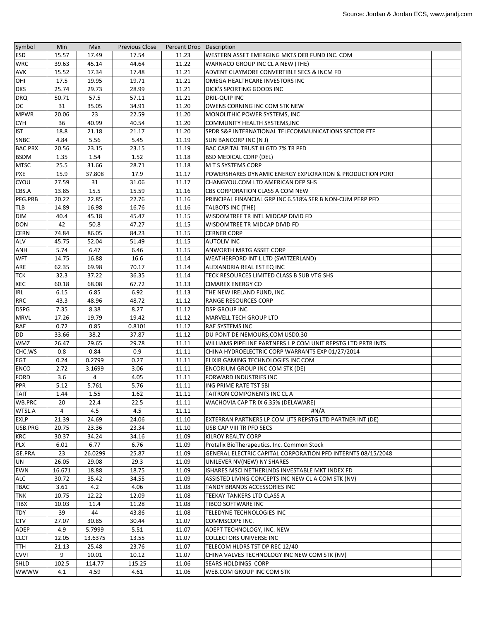| Symbol             | Min           | Max            | <b>Previous Close</b> | Percent Drop Description |                                                                                    |  |
|--------------------|---------------|----------------|-----------------------|--------------------------|------------------------------------------------------------------------------------|--|
| <b>ESD</b>         | 15.57         | 17.49          | 17.54                 | 11.23                    | WESTERN ASSET EMERGING MKTS DEB FUND INC. COM                                      |  |
| <b>WRC</b>         | 39.63         | 45.14          | 44.64                 | 11.22                    | WARNACO GROUP INC CL A NEW (THE)                                                   |  |
| <b>AVK</b>         | 15.52         | 17.34          | 17.48                 | 11.21                    | ADVENT CLAYMORE CONVERTIBLE SECS & INCM FD                                         |  |
| OHI                | 17.5          | 19.95          | 19.71                 | 11.21                    | OMEGA HEALTHCARE INVESTORS INC                                                     |  |
| <b>DKS</b>         | 25.74         | 29.73          | 28.99                 | 11.21                    | DICK'S SPORTING GOODS INC                                                          |  |
| <b>DRQ</b>         | 50.71         | 57.5           | 57.11                 | 11.21                    | DRIL-QUIP INC                                                                      |  |
| OС                 | 31            | 35.05          | 34.91                 | 11.20                    | OWENS CORNING INC COM STK NEW                                                      |  |
| <b>MPWR</b>        | 20.06         | 23             | 22.59                 | 11.20                    | MONOLITHIC POWER SYSTEMS, INC.                                                     |  |
| <b>CYH</b>         | 36            | 40.99          | 40.54                 | 11.20                    | COMMUNITY HEALTH SYSTEMS, INC                                                      |  |
| <b>IST</b>         | 18.8          | 21.18          | 21.17                 | 11.20                    | SPDR S&P INTERNATIONAL TELECOMMUNICATIONS SECTOR ETF                               |  |
| <b>SNBC</b>        | 4.84          | 5.56           | 5.45                  | 11.19                    | <b>SUN BANCORP INC (N J)</b>                                                       |  |
| <b>BAC.PRX</b>     | 20.56         | 23.15          | 23.15                 | 11.19                    | <b>BAC CAPITAL TRUST III GTD 7% TR PFD</b>                                         |  |
| <b>BSDM</b>        | 1.35          | 1.54           | 1.52                  | 11.18                    | <b>BSD MEDICAL CORP (DEL)</b>                                                      |  |
| <b>MTSC</b>        | 25.5          | 31.66          | 28.71                 | 11.18                    | M T S SYSTEMS CORP                                                                 |  |
| <b>PXE</b>         | 15.9          | 37.808         | 17.9                  | 11.17                    | POWERSHARES DYNAMIC ENERGY EXPLORATION & PRODUCTION PORT                           |  |
| CYOU               | 27.59         | 31             | 31.06                 | 11.17                    | CHANGYOU.COM LTD AMERICAN DEP SHS                                                  |  |
| CBS.A              | 13.85         | 15.5           | 15.59                 | 11.16                    | CBS CORPORATION CLASS A COM NEW                                                    |  |
| PFG.PRB            | 20.22         | 22.85          | 22.76                 | 11.16                    | PRINCIPAL FINANCIAL GRP INC 6.518% SER B NON-CUM PERP PFD                          |  |
| TLB                | 14.89         | 16.98          | 16.76                 | 11.16                    | <b>TALBOTS INC (THE)</b>                                                           |  |
| <b>DIM</b>         | 40.4          | 45.18          | 45.47                 | 11.15                    | WISDOMTREE TR INTL MIDCAP DIVID FD                                                 |  |
| <b>DON</b>         | 42            | 50.8           | 47.27                 | 11.15                    | <b>WISDOMTREE TR MIDCAP DIVID FD</b>                                               |  |
| <b>CERN</b>        | 74.84         | 86.05          | 84.23                 | 11.15                    | <b>CERNER CORP</b>                                                                 |  |
| <b>ALV</b>         | 45.75         | 52.04          | 51.49                 | 11.15                    | <b>AUTOLIV INC</b>                                                                 |  |
| ANH                | 5.74          | 6.47           | 6.46                  | 11.15                    | ANWORTH MRTG ASSET CORP                                                            |  |
| <b>WFT</b>         | 14.75         | 16.88          | 16.6                  | 11.14                    | WEATHERFORD INT'L LTD (SWITZERLAND)                                                |  |
| ARE                | 62.35         | 69.98          | 70.17                 | 11.14                    | ALEXANDRIA REAL EST EQ INC                                                         |  |
| <b>TCK</b>         | 32.3          | 37.22          | 36.35                 | 11.14                    | TECK RESOURCES LIMITED CLASS B SUB VTG SHS                                         |  |
| <b>XEC</b>         | 60.18         | 68.08          | 67.72                 | 11.13                    | <b>CIMAREX ENERGY CO</b>                                                           |  |
| <b>IRL</b>         | 6.15          | 6.85           | 6.92                  | 11.13                    | THE NEW IRELAND FUND, INC.                                                         |  |
| <b>RRC</b>         | 43.3          | 48.96          | 48.72                 | 11.12                    | <b>RANGE RESOURCES CORP</b>                                                        |  |
| <b>DSPG</b>        | 7.35          | 8.38           | 8.27                  | 11.12                    | <b>DSP GROUP INC</b>                                                               |  |
| <b>MRVL</b>        | 17.26         | 19.79          | 19.42                 | 11.12                    | <b>MARVELL TECH GROUP LTD</b>                                                      |  |
| RAE                | 0.72          | 0.85           | 0.8101                | 11.12                    | <b>RAE SYSTEMS INC</b>                                                             |  |
| <b>DD</b>          | 33.66         | 38.2           | 37.87                 | 11.12                    | DU PONT DE NEMOURS;COM USD0.30                                                     |  |
| <b>WMZ</b>         | 26.47         | 29.65          | 29.78                 | 11.11                    | WILLIAMS PIPELINE PARTNERS L P COM UNIT REPSTG LTD PRTR INTS                       |  |
| CHC.WS             | 0.8           | 0.84           | 0.9                   | 11.11                    | CHINA HYDROELECTRIC CORP WARRANTS EXP 01/27/2014                                   |  |
| <b>EGT</b>         | 0.24          | 0.2799         | 0.27                  | 11.11                    | ELIXIR GAMING TECHNOLOGIES INC COM                                                 |  |
| <b>ENCO</b>        | 2.72          | 3.1699         | 3.06                  | 11.11                    | ENCORIUM GROUP INC COM STK (DE)                                                    |  |
| <b>FORD</b>        | 3.6           | $\overline{4}$ | 4.05                  | 11.11                    | <b>FORWARD INDUSTRIES INC</b>                                                      |  |
| PPR                | 5.12          | 5.761          | 5.76                  | 11.11                    | ING PRIME RATE TST SBI                                                             |  |
| <b>TAIT</b>        | 1.44          | 1.55           | 1.62                  | 11.11                    | TAITRON COMPONENTS INC CL A                                                        |  |
| WB.PRC             | 20            | 22.4           | 22.5                  | 11.11                    | WACHOVIA CAP TR IX 6.35% (DELAWARE)                                                |  |
| WTSL.A             | 4             | 4.5            | 4.5                   | 11.11                    |                                                                                    |  |
| <b>EXLP</b>        | 21.39         | 24.69          | 24.06                 | 11.10                    | #N/A<br>EXTERRAN PARTNERS LP COM UTS REPSTG LTD PARTNER INT (DE)                   |  |
| USB.PRG            | 20.75         | 23.36          | 23.34                 | 11.10                    | USB CAP VIII TR PFD SECS                                                           |  |
| <b>KRC</b>         | 30.37         | 34.24          | 34.16                 | 11.09                    | <b>KILROY REALTY CORP</b>                                                          |  |
| <b>PLX</b>         | 6.01          | 6.77           | 6.76                  | 11.09                    | Protalix BioTherapeutics, Inc. Common Stock                                        |  |
| GE.PRA             | 23            | 26.0299        | 25.87                 | 11.09                    | GENERAL ELECTRIC CAPITAL CORPORATION PFD INTERNTS 08/15/2048                       |  |
| <b>UN</b>          | 26.05         | 29.08          | 29.3                  | 11.09                    | UNILEVER NV(NEW) NY SHARES                                                         |  |
| EWN                |               |                |                       | 11.09                    |                                                                                    |  |
|                    | 16.671        | 18.88          | 18.75                 |                          | ISHARES MSCI NETHERLNDS INVESTABLE MKT INDEX FD                                    |  |
| ALC<br><b>TBAC</b> | 30.72<br>3.61 | 35.42<br>4.2   | 34.55<br>4.06         | 11.09<br>11.08           | ASSISTED LIVING CONCEPTS INC NEW CL A COM STK (NV)<br>TANDY BRANDS ACCESSORIES INC |  |
|                    |               |                |                       |                          |                                                                                    |  |
| <b>TNK</b>         | 10.75         | 12.22          | 12.09                 | 11.08                    | TEEKAY TANKERS LTD CLASS A                                                         |  |
| <b>TIBX</b>        | 10.03         | 11.4           | 11.28                 | 11.08                    | TIBCO SOFTWARE INC                                                                 |  |
| <b>TDY</b>         | 39            | 44             | 43.86                 | 11.08                    | TELEDYNE TECHNOLOGIES INC                                                          |  |
| <b>CTV</b>         | 27.07         | 30.85          | 30.44                 | 11.07                    | COMMSCOPE INC.                                                                     |  |
| <b>ADEP</b>        | 4.9           | 5.7999         | 5.51                  | 11.07                    | ADEPT TECHNOLOGY, INC. NEW                                                         |  |
| <b>CLCT</b>        | 12.05         | 13.6375        | 13.55                 | 11.07                    | <b>COLLECTORS UNIVERSE INC</b>                                                     |  |
| <b>TTH</b>         | 21.13         | 25.48          | 23.76                 | 11.07                    | TELECOM HLDRS TST DP REC 12/40                                                     |  |
| <b>CVVT</b>        | 9             | 10.01          | 10.12                 | 11.07                    | CHINA VALVES TECHNOLOGY INC NEW COM STK (NV)                                       |  |
| SHLD               | 102.5         | 114.77         | 115.25                | 11.06                    | <b>SEARS HOLDINGS CORP</b>                                                         |  |
| <b>WWWW</b>        | 4.1           | 4.59           | 4.61                  | 11.06                    | WEB.COM GROUP INC COM STK                                                          |  |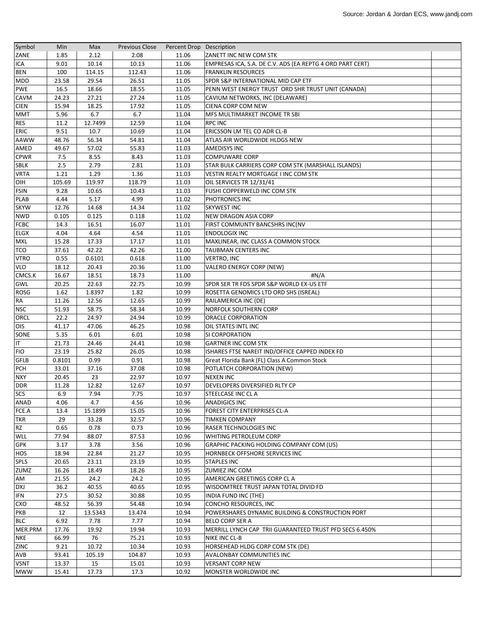| Symbol         | Min     | Max     | <b>Previous Close</b> | Percent Drop Description |                                                           |  |
|----------------|---------|---------|-----------------------|--------------------------|-----------------------------------------------------------|--|
| ZANE           | 1.85    | 2.12    | 2.08                  | 11.06                    | ZANETT INC NEW COM STK                                    |  |
| <b>ICA</b>     | 9.01    | 10.14   | 10.13                 | 11.06                    | EMPRESAS ICA, S.A. DE C.V. ADS (EA REPTG 4 ORD PART CERT) |  |
| <b>BEN</b>     | 100     | 114.15  | 112.43                | 11.06                    | <b>FRANKLIN RESOURCES</b>                                 |  |
| <b>MDD</b>     | 23.58   | 29.54   | 26.51                 | 11.05                    | SPDR S&P INTERNATIONAL MID CAP ETF                        |  |
| <b>PWE</b>     | 16.5    | 18.66   | 18.55                 | 11.05                    | PENN WEST ENERGY TRUST ORD SHR TRUST UNIT (CANADA)        |  |
| CAVM           | 24.23   | 27.21   | 27.24                 | 11.05                    | CAVIUM NETWORKS, INC (DELAWARE)                           |  |
| <b>CIEN</b>    | 15.94   | 18.25   | 17.92                 | 11.05                    | CIENA CORP COM NEW                                        |  |
| <b>MMT</b>     | 5.96    | 6.7     | 6.7                   | 11.04                    | MFS MULTIMARKET INCOME TR SBI                             |  |
| <b>RES</b>     | 11.2    | 12.7499 | 12.59                 | 11.04                    | <b>RPC INC</b>                                            |  |
| ERIC           | 9.51    | 10.7    | 10.69                 | 11.04                    | ERICSSON LM TEL CO ADR CL-B                               |  |
| <b>AAWW</b>    | 48.76   | 56.34   | 54.81                 | 11.04                    | ATLAS AIR WORLDWIDE HLDGS NEW                             |  |
| AMED           | 49.67   | 57.02   | 55.83                 | 11.03                    | <b>AMEDISYS INC</b>                                       |  |
| <b>CPWR</b>    | 7.5     | 8.55    | 8.43                  | 11.03                    | <b>COMPUWARE CORP</b>                                     |  |
| <b>SBLK</b>    | 2.5     | 2.79    | 2.81                  | 11.03                    | STAR BULK CARRIERS CORP COM STK (MARSHALL ISLANDS)        |  |
| <b>VRTA</b>    | 1.21    | 1.29    | 1.36                  | 11.03                    | VESTIN REALTY MORTGAGE I INC COM STK                      |  |
| OIH            | 105.69  | 119.97  | 118.79                | 11.03                    | OIL SERVICES TR 12/31/41                                  |  |
| <b>FSIN</b>    | 9.28    | 10.65   | 10.43                 | 11.03                    | FUSHI COPPERWELD INC COM STK                              |  |
| <b>PLAB</b>    | 4.44    | 5.17    | 4.99                  | 11.02                    | PHOTRONICS INC                                            |  |
| <b>SKYW</b>    | 12.76   | 14.68   | 14.34                 | 11.02                    | <b>SKYWEST INC</b>                                        |  |
| <b>NWD</b>     | 0.105   | 0.125   | 0.118                 | 11.02                    | <b>NEW DRAGON ASIA CORP</b>                               |  |
| <b>FCBC</b>    | 14.3    | 16.51   | 16.07                 | 11.01                    | FIRST COMMUNTY BANCSHRS INC(NV                            |  |
| <b>ELGX</b>    | 4.04    | 4.64    | 4.54                  | 11.01                    | <b>ENDOLOGIX INC</b>                                      |  |
| <b>MXL</b>     | 15.28   | 17.33   | 17.17                 | 11.01                    | MAXLINEAR, INC CLASS A COMMON STOCK                       |  |
| TCO            | 37.61   | 42.22   | 42.26                 | 11.00                    | <b>TAUBMAN CENTERS INC</b>                                |  |
| <b>VTRO</b>    | 0.55    | 0.6101  | 0.618                 | 11.00                    | <b>VERTRO, INC</b>                                        |  |
| <b>VLO</b>     | 18.12   | 20.43   | 20.36                 | 11.00                    | <b>VALERO ENERGY CORP (NEW)</b>                           |  |
| CMCS.K         | 16.67   | 18.51   | 18.73                 | 11.00                    | #N/A                                                      |  |
| GWL            | 20.25   | 22.63   | 22.75                 | 10.99                    | SPDR SER TR FDS SPDR S&P WORLD EX-US ETF                  |  |
| <b>ROSG</b>    | 1.62    | 1.8397  | 1.82                  | 10.99                    | ROSETTA GENOMICS LTD ORD SHS (ISREAL)                     |  |
| RA             | 11.26   | 12.56   | 12.65                 | 10.99                    | RAILAMERICA INC (DE)                                      |  |
| <b>NSC</b>     | 51.93   | 58.75   | 58.34                 | 10.99                    | <b>NORFOLK SOUTHERN CORP</b>                              |  |
| ORCL           | 22.2    | 24.97   | 24.94                 | 10.99                    | ORACLE CORPORATION                                        |  |
| OIS            | 41.17   | 47.06   | 46.25                 | 10.98                    | OIL STATES INTL INC                                       |  |
| SONE           | 5.35    | 6.01    | 6.01                  | 10.98                    | SI CORPORATION                                            |  |
| $ \mathsf{T} $ | 21.73   | 24.46   | 24.41                 | 10.98                    | <b>GARTNER INC COM STK</b>                                |  |
| <b>FIO</b>     | 23.19   | 25.82   | 26.05                 | 10.98                    | ISHARES FTSE NAREIT IND/OFFICE CAPPED INDEX FD            |  |
| <b>GFLB</b>    | 0.8101  | 0.99    | 0.91                  | 10.98                    | Great Florida Bank (FL) Class A Common Stock              |  |
| <b>PCH</b>     | 33.01   | 37.16   | 37.08                 | 10.98                    | POTLATCH CORPORATION (NEW)                                |  |
| <b>NXY</b>     | 20.45   | 23      | 22.97                 | 10.97                    | <b>NEXEN INC</b>                                          |  |
| <b>DDR</b>     | 11.28   | 12.82   | 12.67                 | 10.97                    | DEVELOPERS DIVERSIFIED RLTY CP                            |  |
| <b>SCS</b>     | $6.9\,$ | 7.94    | 7.75                  | 10.97                    | <b>STEELCASE INC CLA</b>                                  |  |
| ANAD           | 4.06    | 4.7     | 4.56                  | 10.96                    | <b>ANADIGICS INC</b>                                      |  |
| $FCE.A$        | 13.4    | 15.1899 | 15.05                 | 10.96                    | FOREST CITY ENTERPRISES CL-A                              |  |
| <b>TKR</b>     | 29      | 33.28   | 32.57                 | 10.96                    | <b>TIMKEN COMPANY</b>                                     |  |
| RZ             | 0.65    | 0.78    | 0.73                  | 10.96                    | RASER TECHNOLOGIES INC                                    |  |
| <b>WLL</b>     | 77.94   | 88.07   | 87.53                 | 10.96                    | WHITING PETROLEUM CORP                                    |  |
| <b>GPK</b>     | 3.17    | 3.78    | 3.56                  | 10.96                    | GRAPHIC PACKING HOLDING COMPANY COM (US)                  |  |
| HOS            | 18.94   | 22.84   | 21.27                 | 10.95                    | HORNBECK OFFSHORE SERVICES INC                            |  |
| <b>SPLS</b>    | 20.65   | 23.11   | 23.19                 | 10.95                    | <b>STAPLES INC</b>                                        |  |
| ZUMZ           | 16.26   | 18.49   | 18.26                 | 10.95                    | ZUMIEZ INC COM                                            |  |
| AM             | 21.55   | 24.2    | 24.2                  | 10.95                    | AMERICAN GREETINGS CORP CL A                              |  |
| <b>DXJ</b>     | 36.2    | 40.55   | 40.65                 | 10.95                    | WISDOMTREE TRUST JAPAN TOTAL DIVID FD                     |  |
| <b>IFN</b>     | 27.5    | 30.52   | 30.88                 | 10.95                    | INDIA FUND INC (THE)                                      |  |
| CXO            | 48.52   | 56.39   | 54.48                 | 10.94                    | CONCHO RESOURCES, INC                                     |  |
| PKB            | 12      | 13.5343 | 13.474                | 10.94                    | POWERSHARES DYNAMIC BUILDING & CONSTRUCTION PORT          |  |
| <b>BLC</b>     | 6.92    | 7.78    | 7.77                  | 10.94                    | <b>BELO CORP SER A</b>                                    |  |
| MER.PRM        | 17.76   | 19.92   | 19.94                 | 10.93                    | MERRILL LYNCH CAP TRII GUARANTEED TRUST PFD SECS 6.450%   |  |
| <b>NKE</b>     | 66.99   | 76      | 75.21                 | 10.93                    | NIKE INC CL-B                                             |  |
| <b>ZINC</b>    | 9.21    | 10.72   | 10.34                 | 10.93                    | HORSEHEAD HLDG CORP COM STK (DE)                          |  |
| AVB            | 93.41   | 105.19  | 104.87                | 10.93                    | AVALONBAY COMMUNITIES INC                                 |  |
| <b>VSNT</b>    | 13.37   | 15      | 15.01                 | 10.93                    | <b>VERSANT CORP NEW</b>                                   |  |
| <b>MWW</b>     | 15.41   | 17.73   | 17.3                  | 10.92                    | <b>MONSTER WORLDWIDE INC</b>                              |  |
|                |         |         |                       |                          |                                                           |  |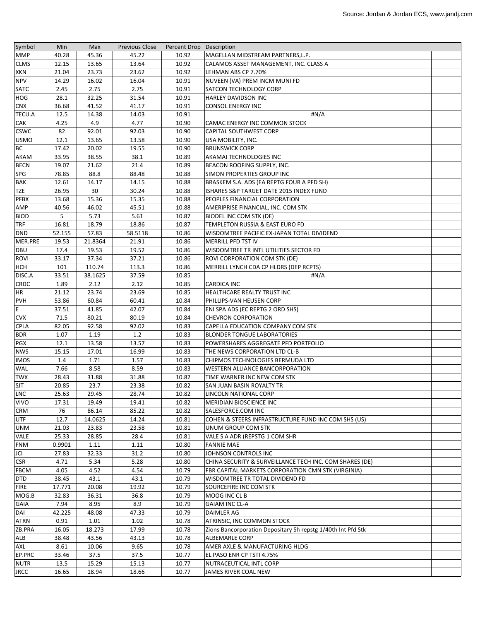| Symbol             | Min            | Max            | <b>Previous Close</b> | Percent Drop Description |                                                              |  |
|--------------------|----------------|----------------|-----------------------|--------------------------|--------------------------------------------------------------|--|
| <b>MMP</b>         | 40.28          | 45.36          | 45.22                 | 10.92                    | MAGELLAN MIDSTREAM PARTNERS, L.P.                            |  |
| <b>CLMS</b>        | 12.15          | 13.65          | 13.64                 | 10.92                    | CALAMOS ASSET MANAGEMENT, INC. CLASS A                       |  |
| XKN                | 21.04          | 23.73          | 23.62                 | 10.92                    | LEHMAN ABS CP 7.70%                                          |  |
| <b>NPV</b>         | 14.29          | 16.02          | 16.04                 | 10.91                    | NUVEEN (VA) PREM INCM MUNI FD                                |  |
| <b>SATC</b>        | 2.45           | 2.75           | 2.75                  | 10.91                    | SATCON TECHNOLOGY CORP                                       |  |
| <b>HOG</b>         | 28.1           | 32.25          | 31.54                 | 10.91                    | HARLEY DAVIDSON INC                                          |  |
| <b>CNX</b>         | 36.68          | 41.52          | 41.17                 | 10.91                    | <b>CONSOL ENERGY INC</b>                                     |  |
| <b>TECU.A</b>      | 12.5           | 14.38          | 14.03                 | 10.91                    | #N/A                                                         |  |
| <b>CAK</b>         | 4.25           | 4.9            | 4.77                  | 10.90                    | CAMAC ENERGY INC COMMON STOCK                                |  |
| <b>CSWC</b>        | 82             | 92.01          | 92.03                 | 10.90                    | CAPITAL SOUTHWEST CORP                                       |  |
| <b>USMO</b>        | 12.1           | 13.65          | 13.58                 | 10.90                    | USA MOBILITY, INC.                                           |  |
| <b>BC</b>          | 17.42          | 20.02          | 19.55                 | 10.90                    | <b>BRUNSWICK CORP</b>                                        |  |
| <b>AKAM</b>        | 33.95          | 38.55          | 38.1                  | 10.89                    | AKAMAI TECHNOLOGIES INC                                      |  |
| <b>BECN</b>        | 19.07          | 21.62          | 21.4                  | 10.89                    | BEACON ROOFING SUPPLY, INC.                                  |  |
| SPG                | 78.85          | 88.8           | 88.48                 | 10.88                    | SIMON PROPERTIES GROUP INC                                   |  |
| <b>BAK</b>         | 12.61          | 14.17          | 14.15                 | 10.88                    | BRASKEM S.A. ADS (EA REPTG FOUR A PFD SH)                    |  |
| <b>TZE</b>         | 26.95          | 30             | 30.24                 | 10.88                    | ISHARES S&P TARGET DATE 2015 INDEX FUND                      |  |
| <b>PFBX</b>        | 13.68          | 15.36          | 15.35                 | 10.88                    | PEOPLES FINANCIAL CORPORATION                                |  |
| AMP                | 40.56          | 46.02          | 45.51                 | 10.88                    | AMERIPRISE FINANCIAL, INC. COM STK                           |  |
| <b>BIOD</b>        | 5              | 5.73           | 5.61                  | 10.87                    | <b>BIODEL INC COM STK (DE)</b>                               |  |
| <b>TRF</b>         | 16.81          | 18.79          | 18.86                 | 10.87                    | TEMPLETON RUSSIA & EAST EURO FD                              |  |
| <b>DND</b>         | 52.155         | 57.83          | 58.5118               | 10.86                    | WISDOMTREE PACIFIC EX-JAPAN TOTAL DIVIDEND                   |  |
| MER.PRE            | 19.53          | 21.8364        | 21.91                 | 10.86                    | MERRILL PFD TST IV                                           |  |
| <b>DBU</b>         | 17.4           | 19.53          | 19.52                 | 10.86                    | WISDOMTREE TR INTL UTILITIES SECTOR FD                       |  |
| <b>ROVI</b>        | 33.17          | 37.34          | 37.21                 | 10.86                    | ROVI CORPORATION COM STK (DE)                                |  |
| <b>HCH</b>         | 101            | 110.74         | 113.3                 | 10.86                    | MERRILL LYNCH CDA CP HLDRS (DEP RCPTS)                       |  |
| DISC.A             | 33.51          | 38.1625        | 37.59                 | 10.85                    | #N/A                                                         |  |
| <b>CRDC</b>        | 1.89           | 2.12           | 2.12                  | 10.85                    | <b>CARDICA INC</b>                                           |  |
| HR                 | 21.12          | 23.74          | 23.69                 | 10.85                    | HEALTHCARE REALTY TRUST INC                                  |  |
| <b>PVH</b>         | 53.86          | 60.84          | 60.41                 | 10.84                    | PHILLIPS-VAN HEUSEN CORP                                     |  |
| E                  | 37.51          | 41.85          | 42.07                 | 10.84                    | ENI SPA ADS (EC REPTG 2 ORD SHS)                             |  |
| <b>CVX</b>         | 71.5           | 80.21          | 80.19                 | 10.84                    | <b>CHEVRON CORPORATION</b>                                   |  |
| <b>CPLA</b>        | 82.05          | 92.58          | 92.02                 | 10.83                    | CAPELLA EDUCATION COMPANY COM STK                            |  |
| <b>BDR</b>         | 1.07           | 1.19           | 1.2                   | 10.83                    | <b>BLONDER TONGUE LABORATORIES</b>                           |  |
| PGX                | 12.1           | 13.58          | 13.57                 | 10.83                    | POWERSHARES AGGREGATE PFD PORTFOLIO                          |  |
| <b>NWS</b>         | 15.15          | 17.01          | 16.99                 | 10.83                    | THE NEWS CORPORATION LTD CL-B                                |  |
| <b>IMOS</b>        | 1.4            | 1.71           | 1.57                  | 10.83                    | CHIPMOS TECHNOLOGIES BERMUDA LTD                             |  |
| <b>WAL</b>         | 7.66           | 8.58           | 8.59                  | 10.83                    | WESTERN ALLIANCE BANCORPORATION                              |  |
| <b>TWX</b>         | 28.43          | 31.88          | 31.88                 | 10.82                    | TIME WARNER INC NEW COM STK                                  |  |
| <b>SJT</b>         | 20.85          | 23.7           | 23.38                 | 10.82                    | SAN JUAN BASIN ROYALTY TR                                    |  |
| LNC                | 25.63          | 29.45          | 28.74                 | 10.82                    | LINCOLN NATIONAL CORP                                        |  |
| VIVO               | 17.31          | 19.49          | 19.41                 | 10.82                    | <b>MERIDIAN BIOSCIENCE INC</b>                               |  |
| <b>CRM</b>         | 76             | 86.14          | 85.22                 | 10.82                    | SALESFORCE.COM INC                                           |  |
| <b>UTF</b>         | 12.7           | 14.0625        | 14.24                 | 10.81                    | COHEN & STEERS INFRASTRUCTURE FUND INC COM SHS (US)          |  |
| <b>UNM</b>         | 21.03          | 23.83          | 23.58                 | 10.81                    | UNUM GROUP COM STK                                           |  |
| VALE               | 25.33          | 28.85          | 28.4                  | 10.81                    | VALE S A ADR (REPSTG 1 COM SHR                               |  |
| <b>FNM</b>         | 0.9901         | 1.11           | 1.11                  | 10.80                    | <b>FANNIE MAE</b>                                            |  |
| <b>JCI</b>         | 27.83          | 32.33          | 31.2                  | 10.80                    | JOHNSON CONTROLS INC                                         |  |
| <b>CSR</b>         | 4.71           | 5.34           | 5.28                  | 10.80                    | CHINA SECURITY & SURVEILLANCE TECH INC. COM SHARES (DE)      |  |
| <b>FBCM</b>        | 4.05           | 4.52           | 4.54                  | 10.79                    | FBR CAPITAL MARKETS CORPORATION CMN STK (VIRGINIA)           |  |
| <b>DTD</b>         | 38.45          | 43.1           | 43.1                  | 10.79                    | WISDOMTREE TR TOTAL DIVIDEND FD                              |  |
| <b>FIRE</b>        | 17.771         | 20.08          | 19.92                 | 10.79                    | SOURCEFIRE INC COM STK                                       |  |
| MOG.B              | 32.83          | 36.31          | 36.8                  | 10.79                    | MOOG INC CL B                                                |  |
|                    | 7.94           | 8.95           |                       | 10.79                    |                                                              |  |
| <b>GAIA</b><br>DAI |                |                | 8.9                   |                          | <b>GAIAM INC CL-A</b>                                        |  |
| <b>ATRN</b>        | 42.225<br>0.91 | 48.08          | 47.33                 | 10.79<br>10.78           | <b>DAIMLER AG</b><br>ATRINSIC, INC COMMON STOCK              |  |
| ZB.PRA             |                | 1.01<br>18.273 | 1.02                  | 10.78                    | Zions Bancorporation Depositary Sh repstg 1/40th Int Pfd Stk |  |
|                    | 16.05          |                | 17.99                 |                          |                                                              |  |
| <b>ALB</b>         | 38.48          | 43.56          | 43.13                 | 10.78                    | ALBEMARLE CORP                                               |  |
| AXL                | 8.61           | 10.06          | 9.65                  | 10.78                    | AMER AXLE & MANUFACTURING HLDG                               |  |
| EP.PRC             | 33.46          | 37.5           | 37.5                  | 10.77                    | EL PASO ENR CP TSTI 4.75%                                    |  |
| <b>NUTR</b>        | 13.5           | 15.29          | 15.13                 | 10.77                    | NUTRACEUTICAL INTL CORP                                      |  |
| <b>JRCC</b>        | 16.65          | 18.94          | 18.66                 | 10.77                    | JAMES RIVER COAL NEW                                         |  |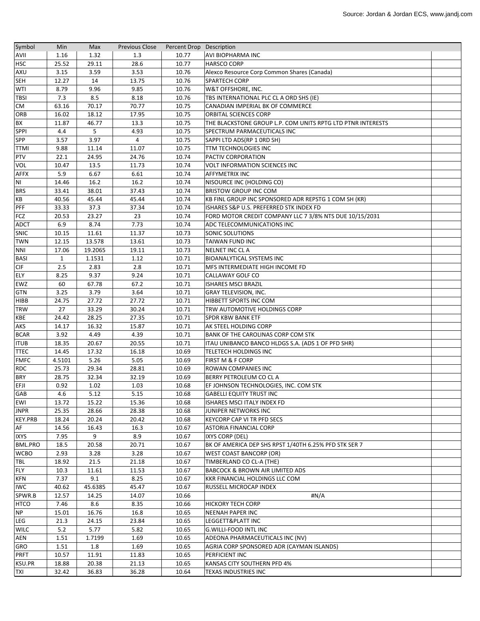| Symbol         | Min          | Max     | <b>Previous Close</b> | Percent Drop Description |                                                             |  |
|----------------|--------------|---------|-----------------------|--------------------------|-------------------------------------------------------------|--|
| <b>AVII</b>    | 1.16         | 1.32    | 1.3                   | 10.77                    | AVI BIOPHARMA INC                                           |  |
| <b>HSC</b>     | 25.52        | 29.11   | 28.6                  | 10.77                    | <b>HARSCO CORP</b>                                          |  |
| <b>AXU</b>     | 3.15         | 3.59    | 3.53                  | 10.76                    | Alexco Resource Corp Common Shares (Canada)                 |  |
| <b>SEH</b>     | 12.27        | 14      | 13.75                 | 10.76                    | <b>SPARTECH CORP</b>                                        |  |
| WTI            | 8.79         | 9.96    | 9.85                  | 10.76                    | W&T OFFSHORE, INC.                                          |  |
| <b>TBSI</b>    | 7.3          | 8.5     | 8.18                  | 10.76                    | TBS INTERNATIONAL PLC CL A ORD SHS (IE)                     |  |
| СM             | 63.16        | 70.17   | 70.77                 | 10.75                    | CANADIAN IMPERIAL BK OF COMMERCE                            |  |
| <b>ORB</b>     | 16.02        | 18.12   | 17.95                 | 10.75                    | ORBITAL SCIENCES CORP                                       |  |
| <b>BX</b>      | 11.87        | 46.77   | 13.3                  | 10.75                    | THE BLACKSTONE GROUP L.P. COM UNITS RPTG LTD PTNR INTERESTS |  |
| SPPI           | 4.4          | 5       | 4.93                  | 10.75                    | SPECTRUM PARMACEUTICALS INC                                 |  |
| SPP            | 3.57         | 3.97    | 4                     | 10.75                    | SAPPI LTD ADS(RP 1 ORD SH)                                  |  |
| <b>TTMI</b>    | 9.88         | 11.14   | 11.07                 | 10.75                    | TTM TECHNOLOGIES INC                                        |  |
| <b>PTV</b>     | 22.1         | 24.95   | 24.76                 | 10.74                    | PACTIV CORPORATION                                          |  |
| VOL            | 10.47        | 13.5    | 11.73                 | 10.74                    | <b>VOLT INFORMATION SCIENCES INC</b>                        |  |
| <b>AFFX</b>    | 5.9          | 6.67    | 6.61                  | 10.74                    | AFFYMETRIX INC                                              |  |
| N <sub>1</sub> | 14.46        | 16.2    | 16.2                  | 10.74                    | NISOURCE INC (HOLDING CO)                                   |  |
| <b>BRS</b>     | 33.41        | 38.01   | 37.43                 | 10.74                    | BRISTOW GROUP INC COM                                       |  |
| KB             | 40.56        | 45.44   | 45.44                 | 10.74                    | KB FINL GROUP INC SPONSORED ADR REPSTG 1 COM SH (KR)        |  |
| PFF            | 33.33        | 37.3    | 37.34                 | 10.74                    | ISHARES S&P U.S. PREFERRED STK INDEX FD                     |  |
| FCZ            | 20.53        | 23.27   | 23                    | 10.74                    | FORD MOTOR CREDIT COMPANY LLC 7 3/8% NTS DUE 10/15/2031     |  |
| <b>ADCT</b>    | 6.9          | 8.74    | 7.73                  | 10.74                    | <b>ADC TELECOMMUNICATIONS INC</b>                           |  |
| <b>SNIC</b>    | 10.15        | 11.61   | 11.37                 | 10.73                    | <b>SONIC SOLUTIONS</b>                                      |  |
| <b>TWN</b>     | 12.15        | 13.578  | 13.61                 | 10.73                    | TAIWAN FUND INC                                             |  |
| <b>NNI</b>     | 17.06        | 19.2065 | 19.11                 | 10.73                    | NELNET INC CL A                                             |  |
| <b>BASI</b>    | $\mathbf{1}$ | 1.1531  | 1.12                  | 10.71                    | <b>BIOANALYTICAL SYSTEMS INC</b>                            |  |
| <b>CIF</b>     | 2.5          | 2.83    | 2.8                   | 10.71                    | <b>MFS INTERMEDIATE HIGH INCOME FD</b>                      |  |
| ELY            | 8.25         | 9.37    | 9.24                  | 10.71                    | CALLAWAY GOLF CO                                            |  |
| EWZ            | 60           | 67.78   | 67.2                  | 10.71                    | <b>ISHARES MSCI BRAZIL</b>                                  |  |
| <b>GTN</b>     | 3.25         | 3.79    | 3.64                  | 10.71                    | <b>GRAY TELEVISION, INC.</b>                                |  |
| <b>HIBB</b>    | 24.75        | 27.72   | 27.72                 | 10.71                    | HIBBETT SPORTS INC COM                                      |  |
| <b>TRW</b>     | 27           | 33.29   | 30.24                 | 10.71                    | TRW AUTOMOTIVE HOLDINGS CORP                                |  |
| <b>KBE</b>     | 24.42        | 28.25   | 27.35                 | 10.71                    | <b>SPDR KBW BANK ETF</b>                                    |  |
| <b>AKS</b>     | 14.17        | 16.32   | 15.87                 | 10.71                    | AK STEEL HOLDING CORP                                       |  |
| <b>BCAR</b>    | 3.92         | 4.49    | 4.39                  | 10.71                    | <b>BANK OF THE CAROLINAS CORP COM STK</b>                   |  |
| <b>ITUB</b>    | 18.35        | 20.67   | 20.55                 | 10.71                    | ITAU UNIBANCO BANCO HLDGS S.A. (ADS 1 OF PFD SHR)           |  |
| <b>TTEC</b>    | 14.45        | 17.32   | 16.18                 | 10.69                    | TELETECH HOLDINGS INC                                       |  |
| <b>FMFC</b>    | 4.5101       | 5.26    | 5.05                  | 10.69                    | <b>FIRST M &amp; F CORP</b>                                 |  |
| <b>RDC</b>     | 25.73        | 29.34   | 28.81                 | 10.69                    | ROWAN COMPANIES INC                                         |  |
| <b>BRY</b>     | 28.75        | 32.34   | 32.19                 | 10.69                    | BERRY PETROLEUM CO CL A                                     |  |
| EFJI           | 0.92         | 1.02    | 1.03                  | 10.68                    | EF JOHNSON TECHNOLOGIES, INC. COM STK                       |  |
| GAB            | 4.6          | 5.12    | 5.15                  | 10.68                    | <b>GABELLI EQUITY TRUST INC</b>                             |  |
| EWI            | 13.72        | 15.22   | 15.36                 | 10.68                    | ISHARES MSCI ITALY INDEX FD                                 |  |
| <b>JNPR</b>    | 25.35        | 28.66   | 28.38                 | 10.68                    | JUNIPER NETWORKS INC                                        |  |
| <b>KEY.PRB</b> | 18.24        | 20.24   | 20.42                 | 10.68                    | KEYCORP CAP VI TR PFD SECS                                  |  |
| AF             | 14.56        | 16.43   | 16.3                  | 10.67                    | ASTORIA FINANCIAL CORP                                      |  |
| <b>IXYS</b>    | 7.95         | 9       | 8.9                   | 10.67                    | IXYS CORP (DEL)                                             |  |
| <b>BML.PRO</b> | 18.5         | 20.58   | 20.71                 | 10.67                    | BK OF AMERICA DEP SHS RPST 1/40TH 6.25% PFD STK SER 7       |  |
| <b>WCBO</b>    | 2.93         | 3.28    | 3.28                  | 10.67                    | WEST COAST BANCORP (OR)                                     |  |
| TBL            | 18.92        | 21.5    | 21.18                 | 10.67                    | TIMBERLAND CO CL-A (THE)                                    |  |
| <b>FLY</b>     | 10.3         | 11.61   | 11.53                 | 10.67                    | <b>BABCOCK &amp; BROWN AIR LIMITED ADS</b>                  |  |
| <b>KFN</b>     | 7.37         | 9.1     | 8.25                  | 10.67                    | KKR FINANCIAL HOLDINGS LLC COM                              |  |
| <b>IWC</b>     | 40.62        | 45.6385 | 45.47                 | 10.67                    | RUSSELL MICROCAP INDEX                                      |  |
| SPWR.B         | 12.57        | 14.25   | 14.07                 | 10.66                    | #N/A                                                        |  |
| <b>HTCO</b>    | 7.46         | 8.6     | 8.35                  | 10.66                    | <b>HICKORY TECH CORP</b>                                    |  |
| NP             | 15.01        | 16.76   | 16.8                  | 10.65                    | <b>NEENAH PAPER INC</b>                                     |  |
| LEG            | 21.3         | 24.15   | 23.84                 | 10.65                    | LEGGETT&PLATT INC                                           |  |
| <b>WILC</b>    | 5.2          | 5.77    | 5.82                  | 10.65                    | <b>G.WILLI-FOOD INTL INC</b>                                |  |
| AEN            | 1.51         | 1.7199  | 1.69                  | 10.65                    | ADEONA PHARMACEUTICALS INC (NV)                             |  |
| GRO            | 1.51         | 1.8     | 1.69                  | 10.65                    | AGRIA CORP SPONSORED ADR (CAYMAN ISLANDS)                   |  |
| <b>PRFT</b>    | 10.57        | 11.91   | 11.83                 | 10.65                    | <b>PERFICIENT INC</b>                                       |  |
| KSU.PR         | 18.88        | 20.38   | 21.13                 | 10.65                    | KANSAS CITY SOUTHERN PFD 4%                                 |  |
| <b>TXI</b>     | 32.42        | 36.83   | 36.28                 | 10.64                    | TEXAS INDUSTRIES INC                                        |  |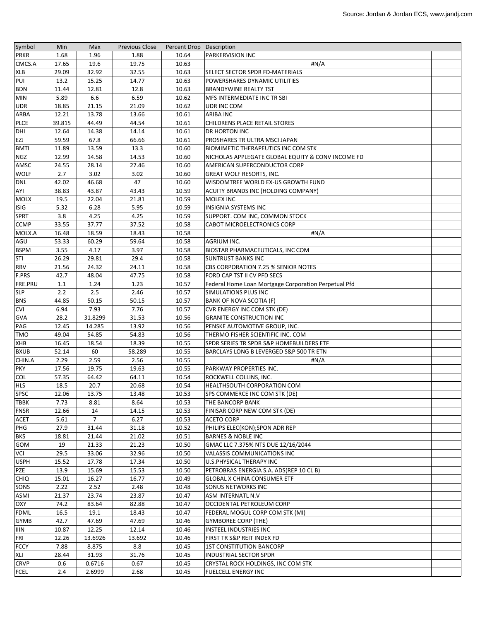| Symbol         | Min    | Max            | <b>Previous Close</b> | Percent Drop Description |                                                      |  |
|----------------|--------|----------------|-----------------------|--------------------------|------------------------------------------------------|--|
| <b>PRKR</b>    | 1.68   | 1.96           | 1.88                  | 10.64                    | <b>PARKERVISION INC</b>                              |  |
| CMCS.A         | 17.65  | 19.6           | 19.75                 | 10.63                    | #N/A                                                 |  |
| XLB            | 29.09  | 32.92          | 32.55                 | 10.63                    | SELECT SECTOR SPDR FD-MATERIALS                      |  |
| PUI            | 13.2   | 15.25          | 14.77                 | 10.63                    | POWERSHARES DYNAMIC UTILITIES                        |  |
| <b>BDN</b>     | 11.44  | 12.81          | 12.8                  | 10.63                    | <b>BRANDYWINE REALTY TST</b>                         |  |
| <b>MIN</b>     | 5.89   | 6.6            | 6.59                  | 10.62                    | <b>MFS INTERMEDIATE INC TR SBI</b>                   |  |
| <b>UDR</b>     | 18.85  | 21.15          | 21.09                 | 10.62                    | UDR INC COM                                          |  |
| <b>ARBA</b>    | 12.21  | 13.78          | 13.66                 | 10.61                    | ARIBA INC                                            |  |
| PLCE           | 39.815 | 44.49          | 44.54                 | 10.61                    | <b>CHILDRENS PLACE RETAIL STORES</b>                 |  |
| DHI            | 12.64  | 14.38          | 14.14                 | 10.61                    | <b>DR HORTON INC</b>                                 |  |
| <b>EZJ</b>     | 59.59  | 67.8           | 66.66                 | 10.61                    | PROSHARES TR ULTRA MSCI JAPAN                        |  |
| <b>BMTI</b>    | 11.89  | 13.59          | 13.3                  | 10.60                    | BIOMIMETIC THERAPEUTICS INC COM STK                  |  |
| <b>NGZ</b>     | 12.99  | 14.58          | 14.53                 | 10.60                    | NICHOLAS APPLEGATE GLOBAL EQUITY & CONVINCOME FD     |  |
| AMSC           | 24.55  | 28.14          | 27.46                 | 10.60                    | AMERICAN SUPERCONDUCTOR CORP                         |  |
| <b>WOLF</b>    | 2.7    | 3.02           |                       |                          |                                                      |  |
|                | 42.02  | 46.68          | 3.02<br>47            | 10.60<br>10.60           | <b>GREAT WOLF RESORTS, INC.</b>                      |  |
| <b>DNL</b>     |        |                |                       |                          | WISDOMTREE WORLD EX-US GROWTH FUND                   |  |
| AYI            | 38.83  | 43.87          | 43.43                 | 10.59                    | ACUITY BRANDS INC (HOLDING COMPANY)                  |  |
| <b>MOLX</b>    | 19.5   | 22.04          | 21.81                 | 10.59                    | <b>MOLEX INC</b>                                     |  |
| <b>ISIG</b>    | 5.32   | 6.28           | 5.95                  | 10.59                    | <b>INSIGNIA SYSTEMS INC</b>                          |  |
| SPRT           | 3.8    | 4.25           | 4.25                  | 10.59                    | SUPPORT. COM INC, COMMON STOCK                       |  |
| <b>CCMP</b>    | 33.55  | 37.77          | 37.52                 | 10.58                    | <b>CABOT MICROELECTRONICS CORP</b>                   |  |
| MOLX.A         | 16.48  | 18.59          | 18.43                 | 10.58                    | #N/A                                                 |  |
| AGU            | 53.33  | 60.29          | 59.64                 | 10.58                    | AGRIUM INC.                                          |  |
| <b>BSPM</b>    | 3.55   | 4.17           | 3.97                  | 10.58                    | BIOSTAR PHARMACEUTICALS, INC COM                     |  |
| STI            | 26.29  | 29.81          | 29.4                  | 10.58                    | <b>SUNTRUST BANKS INC</b>                            |  |
| <b>RBV</b>     | 21.56  | 24.32          | 24.11                 | 10.58                    | CBS CORPORATION 7.25 % SENIOR NOTES                  |  |
| F.PRS          | 42.7   | 48.04          | 47.75                 | 10.58                    | FORD CAP TST II CV PFD SECS                          |  |
| <b>FRE.PRU</b> | 1.1    | 1.24           | 1.23                  | 10.57                    | Federal Home Loan Mortgage Corporation Perpetual Pfd |  |
| <b>SLP</b>     | 2.2    | 2.5            | 2.46                  | 10.57                    | SIMULATIONS PLUS INC                                 |  |
| <b>BNS</b>     | 44.85  | 50.15          | 50.15                 | 10.57                    | BANK OF NOVA SCOTIA (F)                              |  |
| <b>CVI</b>     | 6.94   | 7.93           | 7.76                  | 10.57                    | CVR ENERGY INC COM STK (DE)                          |  |
| <b>GVA</b>     | 28.2   | 31.8299        | 31.53                 | 10.56                    | <b>GRANITE CONSTRUCTION INC</b>                      |  |
| PAG            | 12.45  | 14.285         | 13.92                 | 10.56                    | PENSKE AUTOMOTIVE GROUP, INC.                        |  |
| <b>TMO</b>     | 49.04  | 54.85          | 54.83                 | 10.56                    | THERMO FISHER SCIENTIFIC INC. COM                    |  |
| XHB            | 16.45  | 18.54          | 18.39                 | 10.55                    | SPDR SERIES TR SPDR S&P HOMEBUILDERS ETF             |  |
| <b>BXUB</b>    | 52.14  | 60             | 58.289                | 10.55                    | BARCLAYS LONG B LEVERGED S&P 500 TR ETN              |  |
| CHIN.A         | 2.29   | 2.59           | 2.56                  | 10.55                    | #N/A                                                 |  |
| <b>PKY</b>     | 17.56  | 19.75          | 19.63                 | 10.55                    | PARKWAY PROPERTIES INC.                              |  |
| <b>COL</b>     | 57.35  | 64.42          | 64.11                 | 10.54                    | ROCKWELL COLLINS, INC.                               |  |
| <b>HLS</b>     | 18.5   | 20.7           | 20.68                 | 10.54                    | HEALTHSOUTH CORPORATION COM                          |  |
| SPSC           | 12.06  | 13.75          | 13.48                 | 10.53                    | SPS COMMERCE INC COM STK (DE)                        |  |
| <b>TBBK</b>    | 7.73   | 8.81           | 8.64                  | 10.53                    | THE BANCORP BANK                                     |  |
| <b>FNSR</b>    | 12.66  | 14             | 14.15                 | 10.53                    | FINISAR CORP NEW COM STK (DE)                        |  |
| <b>ACET</b>    | 5.61   | $\overline{7}$ | 6.27                  | 10.53                    | <b>ACETO CORP</b>                                    |  |
| PHG            | 27.9   | 31.44          | 31.18                 | 10.52                    | PHILIPS ELEC(KON); SPON ADR REP                      |  |
| <b>BKS</b>     | 18.81  | 21.44          | 21.02                 | 10.51                    | <b>BARNES &amp; NOBLE INC</b>                        |  |
|                |        |                |                       |                          |                                                      |  |
| GOM            | 19     | 21.33          | 21.23                 | 10.50                    | GMAC LLC 7.375% NTS DUE 12/16/2044                   |  |
| <b>VCI</b>     | 29.5   | 33.06          | 32.96                 | 10.50                    | VALASSIS COMMUNICATIONS INC                          |  |
| <b>USPH</b>    | 15.52  | 17.78          | 17.34                 | 10.50                    | U.S.PHYSICAL THERAPY INC                             |  |
| PZE            | 13.9   | 15.69          | 15.53                 | 10.50                    | PETROBRAS ENERGIA S.A. ADS(REP 10 CL B)              |  |
| <b>CHIQ</b>    | 15.01  | 16.27          | 16.77                 | 10.49                    | <b>GLOBAL X CHINA CONSUMER ETF</b>                   |  |
| SONS           | 2.22   | 2.52           | 2.48                  | 10.48                    | SONUS NETWORKS INC                                   |  |
| ASMI           | 21.37  | 23.74          | 23.87                 | 10.47                    | ASM INTERNATL N.V                                    |  |
| OXY            | 74.2   | 83.64          | 82.88                 | 10.47                    | OCCIDENTAL PETROLEUM CORP                            |  |
| <b>FDML</b>    | 16.5   | 19.1           | 18.43                 | 10.47                    | FEDERAL MOGUL CORP COM STK (MI)                      |  |
| <b>GYMB</b>    | 42.7   | 47.69          | 47.69                 | 10.46                    | <b>GYMBOREE CORP (THE)</b>                           |  |
| IIIN           | 10.87  | 12.25          | 12.14                 | 10.46                    | INSTEEL INDUSTRIES INC                               |  |
| <b>FRI</b>     | 12.26  | 13.6926        | 13.692                | 10.46                    | FIRST TR S&P REIT INDEX FD                           |  |
| <b>FCCY</b>    | 7.88   | 8.875          | 8.8                   | 10.45                    | <b>1ST CONSTITUTION BANCORP</b>                      |  |
| <b>XLI</b>     | 28.44  | 31.93          | 31.76                 | 10.45                    | <b>INDUSTRIAL SECTOR SPDR</b>                        |  |
| <b>CRVP</b>    | 0.6    | 0.6716         | 0.67                  | 10.45                    | CRYSTAL ROCK HOLDINGS, INC COM STK                   |  |
| <b>FCEL</b>    | 2.4    | 2.6999         | 2.68                  | 10.45                    | <b>FUELCELL ENERGY INC</b>                           |  |
|                |        |                |                       |                          |                                                      |  |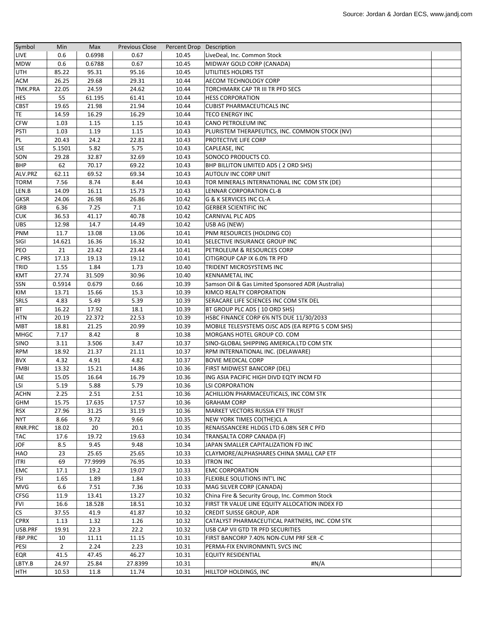| Symbol         | Min            | Max     | <b>Previous Close</b> | Percent Drop Description |                                                    |  |
|----------------|----------------|---------|-----------------------|--------------------------|----------------------------------------------------|--|
| <b>LIVE</b>    | 0.6            | 0.6998  | 0.67                  | 10.45                    | LiveDeal, Inc. Common Stock                        |  |
| <b>MDW</b>     | 0.6            | 0.6788  | 0.67                  | 10.45                    | MIDWAY GOLD CORP (CANADA)                          |  |
| <b>UTH</b>     | 85.22          | 95.31   | 95.16                 | 10.45                    | UTILITIES HOLDRS TST                               |  |
| <b>ACM</b>     | 26.25          | 29.68   | 29.31                 | 10.44                    | AECOM TECHNOLOGY CORP                              |  |
| <b>TMK.PRA</b> | 22.05          | 24.59   | 24.62                 | 10.44                    | TORCHMARK CAP TR III TR PFD SECS                   |  |
| <b>HES</b>     | 55             | 61.195  | 61.41                 | 10.44                    | <b>HESS CORPORATION</b>                            |  |
| <b>CBST</b>    | 19.65          | 21.98   | 21.94                 | 10.44                    | <b>CUBIST PHARMACEUTICALS INC</b>                  |  |
| TE.            | 14.59          | 16.29   | 16.29                 | 10.44                    | TECO ENERGY INC                                    |  |
| <b>CFW</b>     | 1.03           | 1.15    | 1.15                  | 10.43                    | CANO PETROLEUM INC                                 |  |
| <b>PSTI</b>    | 1.03           | 1.19    | 1.15                  | 10.43                    | PLURISTEM THERAPEUTICS, INC. COMMON STOCK (NV)     |  |
| PL             | 20.43          | 24.2    | 22.81                 | 10.43                    | <b>PROTECTIVE LIFE CORP</b>                        |  |
| <b>LSE</b>     | 5.1501         | 5.82    | 5.75                  | 10.43                    | <b>CAPLEASE, INC</b>                               |  |
| SON            | 29.28          | 32.87   | 32.69                 | 10.43                    | SONOCO PRODUCTS CO.                                |  |
| <b>BHP</b>     | 62             | 70.17   | 69.22                 | 10.43                    | BHP BILLITON LIMITED ADS (2 ORD SHS)               |  |
| ALV.PRZ        | 62.11          | 69.52   | 69.34                 | 10.43                    | <b>AUTOLIV INC CORP UNIT</b>                       |  |
| <b>TORM</b>    | 7.56           | 8.74    | 8.44                  | 10.43                    | TOR MINERALS INTERNATIONAL INC COM STK (DE)        |  |
| LEN.B          | 14.09          | 16.11   | 15.73                 | 10.43                    | LENNAR CORPORATION CL-B                            |  |
| <b>GKSR</b>    | 24.06          | 26.98   | 26.86                 | 10.42                    | G & K SERVICES INC CL-A                            |  |
| <b>GRB</b>     | 6.36           | 7.25    | $7.1\,$               | 10.42                    | <b>GERBER SCIENTIFIC INC</b>                       |  |
| <b>CUK</b>     | 36.53          | 41.17   | 40.78                 | 10.42                    | <b>CARNIVAL PLC ADS</b>                            |  |
| <b>UBS</b>     | 12.98          | 14.7    | 14.49                 | 10.42                    | USB AG (NEW)                                       |  |
| <b>PNM</b>     | 11.7           | 13.08   | 13.06                 | 10.41                    | PNM RESOURCES (HOLDING CO)                         |  |
| SIGI           | 14.621         | 16.36   | 16.32                 | 10.41                    | SELECTIVE INSURANCE GROUP INC                      |  |
| PEO            | 21             | 23.42   | 23.44                 | 10.41                    | PETROLEUM & RESOURCES CORP                         |  |
| C.PRS          | 17.13          | 19.13   | 19.12                 | 10.41                    | CITIGROUP CAP IX 6.0% TR PFD                       |  |
| TRID           | 1.55           | 1.84    | 1.73                  | 10.40                    | TRIDENT MICROSYSTEMS INC                           |  |
| <b>KMT</b>     | 27.74          | 31.509  | 30.96                 | 10.40                    | <b>KENNAMETAL INC</b>                              |  |
| <b>SSN</b>     | 0.5914         | 0.679   | 0.66                  | 10.39                    | Samson Oil & Gas Limited Sponsored ADR (Australia) |  |
| KIM            | 13.71          | 15.66   | 15.3                  | 10.39                    | KIMCO REALTY CORPORATION                           |  |
| <b>SRLS</b>    | 4.83           | 5.49    | 5.39                  | 10.39                    |                                                    |  |
| <b>BT</b>      | 16.22          | 17.92   | 18.1                  | 10.39                    | SERACARE LIFE SCIENCES INC COM STK DEL             |  |
|                |                |         |                       |                          | BT GROUP PLC ADS (10 ORD SHS)                      |  |
| <b>HTN</b>     | 20.19          | 22.372  | 22.53                 | 10.39                    | HSBC FINANCE CORP 6% NTS DUE 11/30/2033            |  |
| <b>MBT</b>     | 18.81          | 21.25   | 20.99                 | 10.39                    | MOBILE TELESYSTEMS OJSC ADS (EA REPTG 5 COM SHS)   |  |
| <b>MHGC</b>    | 7.17           | 8.42    | 8                     | 10.38                    | MORGANS HOTEL GROUP CO. COM                        |  |
| SINO           | 3.11           | 3.506   | 3.47                  | 10.37                    | SINO-GLOBAL SHIPPING AMERICA.LTD COM STK           |  |
| <b>RPM</b>     | 18.92          | 21.37   | 21.11                 | 10.37                    | RPM INTERNATIONAL INC. (DELAWARE)                  |  |
| <b>BVX</b>     | 4.32           | 4.91    | 4.82                  | 10.37                    | <b>BOVIE MEDICAL CORP</b>                          |  |
| <b>FMBI</b>    | 13.32          | 15.21   | 14.86                 | 10.36                    | FIRST MIDWEST BANCORP (DEL)                        |  |
| IAE            | 15.05          | 16.64   | 16.79                 | 10.36                    | ING ASIA PACIFIC HIGH DIVD EQTY INCM FD            |  |
| <b>LSI</b>     | 5.19           | 5.88    | 5.79                  | 10.36                    | <b>LSI CORPORATION</b>                             |  |
| <b>ACHN</b>    | 2.25           | 2.51    | 2.51                  | 10.36                    | ACHILLION PHARMACEUTICALS, INC COM STK             |  |
| GHM            | 15.75          | 17.635  | 17.57                 | 10.36                    | <b>GRAHAM CORP</b>                                 |  |
| <b>RSX</b>     | 27.96          | 31.25   | 31.19                 | 10.36                    | MARKET VECTORS RUSSIA ETF TRUST                    |  |
| <b>NYT</b>     | 8.66           | 9.72    | 9.66                  | 10.35                    | NEW YORK TIMES CO(THE)CL A                         |  |
| RNR.PRC        | 18.02          | 20      | 20.1                  | 10.35                    | RENAISSANCERE HLDGS LTD 6.08% SER C PFD            |  |
| <b>TAC</b>     | 17.6           | 19.72   | 19.63                 | 10.34                    | TRANSALTA CORP CANADA (F)                          |  |
| <b>JOF</b>     | 8.5            | 9.45    | 9.48                  | 10.34                    | JAPAN SMALLER CAPITALIZATION FD INC                |  |
| HAO            | 23             | 25.65   | 25.65                 | 10.33                    | CLAYMORE/ALPHASHARES CHINA SMALL CAP ETF           |  |
| <b>ITRI</b>    | 69             | 77.9999 | 76.95                 | 10.33                    | <b>ITRON INC</b>                                   |  |
| <b>EMC</b>     | 17.1           | 19.2    | 19.07                 | 10.33                    | <b>EMC CORPORATION</b>                             |  |
| FSI            | 1.65           | 1.89    | 1.84                  | 10.33                    | FLEXIBLE SOLUTIONS INT'L INC                       |  |
| MVG            | 6.6            | 7.51    | 7.36                  | 10.33                    | MAG SILVER CORP (CANADA)                           |  |
| <b>CFSG</b>    | 11.9           | 13.41   | 13.27                 | 10.32                    | China Fire & Security Group, Inc. Common Stock     |  |
| <b>FVI</b>     | 16.6           | 18.528  | 18.51                 | 10.32                    | FIRST TR VALUE LINE EQUITY ALLOCATION INDEX FD     |  |
| <b>CS</b>      | 37.55          | 41.9    | 41.87                 | 10.32                    | <b>CREDIT SUISSE GROUP, ADR</b>                    |  |
| <b>CPRX</b>    | 1.13           | 1.32    | 1.26                  | 10.32                    | CATALYST PHARMACEUTICAL PARTNERS, INC. COM STK     |  |
| USB.PRF        | 19.91          | 22.3    | 22.2                  | 10.32                    | USB CAP VII GTD TR PFD SECURITIES                  |  |
| FBP.PRC        | 10             | 11.11   | 11.15                 | 10.31                    | FIRST BANCORP 7.40% NON-CUM PRF SER -C             |  |
| PESI           | $\overline{2}$ | 2.24    | 2.23                  | 10.31                    | PERMA-FIX ENVIRONMNTL SVCS INC                     |  |
| <b>EQR</b>     | 41.5           | 47.45   | 46.27                 | 10.31                    | <b>EQUITY RESIDENTIAL</b>                          |  |
| LBTY.B         | 24.97          | 25.84   | 27.8399               | 10.31                    | #N/A                                               |  |
| <b>HTH</b>     | 10.53          | 11.8    | 11.74                 | 10.31                    | HILLTOP HOLDINGS, INC                              |  |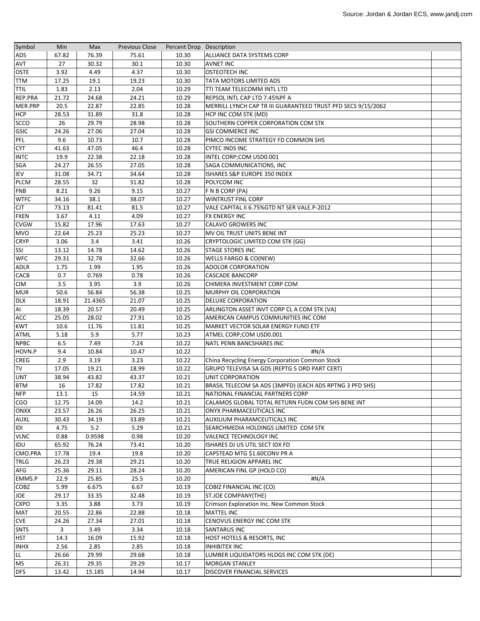| Symbol        | Min   | Max     | <b>Previous Close</b> | Percent Drop Description |                                                              |  |
|---------------|-------|---------|-----------------------|--------------------------|--------------------------------------------------------------|--|
| ADS           | 67.82 | 76.39   | 75.61                 | 10.30                    | ALLIANCE DATA SYSTEMS CORP                                   |  |
| AVT           | 27    | 30.32   | 30.1                  | 10.30                    | <b>AVNET INC</b>                                             |  |
| <b>OSTE</b>   | 3.92  | 4.49    | 4.37                  | 10.30                    | <b>OSTEOTECH INC</b>                                         |  |
| <b>TTM</b>    | 17.25 | 19.1    | 19.23                 | 10.30                    | TATA MOTORS LIMITED ADS                                      |  |
| <b>TTIL</b>   | 1.83  | 2.13    | 2.04                  | 10.29                    | TTI TEAM TELECOMM INTL LTD                                   |  |
| REP.PRA       | 21.72 | 24.68   | 24.21                 | 10.29                    | REPSOL INTL CAP LTD 7.45%PF A                                |  |
| MER.PRP       | 20.5  | 22.87   | 22.85                 | 10.28                    | MERRILL LYNCH CAP TR III GUARANTEED TRUST PFD SECS 9/15/2062 |  |
| <b>HCP</b>    | 28.53 | 31.89   | 31.8                  | 10.28                    | HCP INC COM STK (MD)                                         |  |
| <b>SCCO</b>   | 26    | 29.79   | 28.98                 | 10.28                    | SOUTHERN COPPER CORPORATION COM STK                          |  |
| GSIC          | 24.26 | 27.06   | 27.04                 | 10.28                    | <b>GSI COMMERCE INC</b>                                      |  |
| PFL           | 9.6   | 10.73   | 10.7                  | 10.28                    | PIMCO INCOME STRATEGY FD COMMON SHS                          |  |
| <b>CYT</b>    | 41.63 | 47.05   | 46.4                  | 10.28                    | <b>CYTEC INDS INC</b>                                        |  |
| <b>INTC</b>   | 19.9  | 22.38   | 22.18                 | 10.28                    | INTEL CORP;COM USD0.001                                      |  |
| SGA           | 24.27 | 26.55   | 27.05                 | 10.28                    | SAGA COMMUNICATIONS, INC                                     |  |
| IEV           | 31.08 | 34.71   | 34.64                 | 10.28                    | ISHARES S&P EUROPE 350 INDEX                                 |  |
| <b>PLCM</b>   | 28.55 | 32      | 31.82                 | 10.28                    | POLYCOM INC                                                  |  |
| <b>FNB</b>    | 8.21  | 9.26    | 9.15                  | 10.27                    | F N B CORP (PA)                                              |  |
| <b>WTFC</b>   | 34.16 | 38.1    | 38.07                 | 10.27                    | WINTRUST FINL CORP                                           |  |
| <b>CJT</b>    | 73.13 | 81.41   | 81.5                  | 10.27                    | VALE CAPITAL II 6.75%GTD NT SER VALE.P-2012                  |  |
| <b>FXEN</b>   | 3.67  | 4.11    | 4.09                  | 10.27                    | <b>FX ENERGY INC</b>                                         |  |
| <b>CVGW</b>   | 15.82 | 17.96   | 17.63                 | 10.27                    | CALAVO GROWERS INC                                           |  |
| <b>MVO</b>    | 22.64 | 25.23   | 25.23                 | 10.27                    | MV OIL TRUST UNITS BENE INT                                  |  |
| <b>CRYP</b>   | 3.06  | 3.4     | 3.41                  | 10.26                    | CRYPTOLOGIC LIMITED COM STK (GG)                             |  |
| <b>SSI</b>    | 13.12 | 14.78   | 14.62                 | 10.26                    | <b>STAGE STORES INC</b>                                      |  |
| <b>WFC</b>    | 29.31 | 32.78   | 32.66                 | 10.26                    | WELLS FARGO & CO(NEW)                                        |  |
| <b>ADLR</b>   | 1.75  | 1.99    | 1.95                  | 10.26                    | <b>ADOLOR CORPORATION</b>                                    |  |
| CACB          | 0.7   | 0.769   | 0.78                  | 10.26                    | <b>CASCADE BANCORP</b>                                       |  |
| <b>CIM</b>    | 3.5   | 3.95    | 3.9                   | 10.26                    | CHIMERA INVESTMENT CORP COM                                  |  |
| <b>MUR</b>    | 50.6  | 56.84   | 56.38                 | 10.25                    | MURPHY OIL CORPORATION                                       |  |
| <b>DLX</b>    | 18.91 | 21.4365 | 21.07                 | 10.25                    | DELUXE CORPORATION                                           |  |
| AI            | 18.39 | 20.57   | 20.49                 | 10.25                    | ARLINGTON ASSET INVT CORP CL A COM STK (VA)                  |  |
| ACC           | 25.05 | 28.02   | 27.91                 | 10.25                    | AMERICAN CAMPUS COMMUNITIES INC COM                          |  |
| <b>KWT</b>    | 10.6  | 11.76   | 11.81                 | 10.25                    | MARKET VECTOR SOLAR ENERGY FUND ETF                          |  |
| <b>ATML</b>   | 5.18  | 5.9     | 5.77                  | 10.23                    | ATMEL CORP;COM USD0.001                                      |  |
| <b>NPBC</b>   | 6.5   | 7.49    | 7.24                  | 10.22                    | NATL PENN BANCSHARES INC                                     |  |
| HOVN.P        | 9.4   | 10.84   | 10.47                 | 10.22                    | #N/A                                                         |  |
| <b>CREG</b>   | 2.9   | 3.19    | 3.23                  | 10.22                    | China Recycling Energy Corporation Common Stock              |  |
| TV            | 17.05 | 19.21   | 18.99                 | 10.22                    | GRUPO TELEVISA SA GDS (REPTG 5 ORD PART CERT)                |  |
| <b>UNT</b>    | 38.94 | 43.82   | 43.37                 | 10.21                    | <b>UNIT CORPORATION</b>                                      |  |
| <b>BTM</b>    | 16    | 17.82   | 17.82                 | 10.21                    | BRASIL TELECOM SA ADS (3MPFD) (EACH ADS RPTNG 3 PFD SHS)     |  |
| <b>NFP</b>    | 13.1  | 15      | 14.59                 | 10.21                    | NATIONAL FINANCIAL PARTNERS CORP                             |  |
| <b>CGO</b>    | 12.75 | 14.09   | 14.2                  | 10.21                    | CALAMOS GLOBAL TOTAL RETURN FUDN COM SHS BENE INT            |  |
| <b>ONXX</b>   | 23.57 | 26.26   | 26.25                 | 10.21                    | ONYX PHARMACEUTICALS INC                                     |  |
| <b>AUXL</b>   | 30.43 | 34.19   | 33.89                 | 10.21                    | AUXILIUM PHARAMCEUTICALS INC                                 |  |
| IDI           | 4.75  | 5.2     | 5.29                  | 10.21                    | SEARCHMEDIA HOLDINGS LIMITED COM STK                         |  |
| <b>VLNC</b>   | 0.88  | 0.9598  | 0.98                  | 10.20                    | VALENCE TECHNOLOGY INC                                       |  |
| <b>IDU</b>    | 65.92 | 76.24   | 73.41                 | 10.20                    | ISHARES DJ US UTIL SECT IDX FD                               |  |
| CMO.PRA       | 17.78 | 19.4    | 19.8                  | 10.20                    | CAPSTEAD MTG \$1.60CONV PR A                                 |  |
| <b>TRLG</b>   | 26.23 | 29.38   | 29.21                 | 10.20                    | TRUE RELIGION APPAREL INC                                    |  |
| AFG           | 25.36 | 29.11   | 28.24                 | 10.20                    | AMERICAN FINL GP (HOLD CO)                                   |  |
| <b>EMMS.P</b> | 22.9  | 25.85   | 25.5                  | 10.20                    | #N/A                                                         |  |
| <b>COBZ</b>   | 5.99  | 6.675   | 6.67                  | 10.19                    | COBIZ FINANCIAL INC (CO)                                     |  |
| JOE           | 29.17 | 33.35   | 32.48                 | 10.19                    | ST.JOE COMPANY(THE)                                          |  |
| <b>CXPO</b>   | 3.35  | 3.88    | 3.73                  | 10.19                    | Crimson Exploration Inc. New Common Stock                    |  |
| MAT           | 20.55 | 22.86   | 22.88                 | 10.18                    | <b>MATTEL INC</b>                                            |  |
| <b>CVE</b>    | 24.26 | 27.34   | 27.01                 | 10.18                    | CENOVUS ENERGY INC COM STK                                   |  |
| <b>SNTS</b>   | 3     | 3.49    | 3.34                  | 10.18                    | SANTARUS INC                                                 |  |
| <b>HST</b>    | 14.3  | 16.09   | 15.92                 | 10.18                    | HOST HOTELS & RESORTS, INC                                   |  |
| <b>INHX</b>   | 2.56  | 2.85    | 2.85                  | 10.18                    | <b>INHIBITEX INC</b>                                         |  |
| LL            | 26.66 | 29.99   | 29.68                 | 10.18                    | LUMBER LIQUIDATORS HLDGS INC COM STK (DE)                    |  |
| <b>MS</b>     | 26.31 | 29.35   | 29.29                 | 10.17                    | <b>MORGAN STANLEY</b>                                        |  |
| <b>DFS</b>    | 13.42 | 15.185  | 14.94                 | 10.17                    | DISCOVER FINANCIAL SERVICES                                  |  |
|               |       |         |                       |                          |                                                              |  |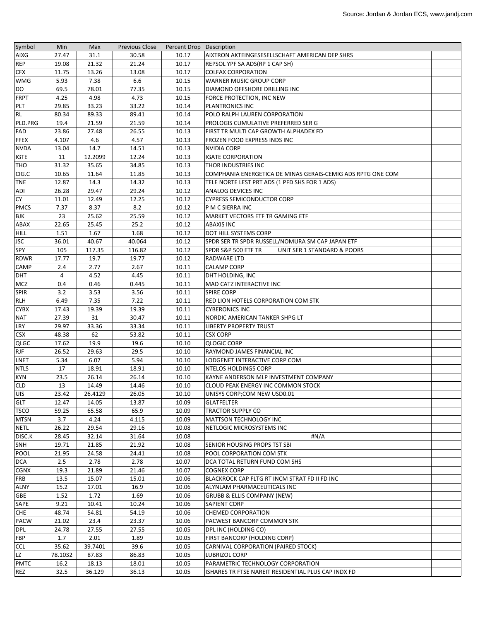| Symbol                   | Min     | Max     | <b>Previous Close</b> | Percent Drop Description |                                                             |  |
|--------------------------|---------|---------|-----------------------|--------------------------|-------------------------------------------------------------|--|
| <b>AIXG</b>              | 27.47   | 31.1    | 30.58                 | 10.17                    | AIXTRON AKTEINGESESELLSCHAFT AMERICAN DEP SHRS              |  |
| REP                      | 19.08   | 21.32   | 21.24                 | 10.17                    | REPSOL YPF SA ADS(RP 1 CAP SH)                              |  |
| <b>CFX</b>               | 11.75   | 13.26   | 13.08                 | 10.17                    | <b>COLFAX CORPORATION</b>                                   |  |
| WMG                      | 5.93    | 7.38    | 6.6                   | 10.15                    | WARNER MUSIC GROUP CORP                                     |  |
| <b>DO</b>                | 69.5    | 78.01   | 77.35                 | 10.15                    | DIAMOND OFFSHORE DRILLING INC                               |  |
| <b>FRPT</b>              | 4.25    | 4.98    | 4.73                  | 10.15                    | FORCE PROTECTION, INC NEW                                   |  |
| <b>PLT</b>               | 29.85   | 33.23   | 33.22                 | 10.14                    | PLANTRONICS INC                                             |  |
| <b>RL</b>                | 80.34   | 89.33   | 89.41                 | 10.14                    | POLO RALPH LAUREN CORPORATION                               |  |
| PLD.PRG                  | 19.4    | 21.59   | 21.59                 | 10.14                    | PROLOGIS CUMULATIVE PREFERRED SER G                         |  |
| FAD                      | 23.86   | 27.48   | 26.55                 | 10.13                    | FIRST TR MULTI CAP GROWTH ALPHADEX FD                       |  |
| <b>FFEX</b>              | 4.107   | 4.6     | 4.57                  | 10.13                    | FROZEN FOOD EXPRESS INDS INC                                |  |
| <b>NVDA</b>              | 13.04   | 14.7    | 14.51                 | 10.13                    | <b>NVIDIA CORP</b>                                          |  |
| <b>IGTE</b>              | 11      | 12.2099 | 12.24                 | 10.13                    | <b>IGATE CORPORATION</b>                                    |  |
| THO                      | 31.32   | 35.65   | 34.85                 | 10.13                    | THOR INDUSTRIES INC                                         |  |
| CIG.C                    | 10.65   | 11.64   | 11.85                 | 10.13                    | COMPHANIA ENERGETICA DE MINAS GERAIS-CEMIG ADS RPTG ONE COM |  |
| <b>TNE</b>               | 12.87   | 14.3    | 14.32                 | 10.13                    | TELE NORTE LEST PRT ADS (1 PFD SHS FOR 1 ADS)               |  |
| ADI                      | 26.28   | 29.47   | 29.24                 | 10.12                    | ANALOG DEVICES INC                                          |  |
| <b>CY</b>                | 11.01   | 12.49   | 12.25                 | 10.12                    | <b>CYPRESS SEMICONDUCTOR CORP</b>                           |  |
| <b>PMCS</b>              | 7.37    | 8.37    | 8.2                   | 10.12                    | P M C SIERRA INC                                            |  |
| <b>BJK</b>               | 23      | 25.62   | 25.59                 | 10.12                    | MARKET VECTORS ETF TR GAMING ETF                            |  |
| ABAX                     | 22.65   | 25.45   | 25.2                  | 10.12                    | <b>ABAXIS INC</b>                                           |  |
| <b>HILL</b>              | 1.51    | 1.67    | 1.68                  | 10.12                    | DOT HILL SYSTEMS CORP                                       |  |
| JSC                      | 36.01   | 40.67   | 40.064                | 10.12                    | SPDR SER TR SPDR RUSSELL/NOMURA SM CAP JAPAN ETF            |  |
| SPY                      | 105     | 117.35  | 116.82                | 10.12                    | SPDR S&P 500 ETF TR<br>UNIT SER 1 STANDARD & POORS          |  |
| <b>RDWR</b>              | 17.77   | 19.7    | 19.77                 | 10.12                    | RADWARE LTD                                                 |  |
| <b>CAMP</b>              | 2.4     | 2.77    | 2.67                  | 10.11                    | <b>CALAMP CORP</b>                                          |  |
| <b>DHT</b>               | 4       | 4.52    | 4.45                  | 10.11                    | DHT HOLDING, INC                                            |  |
| <b>MCZ</b>               | 0.4     | 0.46    | 0.445                 | 10.11                    | MAD CATZ INTERACTIVE INC                                    |  |
| <b>SPIR</b>              | 3.2     | 3.53    | 3.56                  | 10.11                    | <b>SPIRE CORP</b>                                           |  |
| <b>RLH</b>               | 6.49    | 7.35    | 7.22                  | 10.11                    | RED LION HOTELS CORPORATION COM STK                         |  |
| <b>CYBX</b>              | 17.43   | 19.39   | 19.39                 | 10.11                    | <b>CYBERONICS INC</b>                                       |  |
| <b>NAT</b>               | 27.39   | 31      | 30.47                 | 10.11                    | NORDIC AMERICAN TANKER SHPG LT                              |  |
| LRY                      | 29.97   | 33.36   | 33.34                 | 10.11                    | <b>LIBERTY PROPERTY TRUST</b>                               |  |
| <b>CSX</b>               | 48.38   | 62      | 53.82                 | 10.11                    | <b>CSX CORP</b>                                             |  |
| <b>QLGC</b>              | 17.62   | 19.9    | 19.6                  | 10.10                    | <b>QLOGIC CORP</b>                                          |  |
| <b>RJF</b>               | 26.52   | 29.63   | 29.5                  | 10.10                    | RAYMOND JAMES FINANCIAL INC                                 |  |
| LNET                     | 5.34    | 6.07    | 5.94                  | 10.10                    | LODGENET INTERACTIVE CORP COM                               |  |
| <b>NTLS</b>              | 17      | 18.91   | 18.91                 | 10.10                    | NTELOS HOLDINGS CORP                                        |  |
| <b>KYN</b>               | 23.5    | 26.14   | 26.14                 | 10.10                    | KAYNE ANDERSON MLP INVESTMENT COMPANY                       |  |
| <b>CLD</b>               | 13      | 14.49   | 14.46                 | 10.10                    | CLOUD PEAK ENERGY INC COMMON STOCK                          |  |
| <b>UIS</b>               | 23.42   | 26.4129 | 26.05                 | 10.10                    | UNISYS CORP;COM NEW USD0.01                                 |  |
| GLT                      | 12.47   | 14.05   | 13.87                 | 10.09                    | <b>GLATFELTER</b>                                           |  |
| <b>TSCO</b>              | 59.25   | 65.58   | 65.9                  | 10.09                    | <b>TRACTOR SUPPLY CO</b>                                    |  |
| <b>MTSN</b>              | 3.7     | 4.24    | 4.115                 | 10.09                    | MATTSON TECHNOLOGY INC                                      |  |
| <b>NETL</b>              | 26.22   | 29.54   | 29.16                 | 10.08                    | NETLOGIC MICROSYSTEMS INC                                   |  |
| DISC.K                   | 28.45   | 32.14   | 31.64                 | 10.08                    | #N/A                                                        |  |
| SNH                      | 19.71   | 21.85   | 21.92                 | 10.08                    | SENIOR HOUSING PROPS TST SBI                                |  |
| <b>POOL</b>              | 21.95   | 24.58   | 24.41                 | 10.08                    | POOL CORPORATION COM STK                                    |  |
| <b>DCA</b>               | 2.5     | 2.78    | 2.78                  | 10.07                    | DCA TOTAL RETURN FUND COM SHS                               |  |
| <b>CGNX</b>              | 19.3    | 21.89   | 21.46                 | 10.07                    | <b>COGNEX CORP</b>                                          |  |
| <b>FRB</b>               | 13.5    | 15.07   | 15.01                 | 10.06                    | BLACKROCK CAP FLTG RT INCM STRAT FD II FD INC               |  |
| <b>ALNY</b>              | 15.2    | 17.01   | 16.9                  | 10.06                    | ALYNLAM PHARMACEUTICALS INC                                 |  |
| <b>GBE</b>               | 1.52    | 1.72    | 1.69                  | 10.06                    | <b>GRUBB &amp; ELLIS COMPANY (NEW)</b>                      |  |
|                          | 9.21    | 10.41   | 10.24                 | 10.06                    | <b>SAPIENT CORP</b>                                         |  |
| SAPE<br><b>CHE</b>       | 48.74   | 54.81   | 54.19                 | 10.06                    | <b>CHEMED CORPORATION</b>                                   |  |
| <b>PACW</b>              | 21.02   | 23.4    | 23.37                 | 10.06                    | PACWEST BANCORP COMMON STK                                  |  |
| <b>DPL</b>               | 24.78   | 27.55   | 27.55                 | 10.05                    | DPL INC (HOLDING CO)                                        |  |
| FBP                      | 1.7     | 2.01    |                       | 10.05                    |                                                             |  |
|                          |         | 39.7401 | 1.89                  |                          | FIRST BANCORP (HOLDING CORP)                                |  |
| <b>CCL</b>               | 35.62   |         | 39.6                  | 10.05                    | CARNIVAL CORPORATION (PAIRED STOCK)                         |  |
| <b>LZ</b><br><b>PMTC</b> | 78.1032 | 87.83   | 86.83                 | 10.05                    | <b>LUBRIZOL CORP</b>                                        |  |
|                          | 16.2    | 18.13   | 18.01                 | 10.05                    | PARAMETRIC TECHNOLOGY CORPORATION                           |  |
| <b>REZ</b>               | 32.5    | 36.129  | 36.13                 | 10.05                    | ISHARES TR FTSE NAREIT RESIDENTIAL PLUS CAP INDX FD         |  |